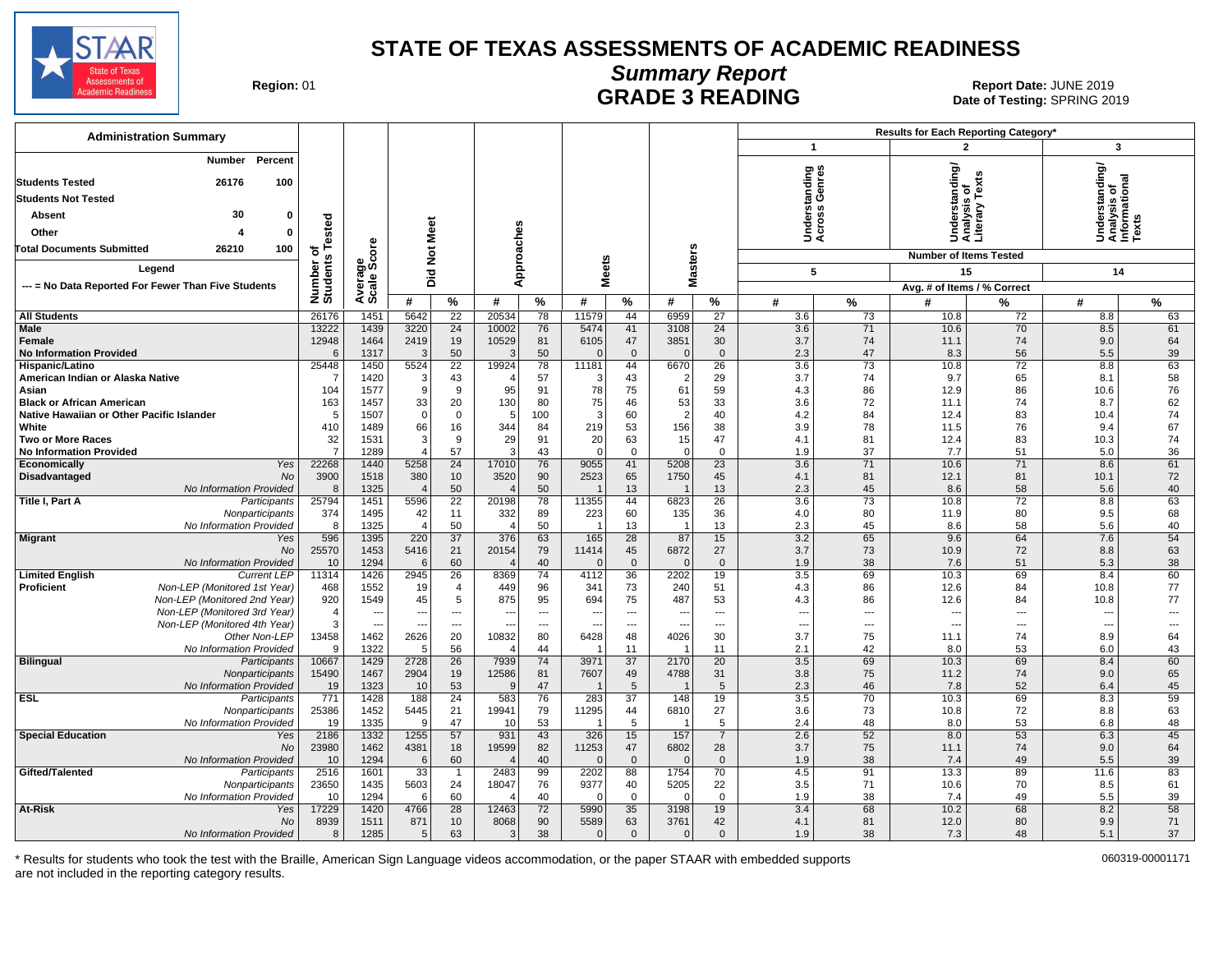

## **Summary Report**

Region: 01 **Region: 01 CONTRIGGLATE 3 READING Report Date: JUNE 2019**<br>Date of Testing: SPRING 20 Date of Testing: SPRING 2019

| <b>Administration Summary</b>                                                 |                          |                      |                        |                          |                          |                          |                  |                          |                          |                      |                             |          | Results for Each Reporting Category*            |                          |                                                         |          |
|-------------------------------------------------------------------------------|--------------------------|----------------------|------------------------|--------------------------|--------------------------|--------------------------|------------------|--------------------------|--------------------------|----------------------|-----------------------------|----------|-------------------------------------------------|--------------------------|---------------------------------------------------------|----------|
|                                                                               |                          |                      |                        |                          |                          |                          |                  |                          |                          |                      | $\mathbf{1}$                |          | $\overline{2}$                                  |                          | 3                                                       |          |
| <b>Number</b><br>Percent                                                      |                          |                      |                        |                          |                          |                          |                  |                          |                          |                      | derstanding<br>:ross Genres |          | Understanding/<br>Analysis of<br>Literary Texts |                          | Understanding/<br>Analysis of<br>Informational<br>Texts |          |
| <b>Students Tested</b><br>26176<br>100                                        |                          |                      |                        |                          |                          |                          |                  |                          |                          |                      |                             |          |                                                 |                          |                                                         |          |
| <b>Students Not Tested</b>                                                    |                          |                      |                        |                          |                          |                          |                  |                          |                          |                      |                             |          |                                                 |                          |                                                         |          |
| 30<br>0<br>Absent                                                             |                          |                      |                        |                          |                          |                          |                  |                          |                          |                      |                             |          |                                                 |                          |                                                         |          |
| Other<br>$\mathbf 0$                                                          | ested                    |                      |                        |                          |                          |                          |                  |                          |                          |                      | šē                          |          |                                                 |                          |                                                         |          |
| <b>Total Documents Submitted</b><br>26210<br>100                              |                          | ö                    |                        |                          |                          |                          |                  |                          |                          |                      |                             |          |                                                 |                          |                                                         |          |
|                                                                               | Number of<br>Students Te |                      | Not Meet               |                          | Approaches               |                          |                  |                          | <b>Masters</b>           |                      |                             |          | <b>Number of Items Tested</b>                   |                          |                                                         |          |
| Legend                                                                        |                          | Average<br>Scale Sco | Did                    |                          |                          |                          | <b>Meets</b>     |                          |                          |                      | 5                           |          | 15                                              |                          | 14                                                      |          |
| --- = No Data Reported For Fewer Than Five Students                           |                          |                      |                        |                          |                          |                          |                  |                          |                          |                      |                             |          | Avg. # of Items / % Correct                     |                          |                                                         |          |
|                                                                               |                          |                      | #                      | %                        | #                        | %                        | #                | %                        | #                        | %                    | #                           | %        | #                                               | %                        | #                                                       | %        |
| <b>All Students</b><br>Male                                                   | 26176<br>13222           | 1451<br>1439         | 5642<br>3220           | 22<br>24                 | 20534<br>10002           | 78<br>76                 | 11579<br>5474    | 44<br>41                 | 6959<br>3108             | 27<br>24             | 3.6<br>3.6                  | 73<br>71 | 10.8<br>10.6                                    | 72<br>70                 | 8.8<br>8.5                                              | 63<br>61 |
| Female                                                                        | 12948                    | 1464                 | 2419                   | 19                       | 10529                    | 81                       | 6105             | 47                       | 3851                     | 30                   | 3.7                         | 74       | 11.1                                            | 74                       | 9.0                                                     | 64       |
| <b>No Information Provided</b>                                                | 6                        | 1317                 | 3                      | 50                       | 3                        | 50                       | $\Omega$         | $\mathbf{0}$             | $\Omega$                 | $\Omega$             | 2.3                         | 47       | 8.3                                             | 56                       | 5.5                                                     | 39       |
| Hispanic/Latino                                                               | 25448                    | 1450                 | 5524                   | $\overline{22}$          | 19924                    | 78                       | 11181            | 44                       | 6670                     | $\overline{26}$      | 3.6                         | 73       | 10.8                                            | 72                       | 8.8                                                     | 63       |
| American Indian or Alaska Native                                              | $\overline{7}$           | 1420                 | 3                      | 43                       |                          | 57                       | 3                | 43                       | $\overline{2}$           | 29                   | 3.7                         | 74       | 9.7                                             | 65                       | 8.1                                                     | 58       |
| Asian                                                                         | 104                      | 1577<br>1457         | 9                      | 9<br>20                  | 95                       | 91<br>80                 | 78               | 75                       | 61                       | 59<br>33             | 4.3                         | 86<br>72 | 12.9                                            | 86<br>74                 | 10.6<br>8.7                                             | 76       |
| <b>Black or African American</b><br>Native Hawaiian or Other Pacific Islander | 163<br>5                 | 1507                 | 33<br>$\mathbf 0$      | $\mathbf 0$              | 130<br>.5                | 100                      | 75<br>3          | 46<br>60                 | 53<br>$\overline{2}$     | 40                   | 3.6<br>4.2                  | 84       | 11.1<br>12.4                                    | 83                       | 10.4                                                    | 62<br>74 |
| White                                                                         | 410                      | 1489                 | 66                     | 16                       | 344                      | 84                       | 219              | 53                       | 156                      | 38                   | 3.9                         | 78       | 11.5                                            | 76                       | 9.4                                                     | 67       |
| <b>Two or More Races</b>                                                      | 32                       | 1531                 | 3                      | 9                        | 29                       | 91                       | 20               | 63                       | 15                       | 47                   | 4.1                         | 81       | 12.4                                            | 83                       | 10.3                                                    | 74       |
| <b>No Information Provided</b>                                                | $\overline{7}$           | 1289                 | $\Delta$               | 57                       | r.                       | 43                       | $\Omega$         | $\Omega$                 | $\Omega$                 | $\Omega$             | 1.9                         | 37       | 7.7                                             | 51                       | 5.0                                                     | 36       |
| Yes<br>Economically                                                           | 22268                    | 1440                 | 5258                   | 24                       | 17010                    | 76                       | 9055             | 41                       | 5208                     | $\overline{23}$      | 3.6                         | 71       | 10.6                                            | 71                       | 8.6                                                     | 61       |
| Disadvantaged<br>No                                                           | 3900                     | 1518                 | 380                    | 10                       | 3520                     | 90                       | 2523             | 65                       | 1750                     | 45                   | 4.1                         | 81       | 12.1                                            | 81                       | 10.1                                                    | 72       |
| No Information Provided<br>Title I, Part A<br>Participants                    | 8<br>25794               | 1325<br>1451         | $\overline{4}$<br>5596 | 50<br>22                 | 20198                    | 50<br>78                 | 11355            | 13<br>44                 | 6823                     | 13<br>26             | 2.3<br>3.6                  | 45<br>73 | 8.6<br>10.8                                     | 58<br>72                 | 5.6<br>8.8                                              | 40<br>63 |
| Nonparticipants                                                               | 374                      | 1495                 | 42                     | 11                       | 332                      | 89                       | 223              | 60                       | 135                      | 36                   | 4.0                         | 80       | 11.9                                            | 80                       | 9.5                                                     | 68       |
| No Information Provided                                                       | 8                        | 1325                 | $\overline{4}$         | 50                       | $\sqrt{2}$               | 50                       | $\overline{1}$   | 13                       | $\overline{\phantom{0}}$ | 13                   | 2.3                         | 45       | 8.6                                             | 58                       | 5.6                                                     | 40       |
| <b>Migrant</b><br>Yes                                                         | 596                      | 1395                 | 220                    | $\overline{37}$          | 376                      | 63                       | 165              | $\overline{28}$          | 87                       | 15                   | 3.2                         | 65       | 9.6                                             | 64                       | 7.6                                                     | 54       |
| No                                                                            | 25570                    | 1453                 | 5416                   | 21                       | 20154                    | 79                       | 11414            | 45                       | 6872                     | 27                   | 3.7                         | 73       | 10.9                                            | 72                       | 8.8                                                     | 63       |
| No Information Provided<br><b>Limited English</b><br><b>Current LEP</b>       | 10<br>11314              | 1294<br>1426         | 6<br>2945              | 60<br>26                 | 8369                     | 40<br>74                 | $\Omega$<br>4112 | $\mathbf{0}$<br>36       | $\Omega$<br>2202         | $\mathbf{0}$<br>19   | 1.9<br>3.5                  | 38<br>69 | 7.6<br>10.3                                     | 51<br>69                 | 5.3<br>8.4                                              | 38       |
| Non-LEP (Monitored 1st Year)<br><b>Proficient</b>                             | 468                      | 1552                 | 19                     | 4                        | 449                      | 96                       | 341              | 73                       | 240                      | 51                   | 4.3                         | 86       | 12.6                                            | 84                       | 10.8                                                    | 60<br>77 |
| Non-LEP (Monitored 2nd Year)                                                  | 920                      | 1549                 | 45                     | 5                        | 875                      | 95                       | 694              | 75                       | 487                      | 53                   | 4.3                         | 86       | 12.6                                            | 84                       | 10.8                                                    | 77       |
| Non-LEP (Monitored 3rd Year)                                                  | $\overline{4}$           |                      | ---                    | $\hspace{0.05cm} \ldots$ | $\overline{\phantom{a}}$ | $\overline{\phantom{a}}$ | --               | $\overline{a}$           | $\overline{\phantom{a}}$ | $\overline{a}$       | $\overline{\phantom{a}}$    | ---      | ---                                             | $\overline{a}$           | $\hspace{0.05cm} \ldots$                                | ---      |
| Non-LEP (Monitored 4th Year)                                                  | 3                        | $\sim$               | ---                    | $\hspace{0.05cm} \ldots$ | $\overline{\phantom{a}}$ | $\sim$                   | ---              | $\overline{\phantom{a}}$ | --                       | $---$                | $\overline{\phantom{a}}$    | ---      | ---                                             | $\overline{\phantom{a}}$ | $\overline{\phantom{a}}$                                | ---      |
| Other Non-LEP                                                                 | 13458                    | 1462                 | 2626                   | 20                       | 10832                    | 80                       | 6428             | 48                       | 4026                     | 30                   | 3.7                         | 75       | 11.1                                            | 74                       | 8.9                                                     | 64       |
| No Information Provided<br><b>Bilingual</b><br>Participants                   | 9<br>10667               | 1322<br>1429         | -5<br>2728             | 56<br>26                 | $\sqrt{2}$<br>7939       | 44<br>74                 | 3971             | 11<br>37                 | -1<br>2170               | 11<br>20             | 2.1<br>3.5                  | 42<br>69 | 8.0<br>10.3                                     | 53<br>69                 | 6.0<br>8.4                                              | 43<br>60 |
| Nonparticipants                                                               | 15490                    | 1467                 | 2904                   | 19                       | 12586                    | 81                       | 7607             | 49                       | 4788                     | 31                   | 3.8                         | 75       | 11.2                                            | 74                       | 9.0                                                     | 65       |
| No Information Provided                                                       | 19                       | 1323                 | 10                     | 53                       | $\mathbf{C}$             | 47                       |                  | 5                        |                          | 5                    | 2.3                         | 46       | 7.8                                             | 52                       | 6.4                                                     | 45       |
| <b>ESL</b><br>Participants                                                    | 771                      | 1428                 | 188                    | $\overline{24}$          | 583                      | 76                       | 283              | $\overline{37}$          | 148                      | 19                   | 3.5                         | 70       | 10.3                                            | 69                       | 8.3                                                     | 59       |
| Nonparticipants                                                               | 25386                    | 1452                 | 5445                   | 21                       | 19941                    | 79                       | 11295            | 44                       | 6810                     | 27                   | 3.6                         | 73       | 10.8                                            | 72                       | 8.8                                                     | 63       |
| No Information Provided                                                       | 19                       | 1335                 | 9                      | 47                       | 10                       | 53                       |                  | 5                        | - 1                      | 5                    | 2.4                         | 48       | 8.0                                             | 53                       | 6.8                                                     | 48       |
| <b>Special Education</b><br>Yes<br>No                                         | 2186<br>23980            | 1332<br>1462         | 1255<br>4381           | 57<br>18                 | 931<br>19599             | 43<br>82                 | 326<br>11253     | 15<br>47                 | 157<br>6802              | $\overline{7}$<br>28 | 2.6<br>3.7                  | 52<br>75 | 8.0<br>11.1                                     | 53<br>74                 | 6.3<br>9.0                                              | 45<br>64 |
| No Information Provided                                                       | 10                       | 1294                 | 6                      | 60                       |                          | 40                       | $\Omega$         | $\mathbf 0$              | $\Omega$                 | $\mathbf 0$          | 1.9                         | 38       | 7.4                                             | 49                       | 5.5                                                     | 39       |
| Gifted/Talented<br>Participants                                               | 2516                     | 1601                 | 33                     | $\mathbf{1}$             | 2483                     | 99                       | 2202             | 88                       | 1754                     | 70                   | 4.5                         | 91       | 13.3                                            | 89                       | 11.6                                                    | 83       |
| Nonparticipants                                                               | 23650                    | 1435                 | 5603                   | 24                       | 18047                    | 76                       | 9377             | 40                       | 5205                     | 22                   | 3.5                         | 71       | 10.6                                            | 70                       | 8.5                                                     | 61       |
| No Information Provided                                                       | 10                       | 1294                 | 6                      | 60                       |                          | 40                       | $\Omega$         | $\Omega$                 | $\sqrt{ }$               | $\Omega$             | 1.9                         | 38       | 7.4                                             | 49                       | 5.5                                                     | 39       |
| At-Risk<br>Yes                                                                | 17229                    | 1420                 | 4766                   | 28                       | 12463                    | 72                       | 5990             | 35                       | 3198                     | 19                   | 3.4                         | 68       | 10.2                                            | 68                       | 8.2                                                     | 58       |
| No                                                                            | 8939                     | 1511                 | 871                    | 10                       | 8068                     | 90                       | 5589             | 63                       | 3761                     | 42                   | 4.1                         | 81       | 12.0                                            | 80                       | 9.9                                                     | 71       |
| No Information Provided                                                       | 8                        | 1285                 | 5                      | 63                       | 3                        | 38                       | $\Omega$         | $\mathbf{0}$             | $\mathbf{0}$             | $\mathbf{0}$         | 1.9                         | 38       | 7.3                                             | 48                       | 5.1                                                     | 37       |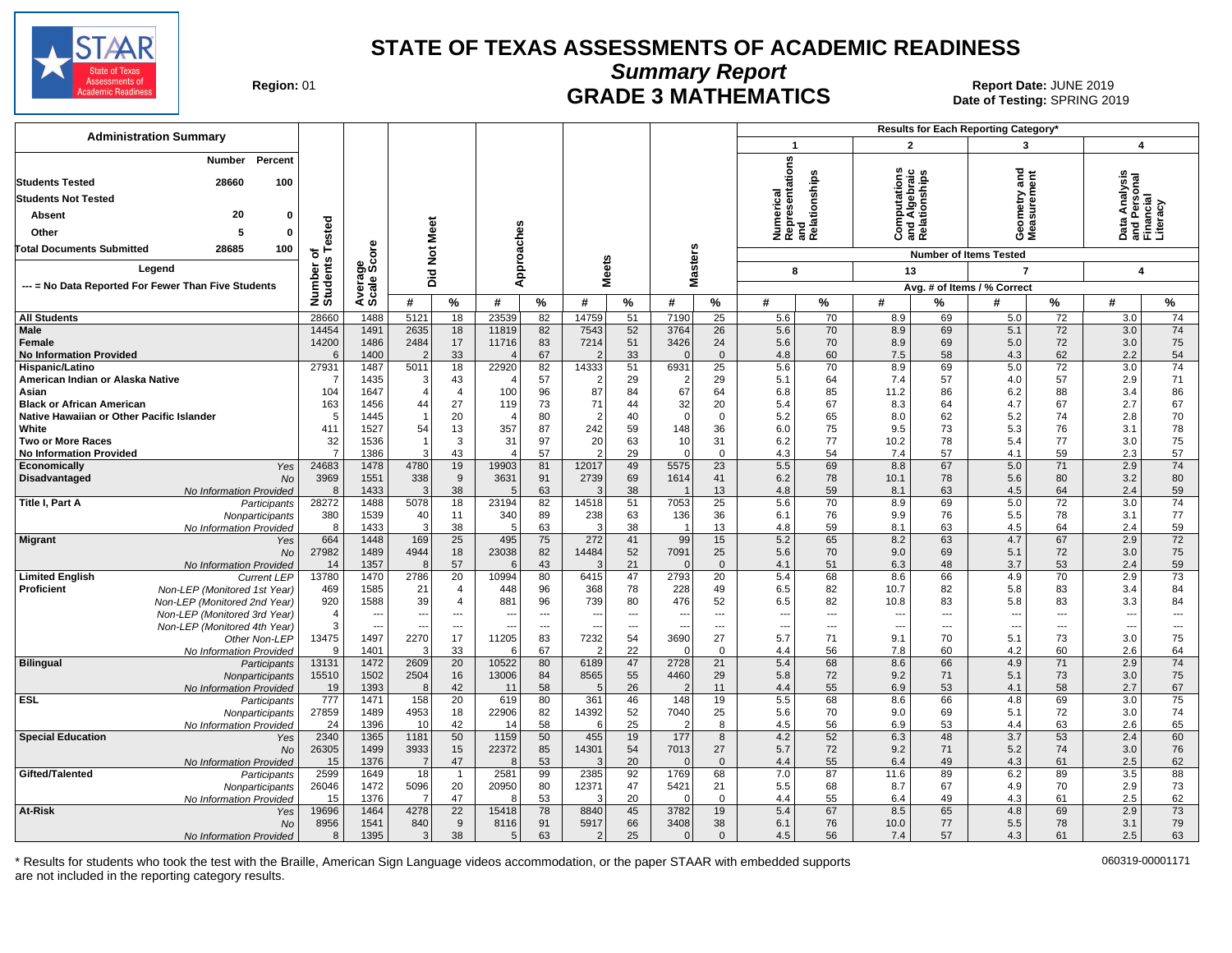

**Summary Report**

**GRADE 3 MATHEMATICS Date: JUNE 2019 Report Date: JUNE 2019 CRADE 3 MATHEMATICS Date of Testing: SPRING 20** Date of Testing: SPRING 2019

| <b>Administration Summary</b>                               |                     |                                |                 |                                 |                                  |                          |                         |            |                        |                      |                                                      |            |                |                                                | Results for Each Reporting Category* |                                 |                                |                                 |
|-------------------------------------------------------------|---------------------|--------------------------------|-----------------|---------------------------------|----------------------------------|--------------------------|-------------------------|------------|------------------------|----------------------|------------------------------------------------------|------------|----------------|------------------------------------------------|--------------------------------------|---------------------------------|--------------------------------|---------------------------------|
|                                                             |                     |                                |                 |                                 |                                  |                          |                         |            |                        |                      | $\mathbf{1}$                                         |            | $\overline{2}$ |                                                | 3                                    |                                 | $\overline{\mathbf{4}}$        |                                 |
| Percent<br>Number<br>28660<br>100<br><b>Students Tested</b> |                     |                                |                 |                                 |                                  |                          |                         |            |                        |                      | Numerical<br>Representations<br>and<br>Relationships |            |                | Computations<br>and Algebraic<br>Relationships | ರ<br>Ĕ                               | ā                               | Analysis<br>Personal<br>Incial |                                 |
| <b>Students Not Tested</b>                                  |                     |                                |                 |                                 |                                  |                          |                         |            |                        |                      |                                                      |            |                |                                                |                                      |                                 |                                |                                 |
| 20<br>Absent<br>0                                           |                     |                                |                 |                                 |                                  |                          |                         |            |                        |                      |                                                      |            |                |                                                | ieometry<br>leasurem                 |                                 |                                |                                 |
| Other<br>5<br>0                                             | ested               |                                |                 |                                 |                                  |                          |                         |            |                        |                      |                                                      |            |                |                                                |                                      |                                 | ata<br>ara<br>Fina             |                                 |
|                                                             |                     |                                |                 |                                 |                                  |                          |                         |            |                        |                      |                                                      |            |                |                                                | ΟΣ                                   |                                 |                                |                                 |
| 28685<br>100<br><b>Total Documents Submitted</b>            | ৳<br>s              | ore                            | <b>Not Meet</b> |                                 |                                  |                          |                         |            |                        |                      |                                                      |            |                |                                                | <b>Number of Items Tested</b>        |                                 |                                |                                 |
| Legend                                                      |                     | န္မွဳ့ဖိ                       |                 |                                 | Approaches                       |                          | <b>Meets</b>            |            | Masters                |                      | 8                                                    |            | 13             |                                                | $\overline{7}$                       |                                 | $\overline{\mathbf{4}}$        |                                 |
| --- = No Data Reported For Fewer Than Five Students         |                     | Avera<br>Scale                 | Did             |                                 |                                  |                          |                         |            |                        |                      |                                                      |            |                |                                                | Avg. # of Items / % Correct          |                                 |                                |                                 |
|                                                             | Number<br>Students  |                                | #               | %                               | #                                | %                        | #                       | $\%$       | #                      | %                    | #                                                    | %          | #              | %                                              | #                                    | %                               | #                              | %                               |
| <b>All Students</b>                                         | 28660               | 1488                           | 5121            | 18                              | 23539                            | 82                       | 14759                   | 51         | 7190                   | $\overline{25}$      | 5.6                                                  | 70         | 8.9            | 69                                             | 5.0                                  | $\overline{72}$                 | 3.0                            | 74                              |
| Male                                                        | 14454               | 1491                           | 2635            | 18                              | 11819                            | 82                       | 7543                    | 52         | 3764                   | 26                   | 5.6                                                  | 70         | 8.9            | 69                                             | 5.1                                  | 72                              | 3.0                            | 74                              |
| Female                                                      | 14200               | 1486                           | 2484            | 17                              | 11716                            | 83                       | 7214                    | 51         | 3426                   | 24                   | 5.6                                                  | 70         | 8.9            | 69                                             | 5.0                                  | 72                              | 3.0                            | 75                              |
| <b>No Information Provided</b>                              | <b>6</b>            | 1400                           |                 | 33                              | $\overline{4}$                   | 67                       |                         | 33         | $\Omega$               | $\overline{0}$       | 4.8                                                  | 60         | 7.5            | 58                                             | 4.3                                  | 62                              | 2.2                            | 54                              |
| Hispanic/Latino<br>American Indian or Alaska Native         | 27931               | 1487<br>1435                   | 5011<br>3       | 18<br>43                        | 22920                            | 82<br>57                 | 14333<br>$\overline{2}$ | 51<br>29   | 6931<br>$\overline{2}$ | 25<br>29             | 5.6<br>5.1                                           | 70<br>64   | 8.9<br>7.4     | 69<br>57                                       | 5.0<br>4.0                           | $\overline{72}$<br>57           | 3.0<br>2.9                     | 74<br>71                        |
| Asian                                                       | 104                 | 1647                           | $\overline{4}$  | $\overline{4}$                  | 100                              | 96                       | 87                      | 84         | 67                     | 64                   | 6.8                                                  | 85         | 11.2           | 86                                             | 6.2                                  | 88                              | 3.4                            | 86                              |
| <b>Black or African American</b>                            | 163                 | 1456                           | 44              | 27                              | 119                              | 73                       | 71                      | 44         | 32                     | 20                   | 5.4                                                  | 67         | 8.3            | 64                                             | 4.7                                  | 67                              | 2.7                            | 67                              |
| Native Hawaiian or Other Pacific Islander                   | 5                   | 1445                           | $\overline{1}$  | 20                              | $\overline{4}$                   | 80                       | $\overline{2}$          | 40         | $\mathbf 0$            | $\overline{0}$       | 5.2                                                  | 65         | 8.0            | 62                                             | 5.2                                  | 74                              | 2.8                            | 70                              |
| White                                                       | 411                 | 1527                           | 54              | 13                              | 357                              | 87                       | 242                     | 59         | 148                    | 36                   | 6.0                                                  | 75         | 9.5            | 73                                             | 5.3                                  | 76                              | 3.1                            | 78                              |
| <b>Two or More Races</b>                                    | 32                  | 1536                           | -1              | 3                               | 31                               | 97                       | 20                      | 63         | 10                     | 31                   | 6.2                                                  | 77         | 10.2           | 78                                             | 5.4                                  | 77                              | 3.0                            | 75                              |
| <b>No Information Provided</b><br>Economically<br>Yes       | 7<br>24683          | 1386<br>1478                   | 3<br>4780       | 43<br>19                        | $\overline{\mathbf{4}}$<br>19903 | 57<br>81                 | 2<br>12017              | 29<br>49   | $\Omega$<br>5575       | $\overline{0}$<br>23 | 4.3<br>5.5                                           | 54<br>69   | 7.4<br>8.8     | 57<br>67                                       | 4.1<br>5.0                           | 59<br>71                        | 2.3<br>2.9                     | 57<br>74                        |
| Disadvantaged<br><b>No</b>                                  | 3969                | 1551                           | 338             | 9                               | 3631                             | 91                       | 2739                    | 69         | 1614                   | 41                   | 6.2                                                  | 78         | 10.1           | 78                                             | 5.6                                  | 80                              | 3.2                            | 80                              |
| No Information Provided                                     | 8                   | 1433                           | ß               | 38                              | 5                                | 63                       | Э                       | 38         |                        | 13                   | 4.8                                                  | 59         | 8.1            | 63                                             | 4.5                                  | 64                              | 2.4                            | 59                              |
| Title I, Part A<br>Participants                             | 28272               | 1488                           | 5078            | 18                              | 23194                            | 82                       | 14518                   | 51         | 7053                   | 25                   | 5.6                                                  | 70         | 8.9            | 69                                             | 5.0                                  | $\overline{72}$                 | 3.0                            | 74                              |
| Nonparticipants                                             | 380                 | 1539                           | 40              | 11                              | 340                              | 89                       | 238                     | 63         | 136                    | 36                   | 6.1                                                  | 76         | 9.9            | 76                                             | 5.5                                  | 78                              | 3.1                            | 77                              |
| No Information Provided                                     | 8                   | 1433                           | 3               | 38                              | 5                                | 63                       | 3<br>272                | 38         | $\overline{1}$         | 13                   | 4.8                                                  | 59<br>65   | 8.1            | 63                                             | 4.5<br>4.7                           | 64                              | 2.4                            | 59<br>72                        |
| <b>Migrant</b><br>Yes<br>No                                 | 664<br>27982        | 1448<br>1489                   | 169<br>4944     | 25<br>18                        | 495<br>23038                     | 75<br>82                 | 14484                   | 41<br>52   | 99<br>7091             | 15<br>25             | 5.2<br>5.6                                           | 70         | 8.2<br>9.0     | 63<br>69                                       | 5.1                                  | 67<br>72                        | 2.9<br>3.0                     | 75                              |
| No Information Provided                                     | 14                  | 1357                           | 8               | 57                              | 6                                | 43                       | 3                       | 21         | $\Omega$               | $\overline{0}$       | 4.1                                                  | 51         | 6.3            | 48                                             | 3.7                                  | 53                              | 2.4                            | 59                              |
| <b>Limited English</b><br><b>Current LEP</b>                | 13780               | 1470                           | 2786            | 20                              | 10994                            | 80                       | 6415                    | 47         | 2793                   | 20                   | 5.4                                                  | 68         | 8.6            | 66                                             | 4.9                                  | 70                              | 2.9                            | 73                              |
| Proficient<br>Non-LEP (Monitored 1st Year)                  | 469                 | 1585                           | 21              | $\overline{4}$                  | 448                              | 96                       | 368                     | 78         | 228                    | 49                   | 6.5                                                  | 82         | 10.7           | 82                                             | 5.8                                  | 83                              | 3.4                            | 84                              |
| Non-LEP (Monitored 2nd Year)                                | 920                 | 1588                           | 39              | $\overline{4}$                  | 881                              | 96                       | 739                     | 80         | 476                    | 52                   | 6.5                                                  | 82         | 10.8           | 83                                             | 5.8                                  | 83                              | 3.3                            | 84                              |
| Non-LEP (Monitored 3rd Year)                                | $\overline{4}$<br>3 | $\overline{\phantom{a}}$<br>Ξ. |                 | $\overline{\phantom{a}}$<br>--- | $\overline{\phantom{a}}$         | $\overline{\phantom{a}}$ |                         | ---<br>--- | ---                    | ---<br>⊷             | $\overline{\phantom{a}}$                             | ---<br>--- | ---<br>---     | $\overline{\phantom{a}}$                       | $\overline{\phantom{a}}$             | $\overline{\phantom{a}}$<br>--- | $\overline{\phantom{a}}$<br>Ξ. | $\hspace{0.05cm} \ldots$<br>--- |
| Non-LEP (Monitored 4th Year)<br>Other Non-LEP               | 13475               | 1497                           | 2270            | 17                              | 11205                            | 83                       | 7232                    | 54         | 3690                   | 27                   | 5.7                                                  | 71         | 9.1            | 70                                             | 5.1                                  | 73                              | 3.0                            | 75                              |
| No Information Provided                                     | <sub>9</sub>        | 1401                           | 3               | 33                              | 6                                | 67                       | 2                       | 22         | $\Omega$               | $\mathbf 0$          | 4.4                                                  | 56         | 7.8            | 60                                             | 4.2                                  | 60                              | 2.6                            | 64                              |
| <b>Bilingual</b><br>Participants                            | 13131               | 1472                           | 2609            | 20                              | 10522                            | 80                       | 6189                    | 47         | 2728                   | 21                   | 5.4                                                  | 68         | 8.6            | 66                                             | 4.9                                  | 71                              | 2.9                            | 74                              |
| Nonparticipants                                             | 15510               | 1502                           | 2504            | 16                              | 13006                            | 84                       | 8565                    | 55         | 4460                   | 29                   | 5.8                                                  | 72         | 9.2            | 71                                             | 5.1                                  | 73                              | 3.0                            | 75                              |
| No Information Provided                                     | 19                  | 1393                           | 8               | 42                              | 11                               | 58                       | 5                       | 26         | $\mathcal{P}$          | 11                   | 4.4                                                  | 55         | 6.9            | 53                                             | 4.1                                  | 58                              | 2.7                            | 67                              |
| <b>ESL</b><br>Participants<br>Nonparticipants               | 777<br>27859        | 1471<br>1489                   | 158<br>4953     | 20<br>18                        | 619<br>22906                     | 80<br>82                 | 361<br>14392            | 46<br>52   | 148<br>7040            | 19<br>25             | 5.5<br>5.6                                           | 68<br>70   | 8.6<br>9.0     | 66<br>69                                       | 4.8<br>5.1                           | 69<br>72                        | 3.0<br>3.0                     | 75<br>74                        |
| No Information Provided                                     | 24                  | 1396                           | 10              | 42                              | 14                               | 58                       | 6                       | 25         | $\overline{2}$         | 8                    | 4.5                                                  | 56         | 6.9            | 53                                             | 4.4                                  | 63                              | 2.6                            | 65                              |
| <b>Special Education</b><br>Yes                             | 2340                | 1365                           | 1181            | 50                              | 1159                             | 50                       | 455                     | 19         | 177                    | 8                    | 4.2                                                  | 52         | 6.3            | 48                                             | 3.7                                  | 53                              | 2.4                            | 60                              |
| <b>No</b>                                                   | 26305               | 1499                           | 3933            | 15                              | 22372                            | 85                       | 14301                   | 54         | 7013                   | 27                   | 5.7                                                  | 72         | 9.2            | 71                                             | 5.2                                  | 74                              | 3.0                            | 76                              |
| No Information Provided                                     | 15                  | 1376                           | $\overline{7}$  | 47                              | 8                                | 53                       | 3                       | 20         | $\mathbf 0$            | $\overline{0}$       | 4.4                                                  | 55         | 6.4            | 49                                             | 4.3                                  | 61                              | 2.5                            | 62                              |
| Gifted/Talented<br>Participants                             | 2599                | 1649                           | 18              | $\overline{1}$                  | 2581                             | 99                       | 2385                    | 92         | 1769                   | 68                   | 7.0                                                  | 87         | 11.6           | 89                                             | 6.2                                  | 89                              | 3.5                            | 88                              |
| Nonparticipants<br>No Information Provided                  | 26046<br>15         | 1472<br>1376                   | 5096<br>-7      | 20<br>47                        | 20950<br>8                       | 80<br>53                 | 12371<br>3              | 47<br>20   | 5421<br>$\Omega$       | 21<br>$\mathbf 0$    | 5.5<br>4.4                                           | 68<br>55   | 8.7<br>6.4     | 67<br>49                                       | 4.9<br>4.3                           | 70<br>61                        | 2.9<br>2.5                     | 73<br>62                        |
| At-Risk<br>Yes                                              | 19696               | 1464                           | 4278            | 22                              | 15418                            | 78                       | 8840                    | 45         | 3782                   | 19                   | 5.4                                                  | 67         | 8.5            | 65                                             | 4.8                                  | 69                              | 2.9                            | 73                              |
| No                                                          | 8956                | 1541                           | 840             | $\boldsymbol{9}$                | 8116                             | 91                       | 5917                    | 66         | 3408                   | 38                   | 6.1                                                  | 76         | 10.0           | 77                                             | 5.5                                  | 78                              | 3.1                            | 79                              |
| No Information Provided                                     | 8                   | 1395                           | 3               | 38                              | 5                                | 63                       | 2                       | 25         | $\Omega$               | $\mathbf{0}$         | 4.5                                                  | 56         | 7.4            | 57                                             | 4.3                                  | 61                              | 2.5                            | 63                              |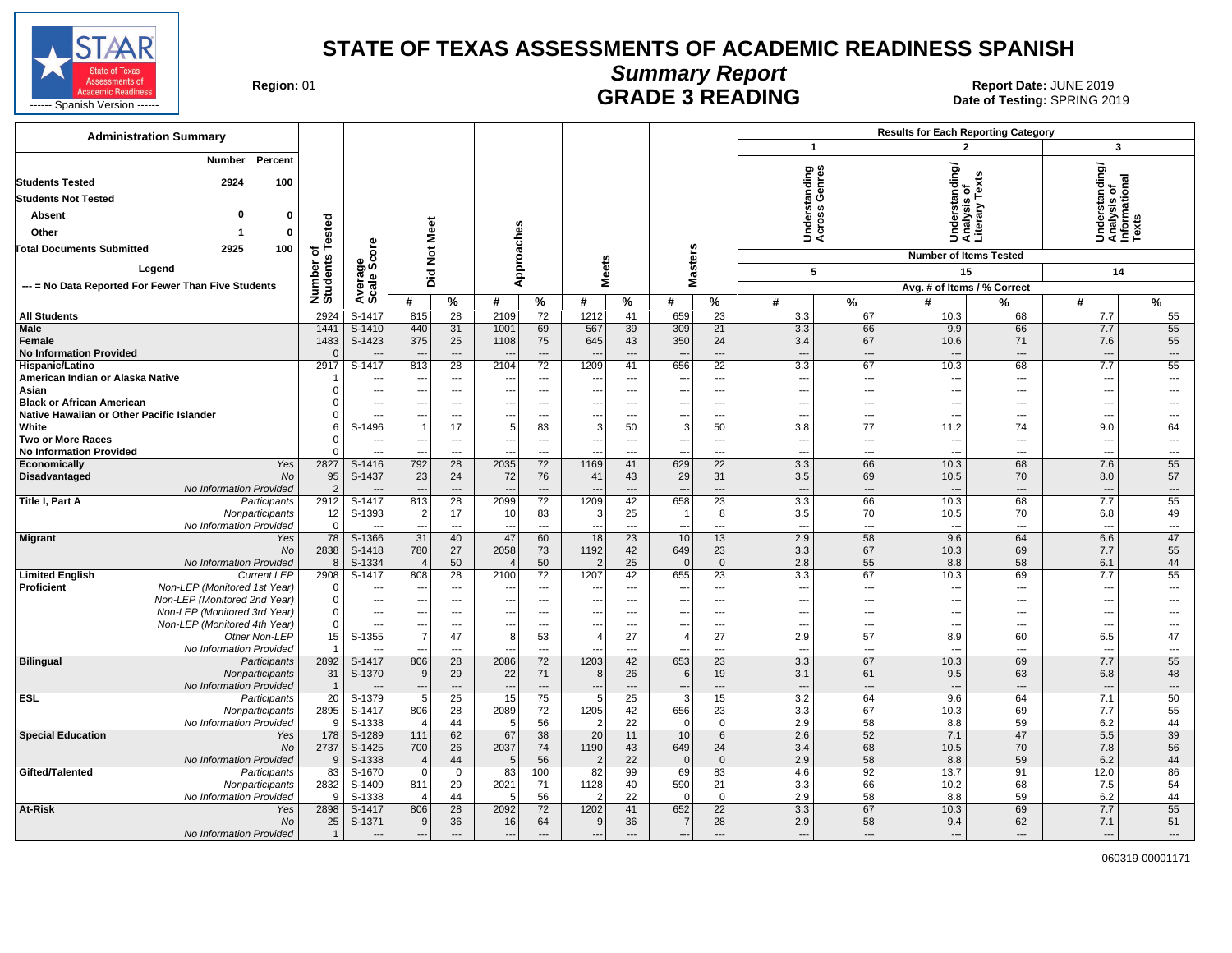

## **Summary Report** Region: 01 **Region: 01 CONTRIGGLATE 3 READING Report Date: JUNE 2019**<br>Date of Testing: SPRING 20

| <b>Administration Summary</b>                                     |                         |                                    |                                            |                                                      |                          |                                |                                                      |                                   |                                                      |                          |                                 |                                | <b>Results for Each Reporting Category</b> |                   |                                                         |                          |
|-------------------------------------------------------------------|-------------------------|------------------------------------|--------------------------------------------|------------------------------------------------------|--------------------------|--------------------------------|------------------------------------------------------|-----------------------------------|------------------------------------------------------|--------------------------|---------------------------------|--------------------------------|--------------------------------------------|-------------------|---------------------------------------------------------|--------------------------|
|                                                                   |                         |                                    |                                            |                                                      |                          |                                |                                                      |                                   |                                                      |                          | $\mathbf{1}$                    |                                | $\overline{2}$                             |                   | 3                                                       |                          |
| Percent<br><b>Number</b><br><b>Students Tested</b><br>2924<br>100 |                         |                                    |                                            |                                                      |                          |                                |                                                      |                                   |                                                      |                          | nding<br>enres                  |                                | tanding/                                   | Ŷ,                | Understanding/<br>Analysis of<br>Informational<br>Texts |                          |
| <b>Students Not Tested</b>                                        |                         |                                    |                                            |                                                      |                          |                                |                                                      |                                   |                                                      |                          |                                 |                                | ō                                          | Tex               |                                                         |                          |
| O                                                                 |                         |                                    |                                            |                                                      |                          |                                |                                                      |                                   |                                                      |                          | derstar<br>ross G               |                                | sis                                        | 5                 |                                                         |                          |
| <b>Absent</b><br>$\Omega$                                         | Tested                  |                                    |                                            |                                                      |                          |                                |                                                      |                                   |                                                      |                          |                                 |                                |                                            | Analys<br>Literar |                                                         |                          |
| Other<br>$\mathbf{0}$                                             |                         |                                    |                                            |                                                      |                          |                                |                                                      |                                   |                                                      |                          | इ ई                             |                                | 5                                          |                   |                                                         |                          |
| 2925<br>100<br><b>Total Documents Submitted</b>                   | đ                       | <b>ore</b>                         | <b>Not Meet</b>                            |                                                      | Approaches               |                                |                                                      |                                   |                                                      |                          |                                 |                                | <b>Number of Items Tested</b>              |                   |                                                         |                          |
| Legend                                                            |                         | န္တပ္ကိ                            |                                            |                                                      |                          |                                |                                                      | <b>Meets</b>                      | <b>Masters</b>                                       |                          | 5                               |                                | 15                                         |                   | 14                                                      |                          |
| --- = No Data Reported For Fewer Than Five Students               |                         |                                    | Did                                        |                                                      |                          |                                |                                                      |                                   |                                                      |                          |                                 |                                | Avg. # of Items / % Correct                |                   |                                                         |                          |
|                                                                   | Number of<br>Students   | Averare<br>Scale                   | #                                          | %                                                    | #                        | $\%$                           | #                                                    | %                                 | #                                                    | %                        | #                               | %                              | #                                          | %                 | #                                                       | %                        |
| <b>All Students</b>                                               | 2924                    | S-1417                             | 815                                        | 28                                                   | 2109                     | 72                             | 1212                                                 | 41                                | 659                                                  | 23                       | 3.3                             | 67                             | 10.3                                       | 68                | 7.7                                                     | 55                       |
| <b>Male</b>                                                       | 1441                    | $S-1410$                           | 440                                        | 31                                                   | 1001                     | 69                             | 567                                                  | 39                                | 309                                                  | 21                       | 3.3                             | 66                             | 9.9                                        | 66                | 7.7                                                     | 55                       |
| Female                                                            | 1483                    | S-1423                             | 375                                        | 25                                                   | 1108                     | 75                             | 645                                                  | 43                                | 350                                                  | 24                       | 3.4                             | 67                             | 10.6                                       | 71                | 7.6                                                     | 55                       |
| <b>No Information Provided</b>                                    | $\Omega$                |                                    |                                            | $\overline{\phantom{a}}$                             | --                       | $---$                          | $\overline{\phantom{a}}$                             | $\overline{a}$                    | $\overline{\phantom{a}}$                             | $\overline{a}$           | $---$                           | $---$                          |                                            | ---               | ---                                                     | $\overline{\phantom{a}}$ |
| Hispanic/Latino                                                   | 2917                    | $S-1417$                           | 813                                        | 28                                                   | 2104                     | 72                             | 1209                                                 | 41                                | 656                                                  | $\overline{22}$          | 3.3                             | 67                             | 10.3                                       | 68                | 7.7                                                     | 55                       |
| American Indian or Alaska Native<br>Asian                         | $\Omega$                | $\overline{\phantom{a}}$           | --<br>---                                  | $\overline{\phantom{a}}$<br>$\overline{\phantom{a}}$ | ---                      | $\sim$<br>---                  | $\overline{\phantom{a}}$<br>$\overline{\phantom{a}}$ | $---$<br>$\overline{\phantom{a}}$ | $\overline{\phantom{a}}$<br>$\overline{\phantom{a}}$ | $---$<br>$\overline{a}$  | $\sim$<br>$\sim$                | $---$<br>$---$                 | ---<br>$\overline{a}$                      | ---<br>---        | ---<br>---                                              | $\overline{a}$<br>---    |
| <b>Black or African American</b>                                  | $\Omega$                | $\overline{\phantom{a}}$           | ---                                        | $\hspace{0.05cm} \ldots$                             | ---                      | ---                            | --                                                   | ---                               | ---                                                  | $\overline{a}$           | $\ddotsc$                       | ---                            | ---                                        | ---               | −−                                                      | ---                      |
| Native Hawaiian or Other Pacific Islander                         | $\Omega$                |                                    |                                            | ---                                                  | --                       |                                | $\overline{\phantom{a}}$                             | $\overline{a}$                    | $\overline{\phantom{a}}$                             | $\overline{a}$           | $\overline{a}$                  | $\overline{\phantom{a}}$       | ---                                        | ---               | ---                                                     |                          |
| White                                                             | 6                       | S-1496                             | $\overline{1}$                             | 17                                                   | 5                        | 83                             | 3                                                    | 50                                | 3                                                    | 50                       | 3.8                             | 77                             | 11.2                                       | 74                | 9.0                                                     | 64                       |
| <b>Two or More Races</b>                                          | $\Omega$                |                                    |                                            | $\overline{\phantom{a}}$                             | ---                      | $\sim$                         | $\overline{\phantom{a}}$                             | $\overline{a}$                    | ---                                                  | $\overline{a}$           | $\sim$                          | $---$                          | ---                                        | $\overline{a}$    | ---                                                     | $\overline{a}$           |
| <b>No Information Provided</b>                                    | $\Omega$                | $\overline{\phantom{a}}$           | ---                                        | $\overline{\phantom{a}}$                             | $\overline{a}$           | $\overline{\phantom{a}}$       | ---                                                  | ---                               | ---                                                  | $\overline{a}$           | $\overline{\phantom{a}}$        | $---$                          | ---                                        | ---               | ---                                                     | $---$                    |
| Economically<br>Yes<br>Disadvantaged<br>No                        | 2827<br>95              | S-1416<br>S-1437                   | 792<br>23                                  | $\overline{28}$<br>24                                | 2035<br>72               | 72<br>76                       | 1169<br>41                                           | 41<br>43                          | 629<br>29                                            | $\overline{22}$<br>31    | 3.3<br>3.5                      | 66<br>69                       | 10.3<br>10.5                               | 68<br>70          | 7.6<br>8.0                                              | 55<br>57                 |
| No Information Provided                                           | 2                       |                                    |                                            | $\overline{\phantom{a}}$                             |                          | ---                            |                                                      | $\overline{a}$                    | $\cdots$                                             | $---$                    | $\overline{\phantom{a}}$        | ---                            |                                            | ---               | ---                                                     | $\hspace{0.05cm} \ldots$ |
| Title I, Part A<br>Participants                                   | 2912                    | S-1417                             | 813                                        | 28                                                   | 2099                     | 72                             | 1209                                                 | 42                                | 658                                                  | 23                       | 3.3                             | 66                             | 10.3                                       | 68                | 7.7                                                     | 55                       |
| Nonparticipants                                                   | 12                      | S-1393                             | $\overline{2}$                             | 17                                                   | 10                       | 83                             | 3                                                    | 25                                |                                                      | 8                        | 3.5                             | 70                             | 10.5                                       | 70                | 6.8                                                     | 49                       |
| No Information Provided                                           | $\mathbf 0$             |                                    | ---                                        | $\overline{a}$                                       | $\overline{\phantom{a}}$ | $\overline{\phantom{a}}$       | $\overline{a}$                                       | $\overline{a}$                    | $\overline{a}$                                       | ---                      | $\sim$                          | $\overline{a}$                 | $\overline{a}$                             | ---               | $\overline{a}$                                          | $\overline{\phantom{a}}$ |
| <b>Migrant</b><br>Yes<br><b>No</b>                                | 78<br>2838              | S-1366<br>S-1418                   | $\overline{31}$<br>780                     | 40<br>27                                             | 47                       | 60<br>73                       | 18<br>1192                                           | $\overline{23}$                   | 10<br>649                                            | 13<br>23                 | 2.9<br>3.3                      | 58                             | 9.6<br>10.3                                | 64<br>69          | 6.6<br>7.7                                              | 47<br>55                 |
| No Information Provided                                           | 8                       | S-1334                             | $\overline{4}$                             | 50                                                   | 2058<br>$\sqrt{2}$       | 50                             | $\overline{2}$                                       | 42<br>25                          | $\mathbf{0}$                                         | $\mathbf{0}$             | 2.8                             | 67<br>55                       | 8.8                                        | 58                | 6.1                                                     | 44                       |
| <b>Limited English</b><br><b>Current LEP</b>                      | 2908                    | S-1417                             | 808                                        | 28                                                   | 2100                     | 72                             | 1207                                                 | 42                                | 655                                                  | $\overline{23}$          | 3.3                             | 67                             | 10.3                                       | 69                | 7.7                                                     | 55                       |
| Proficient<br>Non-LEP (Monitored 1st Year)                        | $\mathbf 0$             |                                    | ---                                        | $\hspace{0.05cm} \ldots$                             | --                       | $---$                          | $\overline{\phantom{a}}$                             | $\overline{\phantom{a}}$          | ---                                                  | ---                      | $\overline{\phantom{a}}$        | $\overline{\phantom{a}}$       | $\overline{\phantom{a}}$                   | ---               | ---                                                     | $\overline{a}$           |
| Non-LEP (Monitored 2nd Year)                                      | $\Omega$                | $\overline{\phantom{a}}$           | ---                                        | $\overline{\phantom{a}}$                             | ---                      | $\overline{\phantom{a}}$       | $\overline{a}$                                       | ---                               | ---                                                  | ---                      | $\overline{\phantom{a}}$        | $\overline{\phantom{a}}$       | ---                                        | ---               | Ξ.                                                      | $\overline{a}$           |
| Non-LEP (Monitored 3rd Year)                                      | $\Omega$<br>$\mathbf 0$ | $\overline{\phantom{a}}$           | ---                                        | $\overline{\phantom{a}}$                             | ---                      | ---                            | $\overline{\phantom{a}}$                             | ---                               | $\overline{\phantom{a}}$                             | $\overline{a}$           | $\overline{\phantom{a}}$        | $---$                          | ---                                        | ---               | ---                                                     |                          |
| Non-LEP (Monitored 4th Year)<br>Other Non-LEP                     | 15                      | $\overline{\phantom{a}}$<br>S-1355 | $\overline{\phantom{a}}$<br>$\overline{7}$ | $\overline{a}$<br>47                                 | ---<br>8                 | $\overline{\phantom{a}}$<br>53 | $\overline{\phantom{a}}$<br>$\overline{4}$           | $\overline{a}$<br>27              | $\overline{\phantom{a}}$<br>$\overline{4}$           | $\overline{a}$<br>27     | $\overline{\phantom{a}}$<br>2.9 | $\overline{\phantom{a}}$<br>57 | $\overline{\phantom{a}}$<br>8.9            | ---<br>60         | ---<br>6.5                                              | $\overline{a}$<br>47     |
| No Information Provided                                           | $\mathbf{1}$            | $\sim$                             | ---                                        | $\cdots$                                             | ---                      | ---                            | $\overline{\phantom{a}}$                             | $\overline{\phantom{a}}$          | $\overline{\phantom{a}}$                             | ---                      | $\overline{\phantom{a}}$        | ---                            | ---                                        | ---               | ---                                                     | $---$                    |
| <b>Bilingual</b><br>Participants                                  | 2892                    | S-1417                             | 806                                        | $\overline{28}$                                      | 2086                     | 72                             | 1203                                                 | 42                                | 653                                                  | $\overline{23}$          | 3.3                             | 67                             | 10.3                                       | 69                | 7.7                                                     | 55                       |
| Nonparticipants                                                   | 31                      | S-1370                             | 9                                          | 29                                                   | 22                       | 71                             | 8                                                    | 26                                | 6                                                    | 19                       | 3.1                             | 61                             | 9.5                                        | 63                | 6.8                                                     | 48                       |
| No Information Provided                                           | $\overline{1}$          |                                    | 5                                          | $\overline{\phantom{a}}$                             | $\overline{\phantom{a}}$ | $\overline{\phantom{a}}$       | $\overline{\phantom{a}}$                             | $\overline{a}$                    | --                                                   | $\overline{\phantom{a}}$ | $\overline{\phantom{a}}$        | $\overline{a}$                 |                                            | ---               | $\overline{\phantom{a}}$                                | ---                      |
| <b>ESL</b><br>Participants<br>Nonparticipants                     | 20<br>2895              | S-1379<br>S-1417                   | 806                                        | 25<br>28                                             | 15<br>2089               | 75<br>72                       | 5<br>1205                                            | 25<br>42                          | 3<br>656                                             | 15<br>23                 | 3.2<br>3.3                      | 64<br>67                       | 9.6<br>10.3                                | 64<br>69          | 7.1<br>7.7                                              | 50<br>55                 |
| No Information Provided                                           | 9                       | S-1338                             | $\overline{4}$                             | 44                                                   | -5                       | 56                             | 2                                                    | 22                                | $\mathbf 0$                                          | $\mathbf 0$              | 2.9                             | 58                             | 8.8                                        | 59                | 6.2                                                     | 44                       |
| <b>Special Education</b><br>Yes                                   | 178                     | S-1289                             | 111                                        | 62                                                   | 67                       | 38                             | 20                                                   | 11                                | 10                                                   | 6                        | 2.6                             | 52                             | 7.1                                        | 47                | 5.5                                                     | 39                       |
| No                                                                | 2737                    | S-1425                             | 700                                        | 26                                                   | 2037                     | 74                             | 1190                                                 | 43                                | 649                                                  | 24                       | 3.4                             | 68                             | 10.5                                       | 70                | 7.8                                                     | 56                       |
| No Information Provided                                           | 9                       | S-1338                             | $\overline{4}$                             | 44                                                   | -5                       | 56                             | $\overline{2}$                                       | 22                                | $\mathbf{0}$                                         | $\Omega$                 | 2.9                             | 58                             | 8.8                                        | 59                | 6.2                                                     | 44                       |
| Gifted/Talented<br>Participants                                   | 83                      | S-1670                             | $\mathbf 0$                                | $\mathbf 0$                                          | 83                       | 100                            | 82                                                   | 99                                | 69                                                   | 83                       | 4.6<br>3.3                      | 92                             | 13.7                                       | 91                | 12.0                                                    | 86                       |
| Nonparticipants<br>No Information Provided                        | 2832<br>$\mathbf{Q}$    | S-1409<br>S-1338                   | 811<br>$\overline{4}$                      | 29<br>44                                             | 2021<br>F                | 71<br>56                       | 1128<br>$\overline{2}$                               | 40<br>22                          | 590<br>$\Omega$                                      | 21<br>$\mathbf 0$        | 2.9                             | 66<br>58                       | 10.2<br>8.8                                | 68<br>59          | 7.5<br>6.2                                              | 54<br>44                 |
| At-Risk<br>Yes                                                    | 2898                    | S-1417                             | 806                                        | 28                                                   | 2092                     | 72                             | 1202                                                 | 41                                | 652                                                  | $\overline{22}$          | 3.3                             | 67                             | 10.3                                       | 69                | 7.7                                                     | 55                       |
| No                                                                | 25                      | S-1371                             | 9                                          | 36                                                   | 16                       | 64                             | $\mathbf{q}$                                         | 36                                | $\overline{7}$                                       | 28                       | 2.9                             | 58                             | 9.4                                        | 62                | 7.1                                                     | 51                       |
| No Information Provided                                           | $\mathbf{1}$            | $\overline{\phantom{a}}$           | ---                                        | $\sim$                                               | $\overline{\phantom{a}}$ | $---$                          | $\overline{a}$                                       | $\overline{a}$                    | $\overline{a}$                                       | $\overline{a}$           | $\overline{\phantom{a}}$        | $---$                          | $\overline{a}$                             | ---               | $\overline{a}$                                          | $\overline{\phantom{a}}$ |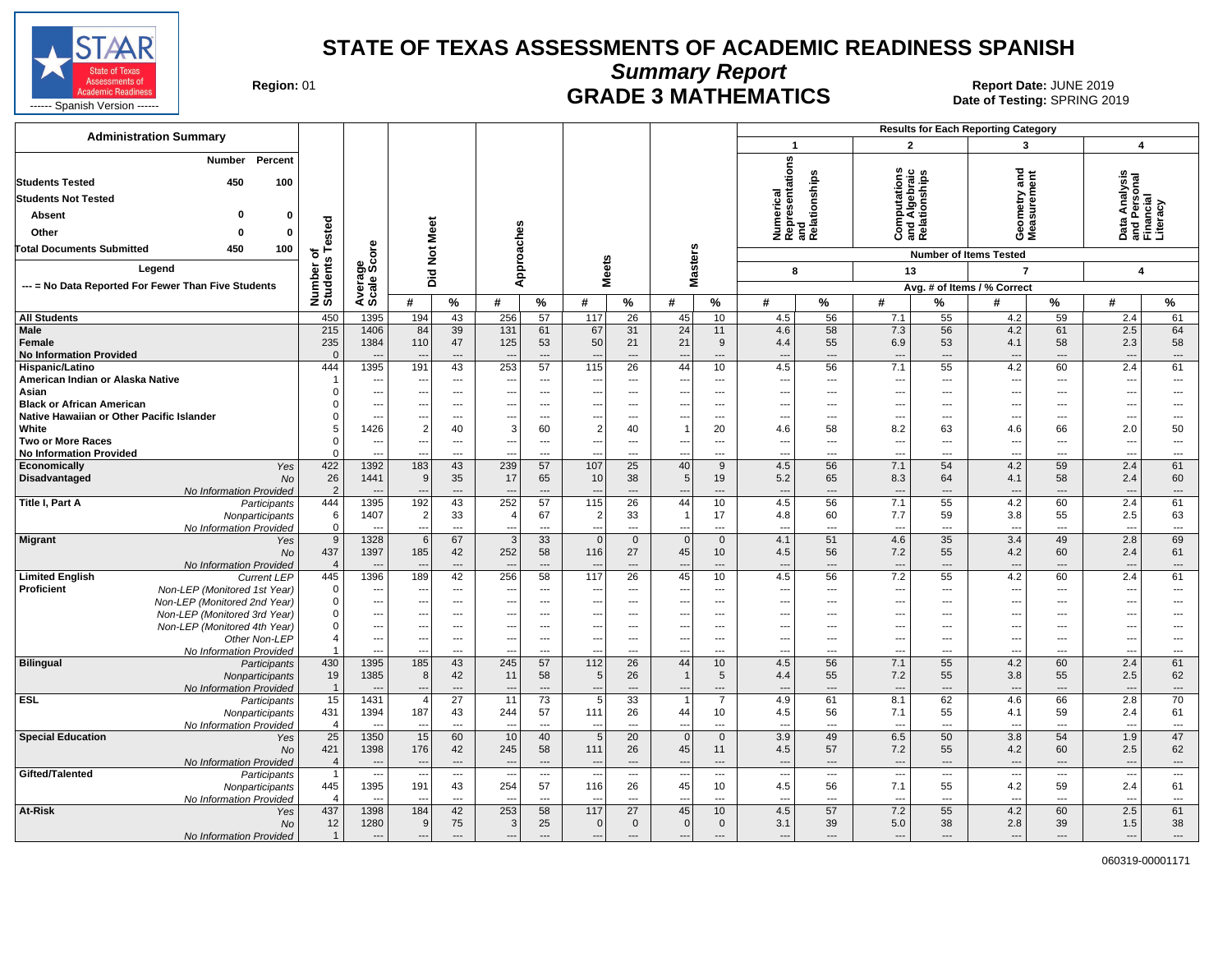

**Summary Report**

**GRADE 3 MATHEMATICS Date: JUNE 2019 Report Date: JUNE 2019 CRADE 3 MATHEMATICS Date of Testing: SPRING 20** 

| <b>Administration Summary</b>                                                              |                                |                                            |                                 |                                   |                                                      |                                 |                                   |                                            |                                            |                |                                                      |                                            |                                                       |                                            | <b>Results for Each Reporting Category</b> |                                   |                                                        |                                                    |
|--------------------------------------------------------------------------------------------|--------------------------------|--------------------------------------------|---------------------------------|-----------------------------------|------------------------------------------------------|---------------------------------|-----------------------------------|--------------------------------------------|--------------------------------------------|----------------|------------------------------------------------------|--------------------------------------------|-------------------------------------------------------|--------------------------------------------|--------------------------------------------|-----------------------------------|--------------------------------------------------------|----------------------------------------------------|
|                                                                                            |                                |                                            |                                 |                                   |                                                      |                                 |                                   |                                            |                                            |                | $\mathbf{1}$                                         |                                            | $\overline{2}$                                        |                                            | 3                                          |                                   | 4                                                      |                                                    |
| Percent<br><b>Number</b><br>450<br><b>Students Tested</b><br>100                           |                                |                                            |                                 |                                   |                                                      |                                 |                                   |                                            |                                            |                | Numerical<br>Representations<br>and<br>Relationships |                                            | <b>Computations</b><br>and Algebraic<br>Relationships |                                            | and<br>ieometry and<br>leasurement         |                                   | Data Analysis<br>and Personal<br>Financial<br>Literacy |                                                    |
| <b>Students Not Tested</b>                                                                 |                                |                                            |                                 |                                   |                                                      |                                 |                                   |                                            |                                            |                |                                                      |                                            |                                                       |                                            |                                            |                                   |                                                        |                                                    |
| Absent<br>0                                                                                |                                |                                            |                                 |                                   |                                                      |                                 |                                   |                                            |                                            |                |                                                      |                                            |                                                       |                                            |                                            |                                   |                                                        |                                                    |
| Other<br>$\mathbf 0$                                                                       | ested                          |                                            |                                 |                                   |                                                      |                                 |                                   |                                            |                                            |                |                                                      |                                            |                                                       |                                            |                                            |                                   |                                                        |                                                    |
|                                                                                            |                                |                                            |                                 |                                   |                                                      |                                 |                                   |                                            |                                            |                |                                                      |                                            |                                                       |                                            | ŏέ                                         |                                   |                                                        |                                                    |
| 450<br>100<br><b>Total Documents Submitted</b>                                             | ٥ť<br>s                        |                                            | <b>Not Meet</b>                 |                                   |                                                      |                                 |                                   |                                            |                                            |                |                                                      |                                            |                                                       |                                            | <b>Number of Items Tested</b>              |                                   |                                                        |                                                    |
| Legend                                                                                     | Number<br>Students             | Average<br>Scale Score                     |                                 |                                   | Approaches                                           |                                 | <b>Meets</b>                      |                                            | <b>Masters</b>                             |                | 8                                                    |                                            | 13                                                    |                                            | $\overline{7}$                             |                                   | 4                                                      |                                                    |
| --- = No Data Reported For Fewer Than Five Students                                        |                                |                                            | Did                             |                                   |                                                      |                                 |                                   |                                            |                                            |                |                                                      |                                            |                                                       |                                            | Avg. # of Items / % Correct                |                                   |                                                        |                                                    |
|                                                                                            |                                |                                            | #                               | %                                 | #                                                    | %                               | #                                 | %                                          | #                                          | $\%$           | #                                                    | $\%$                                       | #                                                     | %                                          | #                                          | $\%$                              | #                                                      | %                                                  |
| <b>All Students</b>                                                                        | 450                            | 1395                                       | 194                             | 43                                | 256                                                  | 57                              | 117                               | 26                                         | 45                                         | 10             | 4.5                                                  | 56                                         | 7.1                                                   | 55                                         | 4.2                                        | 59                                | 2.4                                                    | 61                                                 |
| <b>Male</b>                                                                                | 215                            | 1406                                       | 84                              | 39                                | 131                                                  | 61                              | 67                                | 31                                         | 24                                         | 11             | 4.6                                                  | 58                                         | 7.3                                                   | 56                                         | 4.2                                        | 61                                | 2.5                                                    | 64                                                 |
| Female                                                                                     | 235                            | 1384                                       | 110                             | 47                                | 125                                                  | 53                              | 50                                | 21                                         | 21                                         | 9              | 4.4                                                  | 55                                         | 6.9                                                   | 53                                         | 4.1                                        | 58                                | 2.3                                                    | 58                                                 |
| <b>No Information Provided</b>                                                             | $\Omega$                       |                                            |                                 | ---                               |                                                      | ---                             |                                   | $\overline{\phantom{a}}$                   | ---                                        | ---            | $\overline{\phantom{a}}$                             | $\overline{\phantom{a}}$                   | $\overline{\phantom{a}}$                              | ---                                        | ---                                        | $\overline{\phantom{a}}$          | $\overline{\phantom{a}}$                               | $\qquad \qquad \cdots$                             |
| Hispanic/Latino                                                                            | 444                            | 1395                                       | 191                             | 43                                | 253                                                  | 57                              | 115                               | 26                                         | 44                                         | 10             | 4.5                                                  | 56                                         | 7.1                                                   | 55                                         | 4.2                                        | 60                                | 2.4                                                    | 61                                                 |
| American Indian or Alaska Native<br>Asian                                                  |                                | ---<br>---                                 | --                              | ---<br>---                        | ---                                                  | ---                             | $- -$                             | ---                                        | ---                                        | ---            | $\overline{\phantom{a}}$                             | $\overline{\phantom{a}}$                   | $\overline{\phantom{a}}$<br>---                       | $---$                                      | ---                                        | $\overline{\phantom{a}}$          | ---                                                    | $---$<br>---                                       |
| <b>Black or African American</b>                                                           |                                | ---                                        | ---<br>---                      | $\overline{\phantom{a}}$          | ---<br>$\overline{\phantom{a}}$                      | ---<br>---                      | $\overline{\phantom{a}}$<br>$---$ | $---$<br>$---$                             | ---<br>---                                 | ---<br>---     | $\overline{\phantom{a}}$<br>$\sim$                   | $\hspace{0.05cm} \ldots$<br>$---$          | $\overline{\phantom{a}}$                              | ---<br>---                                 | ---<br>---                                 | $---$<br>$---$                    | ---<br>---                                             | $\overline{a}$                                     |
| Native Hawaiian or Other Pacific Islander                                                  | $\Omega$                       | $\overline{a}$                             |                                 | $\overline{a}$                    | ---                                                  | ---                             |                                   | $---$                                      | ---                                        | ---            | $\overline{\phantom{a}}$                             | $-$                                        | $\sim$                                                | $---$                                      | $\overline{a}$                             | $---$                             | $\overline{a}$                                         | $\overline{a}$                                     |
| White                                                                                      |                                | 1426                                       | $\overline{2}$                  | 40                                | 3                                                    | 60                              | $\overline{2}$                    | 40                                         | $\mathbf{1}$                               | 20             | 4.6                                                  | 58                                         | 8.2                                                   | 63                                         | 4.6                                        | 66                                | 2.0                                                    | 50                                                 |
| <b>Two or More Races</b>                                                                   |                                | $\overline{a}$                             | ---                             | ---                               | ---                                                  | ---                             | $\overline{\phantom{a}}$          | $\overline{a}$                             | ---                                        | ---            | ---                                                  | $\overline{\phantom{a}}$                   | ---                                                   | ---                                        | ---                                        | ---                               | --                                                     | ---                                                |
| <b>No Information Provided</b>                                                             | $\Omega$                       | $\overline{a}$                             |                                 | $\overline{a}$                    |                                                      | ---                             |                                   | $\overline{a}$                             | --                                         | ---            | $\overline{\phantom{a}}$                             | $\overline{\phantom{a}}$                   | $\overline{a}$                                        | $\overline{a}$                             | $\overline{a}$                             | $---$                             | --                                                     | ---                                                |
| Economically<br>Yes                                                                        | 422                            | 1392                                       | 183                             | 43                                | 239                                                  | 57                              | 107                               | 25                                         | 40                                         | 9              | 4.5                                                  | 56                                         | 7.1                                                   | 54                                         | 4.2                                        | 59                                | 2.4                                                    | 61                                                 |
| Disadvantaged<br><b>No</b>                                                                 | 26                             | 1441                                       | 9                               | 35                                | 17                                                   | 65<br>$\overline{a}$            | 10                                | 38                                         | 5 <sup>5</sup>                             | 19             | 5.2                                                  | 65                                         | 8.3                                                   | 64                                         | 4.1                                        | 58                                | 2.4                                                    | 60                                                 |
| No Information Provided<br>Title I, Part A<br>Participants                                 | $\overline{2}$<br>444          | 1395                                       | 192                             | ---<br>43                         | $\overline{\phantom{a}}$<br>252                      | 57                              | 115                               | $---$<br>26                                | ---<br>44                                  | ---<br>10      | $\overline{\phantom{a}}$<br>4.5                      | $\overline{\phantom{a}}$<br>56             | $---$<br>7.1                                          | $---$<br>55                                | $\overline{\phantom{a}}$<br>4.2            | $---$<br>60                       | $\overline{\phantom{a}}$<br>2.4                        | $\cdots$<br>61                                     |
| Nonparticipants                                                                            | 6                              | 1407                                       | 2                               | 33                                | $\overline{4}$                                       | 67                              | 2                                 | 33                                         | $\mathbf{1}$                               | 17             | 4.8                                                  | 60                                         | 7.7                                                   | 59                                         | 3.8                                        | 55                                | 2.5                                                    | 63                                                 |
| No Information Provided                                                                    | $\mathsf 0$                    |                                            |                                 | $\sim$                            | $\overline{\phantom{a}}$                             | $\sim$                          | $\overline{a}$                    | $\overline{a}$                             | $\overline{a}$                             | ---            | $\overline{a}$                                       | $\sim$                                     | $\overline{\phantom{a}}$                              | $\overline{a}$                             | $\overline{a}$                             | $---$                             | --                                                     | ---                                                |
| Migrant<br>Yes                                                                             | 9                              | 1328                                       | 6                               | 67                                | 3                                                    | 33                              | $\mathbf{0}$                      | $\mathbf{0}$                               | $\mathbf{0}$                               | $\mathbf{0}$   | 4.1                                                  | 51                                         | 4.6                                                   | 35                                         | 3.4                                        | 49                                | 2.8                                                    | 69                                                 |
| No                                                                                         | 437                            | 1397                                       | 185                             | 42                                | 252                                                  | 58                              | 116                               | 27                                         | 45                                         | 10             | 4.5                                                  | 56                                         | 7.2                                                   | 55                                         | 4.2                                        | 60                                | 2.4                                                    | 61                                                 |
| No Information Provided                                                                    | $\overline{4}$<br>445          | 1396                                       |                                 | $\overline{a}$<br>42              | $\overline{\phantom{a}}$<br>256                      | ---<br>58                       | 117                               | $\overline{a}$<br>$\overline{26}$          | 45                                         | ---<br>10      | $\overline{\phantom{a}}$                             | $\overline{\phantom{a}}$<br>56             | $\overline{a}$<br>7.2                                 | ---<br>55                                  | $\overline{a}$<br>4.2                      | $\overline{\phantom{a}}$<br>60    | $\overline{\phantom{a}}$<br>2.4                        | $\overline{\phantom{a}}$<br>61                     |
| <b>Limited English</b><br><b>Current LEP</b><br>Proficient<br>Non-LEP (Monitored 1st Year) | $\Omega$                       | ---                                        | 189<br>$\overline{\phantom{a}}$ | $\overline{a}$                    | $\overline{\phantom{a}}$                             | ---                             | $\overline{\phantom{a}}$          | $\overline{\phantom{a}}$                   | ---                                        | ---            | 4.5<br>---                                           | $---$                                      | $\overline{\phantom{a}}$                              | ---                                        | ---                                        | $---$                             | $\overline{\phantom{a}}$                               | $\overline{\phantom{a}}$                           |
| Non-LEP (Monitored 2nd Year)                                                               | $\Omega$                       | ---                                        | $\overline{a}$                  | $\overline{a}$                    | ---                                                  | ---                             | $\overline{a}$                    | $---$                                      | $\overline{a}$                             | ---            | $\sim$                                               | $-$                                        | $\sim$                                                | $\overline{a}$                             | ---                                        | $---$                             | ---                                                    | $\overline{a}$                                     |
| Non-LEP (Monitored 3rd Year)                                                               | $\mathbf 0$                    | $\overline{\phantom{a}}$                   | ---                             | $\cdots$                          | $\sim$                                               | ---                             | $- - -$                           | $---$                                      | ---                                        | ---            | $\overline{\phantom{a}}$                             | $-$                                        | ---                                                   | $---$                                      | ---                                        | $---$                             | ---                                                    | ---                                                |
| Non-LEP (Monitored 4th Year)                                                               | $\mathbf 0$                    | $\overline{\phantom{a}}$                   | $\overline{a}$                  | $---$                             | $\overline{\phantom{a}}$                             | ---                             | $- - -$                           | $---$                                      | ---                                        | ---            | $\overline{\phantom{a}}$                             | $-$                                        | ---                                                   | $\overline{a}$                             | ---                                        | $---$                             | ---                                                    | ---                                                |
| Other Non-LEP                                                                              | $\overline{4}$                 | $\overline{\phantom{a}}$                   |                                 | ---                               | $\overline{\phantom{a}}$                             | $\overline{\phantom{a}}$        |                                   | ---                                        | ---                                        | ---            | $\overline{\phantom{a}}$                             | $\overline{\phantom{a}}$                   | ---                                                   | $---$                                      | ---                                        | ---                               | --                                                     | ---                                                |
| No Information Provided                                                                    |                                | ---                                        |                                 | ---                               | ---                                                  | ---                             |                                   | $\overline{a}$                             | ---                                        | ---            | $\overline{\phantom{a}}$                             | ---                                        | ---                                                   | ---                                        | ---                                        | ---                               | --                                                     | ---                                                |
| <b>Bilingual</b><br>Participants                                                           | 430<br>19                      | 1395<br>1385                               | 185                             | 43<br>42                          | 245<br>11                                            | 57<br>58                        | 112                               | 26<br>26                                   | 44<br>$\mathbf{1}$                         | 10             | 4.5<br>4.4                                           | 56<br>55                                   | 7.1<br>7.2                                            | 55<br>55                                   | 4.2                                        | 60                                | 2.4                                                    | 61<br>62                                           |
| Nonparticipants<br>No Information Provided                                                 | $\overline{1}$                 | $\overline{\phantom{a}}$                   | 8<br>$\overline{\phantom{a}}$   | $\cdots$                          | $\overline{\phantom{a}}$                             | ---                             | 5<br>$---$                        | $\overline{\phantom{a}}$                   | ---                                        | 5<br>---       | $\overline{\phantom{a}}$                             | $\overline{\phantom{a}}$                   | $\overline{\phantom{a}}$                              | $\overline{a}$                             | 3.8<br>$\overline{\phantom{a}}$            | 55<br>$\overline{\phantom{a}}$    | 2.5<br>$\overline{\phantom{a}}$                        | $\hspace{0.05cm} \ldots$                           |
| <b>ESL</b><br>Participants                                                                 | 15                             | 1431                                       | 4                               | 27                                | 11                                                   | 73                              | 5                                 | 33                                         | $\overline{1}$                             | $\overline{7}$ | 4.9                                                  | 61                                         | 8.1                                                   | 62                                         | 4.6                                        | 66                                | 2.8                                                    | 70                                                 |
| Nonparticipants                                                                            | 431                            | 1394                                       | 187                             | 43                                | 244                                                  | 57                              | 111                               | 26                                         | 44                                         | 10             | 4.5                                                  | 56                                         | 7.1                                                   | 55                                         | 4.1                                        | 59                                | 2.4                                                    | 61                                                 |
| No Information Provided                                                                    | $\overline{4}$                 | $\overline{\phantom{a}}$                   | $\sim$                          | $\overline{a}$                    | $\overline{\phantom{a}}$                             | $\sim$                          | $\overline{a}$                    | $\overline{a}$                             | ---                                        | ---            | $\overline{\phantom{a}}$                             | $\overline{\phantom{a}}$                   | $\sim$                                                | $\overline{a}$                             | $\overline{a}$                             | $\overline{\phantom{a}}$          | ---                                                    | $\sim$                                             |
| <b>Special Education</b><br>Yes                                                            | 25                             | 1350                                       | 15                              | 60                                | 10                                                   | 40                              | 5                                 | 20                                         | $\mathbf{0}$                               | $\mathbf{0}$   | 3.9                                                  | 49                                         | 6.5                                                   | 50                                         | 3.8                                        | 54                                | 1.9                                                    | 47                                                 |
| No                                                                                         | 421                            | 1398                                       | 176                             | 42                                | 245                                                  | 58                              | 111                               | 26                                         | 45                                         | 11             | 4.5                                                  | 57                                         | 7.2                                                   | 55                                         | 4.2                                        | 60                                | 2.5                                                    | 62                                                 |
| No Information Provided<br>Gifted/Talented                                                 | $\overline{4}$<br>$\mathbf{1}$ | $\overline{a}$<br>$\overline{\phantom{a}}$ |                                 | $---$<br>$\overline{\phantom{a}}$ | $\overline{\phantom{a}}$<br>$\overline{\phantom{a}}$ | $\overline{\phantom{a}}$<br>--- | $\overline{\phantom{a}}$          | $\overline{a}$<br>$\overline{\phantom{a}}$ | $\overline{a}$<br>$\overline{\phantom{a}}$ | ---<br>---     | ---<br>$\overline{\phantom{a}}$                      | $\overline{a}$<br>$\overline{\phantom{a}}$ | $\sim$<br>$\overline{\phantom{a}}$                    | $\overline{a}$<br>$\overline{\phantom{a}}$ | $\overline{a}$<br>$\overline{\phantom{a}}$ | $---$<br>$\overline{\phantom{a}}$ | $\sim$<br>$\overline{\phantom{a}}$                     | $\qquad \qquad \cdots$<br>$\overline{\phantom{a}}$ |
| Participants<br>Nonparticipants                                                            | 445                            | 1395                                       | $\sim$<br>191                   | 43                                | 254                                                  | 57                              | 116                               | 26                                         | 45                                         | 10             | 4.5                                                  | 56                                         | 7.1                                                   | 55                                         | 4.2                                        | 59                                | 2.4                                                    | 61                                                 |
| No Information Provided                                                                    | $\boldsymbol{\varDelta}$       | $\sim$                                     | $\overline{\phantom{a}}$        | $---$                             | $\sim$                                               | $\overline{a}$                  | ---                               | $\overline{a}$                             | $\overline{a}$                             | ---            | $\sim$                                               | $-$                                        | $\sim$                                                | $\overline{a}$                             | $---$                                      | $---$                             | $\sim$                                                 | $\overline{\phantom{a}}$                           |
| At-Risk<br>Yes                                                                             | 437                            | 1398                                       | 184                             | 42                                | 253                                                  | 58                              | 117                               | 27                                         | 45                                         | 10             | 4.5                                                  | 57                                         | 7.2                                                   | 55                                         | 4.2                                        | 60                                | 2.5                                                    | 61                                                 |
| No                                                                                         | 12                             | 1280                                       | 9                               | 75                                | $\mathbf{3}$                                         | 25                              | $\mathbf 0$                       | $\mathbf 0$                                | $\overline{0}$                             | $\mathbf 0$    | 3.1                                                  | 39                                         | 5.0                                                   | 38                                         | 2.8                                        | 39                                | 1.5                                                    | 38                                                 |
| No Information Provided                                                                    | $\mathbf{1}$                   | $\overline{\phantom{a}}$                   | $\overline{a}$                  | $\overline{a}$                    | $\sim$                                               | ---                             | $\overline{a}$                    | $---$                                      | $\overline{a}$                             | ---            | ---                                                  | $---$                                      | $\overline{\phantom{a}}$                              | $\overline{a}$                             | $\overline{a}$                             | $---$                             | ---                                                    | ---                                                |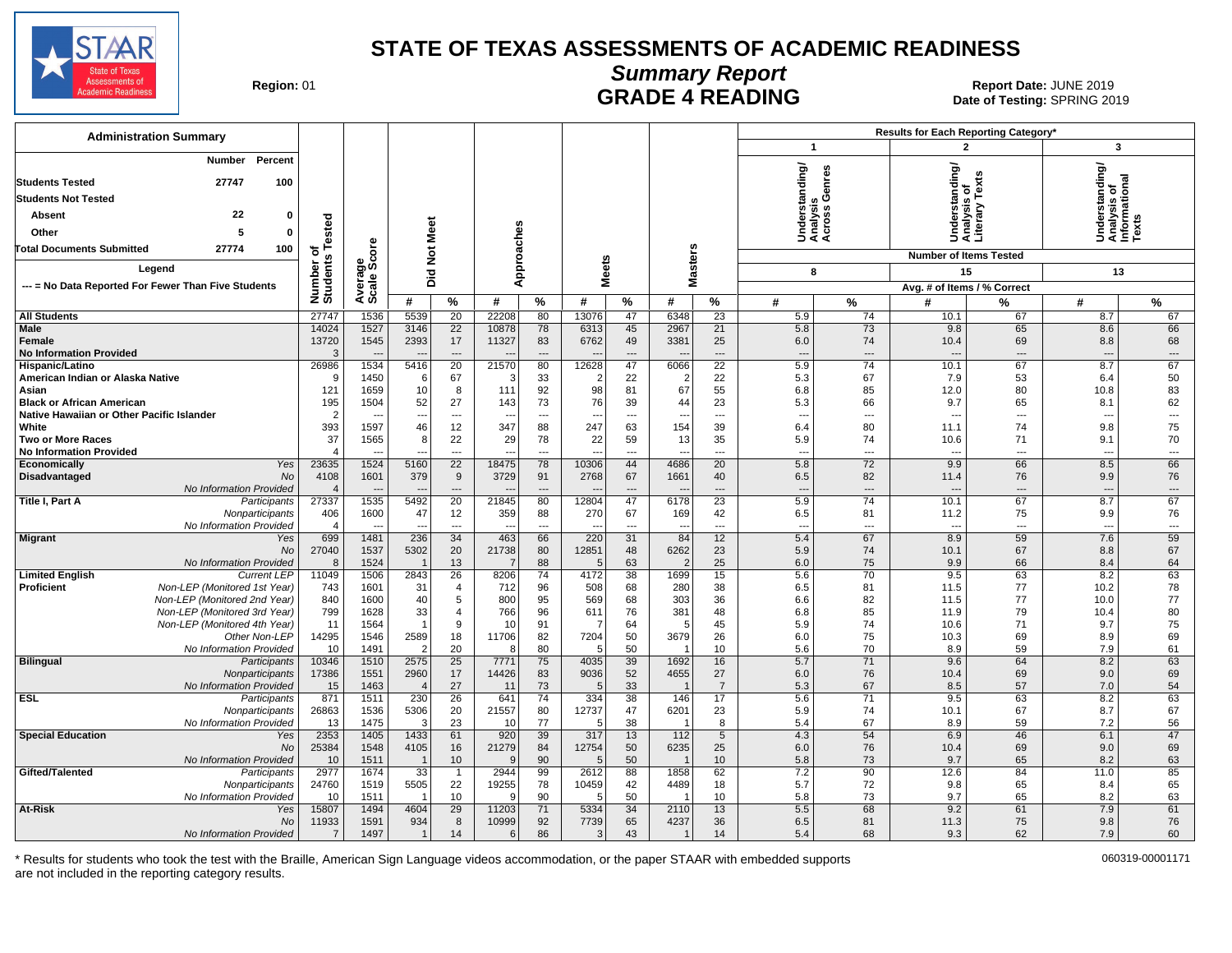

## **Summary Report** Region: 01 **Region: 01 CALL CONSISTS AND READING Report Date: JUNE 2019**<br>Date of Testing: SPRING 20

Date of Testing: SPRING 2019

| <b>Administration Summary</b>                                                 |                            |                |                |                                |                                 |                                |              |                 |                                |                                |                                             |                | Results for Each Reporting Category* |                      |                                                         |                                |
|-------------------------------------------------------------------------------|----------------------------|----------------|----------------|--------------------------------|---------------------------------|--------------------------------|--------------|-----------------|--------------------------------|--------------------------------|---------------------------------------------|----------------|--------------------------------------|----------------------|---------------------------------------------------------|--------------------------------|
|                                                                               |                            |                |                |                                |                                 |                                |              |                 |                                |                                | $\mathbf{1}$                                |                | $\overline{2}$                       |                      | 3                                                       |                                |
| Percent<br>Number                                                             |                            |                |                |                                |                                 |                                |              |                 |                                |                                | Understanding/<br>Analysis<br>Across Genres |                |                                      | Ÿ,                   | Understanding/<br>Analysis of<br>Informational<br>Texts |                                |
| 27747<br>100<br><b>Students Tested</b>                                        |                            |                |                |                                |                                 |                                |              |                 |                                |                                |                                             |                | rstanding/<br>৳                      | Tex                  |                                                         |                                |
| <b>Students Not Tested</b>                                                    |                            |                |                |                                |                                 |                                |              |                 |                                |                                |                                             | ம் ஒ           |                                      |                      |                                                         |                                |
| 22<br>$\mathbf{0}$<br>Absent                                                  |                            |                |                |                                |                                 |                                |              |                 |                                |                                |                                             |                |                                      | 5<br>슬름              |                                                         |                                |
| Other<br>5<br>$\mathbf{0}$                                                    | ested                      |                |                |                                |                                 |                                |              |                 |                                |                                |                                             |                | 횽                                    |                      |                                                         |                                |
| 100<br><b>Total Documents Submitted</b><br>27774                              | ۴                          | <b>ore</b>     |                |                                |                                 |                                |              |                 |                                |                                |                                             |                | そきき                                  |                      |                                                         |                                |
|                                                                               | ৳<br>Number of<br>Students | န္တပ္တိ        | Not Meet       |                                | Approaches                      |                                |              |                 | <b>Masters</b>                 |                                |                                             |                | <b>Number of Items Tested</b>        |                      |                                                         |                                |
| Legend                                                                        |                            |                | Did            |                                |                                 |                                | <b>Meets</b> |                 |                                |                                | 8                                           |                | 15                                   |                      | 13                                                      |                                |
| --- = No Data Reported For Fewer Than Five Students                           |                            | Avera<br>Scale |                |                                |                                 |                                |              |                 |                                |                                |                                             |                | Avg. # of Items / % Correct          |                      |                                                         |                                |
|                                                                               |                            |                | #              | %                              | #                               | %                              | #            | %               | #                              | %                              | #                                           | %              | #                                    | %                    | #                                                       | %                              |
| <b>All Students</b>                                                           | 27747                      | 1536           | 5539           | 20                             | 22208                           | 80                             | 13076        | 47              | 6348                           | 23                             | 5.9                                         | 74             | 10.1                                 | 67                   | 8.7                                                     | 67                             |
| <b>Male</b><br>Female                                                         | 14024<br>13720             | 1527<br>1545   | 3146<br>2393   | $\overline{22}$<br>17          | 10878<br>11327                  | 78<br>83                       | 6313<br>6762 | 45<br>49        | 2967<br>3381                   | 21<br>25                       | 5.8<br>6.0                                  | 73<br>74       | 9.8<br>10.4                          | 65<br>69             | 8.6<br>8.8                                              | 66<br>68                       |
| <b>No Information Provided</b>                                                | 3                          |                |                | $\qquad \qquad \cdots$         |                                 | $\overline{\phantom{a}}$       |              | ---             |                                | $\overline{a}$                 | $\sim$                                      | $\overline{a}$ |                                      | $\overline{a}$       | ---                                                     | $\hspace{1.5cm} \ldots$        |
| Hispanic/Latino                                                               | 26986                      | 1534           | 5416           | $\overline{20}$                | 21570                           | 80                             | 12628        | 47              | 6066                           | $\overline{22}$                | 5.9                                         | 74             | 10.1                                 | 67                   | 8.7                                                     | 67                             |
| American Indian or Alaska Native                                              | 9                          | 1450           | -6             | 67                             |                                 | 33                             |              | 22              | $\overline{2}$                 | 22                             | 5.3                                         | 67             | 7.9                                  | 53                   | 6.4                                                     | 50                             |
| Asian                                                                         | 121                        | 1659           | 10             | 8                              | 111                             | 92                             | 98           | 81              | 67                             | 55                             | 6.8                                         | 85             | 12.0                                 | 80                   | 10.8                                                    | 83                             |
| <b>Black or African American</b><br>Native Hawaiian or Other Pacific Islander | 195<br>$\overline{2}$      | 1504           | 52<br>---      | 27<br>$\overline{\phantom{a}}$ | 143<br>$\overline{\phantom{a}}$ | 73<br>$\overline{\phantom{a}}$ | 76           | 39<br>---       | 44<br>$\overline{\phantom{a}}$ | 23<br>$\overline{\phantom{a}}$ | 5.3<br>$\overline{\phantom{a}}$             | 66<br>---      | 9.7<br>$\overline{a}$                | 65<br>---            | 8.1<br>$\overline{\phantom{a}}$                         | 62<br>$\qquad \qquad \cdots$   |
| White                                                                         | 393                        | 1597           | 46             | 12                             | 347                             | 88                             | 247          | 63              | 154                            | 39                             | 6.4                                         | 80             | 11.1                                 | 74                   | 9.8                                                     | 75                             |
| <b>Two or More Races</b>                                                      | 37                         | 1565           | 8              | 22                             | 29                              | 78                             | 22           | 59              | 13                             | 35                             | 5.9                                         | 74             | 10.6                                 | 71                   | 9.1                                                     | 70                             |
| <b>No Information Provided</b>                                                | $\overline{4}$             |                |                | $\overline{a}$                 |                                 | $---$                          | --           | ---             | $\overline{\phantom{a}}$       | $---$                          | $\overline{\phantom{a}}$                    | ---            |                                      | ---                  | $\overline{\phantom{a}}$                                | ---                            |
| Yes<br>Economically                                                           | 23635                      | 1524           | 5160           | $\overline{22}$                | 18475                           | 78                             | 10306        | 44              | 4686                           | 20                             | 5.8                                         | 72             | 9.9                                  | 66                   | 8.5                                                     | 66                             |
| Disadvantaged<br>No<br>No Information Provided                                | 4108<br>$\overline{4}$     | 1601           | 379            | 9<br>$\overline{a}$            | 3729                            | 91<br>$\overline{\phantom{a}}$ | 2768         | 67<br>---       | 1661                           | 40<br>---                      | 6.5<br>$\overline{\phantom{a}}$             | 82<br>---      | 11.4                                 | 76<br>$\overline{a}$ | 9.9                                                     | 76<br>$\overline{\phantom{a}}$ |
| Title I, Part A<br>Participants                                               | 27337                      | 1535           | 5492           | 20                             | 21845                           | 80                             | 12804        | 47              | 6178                           | 23                             | 5.9                                         | 74             | 10.1                                 | 67                   | 8.7                                                     | 67                             |
| Nonparticipants                                                               | 406                        | 1600           | 47             | 12                             | 359                             | 88                             | 270          | 67              | 169                            | 42                             | 6.5                                         | 81             | 11.2                                 | 75                   | 9.9                                                     | 76                             |
| No Information Provided                                                       | $\overline{4}$             |                |                | $\overline{a}$                 |                                 | $\overline{a}$                 |              | ---             | $\overline{a}$                 | ---                            | $\sim$                                      | $\overline{a}$ |                                      | ---                  | ---                                                     | $\overline{a}$                 |
| <b>Migrant</b><br>Yes                                                         | 699                        | 1481           | 236            | 34                             | 463                             | 66                             | 220          | $\overline{31}$ | 84                             | 12                             | 5.4                                         | 67             | 8.9                                  | 59                   | 7.6                                                     | 59                             |
| No<br>No Information Provided                                                 | 27040<br>8                 | 1537<br>1524   | 5302           | 20<br>13                       | 21738                           | 80<br>88                       | 12851<br>5   | 48<br>63        | 6262<br>2                      | 23<br>25                       | 5.9<br>6.0                                  | 74<br>75       | 10.1<br>9.9                          | 67<br>66             | 8.8<br>8.4                                              | 67<br>64                       |
| <b>Limited English</b><br><b>Current LEP</b>                                  | 11049                      | 1506           | 2843           | $\overline{26}$                | 8206                            | 74                             | 4172         | 38              | 1699                           | 15                             | 5.6                                         | 70             | 9.5                                  | 63                   | 8.2                                                     | 63                             |
| Non-LEP (Monitored 1st Year)<br><b>Proficient</b>                             | 743                        | 1601           | 31             | $\overline{4}$                 | 712                             | 96                             | 508          | 68              | 280                            | 38                             | 6.5                                         | 81             | 11.5                                 | 77                   | 10.2                                                    | 78                             |
| Non-LEP (Monitored 2nd Year)                                                  | 840                        | 1600           | 40             | 5                              | 800                             | 95                             | 569          | 68              | 303                            | 36                             | 6.6                                         | 82             | 11.5                                 | 77                   | 10.0                                                    | 77                             |
| Non-LEP (Monitored 3rd Year)                                                  | 799<br>11                  | 1628           | 33             | 4<br>9                         | 766<br>10                       | 96<br>91                       | 611          | 76<br>64        | 381<br>$\epsilon$              | 48<br>45                       | 6.8<br>5.9                                  | 85<br>74       | 11.9                                 | 79<br>71             | 10.4<br>9.7                                             | 80<br>75                       |
| Non-LEP (Monitored 4th Year)<br>Other Non-LEP                                 | 14295                      | 1564<br>1546   | 2589           | 18                             | 11706                           | 82                             | 7204         | 50              | 3679                           | 26                             | 6.0                                         | 75             | 10.6<br>10.3                         | 69                   | 8.9                                                     | 69                             |
| No Information Provided                                                       | 10                         | 1491           | -2             | 20                             | ۶                               | 80                             | 5            | 50              |                                | 10                             | 5.6                                         | 70             | 8.9                                  | 59                   | 7.9                                                     | 61                             |
| <b>Bilingual</b><br>Participants                                              | 10346                      | 1510           | 2575           | $\overline{25}$                | 7771                            | 75                             | 4035         | 39              | 1692                           | 16                             | 5.7                                         | 71             | 9.6                                  | 64                   | 8.2                                                     | 63                             |
| Nonparticipants                                                               | 17386                      | 1551           | 2960           | 17                             | 14426                           | 83                             | 9036         | 52              | 4655                           | 27                             | 6.0                                         | 76             | 10.4                                 | 69                   | 9.0                                                     | 69                             |
| No Information Provided<br><b>ESL</b><br>Participants                         | 15<br>871                  | 1463<br>1511   | 230            | 27<br>26                       | 11<br>641                       | 73<br>74                       | 5<br>334     | 33<br>38        | $\overline{1}$<br>146          | $\overline{7}$<br>17           | 5.3<br>5.6                                  | 67<br>71       | 8.5<br>9.5                           | 57<br>63             | 7.0<br>8.2                                              | 54<br>63                       |
| Nonparticipants                                                               | 26863                      | 1536           | 5306           | 20                             | 21557                           | 80                             | 12737        | 47              | 6201                           | 23                             | 5.9                                         | 74             | 10.1                                 | 67                   | 8.7                                                     | 67                             |
| No Information Provided                                                       | 13                         | 1475           | 3              | 23                             | 10                              | 77                             | 5            | 38              | - 1                            | 8                              | 5.4                                         | 67             | 8.9                                  | 59                   | 7.2                                                     | 56                             |
| <b>Special Education</b><br>Yes                                               | 2353                       | 1405           | 1433           | 61                             | 920                             | 39                             | 317          | 13              | 112                            | 5                              | 4.3                                         | 54             | 6.9                                  | 46                   | 6.1                                                     | 47                             |
| No                                                                            | 25384                      | 1548           | 4105           | 16                             | 21279                           | 84                             | 12754        | 50              | 6235                           | 25                             | 6.0                                         | 76             | 10.4                                 | 69                   | 9.0                                                     | 69                             |
| No Information Provided<br>Gifted/Talented<br>Participants                    | 10<br>2977                 | 1511<br>1674   | 33             | 10<br>$\mathbf{1}$             | $\epsilon$<br>2944              | 90<br>99                       | 5<br>2612    | 50<br>88        | -1<br>1858                     | 10 <sup>1</sup><br>62          | 5.8<br>7.2                                  | 73<br>90       | 9.7<br>12.6                          | 65<br>84             | 8.2<br>11.0                                             | 63<br>85                       |
| Nonparticipants                                                               | 24760                      | 1519           | 5505           | 22                             | 19255                           | 78                             | 10459        | 42              | 4489                           | 18                             | 5.7                                         | 72             | 9.8                                  | 65                   | 8.4                                                     | 65                             |
| No Information Provided                                                       | 10                         | 1511           |                | 10                             | $\epsilon$                      | 90                             |              | 50              |                                | 10                             | 5.8                                         | 73             | 9.7                                  | 65                   | 8.2                                                     | 63                             |
| At-Risk<br>Yes                                                                | 15807                      | 1494           | 4604           | 29                             | 11203                           | 71                             | 5334         | 34              | 2110                           | 13                             | 5.5                                         | 68             | 9.2                                  | 61                   | 7.9                                                     | 61                             |
| No                                                                            | 11933                      | 1591           | 934            | 8                              | 10999                           | 92                             | 7739         | 65              | 4237                           | 36                             | 6.5                                         | 81             | 11.3                                 | 75                   | 9.8                                                     | 76                             |
| No Information Provided                                                       | $\overline{7}$             | 1497           | $\overline{1}$ | 14                             | 6                               | 86                             | 3            | 43              | $\overline{1}$                 | 14                             | 5.4                                         | 68             | 9.3                                  | 62                   | 7.9                                                     | 60                             |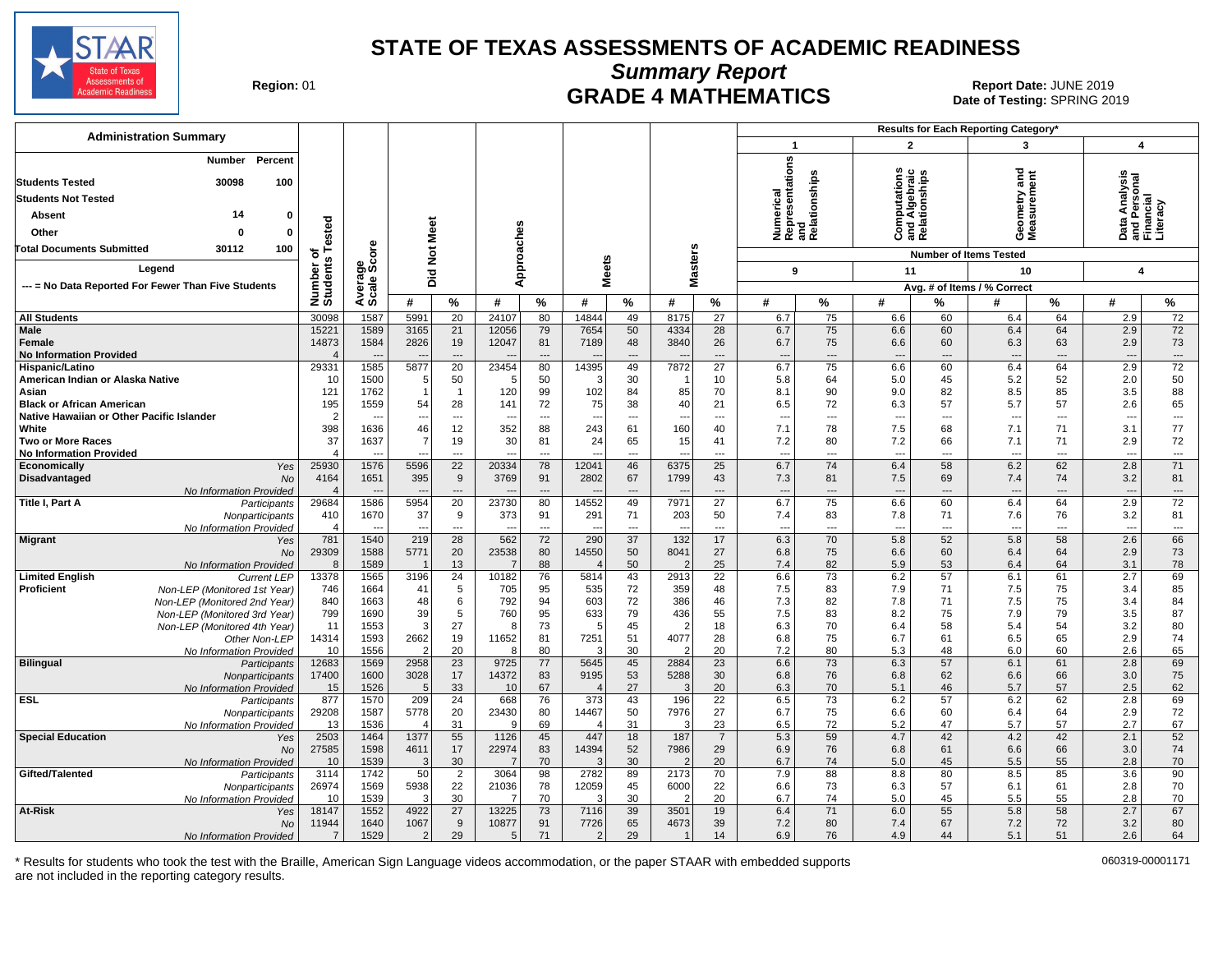

**Summary Report**

**GRADE 4 MATHEMATICS Date: JUNE 2019 Report Date: JUNE 2019 CRADE 4 MATHEMATICS** Date of Testing: SPRING 2019

| <b>Administration Summary</b>                               |                         |                          |                  |                          |                |                          |                         |                 |                          |                          |                                                      |                | Results for Each Reporting Category*           |                |                               |                |                               |                          |
|-------------------------------------------------------------|-------------------------|--------------------------|------------------|--------------------------|----------------|--------------------------|-------------------------|-----------------|--------------------------|--------------------------|------------------------------------------------------|----------------|------------------------------------------------|----------------|-------------------------------|----------------|-------------------------------|--------------------------|
|                                                             |                         |                          |                  |                          |                |                          |                         |                 |                          |                          | $\mathbf{1}$                                         |                | $\overline{2}$                                 |                | 3                             |                | $\overline{\mathbf{4}}$       |                          |
| Percent<br>Number<br><b>Students Tested</b><br>30098<br>100 |                         |                          |                  |                          |                |                          |                         |                 |                          |                          | Numerical<br>Representations<br>and<br>Relationships |                | Computations<br>and Algebraic<br>Relationships |                | ರ<br>Ĕ                        | ēπ             | rsonal<br>ial                 |                          |
| <b>Students Not Tested</b>                                  |                         |                          |                  |                          |                |                          |                         |                 |                          |                          |                                                      |                |                                                |                | eometry<br>leasurem           |                | Analysi                       |                          |
| 14<br>Absent<br>0                                           |                         |                          |                  |                          |                |                          |                         |                 |                          |                          |                                                      |                |                                                |                |                               |                | ڇ                             |                          |
| Other<br>0<br>O                                             | ested                   |                          | Meet             |                          |                |                          |                         |                 |                          |                          |                                                      |                |                                                |                |                               |                | $\overline{g}$ $\overline{g}$ |                          |
|                                                             |                         |                          |                  |                          |                |                          |                         |                 |                          |                          |                                                      |                |                                                |                | ΟΣ                            |                |                               |                          |
| <b>Total Documents Submitted</b><br>30112<br>100            | ৳<br>w                  | <b>ore</b>               | $\overline{5}$   |                          |                |                          |                         |                 |                          |                          |                                                      |                |                                                |                | <b>Number of Items Tested</b> |                |                               |                          |
| Legend                                                      |                         | န္တပ္တိ                  | pid              |                          | Approaches     |                          | <b>Meets</b>            |                 | Masters                  |                          | 9                                                    |                | 11                                             |                | 10                            |                | $\overline{\mathbf{4}}$       |                          |
| --- = No Data Reported For Fewer Than Five Students         |                         | Avera                    |                  |                          |                |                          |                         |                 |                          |                          |                                                      |                |                                                |                | Avg. # of Items / % Correct   |                |                               |                          |
|                                                             | Number<br>Students      |                          | #                | %                        | #              | %                        | #                       | %               | #                        | $\%$                     | #                                                    | %              | #                                              | %              | #                             | %              | #                             | $\frac{9}{6}$            |
| <b>All Students</b>                                         | 30098                   | 1587                     | 5991             | 20                       | 24107          | 80                       | 14844                   | 49              | 8175                     | 27                       | 6.7                                                  | 75             | 6.6                                            | 60             | 6.4                           | 64             | 2.9                           | 72                       |
| Male                                                        | 15221                   | 1589                     | 3165             | 21                       | 12056          | 79                       | 7654                    | 50              | 4334                     | 28                       | 6.7                                                  | 75             | 6.6                                            | 60             | 6.4                           | 64             | 2.9                           | 72                       |
| Female                                                      | 14873                   | 1584                     | 2826             | 19                       | 12047          | 81                       | 7189                    | 48              | 3840                     | 26                       | 6.7                                                  | 75             | 6.6                                            | 60             | 6.3                           | 63             | 2.9                           | 73                       |
| <b>No Information Provided</b>                              |                         | $\overline{\phantom{a}}$ |                  |                          |                |                          |                         |                 |                          | ---                      | $\overline{\phantom{a}}$                             | ---            | $\overline{\phantom{a}}$                       |                | $\overline{\phantom{a}}$      | $\overline{a}$ | $\overline{\phantom{a}}$      | $\cdots$                 |
| Hispanic/Latino<br>American Indian or Alaska Native         | 29331<br>10             | 1585<br>1500             | 5877<br>5        | 20<br>50                 | 23454<br>5     | 80<br>50                 | 14395<br>3              | 49<br>30        | 7872                     | $\overline{27}$<br>10    | 6.7<br>5.8                                           | 75<br>64       | 6.6<br>5.0                                     | 60<br>45       | 6.4<br>5.2                    | 64<br>52       | 2.9<br>2.0                    | 72<br>50                 |
| Asian                                                       | 121                     | 1762                     |                  | $\overline{1}$           | 120            | 99                       | 102                     | 84              | 85                       | 70                       | 8.1                                                  | 90             | 9.0                                            | 82             | 8.5                           | 85             | 3.5                           | 88                       |
| <b>Black or African American</b>                            | 195                     | 1559                     | 54               | 28                       | 141            | 72                       | 75                      | 38              | 40                       | 21                       | 6.5                                                  | 72             | 6.3                                            | 57             | 5.7                           | 57             | 2.6                           | 65                       |
| Native Hawaiian or Other Pacific Islander                   | $\overline{2}$          | $\overline{\phantom{a}}$ |                  | ---                      |                | $\overline{a}$           |                         | $\overline{a}$  | ---                      | $\overline{\phantom{a}}$ | $\overline{\phantom{a}}$                             | ---            | $\overline{\phantom{a}}$                       | $---$          | $\overline{\phantom{a}}$      | $---$          | $\overline{\phantom{a}}$      | $\sim$                   |
| White                                                       | 398                     | 1636                     | 46               | 12                       | 352            | 88                       | 243                     | 61              | 160                      | 40                       | 7.1                                                  | 78             | 7.5                                            | 68             | 7.1                           | 71             | 3.1                           | 77                       |
| <b>Two or More Races</b>                                    | 37                      | 1637                     |                  | 19                       | 30             | 81                       | 24                      | 65              | 15                       | 41                       | 7.2                                                  | 80             | 7.2                                            | 66             | 7.1                           | 71             | 2.9                           | 72                       |
| <b>No Information Provided</b>                              | $\overline{4}$          |                          |                  | $\overline{a}$           |                | $\overline{a}$           |                         | ---             | $\overline{a}$           | ---                      | $\overline{a}$                                       | ---            | $\overline{a}$                                 | ---            | $\overline{a}$                | ---            | $\overline{a}$                | $\overline{\phantom{a}}$ |
| Economically<br>Yes<br>Disadvantaged<br>No                  | 25930<br>4164           | 1576<br>1651             | 5596<br>395      | 22<br>9                  | 20334<br>3769  | 78<br>91                 | 12041<br>2802           | 46<br>67        | 6375<br>1799             | 25<br>43                 | 6.7<br>7.3                                           | 74<br>81       | 6.4<br>7.5                                     | 58<br>69       | 6.2<br>7.4                    | 62<br>74       | 2.8<br>3.2                    | 71<br>81                 |
| No Information Provided                                     | $\Delta$                | $\overline{a}$           |                  | $\overline{\phantom{a}}$ |                | $\overline{\phantom{a}}$ |                         | $\overline{a}$  |                          | ---                      | $\overline{\phantom{a}}$                             | $\overline{a}$ | $\overline{\phantom{a}}$                       | $---$          | $\overline{\phantom{a}}$      | $---$          | $\overline{\phantom{a}}$      | $\cdots$                 |
| Title I, Part A<br>Participants                             | 29684                   | 1586                     | 5954             | 20                       | 23730          | 80                       | 14552                   | 49              | 7971                     | $\overline{27}$          | 6.7                                                  | 75             | 6.6                                            | 60             | 6.4                           | 64             | 2.9                           | 72                       |
| Nonparticipants                                             | 410                     | 1670                     | 37               | 9                        | 373            | 91                       | 291                     | 71              | 203                      | 50                       | 7.4                                                  | 83             | 7.8                                            | 71             | 7.6                           | 76             | 3.2                           | 81                       |
| No Information Provided                                     | $\overline{4}$          |                          |                  | $\overline{a}$           |                | $\overline{a}$           |                         | ---             |                          | $\overline{a}$           |                                                      | ---            | $\overline{\phantom{a}}$                       | $\overline{a}$ | $\overline{a}$                | $\overline{a}$ | $\overline{\phantom{a}}$      | $\overline{\phantom{a}}$ |
| <b>Migrant</b><br>Yes                                       | 781                     | 1540                     | 219              | $\overline{28}$          | 562<br>23538   | 72                       | 290                     | $\overline{37}$ | $\overline{132}$<br>8041 | 17                       | 6.3                                                  | 70<br>75       | 5.8                                            | 52             | 5.8<br>6.4                    | 58<br>64       | 2.6                           | 66                       |
| No<br>No Information Provided                               | 29309<br>8              | 1588<br>1589             | 5771             | 20<br>13                 | 7              | 80<br>88                 | 14550<br>$\overline{4}$ | 50<br>50        | 2                        | 27<br>25                 | 6.8<br>7.4                                           | 82             | 6.6<br>5.9                                     | 60<br>53       | 6.4                           | 64             | 2.9<br>3.1                    | 73<br>78                 |
| <b>Limited English</b><br><b>Current LEP</b>                | 13378                   | 1565                     | 3196             | 24                       | 10182          | 76                       | 5814                    | 43              | 2913                     | $\overline{22}$          | 6.6                                                  | 73             | 6.2                                            | 57             | 6.1                           | 61             | 2.7                           | 69                       |
| Proficient<br>Non-LEP (Monitored 1st Year)                  | 746                     | 1664                     | 41               | 5                        | 705            | 95                       | 535                     | 72              | 359                      | 48                       | 7.5                                                  | 83             | 7.9                                            | 71             | 7.5                           | 75             | 3.4                           | 85                       |
| Non-LEP (Monitored 2nd Year)                                | 840                     | 1663                     | 48               | 6                        | 792            | 94                       | 603                     | 72              | 386                      | 46                       | 7.3                                                  | 82             | 7.8                                            | 71             | 7.5                           | 75             | 3.4                           | 84                       |
| Non-LEP (Monitored 3rd Year)                                | 799                     | 1690                     | 39               | 5                        | 760            | 95                       | 633                     | 79              | 436                      | 55                       | 7.5                                                  | 83             | 8.2                                            | 75             | 7.9                           | 79             | 3.5                           | 87                       |
| Non-LEP (Monitored 4th Year)                                | 11                      | 1553                     | 3                | 27                       | 8              | 73                       | 5                       | 45              | $\overline{2}$           | 18                       | 6.3                                                  | 70             | 6.4                                            | 58             | 5.4                           | 54             | 3.2                           | 80                       |
| Other Non-LEP<br>No Information Provided                    | 14314<br>10             | 1593<br>1556             | 2662<br>2        | 19<br>20                 | 11652<br>8     | 81<br>80                 | 7251<br>3               | 51<br>30        | 4077<br>2                | 28<br>20                 | 6.8<br>7.2                                           | 75<br>80       | 6.7<br>5.3                                     | 61<br>48       | 6.5<br>6.0                    | 65<br>60       | 2.9<br>2.6                    | 74<br>65                 |
| <b>Bilingual</b><br>Participants                            | 12683                   | 1569                     | 2958             | 23                       | 9725           | 77                       | 5645                    | 45              | 2884                     | 23                       | 6.6                                                  | 73             | 6.3                                            | 57             | 6.1                           | 61             | 2.8                           | 69                       |
| Nonparticipants                                             | 17400                   | 1600                     | 3028             | 17                       | 14372          | 83                       | 9195                    | 53              | 5288                     | 30                       | 6.8                                                  | 76             | 6.8                                            | 62             | 6.6                           | 66             | 3.0                           | 75                       |
| No Information Provided                                     | 15                      | 1526                     | 5                | 33                       | 10             | 67                       | 4                       | 27              | 3                        | 20                       | 6.3                                                  | 70             | 5.1                                            | 46             | 5.7                           | 57             | 2.5                           | 62                       |
| <b>ESL</b><br>Participants                                  | 877                     | 1570                     | 209              | 24                       | 668            | 76                       | 373                     | 43              | 196                      | $\overline{22}$          | 6.5                                                  | 73             | 6.2                                            | 57             | 6.2                           | 62             | 2.8                           | 69                       |
| Nonparticipants                                             | 29208                   | 1587                     | 5778             | 20                       | 23430<br>9     | 80                       | 14467                   | 50              | 7976                     | 27                       | 6.7                                                  | 75             | 6.6                                            | 60             | 6.4                           | 64<br>57       | 2.9                           | 72                       |
| No Information Provided<br><b>Special Education</b><br>Yes  | 13<br>2503              | 1536<br>1464             | $\angle$<br>1377 | 31<br>55                 | 1126           | 69<br>45                 | 447                     | 31<br>18        | 3<br>187                 | 23<br>$\overline{7}$     | 6.5<br>5.3                                           | 72<br>59       | 5.2<br>4.7                                     | 47<br>42       | 5.7<br>4.2                    | 42             | 2.7<br>2.1                    | 67<br>52                 |
| No                                                          | 27585                   | 1598                     | 4611             | 17                       | 22974          | 83                       | 14394                   | 52              | 7986                     | 29                       | 6.9                                                  | 76             | 6.8                                            | 61             | 6.6                           | 66             | 3.0                           | 74                       |
| No Information Provided                                     | 10                      | 1539                     | 3                | 30                       | $\overline{7}$ | 70                       | З                       | 30              | $\overline{2}$           | 20                       | 6.7                                                  | 74             | 5.0                                            | 45             | 5.5                           | 55             | 2.8                           | 70                       |
| Gifted/Talented<br>Participants                             | 3114                    | 1742                     | 50               | 2                        | 3064           | 98                       | 2782                    | 89              | 2173                     | 70                       | 7.9                                                  | 88             | 8.8                                            | 80             | 8.5                           | 85             | 3.6                           | 90                       |
| Nonparticipants                                             | 26974                   | 1569                     | 5938             | 22                       | 21036          | 78                       | 12059                   | 45              | 6000                     | 22                       | 6.6                                                  | 73             | 6.3                                            | 57             | 6.1                           | 61             | 2.8                           | 70                       |
| No Information Provided                                     | 10                      | 1539                     | 3                | 30                       | 7              | 70                       |                         | 30              |                          | 20                       | 6.7                                                  | 74             | 5.0                                            | 45             | 5.5                           | 55             | 2.8                           | 70                       |
| At-Risk<br>Yes                                              | 18147                   | 1552                     | 4922             | 27<br>9                  | 13225          | 73                       | 7116                    | 39<br>65        | 3501                     | 19<br>39                 | 6.4                                                  | 71             | 6.0                                            | 55             | 5.8                           | 58<br>72       | 2.7                           | 67                       |
| <b>No</b><br>No Information Provided                        | 11944<br>$\overline{7}$ | 1640<br>1529             | 1067<br>2        | 29                       | 10877<br>5     | 91<br>71                 | 7726<br>$\overline{2}$  | 29              | 4673                     | 14                       | 7.2<br>6.9                                           | 80<br>76       | 7.4<br>4.9                                     | 67<br>44       | 7.2<br>5.1                    | 51             | 3.2<br>2.6                    | 80<br>64                 |
|                                                             |                         |                          |                  |                          |                |                          |                         |                 |                          |                          |                                                      |                |                                                |                |                               |                |                               |                          |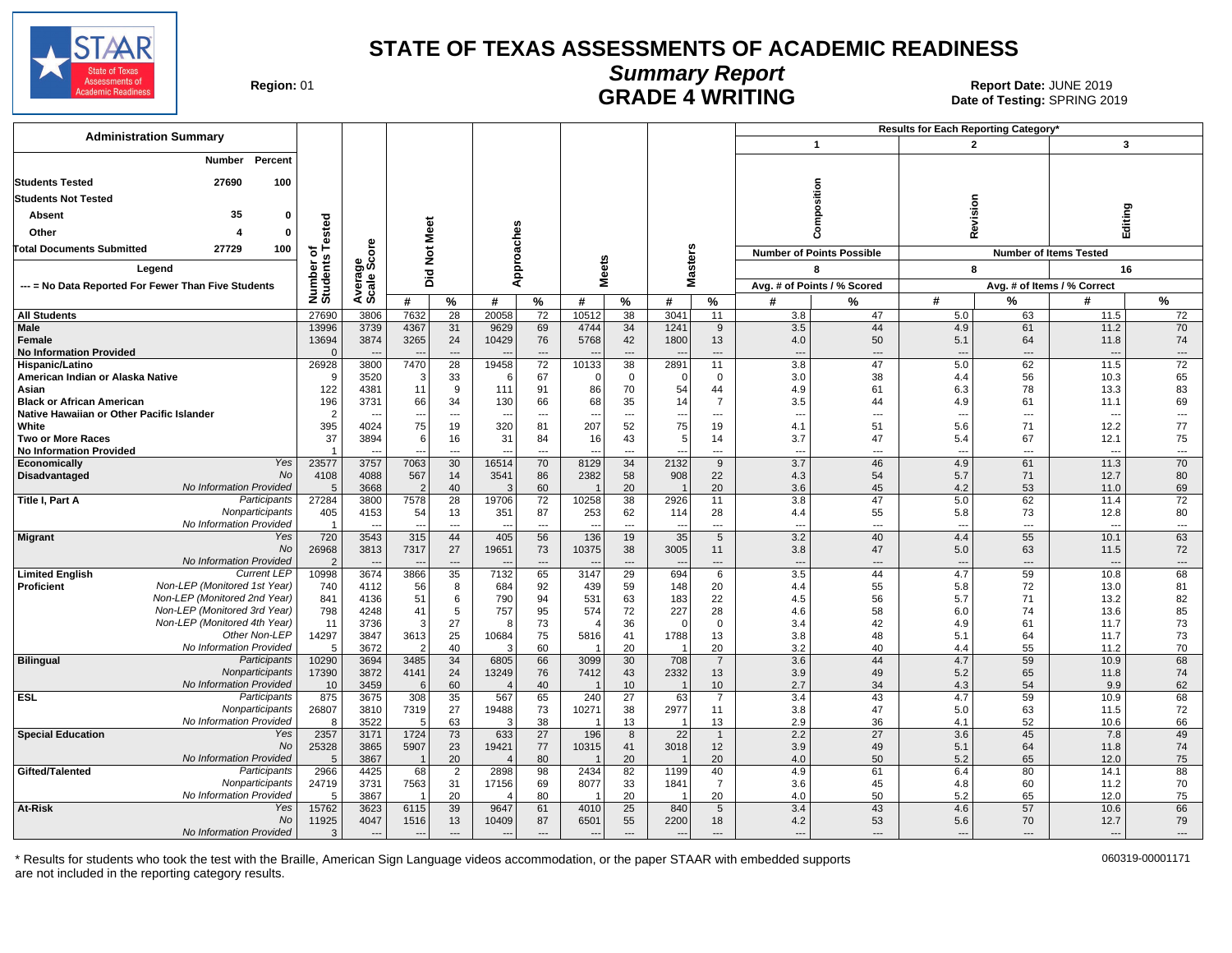

# **Summary Report**

Region: 01 **Region: 01 CALL CONSISTS OF A SET OF A REPORT DATE: JUNE 2019**<br>Date of Testing: SPRING 2019 Date of Testing: SPRING 2019

| <b>Administration Summary</b>                                                 |                         |                          |                         |                                |                |                          |                |                          |                          |                                            |                                 |                                  | Results for Each Reporting Category' |                                |                                  |                          |  |
|-------------------------------------------------------------------------------|-------------------------|--------------------------|-------------------------|--------------------------------|----------------|--------------------------|----------------|--------------------------|--------------------------|--------------------------------------------|---------------------------------|----------------------------------|--------------------------------------|--------------------------------|----------------------------------|--------------------------|--|
|                                                                               |                         |                          |                         |                                |                |                          |                |                          |                          |                                            |                                 | $\mathbf{1}$                     |                                      | $\overline{2}$                 | $\mathbf{3}$                     |                          |  |
| Percent<br>Number                                                             |                         |                          |                         |                                |                |                          |                |                          |                          |                                            |                                 |                                  |                                      |                                |                                  |                          |  |
| <b>Students Tested</b><br>27690<br>100                                        |                         |                          |                         |                                |                |                          |                |                          |                          |                                            |                                 |                                  |                                      |                                |                                  |                          |  |
| <b>Students Not Tested</b>                                                    |                         |                          |                         |                                |                |                          |                |                          |                          |                                            |                                 | osition                          |                                      |                                |                                  |                          |  |
| 35<br><b>Absent</b><br>$\Omega$                                               |                         |                          |                         |                                |                |                          |                |                          |                          |                                            |                                 | Ê                                |                                      | Revision                       | Editing                          |                          |  |
| Other<br>0                                                                    | ested                   |                          | Meet                    |                                |                |                          |                |                          |                          |                                            |                                 | δ                                |                                      |                                |                                  |                          |  |
| 27729                                                                         |                         |                          |                         |                                |                |                          |                |                          |                          |                                            |                                 |                                  |                                      |                                |                                  |                          |  |
| 100<br>Total Documents Submitted                                              | ৳                       | ge<br>Score              | $\frac{5}{2}$           |                                |                |                          | S              |                          |                          |                                            |                                 | <b>Number of Points Possible</b> |                                      |                                | <b>Number of Items Tested</b>    |                          |  |
| Legend                                                                        | Number o<br>Students    |                          | 으                       |                                |                | Approaches               | ē              |                          | Masters                  |                                            |                                 | 8                                |                                      | 8                              | 16                               |                          |  |
| --- = No Data Reported For Fewer Than Five Students                           |                         | Averas<br>Scale:         | ه                       |                                |                |                          | Σ              |                          |                          |                                            |                                 | Avg. # of Points / % Scored      |                                      |                                | Avg. # of Items / % Correct      |                          |  |
|                                                                               |                         |                          | #                       | %                              | #              | $\%$                     | #              | $\%$                     | #                        | %                                          | #                               | $\frac{9}{6}$                    | #                                    | $\frac{9}{6}$                  | #                                | $\frac{9}{6}$            |  |
| <b>All Students</b>                                                           | 27690                   | 3806                     | 7632                    | $\overline{28}$                | 20058          | $\overline{72}$          | 10512          | $\overline{38}$          | 3041                     | 11                                         | 3.8                             | 47                               | 5.0                                  | 63                             | 11.5                             | 72                       |  |
| Male<br><b>Female</b>                                                         | 13996<br>13694          | 3739<br>3874             | 4367<br>3265            | 31<br>24                       | 9629<br>10429  | 69<br>76                 | 4744<br>5768   | 34<br>42                 | 1241<br>1800             | 9<br>13                                    | 3.5<br>4.0                      | 44<br>50                         | 4.9<br>5.1                           | 61<br>64                       | 11.2<br>11.8                     | 70<br>74                 |  |
| <b>No Information Provided</b>                                                | $\Omega$                |                          |                         | $---$                          |                | $\overline{\phantom{a}}$ |                | $\overline{a}$           |                          | $\overline{\phantom{a}}$                   | $\overline{\phantom{a}}$        | $---$                            | $---$                                | $\overline{\phantom{a}}$       | $\overline{a}$                   | $---$                    |  |
| Hispanic/Latino                                                               | 26928                   | 3800                     | 7470                    | $\overline{28}$                | 19458          | 72                       | 10133          | $\overline{38}$          | 2891                     | 11                                         | $\overline{3.8}$                | 47                               | 5.0                                  | 62                             | 11.5                             | 72                       |  |
| American Indian or Alaska Native                                              | <b>q</b>                | 3520                     | 3                       | 33                             |                | 67                       | $\Omega$       | $\mathbf 0$              | $\Omega$                 | $\mathbf 0$                                | 3.0                             | 38                               | 4.4                                  | 56                             | 10.3                             | 65                       |  |
| Asian                                                                         | 122                     | 4381                     | 11                      | 9                              | 111            | 91                       | 86             | 70                       | 54                       | 44                                         | 4.9                             | 61                               | 6.3                                  | 78                             | 13.3                             | 83                       |  |
| <b>Black or African American</b><br>Native Hawaiian or Other Pacific Islander | 196<br>$\overline{2}$   | 3731                     | 66                      | 34<br>---                      | 130            | 66<br>---                | 68             | 35<br>---                | 14                       | $\overline{7}$<br>$\overline{\phantom{a}}$ | 3.5<br>$\overline{\phantom{a}}$ | 44<br>---                        | 4.9<br>---                           | 61<br>---                      | 11.1<br>$\overline{\phantom{a}}$ | 69<br>---                |  |
| White                                                                         | 395                     | 4024                     | 75                      | 19                             | 320            | 81                       | 207            | 52                       | 75                       | 19                                         | 4.1                             | 51                               | 5.6                                  | 71                             | 12.2                             | 77                       |  |
| <b>Two or More Races</b>                                                      | 37                      | 3894                     | 6                       | 16                             | 31             | 84                       | 16             | 43                       | 5                        | 14                                         | 3.7                             | 47                               | 5.4                                  | 67                             | 12.1                             | 75                       |  |
| <b>No Information Provided</b>                                                |                         |                          |                         | $---$                          |                | ---                      |                | $---$                    |                          | $---$                                      | --                              | $---$                            | $\overline{a}$                       | $---$                          | $\overline{\phantom{a}}$         | $\overline{\phantom{a}}$ |  |
| Yes<br>Economically                                                           | 23577                   | 3757                     | 7063                    | 30                             | 16514          | 70                       | 8129           | 34                       | 2132                     | 9                                          | 3.7                             | 46                               | 4.9                                  | 61                             | 11.3                             | 70                       |  |
| No<br><b>Disadvantaged</b><br>No Information Provided                         | 4108<br>5               | 4088                     | 567<br>$\overline{2}$   | 14<br>40                       | 3541<br>3      | 86<br>60                 | 2382           | 58                       | 908                      | 22<br>20                                   | 4.3                             | 54                               | 5.7<br>4.2                           | 71<br>53                       | 12.7                             | 80                       |  |
| Title I, Part A<br>Participants                                               | 27284                   | 3668<br>3800             | 7578                    | 28                             | 19706          | 72                       | 10258          | 20<br>38                 | 2926                     | 11                                         | 3.6<br>3.8                      | 45<br>47                         | 5.0                                  | 62                             | 11.0<br>11.4                     | 69<br>72                 |  |
| Nonparticipants                                                               | 405                     | 4153                     | 54                      | 13                             | 351            | 87                       | 253            | 62                       | 114                      | 28                                         | 4.4                             | 55                               | 5.8                                  | 73                             | 12.8                             | 80                       |  |
| No Information Provided                                                       | $\overline{1}$          |                          |                         | $\overline{a}$                 |                | $\overline{a}$           |                | $\overline{\phantom{a}}$ |                          | $\overline{a}$                             | $\overline{a}$                  | ---                              | $\overline{a}$                       | $\overline{a}$                 | $\overline{\phantom{a}}$         | $\overline{a}$           |  |
| Yes<br><b>Migrant</b>                                                         | 720                     | 3543                     | 315                     | 44                             | 405            | 56                       | 136            | 19                       | 35                       | $5\phantom{.0}$                            | 3.2                             | 40                               | 4.4                                  | 55                             | 10.1                             | 63                       |  |
| <b>No</b>                                                                     | 26968                   | 3813                     | 7317                    | 27                             | 19651          | 73                       | 10375          | 38                       | 3005                     | 11                                         | 3.8                             | 47                               | 5.0                                  | 63                             | 11.5                             | 72                       |  |
| No Information Provided<br><b>Current LEP</b><br><b>Limited English</b>       | $\overline{2}$<br>10998 | 3674                     | 3866                    | $\overline{\phantom{a}}$<br>35 | 7132           | ---<br>65                | 3147           | ---<br>29                | 694                      | ---<br>6                                   | $\overline{\phantom{a}}$<br>3.5 | $\overline{a}$<br>44             | $\overline{a}$<br>4.7                | $\overline{\phantom{a}}$<br>59 | $\overline{\phantom{a}}$<br>10.8 | $\cdots$<br>68           |  |
| Non-LEP (Monitored 1st Year)<br>Proficient                                    | 740                     | 4112                     | 56                      | 8                              | 684            | 92                       | 439            | 59                       | 148                      | 20                                         | 4.4                             | 55                               | 5.8                                  | 72                             | 13.0                             | 81                       |  |
| Non-LEP (Monitored 2nd Year)                                                  | 841                     | 4136                     | 51                      | 6                              | 790            | 94                       | 531            | 63                       | 183                      | 22                                         | 4.5                             | 56                               | 5.7                                  | 71                             | 13.2                             | 82                       |  |
| Non-LEP (Monitored 3rd Year)                                                  | 798                     | 4248                     | 41                      | 5                              | 757            | 95                       | 574            | 72                       | 227                      | 28                                         | 4.6                             | 58                               | 6.0                                  | 74                             | 13.6                             | 85                       |  |
| Non-LEP (Monitored 4th Year)                                                  | 11                      | 3736                     | 3                       | 27                             | -8             | 73                       |                | 36                       | $\Omega$                 | $\mathbf 0$                                | 3.4                             | 42                               | 4.9                                  | 61                             | 11.7                             | 73                       |  |
| Other Non-LEP<br>No Information Provided                                      | 14297<br>5              | 3847<br>3672             | 3613<br>$\overline{2}$  | 25<br>40                       | 10684<br>3     | 75<br>60                 | 5816           | 41<br>20                 | 1788                     | 13<br>20                                   | 3.8<br>3.2                      | 48<br>40                         | 5.1<br>4.4                           | 64<br>55                       | 11.7<br>11.2                     | 73<br>70                 |  |
| <b>Bilingual</b><br>Participants                                              | 10290                   | 3694                     | 3485                    | 34                             | 6805           | 66                       | 3099           | 30                       | 708                      | $\overline{7}$                             | 3.6                             | 44                               | 4.7                                  | 59                             | 10.9                             | 68                       |  |
| Nonparticipants                                                               | 17390                   | 3872                     | 4141                    | 24                             | 13249          | 76                       | 7412           | 43                       | 2332                     | 13                                         | 3.9                             | 49                               | 5.2                                  | 65                             | 11.8                             | 74                       |  |
| No Information Provided                                                       | 10                      | 3459                     | $6 \mid$                | 60                             |                | 40                       |                | 10 <sup>°</sup>          |                          | 10                                         | 2.7                             | 34                               | 4.3                                  | 54                             | 9.9                              | 62                       |  |
| <b>ESL</b><br>Participants                                                    | 875                     | 3675                     | 308                     | 35                             | 567            | 65                       | 240            | 27                       | 63                       | $\overline{7}$                             | 3.4                             | 43                               | 4.7                                  | 59                             | 10.9                             | 68                       |  |
| Nonparticipants<br>No Information Provided                                    | 26807                   | 3810                     | 7319<br>$5\overline{)}$ | 27<br>63                       | 19488<br>3     | 73<br>38                 | 10271          | 38<br>13                 | 2977<br>$\overline{1}$   | 11<br>13                                   | 3.8<br>2.9                      | 47<br>36                         | 5.0                                  | 63<br>52                       | 11.5<br>10.6                     | 72                       |  |
| <b>Special Education</b><br>Yes                                               | 8<br>2357               | 3522<br>3171             | 1724                    | $\overline{73}$                | 633            | $\overline{27}$          | 196            | $\overline{8}$           | $\overline{22}$          | $\overline{1}$                             | 2.2                             | $\overline{27}$                  | 4.1<br>3.6                           | 45                             | 7.8                              | 66<br>49                 |  |
| <b>No</b>                                                                     | 25328                   | 3865                     | 5907                    | 23                             | 19421          | 77                       | 10315          | 41                       | 3018                     | 12                                         | 3.9                             | 49                               | 5.1                                  | 64                             | 11.8                             | 74                       |  |
| No Information Provided                                                       | 5                       | 3867                     | $\overline{1}$          | 20                             | $\overline{4}$ | 80                       |                | 20                       |                          | 20                                         | 4.0                             | 50                               | 5.2                                  | 65                             | 12.0                             | 75                       |  |
| Gifted/Talented<br>Participants                                               | 2966                    | 4425                     | 68                      | $\overline{2}$                 | 2898           | 98                       | 2434           | 82                       | 1199                     | 40                                         | 4.9                             | 61                               | 6.4                                  | 80                             | 14.1                             | 88                       |  |
| Nonparticipants                                                               | 24719                   | 3731                     | 7563                    | 31                             | 17156          | 69                       | 8077           | 33                       | 1841                     | $\overline{7}$                             | 3.6                             | 45                               | 4.8                                  | 60                             | 11.2                             | 70                       |  |
| No Information Provided<br>At-Risk<br>Yes                                     | .5<br>15762             | 3867<br>3623             | 6115                    | 20<br>39                       | 9647           | 80<br>61                 | 4010           | 20<br>25                 | 840                      | 20<br>5                                    | 4.0<br>3.4                      | 50<br>43                         | 5.2<br>4.6                           | 65<br>57                       | 12.0<br>10.6                     | 75<br>66                 |  |
| No                                                                            | 11925                   | 4047                     | 1516                    | 13                             | 10409          | 87                       | 6501           | 55                       | 2200                     | 18                                         | 4.2                             | 53                               | 5.6                                  | 70                             | 12.7                             | 79                       |  |
| No Information Provided                                                       | 3                       | $\overline{\phantom{a}}$ | $---$                   | $\overline{\phantom{a}}$       |                | $\overline{a}$           | $\overline{a}$ | $\overline{a}$           | $\overline{\phantom{a}}$ | $\overline{\phantom{a}}$                   | ---                             | ---                              | $\sim$                               | $---$                          | $\overline{\phantom{a}}$         | $\overline{a}$           |  |
|                                                                               |                         |                          |                         |                                |                |                          |                |                          |                          |                                            |                                 |                                  |                                      |                                |                                  |                          |  |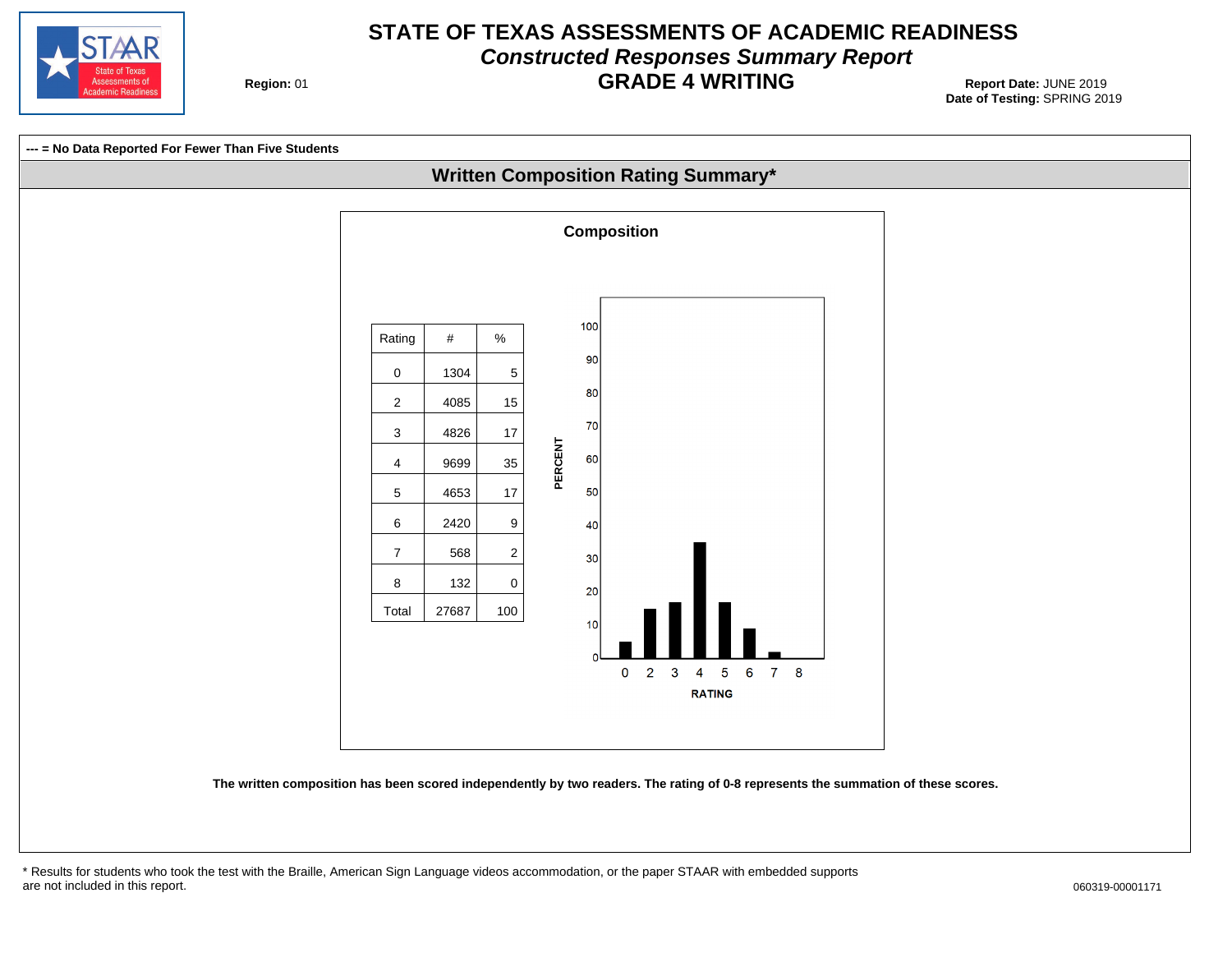

## **STATE OF TEXAS ASSESSMENTS OF ACADEMIC READINESS Constructed Responses Summary Report GRADE 4 WRITING** Report Date: JUNE 2019

**Region: 01** 



\* Results for students who took the test with the Braille, American Sign Language videos accommodation, or the paper STAAR with embedded supports are not included in this report.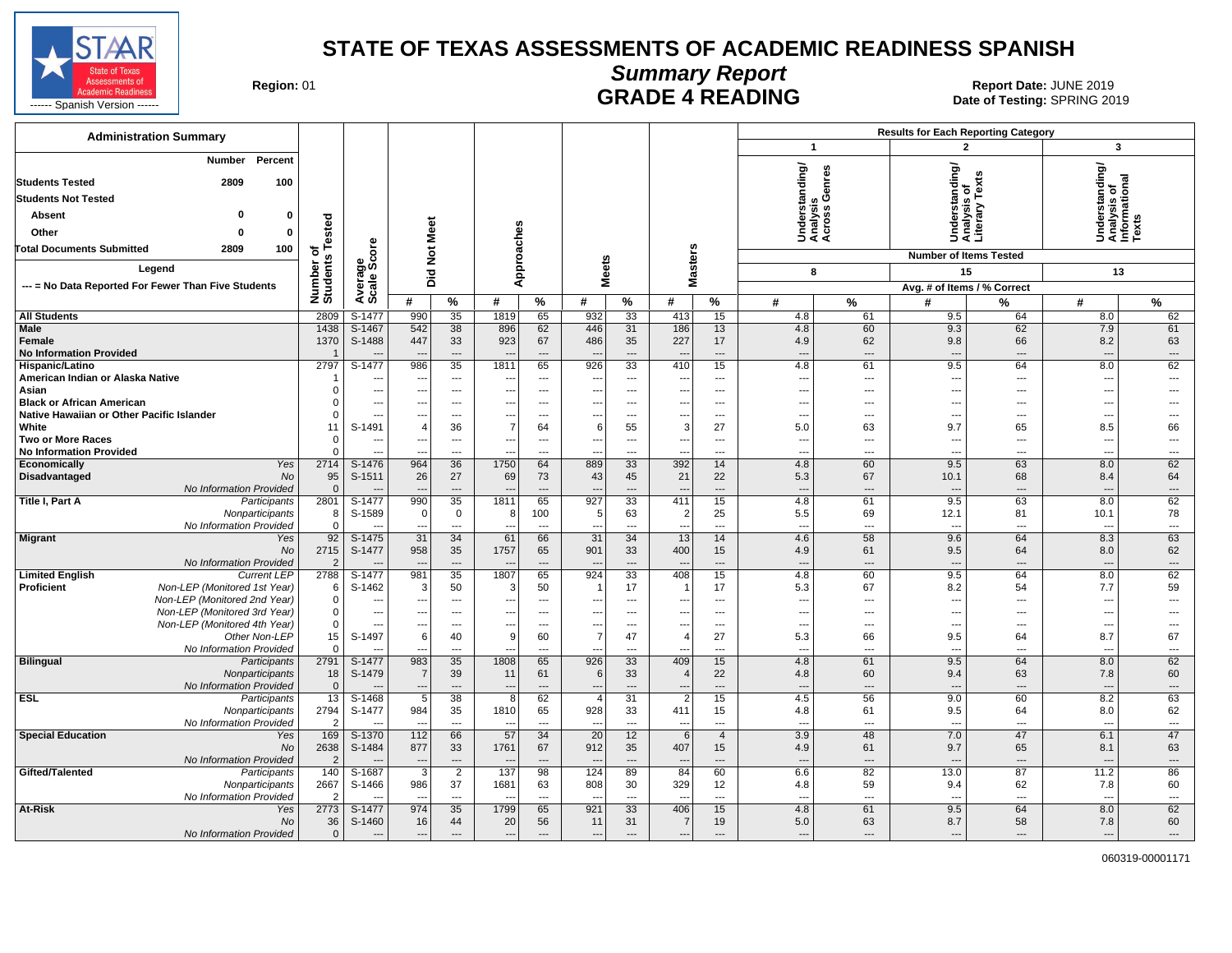

**Summary Report**

Region: 01 **Region: 01 CALL CONSISTS AND READING Report Date: JUNE 2019**<br>Date of Testing: SPRING 20

| <b>Administration Summary</b>                              |                    |                          |                                 |                                |                                  |                                |                                 |                          |                                            |                                |                                             |                                | <b>Results for Each Reporting Category</b> |                      |                                                       |                          |
|------------------------------------------------------------|--------------------|--------------------------|---------------------------------|--------------------------------|----------------------------------|--------------------------------|---------------------------------|--------------------------|--------------------------------------------|--------------------------------|---------------------------------------------|--------------------------------|--------------------------------------------|----------------------|-------------------------------------------------------|--------------------------|
|                                                            |                    |                          |                                 |                                |                                  |                                |                                 |                          |                                            |                                | $\overline{1}$                              |                                | $\overline{2}$                             |                      | $\mathbf{3}$                                          |                          |
| Percent<br>Number<br>100<br><b>Students Tested</b><br>2809 |                    |                          |                                 |                                |                                  |                                |                                 |                          |                                            |                                | Understanding/<br>Analysis<br>Across Genres |                                | rrstanding/<br>/sis of<br>ary Texts        |                      | Inderstanding/<br>Inalysis of<br>Iformational<br>exts |                          |
|                                                            |                    |                          |                                 |                                |                                  |                                |                                 |                          |                                            |                                |                                             |                                |                                            |                      |                                                       |                          |
| <b>Students Not Tested</b>                                 |                    |                          |                                 |                                |                                  |                                |                                 |                          |                                            |                                |                                             |                                |                                            |                      |                                                       |                          |
| O<br><b>Absent</b><br>$\Omega$                             | ested              |                          |                                 |                                |                                  |                                |                                 |                          |                                            |                                |                                             |                                | Under<br>Analys<br>Literal                 |                      |                                                       |                          |
| Other<br>$\Omega$<br>$\bf{0}$                              |                    |                          |                                 |                                |                                  |                                |                                 |                          |                                            |                                |                                             |                                |                                            |                      | @≚≨                                                   |                          |
| <b>Total Documents Submitted</b><br>2809<br>100            | ㅎr<br>S            | ge<br>Score              | Not Meet                        |                                | pproaches                        |                                |                                 |                          | <b>Masters</b>                             |                                |                                             |                                | <b>Number of Items Tested</b>              |                      |                                                       |                          |
| Legend                                                     |                    |                          |                                 |                                |                                  |                                | <b>Meets</b>                    |                          |                                            |                                | 8                                           |                                | 15                                         |                      | 13                                                    |                          |
| --- = No Data Reported For Fewer Than Five Students        |                    |                          | Did                             |                                | ⋖                                |                                |                                 |                          |                                            |                                |                                             |                                | Avg. # of Items / % Correct                |                      |                                                       |                          |
|                                                            | Number<br>Students | Avera                    | #                               | %                              | #                                | %                              | #                               | %                        | #                                          | %                              | #                                           | %                              | #                                          | %                    | #                                                     | $\%$                     |
| <b>All Students</b>                                        | 2809               | S-1477                   | 990                             | 35                             | 1819                             | 65                             | 932                             | 33                       | 413                                        | 15                             | 4.8                                         | 61                             | 9.5                                        | 64                   | 8.0                                                   | 62                       |
| Male                                                       | 1438               | S-1467                   | 542                             | 38                             | 896                              | 62                             | 446                             | 31                       | 186                                        | 13                             | 4.8                                         | 60                             | 9.3                                        | 62                   | 7.9                                                   | 61                       |
| <b>Female</b>                                              | 1370               | S-1488                   | 447                             | 33                             | 923                              | 67                             | 486                             | 35                       | 227                                        | 17                             | 4.9                                         | 62                             | 9.8                                        | 66                   | 8.2                                                   | 63                       |
| <b>No Information Provided</b>                             | 2797               | $S-1477$                 | 986                             | $\overline{a}$<br>35           | 1811                             | ---<br>65                      | 926                             | ---<br>$\overline{33}$   | $\overline{\phantom{a}}$<br>410            | $\overline{\phantom{a}}$<br>15 | ---<br>4.8                                  | $\qquad \qquad \cdots$<br>61   | $\overline{\phantom{a}}$<br>9.5            | ---<br>64            | ---<br>8.0                                            | ---<br>62                |
| Hispanic/Latino<br>American Indian or Alaska Native        |                    | ---                      | $\sim$                          | $\cdots$                       | --                               | $---$                          | $\overline{a}$                  | $\overline{a}$           | $\overline{\phantom{a}}$                   | $---$                          | $\overline{\phantom{a}}$                    | $\overline{\phantom{a}}$       | $\overline{\phantom{a}}$                   | $---$                | $\overline{\phantom{a}}$                              | $\overline{a}$           |
| Asian                                                      |                    | $\overline{a}$           | $\overline{\phantom{a}}$        | $---$                          |                                  | ---                            | $\overline{a}$                  | ---                      | $\overline{\phantom{a}}$                   | $---$                          | $\overline{a}$                              | $---$                          | $\overline{a}$                             | $---$                | ---                                                   |                          |
| <b>Black or African American</b>                           |                    | ---                      | --                              | ---                            | ---                              | ---                            | ---                             | ---                      | ---                                        | $\overline{\phantom{a}}$       | ---                                         | $\overline{\phantom{a}}$       | $\overline{a}$                             | ---                  | ---                                                   |                          |
| Native Hawaiian or Other Pacific Islander                  |                    | ---                      |                                 | ---                            |                                  | ---                            | $\overline{a}$                  | ---                      | ---                                        | $\overline{a}$                 | ---                                         | $\overline{a}$                 | $\overline{a}$                             | ---                  | ---                                                   |                          |
| White                                                      | 11                 | S-1491                   | 4                               | 36                             | $\overline{7}$                   | 64                             | 6                               | 55                       | 3                                          | 27                             | 5.0                                         | 63                             | 9.7                                        | 65                   | 8.5                                                   | 66                       |
| Two or More Races                                          |                    | ---                      |                                 | $\overline{a}$                 |                                  | $\overline{a}$                 | ---                             | ---                      | $\overline{\phantom{a}}$                   | $\overline{a}$                 | $\overline{\phantom{a}}$                    | $\overline{\phantom{a}}$       | $\overline{\phantom{a}}$                   | ---                  | $\overline{a}$                                        | ---                      |
| <b>No Information Provided</b><br>Economically<br>Yes      | 2714               | ---<br>S-1476            | $\sim$ $\sim$<br>964            | $\overline{\phantom{a}}$<br>36 | $\overline{a}$<br>1750           | ---<br>64                      | $\sim$<br>889                   | ---<br>33                | $\overline{\phantom{a}}$<br>392            | $\overline{\phantom{a}}$<br>14 | ---<br>4.8                                  | $\overline{\phantom{a}}$<br>60 | $\sim$<br>9.5                              | $\overline{a}$<br>63 | $---$<br>8.0                                          | ---<br>62                |
| Disadvantaged<br><b>No</b>                                 | 95                 | S-1511                   | 26                              | 27                             | 69                               | 73                             | 43                              | 45                       | 21                                         | 22                             | 5.3                                         | 67                             | 10.1                                       | 68                   | 8.4                                                   | 64                       |
| No Information Provided                                    | $\Omega$           |                          |                                 | ---                            |                                  | $\overline{\phantom{a}}$       |                                 | ---                      | $\overline{\phantom{a}}$                   | $\overline{\phantom{a}}$       | $\overline{\phantom{a}}$                    | $\cdots$                       |                                            | $---$                |                                                       | ---                      |
| Title I, Part A<br>Participants                            | 2801               | S-1477                   | 990                             | 35                             | 1811                             | 65                             | 927                             | 33                       | 411                                        | 15                             | 4.8                                         | 61                             | 9.5                                        | 63                   | 8.0                                                   | 62                       |
| Nonparticipants                                            | 8                  | S-1589                   | $\mathbf 0$                     | $\mathbf 0$                    | 8                                | 100                            | 5                               | 63                       | $\overline{2}$                             | 25                             | 5.5                                         | 69                             | 12.1                                       | 81                   | 10.1                                                  | 78                       |
| No Information Provided                                    | $\Omega$           |                          |                                 | $\overline{a}$                 |                                  | $\overline{\phantom{a}}$       | $\overline{a}$                  | ---                      | ---                                        | $\overline{a}$                 | $\overline{a}$                              | $\overline{a}$                 | $\overline{a}$                             | $\overline{a}$       | $\overline{a}$                                        | $\overline{a}$           |
| <b>Migrant</b><br>Yes<br><b>No</b>                         | 92<br>2715         | S-1475<br>S-1477         | 31<br>958                       | 34<br>35                       | 61<br>1757                       | 66<br>65                       | $\overline{31}$<br>901          | 34<br>33                 | 13<br>400                                  | 14<br>15                       | 4.6<br>4.9                                  | 58<br>61                       | 9.6<br>9.5                                 | 64<br>64             | 8.3<br>8.0                                            | 63<br>62                 |
| No Information Provided                                    | $\overline{2}$     |                          | $\sim$                          | $---$                          |                                  | $\overline{a}$                 |                                 | $\overline{\phantom{a}}$ | $\overline{\phantom{a}}$                   | $---$                          | $\overline{\phantom{a}}$                    | $\cdots$                       | $\overline{\phantom{a}}$                   | $---$                | ---                                                   | ---                      |
| <b>Limited English</b><br><b>Current LEP</b>               | 2788               | S-1477                   | 981                             | $\overline{35}$                | 1807                             | 65                             | 924                             | 33                       | 408                                        | 15                             | 4.8                                         | 60                             | 9.5                                        | 64                   | 8.0                                                   | 62                       |
| Non-LEP (Monitored 1st Year)<br><b>Proficient</b>          | 6                  | S-1462                   | 3                               | 50                             | 3                                | 50                             | -1                              | 17                       | $\overline{1}$                             | 17                             | 5.3                                         | 67                             | 8.2                                        | 54                   | 7.7                                                   | 59                       |
| Non-LEP (Monitored 2nd Year)                               |                    | ---                      | $\sim$                          | $\overline{\phantom{a}}$       |                                  | $\overline{\phantom{a}}$       | ---                             | ---                      | $\overline{\phantom{a}}$                   | $---$                          | ---                                         | $\overline{\phantom{a}}$       | $\overline{\phantom{a}}$                   | ---                  | ---                                                   | ---                      |
| Non-LEP (Monitored 3rd Year)                               |                    | ---                      | ---                             | $---$                          | $---$                            | ---                            | ---                             | ---                      | $\qquad \qquad \cdots$                     | $---$                          | ---                                         | $\overline{\phantom{a}}$       | ---                                        | $---$                | ---                                                   | ---                      |
| Non-LEP (Monitored 4th Year)<br>Other Non-LEP              | 15                 | $\overline{a}$<br>S-1497 | $\sim$<br>$6 \mid$              | $---$<br>40                    | $---$<br>9                       | $\sim$<br>60                   | ---<br>$\overline{7}$           | $---$<br>47              | $\overline{\phantom{a}}$<br>$\overline{4}$ | $---$<br>27                    | $\sim$<br>5.3                               | $\overline{a}$<br>66           | $\sim$<br>9.5                              | $---$<br>64          | $\overline{a}$<br>8.7                                 | $\overline{a}$<br>67     |
| No Information Provided                                    |                    |                          |                                 | $\overline{a}$                 |                                  | $\overline{a}$                 |                                 | $\overline{a}$           | $\overline{a}$                             | $\overline{a}$                 | $\overline{a}$                              | $\overline{a}$                 | $\sim$                                     | $\overline{a}$       | $\overline{a}$                                        | $\overline{a}$           |
| <b>Bilingual</b><br>Participants                           | 2791               | S-1477                   | 983                             | 35                             | 1808                             | 65                             | 926                             | 33                       | 409                                        | 15                             | 4.8                                         | 61                             | 9.5                                        | 64                   | 8.0                                                   | 62                       |
| Nonparticipants                                            | 18                 | S-1479                   | $\overline{7}$                  | 39                             | 11                               | 61                             | 6                               | 33                       | $\overline{4}$                             | 22                             | 4.8                                         | 60                             | 9.4                                        | 63                   | 7.8                                                   | 60                       |
| No Information Provided                                    | $\Omega$           |                          |                                 | $\overline{a}$                 | $\overline{\phantom{a}}$         | ---                            |                                 | $\overline{a}$           | $\overline{\phantom{a}}$                   | $\overline{a}$                 | ---                                         | $\qquad \qquad \cdots$         | $\overline{\phantom{a}}$                   | ---                  | $\overline{\phantom{a}}$                              | ---                      |
| <b>ESL</b><br>Participants                                 | 13                 | S-1468                   | 5                               | 38                             | 8                                | 62                             | $\overline{4}$                  | 31                       | $\overline{2}$                             | 15                             | 4.5                                         | 56                             | 9.0                                        | 60                   | 8.2                                                   | 63                       |
| Nonparticipants<br>No Information Provided                 | 2794               | S-1477                   | 984<br>$\overline{\phantom{a}}$ | 35<br>$\overline{a}$           | 1810<br>$\overline{\phantom{a}}$ | 65<br>$\overline{\phantom{a}}$ | 928<br>$\overline{\phantom{a}}$ | 33<br>---                | 411<br>$\overline{\phantom{a}}$            | 15<br>$\overline{a}$           | 4.8<br>$\overline{\phantom{a}}$             | 61<br>$\overline{\phantom{a}}$ | 9.5<br>$\overline{a}$                      | 64<br>$\overline{a}$ | 8.0<br>$\overline{\phantom{a}}$                       | 62<br>---                |
| <b>Special Education</b><br>Yes                            | 169                | S-1370                   | 112                             | 66                             | 57                               | 34                             | 20                              | 12                       | 6                                          | $\overline{4}$                 | 3.9                                         | 48                             | 7.0                                        | 47                   | 6.1                                                   | 47                       |
| No                                                         | 2638               | S-1484                   | 877                             | 33                             | 1761                             | 67                             | 912                             | 35                       | 407                                        | 15                             | 4.9                                         | 61                             | 9.7                                        | 65                   | 8.1                                                   | 63                       |
| No Information Provided                                    | 2                  |                          | $\sim$                          | $\qquad \qquad \cdots$         |                                  | $\overline{\phantom{a}}$       |                                 | ---                      | $\overline{\phantom{a}}$                   | $\qquad \qquad \cdots$         | $\sim$                                      | $\qquad \qquad \cdots$         | ч.                                         | ---                  | $\overline{\phantom{a}}$                              | ---                      |
| Gifted/Talented<br>Participants                            | 140                | S-1687                   | $\overline{3}$                  | $\overline{2}$                 | 137                              | 98                             | 124                             | 89                       | 84                                         | 60                             | 6.6                                         | 82                             | 13.0                                       | 87                   | 11.2                                                  | 86                       |
| Nonparticipants                                            | 2667               | S-1466                   | 986                             | 37                             | 1681                             | 63                             | 808                             | 30                       | 329                                        | 12                             | 4.8                                         | 59                             | 9.4                                        | 62                   | 7.8                                                   | 60                       |
| No Information Provided                                    |                    |                          | $\sim$                          | $\overline{a}$                 | $\overline{a}$                   | $\overline{\phantom{a}}$       | $\overline{a}$                  | $\overline{a}$           | $\overline{\phantom{a}}$                   | $\overline{a}$                 | $\sim$                                      | $\overline{a}$                 | $\overline{a}$                             | ---                  | $\overline{\phantom{a}}$                              | $\overline{\phantom{a}}$ |
| At-Risk<br>Yes<br>No                                       | 2773<br>36         | S-1477<br>S-1460         | 974<br>16                       | 35<br>44                       | 1799<br>20                       | 65<br>56                       | 921<br>11                       | 33<br>31                 | 406<br>$\overline{7}$                      | 15<br>19                       | 4.8<br>5.0                                  | 61<br>63                       | 9.5<br>8.7                                 | 64<br>58             | 8.0<br>7.8                                            | 62<br>60                 |
| No Information Provided                                    | $\Omega$           |                          |                                 | ---                            | $\overline{\phantom{a}}$         | ---                            | $\hspace{1.5cm} \ldots$         | $\overline{a}$           | $\overline{a}$                             | $\overline{a}$                 | $\overline{\phantom{a}}$                    | $\overline{\phantom{a}}$       |                                            | ---                  | $\overline{\phantom{a}}$                              | ---                      |
|                                                            |                    |                          |                                 |                                |                                  |                                |                                 |                          |                                            |                                |                                             |                                |                                            |                      |                                                       |                          |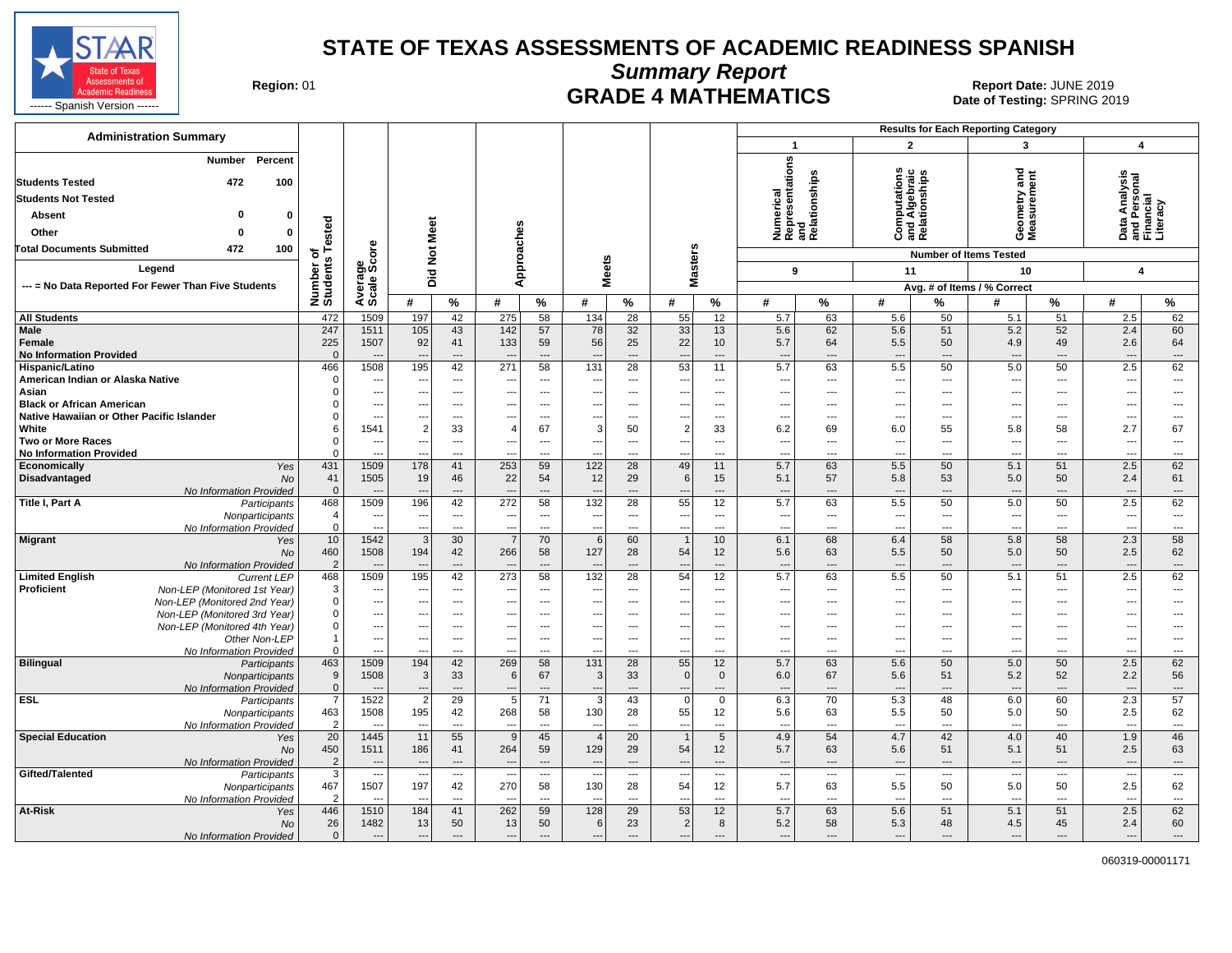

**Summary Report**

**GRADE 4 MATHEMATICS Date: JUNE 2019 Report Date: JUNE 2019 CRADE 4 MATHEMATICS** 

| <b>Administration Summary</b>                                                              |                       |                          |                                 |                          |                                 |                      |                                            |                              |                                          |                          |                                 |                                                      |                                                       |                          | <b>Results for Each Reporting Category</b> |                                 |                                                        |                                |
|--------------------------------------------------------------------------------------------|-----------------------|--------------------------|---------------------------------|--------------------------|---------------------------------|----------------------|--------------------------------------------|------------------------------|------------------------------------------|--------------------------|---------------------------------|------------------------------------------------------|-------------------------------------------------------|--------------------------|--------------------------------------------|---------------------------------|--------------------------------------------------------|--------------------------------|
|                                                                                            |                       |                          |                                 |                          |                                 |                      |                                            |                              |                                          |                          | $\mathbf{1}$                    |                                                      | $\overline{2}$                                        |                          | 3                                          |                                 | $\overline{\mathbf{4}}$                                |                                |
| Percent<br>Number                                                                          |                       |                          |                                 |                          |                                 |                      |                                            |                              |                                          |                          |                                 | Numerical<br>Representations<br>and<br>Relationships | w                                                     |                          |                                            |                                 |                                                        |                                |
| <b>Students Tested</b><br>472<br>100                                                       |                       |                          |                                 |                          |                                 |                      |                                            |                              |                                          |                          |                                 |                                                      | <b>Computations</b><br>and Algebraic<br>Relationships |                          | Geometry and<br>Measurement                |                                 | Data Analysis<br>and Personal<br>Financial<br>Literacy |                                |
| <b>Students Not Tested</b>                                                                 |                       |                          |                                 |                          |                                 |                      |                                            |                              |                                          |                          |                                 |                                                      |                                                       |                          |                                            |                                 |                                                        |                                |
| ŋ<br>Absent<br>0                                                                           |                       |                          |                                 |                          |                                 |                      |                                            |                              |                                          |                          |                                 |                                                      |                                                       |                          |                                            |                                 |                                                        |                                |
| Other<br>0<br>n                                                                            |                       |                          |                                 |                          |                                 |                      |                                            |                              |                                          |                          |                                 |                                                      |                                                       |                          |                                            |                                 |                                                        |                                |
|                                                                                            | ested                 |                          |                                 |                          |                                 |                      |                                            |                              |                                          |                          |                                 |                                                      |                                                       |                          |                                            |                                 |                                                        |                                |
| 472<br>100<br><b>Total Documents Submitted</b>                                             | ⊢<br>৳                | ore                      | Not Meet                        |                          |                                 |                      |                                            |                              |                                          |                          |                                 |                                                      |                                                       |                          | <b>Number of Items Tested</b>              |                                 |                                                        |                                |
| Legend                                                                                     | Number of<br>Students | verage<br>cale Sco       |                                 |                          | Approaches                      |                      | <b>Meets</b>                               |                              | Masters                                  |                          | 9                               |                                                      | 11                                                    |                          | 10                                         |                                 | 4                                                      |                                |
| --- = No Data Reported For Fewer Than Five Students                                        |                       |                          | Did                             |                          |                                 |                      |                                            |                              |                                          |                          |                                 |                                                      |                                                       |                          | Avg. # of Items / % Correct                |                                 |                                                        |                                |
|                                                                                            |                       | ∢ທັ                      | #                               | %                        | #                               | %                    | #                                          | %                            | #                                        | %                        | #                               | $\%$                                                 | #                                                     | %                        | #                                          | ℅                               | #                                                      | %                              |
| <b>All Students</b>                                                                        | 472                   | 1509                     | 197                             | 42                       | 275                             | 58                   | 134                                        | 28                           | 55                                       | 12                       | 5.7                             | 63                                                   | 5.6                                                   | 50                       | 5.1                                        | 51                              | 2.5                                                    | 62                             |
| Male                                                                                       | 247                   | 1511                     | 105                             | 43                       | 142                             | 57                   | 78                                         | 32                           | 33                                       | 13                       | 5.6                             | 62                                                   | 5.6                                                   | 51                       | 5.2                                        | 52                              | 2.4                                                    | 60                             |
| Female                                                                                     | 225                   | 1507                     | 92                              | 41                       | 133                             | 59                   | 56                                         | 25                           | 22                                       | 10                       | 5.7                             | 64                                                   | 5.5                                                   | 50                       | 4.9                                        | 49                              | 2.6                                                    | 64                             |
| <b>No Information Provided</b><br>Hispanic/Latino                                          | $\Omega$<br>466       | 1508                     | 195                             | ---<br>42                | $\overline{\phantom{a}}$<br>271 | ---<br>58            | 131                                        | $\qquad \qquad \cdots$<br>28 | $\overline{\phantom{a}}$<br>53           | $\overline{a}$<br>11     | $\overline{\phantom{a}}$<br>5.7 | 63                                                   | ---<br>5.5                                            | ---<br>50                | $\overline{\phantom{a}}$<br>5.0            | ---<br>50                       | $\overline{\phantom{a}}$<br>2.5                        | ---<br>62                      |
| American Indian or Alaska Native                                                           | $\Omega$              | ---                      | $\sim$                          | ---                      | $\overline{\phantom{a}}$        | ---                  | $\overline{\phantom{a}}$                   | $\overline{\phantom{a}}$     | ---                                      | ---                      | $\overline{\phantom{a}}$        | $\hspace{0.05cm} \cdots$                             | ---                                                   | ---                      | ---                                        | ---                             | $\overline{\phantom{a}}$                               | ---                            |
| Asian                                                                                      | $\Omega$              | ---                      | $\overline{\phantom{a}}$        | $\overline{\phantom{a}}$ | ---                             | ---                  | $---$                                      | $\overline{\phantom{a}}$     | ---                                      | $\overline{\phantom{a}}$ | ---                             | $---$                                                | ---                                                   | ---                      | ---                                        | ---                             | $\ddotsc$                                              | ---                            |
| <b>Black or African American</b>                                                           | $\Omega$              | ---                      | ---                             | $\cdots$                 | $\overline{\phantom{a}}$        | ---                  | $---$                                      | $---$                        | ---                                      | ---                      | $\ddotsc$                       | $\sim$                                               | ---                                                   | $\overline{\phantom{a}}$ | ---                                        | ---                             | ---                                                    | $\overline{\phantom{a}}$       |
| Native Hawaiian or Other Pacific Islander                                                  | $\Omega$              | ---                      |                                 | $---$                    | ---                             | $\overline{a}$       | ---                                        | $---$                        | $\overline{a}$                           | ---                      | $\overline{a}$                  | $-$                                                  | ---                                                   | $---$                    | $\overline{a}$                             | $---$                           | $\overline{\phantom{a}}$                               | $\overline{a}$                 |
| White                                                                                      | 6<br>$\Omega$         | 1541                     | $\overline{2}$                  | 33                       | $\overline{4}$                  | 67                   | 3                                          | 50                           | $\overline{2}$                           | 33                       | 6.2                             | 69                                                   | 6.0                                                   | 55                       | 5.8                                        | 58                              | 2.7                                                    | 67                             |
| Two or More Races<br><b>No Information Provided</b>                                        | $\Omega$              | ---<br>---               | ---                             | $---$<br>---             | $\overline{\phantom{a}}$        | ---<br>---           | ---<br>$\overline{a}$                      | $---$<br>$\overline{a}$      | ---<br>$\overline{\phantom{a}}$          | ---<br>---               | ---<br>$\sim$                   | ---<br>$\overline{\phantom{a}}$                      | ---<br>---                                            | ---<br>---               | $\overline{a}$<br>$\overline{a}$           | $\overline{\phantom{a}}$<br>--- | ---<br>$\overline{a}$                                  | ---<br>---                     |
| Economically<br>Yes                                                                        | 431                   | 1509                     | 178                             | 41                       | 253                             | 59                   | 122                                        | 28                           | 49                                       | 11                       | 5.7                             | 63                                                   | 5.5                                                   | 50                       | 5.1                                        | 51                              | 2.5                                                    | 62                             |
| Disadvantaged<br><b>No</b>                                                                 | 41                    | 1505                     | 19                              | 46                       | 22                              | 54                   | 12                                         | 29                           | 6                                        | 15                       | 5.1                             | 57                                                   | 5.8                                                   | 53                       | 5.0                                        | 50                              | 2.4                                                    | 61                             |
| No Information Provided                                                                    | $\Omega$              |                          |                                 | ---                      | $\overline{\phantom{a}}$        | ---                  |                                            | $---$                        | $\overline{\phantom{a}}$                 | $---$                    | --                              | $\overline{\phantom{a}}$                             | ---                                                   | ---                      | $---$                                      | ---                             | $\overline{\phantom{a}}$                               | $\cdots$                       |
| Title I, Part A<br>Participants                                                            | 468<br>$\overline{4}$ | 1509<br>$\overline{a}$   | 196<br>$\sim$                   | 42<br>$---$              | 272<br>$\overline{\phantom{a}}$ | 58<br>$\overline{a}$ | 132<br>---                                 | 28<br>$\overline{a}$         | 55<br>$\overline{\phantom{a}}$           | 12<br>---                | 5.7<br>$\sim$                   | 63<br>$\sim$                                         | 5.5<br>$\overline{\phantom{a}}$                       | 50<br>$\overline{a}$     | 5.0<br>$\overline{a}$                      | 50<br>$\overline{a}$            | 2.5<br>$\overline{\phantom{a}}$                        | 62<br>$\overline{a}$           |
| Nonparticipants<br>No Information Provided                                                 | $\mathbf 0$           | ---                      | $\overline{a}$                  | $\overline{a}$           | $\overline{\phantom{a}}$        | $\overline{a}$       | $\overline{a}$                             | $\overline{a}$               | $\overline{a}$                           | $\overline{a}$           | $\overline{\phantom{a}}$        | $---$                                                | ---                                                   | $\overline{a}$           | $\overline{a}$                             | $\overline{a}$                  | $\overline{a}$                                         | $\overline{a}$                 |
| <b>Migrant</b><br>Yes                                                                      | 10                    | 1542                     | 3                               | 30                       | $\overline{7}$                  | 70                   | 6                                          | 60                           | $\overline{1}$                           | 10                       | 6.1                             | 68                                                   | 6.4                                                   | 58                       | 5.8                                        | 58                              | 2.3                                                    | 58                             |
| <b>No</b>                                                                                  | 460                   | 1508                     | 194                             | 42                       | 266                             | 58                   | 127                                        | 28                           | 54                                       | 12 <sup>2</sup>          | 5.6                             | 63                                                   | 5.5                                                   | 50                       | 5.0                                        | 50                              | 2.5                                                    | 62                             |
| No Information Provided                                                                    | $\overline{2}$        |                          |                                 | ---                      |                                 | $\overline{a}$       |                                            | $\overline{\phantom{a}}$     | $\overline{\phantom{a}}$                 | ---                      |                                 | $\overline{\phantom{a}}$                             | $\overline{a}$                                        | ---                      | $\overline{a}$                             | ---                             | $\overline{\phantom{a}}$                               | ---                            |
| <b>Limited English</b><br><b>Current LEP</b><br>Proficient<br>Non-LEP (Monitored 1st Year) | 468<br>3              | 1509<br>---              | 195<br>$\overline{\phantom{a}}$ | 42<br>$\cdots$           | 273<br>$\overline{\phantom{a}}$ | 58<br>---            | 132<br>$\overline{\phantom{a}}$            | $\overline{28}$<br>$---$     | 54<br>---                                | 12<br>---                | 5.7<br>---                      | 63<br>$\overline{\phantom{a}}$                       | 5.5<br>---                                            | 50<br>$---$              | 5.1<br>$\ddotsc$                           | 51<br>---                       | 2.5<br>$\overline{\phantom{a}}$                        | 62<br>---                      |
| Non-LEP (Monitored 2nd Year)                                                               | $\Omega$              | ---                      | $\sim$                          | $---$                    | ---                             | ---                  | $\sim$                                     | $---$                        | ---                                      | $---$                    | $\sim$                          | $-$                                                  | ---                                                   | $---$                    | $\overline{a}$                             | ---                             | $\overline{\phantom{a}}$                               | $\overline{a}$                 |
| Non-LEP (Monitored 3rd Year)                                                               | $\Omega$              | ---                      | ---                             | $---$                    | $\overline{\phantom{a}}$        | $\overline{a}$       | $---$                                      | $---$                        | $\overline{\phantom{a}}$                 | $---$                    | $\overline{a}$                  | $\overline{\phantom{a}}$                             | ---                                                   | $---$                    | $---$                                      | ---                             | $\overline{\phantom{a}}$                               | $---$                          |
| Non-LEP (Monitored 4th Year)                                                               | $\mathbf 0$           | ---                      | $\overline{\phantom{a}}$        | $---$                    | $\overline{\phantom{a}}$        | ---                  | $\overline{\phantom{a}}$                   | $---$                        | $\overline{\phantom{a}}$                 | $\overline{a}$           | $\overline{\phantom{a}}$        | $---$                                                | ---                                                   | ---                      | $\overline{a}$                             | ---                             | ---                                                    | $\overline{a}$                 |
| Other Non-LEP                                                                              |                       | ---                      |                                 | $---$                    | $\overline{\phantom{a}}$        | ---                  | ---                                        | $\overline{\phantom{a}}$     | $\overline{\phantom{a}}$                 | ---                      | ---                             | $---$                                                | ---                                                   | ---                      | ---                                        | ---                             | ---                                                    | ---                            |
| No Information Provided<br><b>Bilingual</b><br>Participants                                | $\mathbf 0$<br>463    | …<br>1509                | 194                             | ---<br>42                | 269                             | ---<br>58            | 131                                        | ---<br>28                    | ---<br>55                                | ---<br>12                | ---<br>5.7                      | ---<br>63                                            | ---<br>5.6                                            | ---<br>50                | 5.0                                        | ---<br>50                       | ---<br>2.5                                             | ---<br>62                      |
| Nonparticipants                                                                            | 9                     | 1508                     | $\lceil 3 \rceil$               | 33                       | 6                               | 67                   | 3                                          | 33                           | $\mathbf 0$                              | $\mathbf 0$              | 6.0                             | 67                                                   | 5.6                                                   | 51                       | 5.2                                        | 52                              | 2.2                                                    | 56                             |
| No Information Provided                                                                    | $\mathbf 0$           | $\overline{\phantom{a}}$ | $\overline{\phantom{a}}$        | $\overline{\phantom{a}}$ | $\overline{\phantom{a}}$        | $\overline{a}$       | $---$                                      | $\hspace{1.5cm} \dots$       | $\cdots$                                 | ---                      | $\overline{\phantom{a}}$        | $---$                                                | ---                                                   | $\overline{\phantom{a}}$ | $\overline{\phantom{a}}$                   | $\overline{\phantom{a}}$        | $\overline{\phantom{a}}$                               | $\cdots$                       |
| <b>ESL</b><br>Participants                                                                 | $\overline{7}$        | 1522                     | 2 <sup>2</sup>                  | 29                       | 5                               | 71                   | 3                                          | 43                           | $\mathbf 0$                              | $\mathbf 0$              | 6.3                             | 70                                                   | 5.3                                                   | 48                       | 6.0                                        | 60                              | 2.3                                                    | 57                             |
| Nonparticipants                                                                            | 463                   | 1508                     | 195                             | 42                       | 268                             | 58                   | 130                                        | 28                           | 55                                       | 12                       | 5.6                             | 63                                                   | 5.5                                                   | 50                       | 5.0                                        | 50                              | 2.5                                                    | 62                             |
| No Information Provided<br><b>Special Education</b>                                        | $\overline{2}$<br>20  | $\overline{a}$<br>1445   | $\overline{a}$<br>11            | $\overline{a}$<br>55     | $\overline{\phantom{a}}$<br>9   | $\overline{a}$<br>45 | $\overline{\phantom{a}}$<br>$\overline{4}$ | $\overline{a}$<br>20         | $\overline{\phantom{a}}$<br>$\mathbf{1}$ | $\overline{a}$<br>5      | $\overline{a}$<br>4.9           | $\sim$<br>54                                         | ---<br>4.7                                            | $\overline{a}$<br>42     | $\overline{a}$<br>4.0                      | $\overline{a}$<br>40            | ---                                                    | $\overline{\phantom{a}}$<br>46 |
| Yes<br><b>No</b>                                                                           | 450                   | 1511                     | 186                             | 41                       | 264                             | 59                   | 129                                        | 29                           | 54                                       | 12                       | 5.7                             | 63                                                   | 5.6                                                   | 51                       | 5.1                                        | 51                              | 1.9<br>2.5                                             | 63                             |
| No Information Provided                                                                    | $\overline{2}$        | $\overline{a}$           | ---                             | ---                      | $\sim$                          | $\overline{a}$       |                                            | $---$                        | $\overline{\phantom{a}}$                 | $\overline{a}$           | ---                             | $---$                                                | $\overline{a}$                                        | $\overline{a}$           | $\overline{a}$                             | $\overline{\phantom{a}}$        | $\overline{a}$                                         | ---                            |
| Gifted/Talented<br>Participants                                                            | 3                     | $\overline{\phantom{a}}$ | $\sim$                          | ---                      | $\overline{\phantom{a}}$        | ---                  | $---$                                      | $\overline{\phantom{a}}$     | ---                                      | ---                      | $\overline{\phantom{a}}$        | $\hspace{0.05cm} \cdots$                             | $\overline{\phantom{a}}$                              | $\overline{\phantom{a}}$ | $\overline{\phantom{a}}$                   | $\overline{\phantom{a}}$        | ---                                                    | $\overline{\phantom{a}}$       |
| Nonparticipants                                                                            | 467                   | 1507                     | 197                             | 42                       | 270                             | 58                   | 130                                        | 28                           | 54                                       | 12                       | 5.7                             | 63                                                   | 5.5                                                   | 50                       | 5.0                                        | 50                              | 2.5                                                    | 62                             |
| No Information Provided<br>At-Risk                                                         | 446                   | ---<br>1510              | $\sim$<br>184                   | $---$<br>41              | $\sim$<br>262                   | $\overline{a}$<br>59 | $---$<br>128                               | $---$<br>29                  | $\sim$                                   | $\sim$<br>12             | ---<br>5.7                      | $\sim$<br>63                                         | $\overline{a}$                                        | $---$<br>51              | $---$<br>5.1                               | $---$<br>51                     | $\overline{\phantom{a}}$<br>2.5                        | $\hspace{0.05cm} \ldots$<br>62 |
| Yes<br>No                                                                                  | 26                    | 1482                     | 13                              | 50                       | 13                              | 50                   | 6                                          | 23                           | 53<br>$\overline{2}$                     | 8                        | 5.2                             | 58                                                   | 5.6<br>5.3                                            | 48                       | 4.5                                        | 45                              | 2.4                                                    | 60                             |
| No Information Provided                                                                    | $\mathbf{0}$          | $\overline{\phantom{a}}$ | $\overline{\phantom{a}}$        | $\overline{a}$           | $\sim$                          | ---                  | $\qquad \qquad \cdots$                     | $---$                        | $\overline{a}$                           | ---                      | $\overline{\phantom{a}}$        | $\overline{a}$                                       | $\overline{\phantom{a}}$                              | ---                      | $\overline{a}$                             | $---$                           | $\overline{a}$                                         | $\cdots$                       |
|                                                                                            |                       |                          |                                 |                          |                                 |                      |                                            |                              |                                          |                          |                                 |                                                      |                                                       |                          |                                            |                                 |                                                        |                                |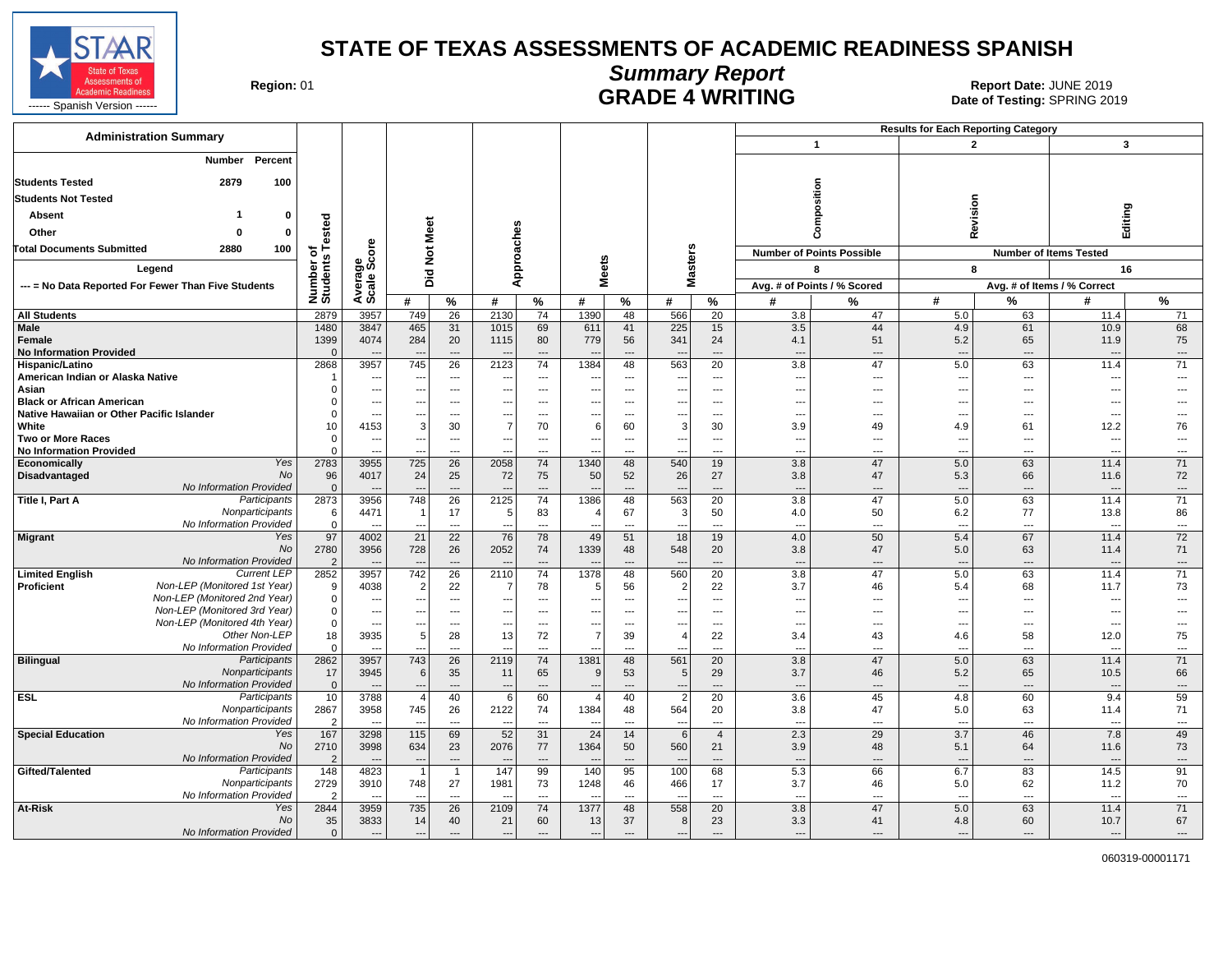![](_page_10_Picture_0.jpeg)

## **Summary Report** Region: 01 **Region: 01 CALL CONSISTS OF A SET OF A REPORT DATE: JUNE 2019**<br>Date of Testing: SPRING 2019

| <b>Administration Summary</b>                                |                              |                                            |                                 |                                 |                          |                                |                                  |                                                      |                          |                                            |                                                      |                                  | <b>Results for Each Reporting Category</b> |                               |                                  |                                |
|--------------------------------------------------------------|------------------------------|--------------------------------------------|---------------------------------|---------------------------------|--------------------------|--------------------------------|----------------------------------|------------------------------------------------------|--------------------------|--------------------------------------------|------------------------------------------------------|----------------------------------|--------------------------------------------|-------------------------------|----------------------------------|--------------------------------|
|                                                              |                              |                                            |                                 |                                 |                          |                                |                                  |                                                      |                          |                                            |                                                      | $\overline{1}$                   | $\overline{2}$                             |                               | $\overline{\mathbf{3}}$          |                                |
| Percent<br>Number                                            |                              |                                            |                                 |                                 |                          |                                |                                  |                                                      |                          |                                            |                                                      |                                  |                                            |                               |                                  |                                |
| <b>Students Tested</b><br>2879                               | 100                          |                                            |                                 |                                 |                          |                                |                                  |                                                      |                          |                                            |                                                      |                                  |                                            |                               |                                  |                                |
| <b>Students Not Tested</b>                                   |                              |                                            |                                 |                                 |                          |                                |                                  |                                                      |                          |                                            |                                                      | osition                          |                                            |                               |                                  |                                |
| Absent                                                       | 0                            |                                            |                                 |                                 |                          |                                |                                  |                                                      |                          |                                            |                                                      |                                  | Revision                                   |                               |                                  | ත                              |
| Other                                                        | ested<br>$\mathbf 0$         |                                            | eet                             |                                 |                          |                                |                                  |                                                      |                          |                                            |                                                      | Ě                                |                                            |                               | Editing                          |                                |
|                                                              |                              |                                            | ż                               |                                 |                          |                                |                                  |                                                      |                          |                                            |                                                      | රි                               |                                            |                               |                                  |                                |
| <b>Total Documents Submitted</b><br>2880                     | 100<br>৳                     | ge<br>Score                                | $\frac{5}{2}$                   |                                 |                          |                                | S                                |                                                      |                          |                                            |                                                      | <b>Number of Points Possible</b> |                                            |                               | <b>Number of Items Tested</b>    |                                |
| Legend                                                       | Number o<br>Students         |                                            | Did                             |                                 |                          | Approaches                     | ē                                |                                                      | <b>Masters</b>           |                                            |                                                      | 8                                | 8                                          |                               | 16                               |                                |
| --- = No Data Reported For Fewer Than Five Students          |                              | Avera                                      |                                 |                                 |                          |                                | ż                                |                                                      |                          |                                            |                                                      | Avg. # of Points / % Scored      |                                            |                               | Avg. # of Items / % Correct      |                                |
|                                                              |                              |                                            | #                               | %                               | #                        | %                              | #                                | %                                                    | #                        | ℅                                          | #                                                    | %                                | #                                          | $\frac{9}{6}$                 | #                                | %                              |
| <b>All Students</b>                                          | 2879                         | 3957                                       | 749                             | 26                              | 2130                     | 74                             | 1390                             | 48                                                   | 566                      | 20                                         | 3.8                                                  | 47                               | 5.0                                        | 63                            | 11.4                             | 71                             |
| Male<br><b>Female</b>                                        | 1480<br>1399                 | 3847<br>4074                               | 465<br>284                      | 31<br>20                        | 1015<br>1115             | 69<br>80                       | 611<br>779                       | 41<br>56                                             | 225<br>341               | 15<br>24                                   | 3.5<br>4.1                                           | 44<br>51                         | 4.9<br>5.2                                 | 61<br>65                      | 10.9<br>11.9                     | 68<br>75                       |
| <b>No Information Provided</b>                               | $\mathbf{0}$                 |                                            |                                 | $\overline{\phantom{a}}$        |                          | $---$                          |                                  | ---                                                  |                          | $\overline{\phantom{a}}$                   | $\overline{\phantom{a}}$                             | $\overline{a}$                   | $\overline{a}$                             | ---                           | $\overline{\phantom{a}}$         | $\overline{\phantom{a}}$       |
| Hispanic/Latino                                              | 2868                         | 3957                                       | 745                             | 26                              | 2123                     | 74                             | 1384                             | 48                                                   | 563                      | 20                                         | 3.8                                                  | 47                               | 5.0                                        | 63                            | 11.4                             | 71                             |
| American Indian or Alaska Native<br>Asian                    | $\Omega$                     | $\overline{\phantom{a}}$<br>$\ldots$       | $-$<br>$\sim$                   | $\overline{\phantom{a}}$<br>--- | $\overline{\phantom{a}}$ | $---$<br>---                   | $\overline{\phantom{a}}$         | $\overline{\phantom{a}}$<br>$\overline{\phantom{a}}$ | $\sim$                   | $\overline{\phantom{a}}$<br>$---$          | $\overline{\phantom{a}}$<br>$\overline{\phantom{a}}$ | ---<br>---                       | $\overline{\phantom{a}}$<br>$\overline{a}$ | $\qquad \qquad \cdots$<br>--- | ---<br>---                       | $---$                          |
| <b>Black or African American</b>                             | $\Omega$                     | $\overline{\phantom{a}}$                   |                                 | $---$                           |                          | ---                            |                                  | $\overline{a}$                                       |                          | ---                                        | $\overline{\phantom{a}}$                             | ---                              | $\overline{\phantom{a}}$                   | ---                           | ---                              |                                |
| Native Hawaiian or Other Pacific Islander                    | $\Omega$                     | ---                                        | $\overline{\phantom{a}}$        | ---                             |                          | ---                            | $\overline{a}$                   | ---                                                  |                          | ---                                        | $\overline{\phantom{a}}$                             | ---                              | ---                                        | ---                           | ---                              |                                |
| White                                                        | 10                           | 4153                                       | $\mathcal{R}$                   | 30                              | $\overline{7}$           | 70                             | 6                                | 60                                                   | $\mathcal{R}$            | 30                                         | 3.9                                                  | 49                               | 4.9                                        | 61                            | 12.2                             | 76                             |
| <b>Two or More Races</b><br><b>No Information Provided</b>   | $\Omega$<br>$\Omega$         | $\overline{\phantom{a}}$<br>$\overline{a}$ |                                 | ---<br>$\overline{a}$           |                          | ---<br>$\overline{a}$          |                                  | ---<br>$\overline{a}$                                |                          | ---<br>---                                 | $\overline{\phantom{a}}$<br>$\overline{\phantom{a}}$ | ---<br>---                       | $\overline{a}$<br>$\sim$                   | ---<br>---                    | ---<br>$\overline{\phantom{a}}$  | $\overline{a}$<br>$\cdots$     |
| Economically                                                 | Yes<br>2783                  | 3955                                       | 725                             | 26                              | 2058                     | 74                             | 1340                             | 48                                                   | 540                      | 19                                         | 3.8                                                  | 47                               | 5.0                                        | 63                            | 11.4                             | 71                             |
| Disadvantaged                                                | 96<br>No                     | 4017                                       | 24                              | 25                              | 72                       | 75                             | 50                               | 52                                                   | 26                       | 27                                         | 3.8                                                  | 47                               | 5.3                                        | 66                            | 11.6                             | 72                             |
| No Information Provided                                      | $\overline{0}$               |                                            |                                 | $\overline{a}$                  |                          | $\overline{a}$                 |                                  | $\overline{a}$                                       |                          | $\overline{a}$                             | $\overline{\phantom{a}}$                             | $\overline{a}$                   | $-$                                        | $\overline{a}$                | ---                              | $\overline{\phantom{a}}$       |
| Title I, Part A<br>Participants<br>Nonparticipants           | 2873<br>6                    | 3956<br>4471                               | 748                             | 26<br>17                        | 2125                     | 74<br>83                       | 1386<br>4                        | 48<br>67                                             | 563<br>3                 | 20<br>50                                   | 3.8<br>4.0                                           | 47<br>50                         | 5.0<br>6.2                                 | 63<br>77                      | 11.4<br>13.8                     | 71<br>86                       |
| No Information Provided                                      | $\mathbf 0$                  |                                            |                                 | $---$                           |                          | $---$                          |                                  | $---$                                                |                          | $\sim$                                     | $\overline{\phantom{a}}$                             | ---                              | $\overline{a}$                             | ---                           | $\overline{\phantom{a}}$         | $\overline{\phantom{a}}$       |
| <b>Migrant</b>                                               | 97<br>Yes                    | 4002                                       | $\overline{21}$                 | $\overline{22}$                 | 76                       | 78                             | 49                               | 51                                                   | 18                       | 19                                         | 4.0                                                  | 50                               | 5.4                                        | 67                            | 11.4                             | 72                             |
| No Information Provided                                      | <b>No</b><br>2780<br>2       | 3956<br>$\overline{\phantom{a}}$           | 728<br>$\overline{\phantom{a}}$ | 26<br>$---$                     | 2052                     | 74<br>$---$                    | 1339<br>$\overline{\phantom{a}}$ | 48<br>$---$                                          | 548<br>$\sim$            | 20<br>$---$                                | 3.8<br>$\overline{\phantom{a}}$                      | 47<br>---                        | 5.0<br>$---$                               | 63<br>---                     | 11.4<br>----                     | 71<br>$\cdots$                 |
| <b>Limited English</b><br><b>Current LEP</b>                 | 2852                         | 3957                                       | 742                             | 26                              | 2110                     | 74                             | 1378                             | 48                                                   | 560                      | 20                                         | 3.8                                                  | 47                               | 5.0                                        | 63                            | 11.4                             | 71                             |
| Non-LEP (Monitored 1st Year)<br>Proficient                   | 9                            | 4038                                       | $\overline{2}$                  | 22                              |                          | 78                             | 5                                | 56                                                   | $\overline{2}$           | 22                                         | 3.7                                                  | 46                               | 5.4                                        | 68                            | 11.7                             | 73                             |
| Non-LEP (Monitored 2nd Year)                                 | $\mathbf 0$                  | ---                                        | $\overline{\phantom{a}}$        | $\ldots$                        |                          | $\overline{\phantom{a}}$       | ---                              | $\hspace{0.05cm} \ldots$                             |                          | $\cdots$                                   | $\overline{\phantom{a}}$                             | ---                              | $\scriptstyle\cdots$                       | ---                           | ---                              | $\overline{a}$                 |
| Non-LEP (Monitored 3rd Year)<br>Non-LEP (Monitored 4th Year) | $\Omega$<br>$\mathbf{0}$     | ---<br>$\qquad \qquad \cdots$              | $\sim$                          | ---<br>$\overline{\phantom{a}}$ | $\sim$                   | $\overline{a}$<br>$---$        | $\qquad \qquad \cdots$           | ---<br>$\overline{\phantom{a}}$                      | $\overline{\phantom{a}}$ | $\overline{\phantom{a}}$<br>---            | $\overline{\phantom{a}}$<br>$\overline{\phantom{a}}$ | ---<br>---                       | $\overline{a}$<br>$\overline{\phantom{a}}$ | ---<br>---                    | ---<br>---                       | $\overline{\phantom{a}}$       |
| Other Non-LEP                                                | 18                           | 3935                                       | 5                               | 28                              | 13                       | 72                             | $\overline{7}$                   | 39                                                   | $\overline{4}$           | 22                                         | 3.4                                                  | 43                               | 4.6                                        | 58                            | 12.0                             | 75                             |
| No Information Provided                                      | $\mathbf 0$                  | $\overline{a}$                             |                                 | $---$                           |                          | ---                            |                                  | $\overline{a}$                                       |                          | ---                                        | $\overline{\phantom{a}}$                             | ---                              | $\overline{a}$                             | ---                           | $\overline{\phantom{a}}$         | $\overline{\phantom{a}}$       |
| <b>Bilingual</b><br>Participants<br>Nonparticipants          | 2862                         | 3957                                       | 743                             | 26                              | 2119                     | 74                             | 1381                             | 48                                                   | 561                      | 20                                         | 3.8                                                  | 47                               | 5.0                                        | 63                            | 11.4                             | 71                             |
| No Information Provided                                      | 17<br>$\mathbf 0$            | 3945                                       | 6                               | 35<br>---                       | 11                       | 65<br>$---$                    | 9                                | 53<br>---                                            | 5                        | 29<br>$\overline{\phantom{a}}$             | 3.7<br>$\overline{\phantom{a}}$                      | 46<br>$\overline{a}$             | 5.2<br>$\overline{a}$                      | 65<br>---                     | 10.5<br>$\overline{\phantom{a}}$ | 66<br>$\overline{\phantom{a}}$ |
| <b>ESL</b><br>Participants                                   | 10                           | 3788                                       | $\overline{4}$                  | 40                              | 6                        | 60                             | $\overline{4}$                   | 40                                                   | $\overline{2}$           | 20                                         | 3.6                                                  | 45                               | 4.8                                        | 60                            | 9.4                              | 59                             |
| Nonparticipants                                              | 2867                         | 3958                                       | 745                             | 26                              | 2122                     | 74                             | 1384                             | 48                                                   | 564                      | 20                                         | 3.8                                                  | 47                               | 5.0                                        | 63                            | 11.4                             | 71                             |
| No Information Provided<br><b>Special Education</b>          | $\overline{2}$<br>Yes<br>167 | 3298                                       | 115                             | $\overline{\phantom{a}}$<br>69  | 52                       | $\overline{\phantom{a}}$<br>31 | $\overline{24}$                  | $\overline{\phantom{a}}$<br>14                       | 6                        | $\overline{\phantom{a}}$<br>$\overline{4}$ | $\overline{\phantom{a}}$<br>2.3                      | $\overline{a}$<br>29             | $\overline{a}$<br>3.7                      | ---<br>46                     | $\overline{\phantom{a}}$<br>7.8  | $\overline{\phantom{a}}$<br>49 |
|                                                              | <b>No</b><br>2710            | 3998                                       | 634                             | 23                              | 2076                     | 77                             | 1364                             | 50                                                   | 560                      | 21                                         | 3.9                                                  | 48                               | 5.1                                        | 64                            | 11.6                             | 73                             |
| No Information Provided                                      | 2                            | $\overline{a}$                             | $\sim$                          | $---$                           |                          | $---$                          |                                  | $\overline{\phantom{a}}$                             |                          | $---$                                      | $\overline{\phantom{a}}$                             | $\overline{\phantom{a}}$         | $-$                                        | ---                           | ----                             | $---$                          |
| Gifted/Talented<br>Participants                              | 148                          | 4823                                       |                                 | $\mathbf{1}$                    | 147                      | 99                             | 140                              | 95                                                   | 100                      | 68                                         | 5.3                                                  | 66                               | 6.7                                        | 83                            | 14.5                             | 91                             |
| Nonparticipants<br>No Information Provided                   | 2729<br>$\overline{2}$       | 3910<br>$\overline{\phantom{a}}$           | 748                             | 27<br>---                       | 1981                     | 73<br>---                      | 1248                             | 46<br>---                                            | 466                      | 17<br>---                                  | 3.7<br>$\overline{\phantom{a}}$                      | 46<br>---                        | 5.0<br>$\overline{a}$                      | 62<br>---                     | 11.2<br>---                      | 70<br>$\overline{\phantom{a}}$ |
| At-Risk                                                      | 2844<br>Yes                  | 3959                                       | 735                             | 26                              | 2109                     | 74                             | 1377                             | 48                                                   | 558                      | 20                                         | 3.8                                                  | 47                               | 5.0                                        | 63                            | 11.4                             | 71                             |
|                                                              | 35<br>No                     | 3833                                       | 14                              | 40                              | 21                       | 60                             | 13                               | 37                                                   | 8                        | 23                                         | 3.3                                                  | 41                               | 4.8                                        | 60                            | 10.7                             | 67                             |
| No Information Provided                                      | $\mathbf{0}$                 | $\qquad \qquad \cdots$                     | $\overline{\phantom{a}}$        | $\overline{\phantom{a}}$        | $\overline{\phantom{a}}$ | $\overline{a}$                 | $\overline{a}$                   | $\overline{\phantom{a}}$                             | ---                      | $\overline{\phantom{a}}$                   | $\overline{\phantom{a}}$                             | ---                              | $\overline{a}$                             | $\overline{\phantom{a}}$      | $\overline{\phantom{a}}$         | $\cdots$                       |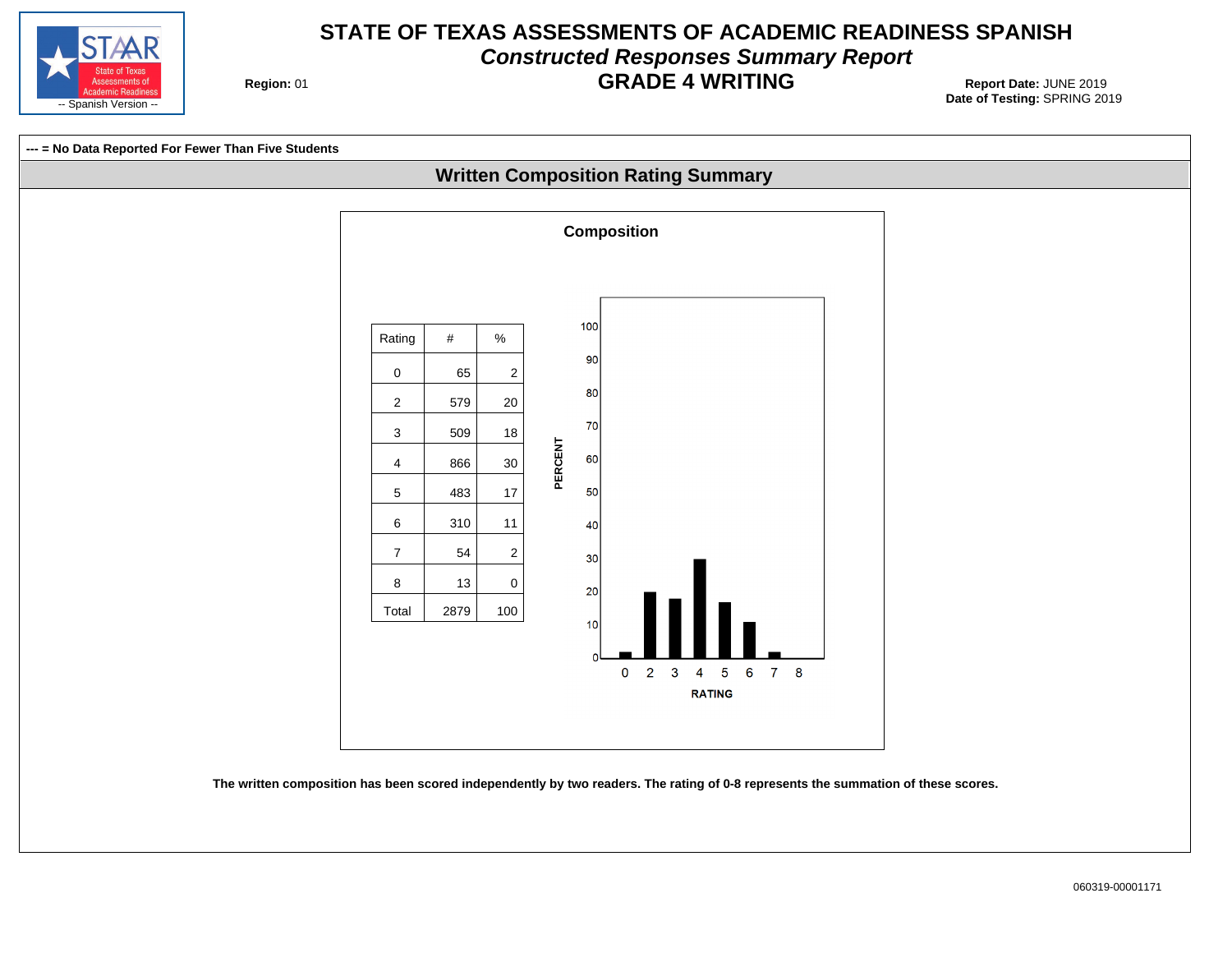![](_page_11_Picture_0.jpeg)

## **STATE OF TEXAS ASSESSMENTS OF ACADEMIC READINESS SPANISH Constructed Responses Summary Report GRADE 4 WRITING** Report Date: JUNE 2019

**Region: 01** 

![](_page_11_Figure_3.jpeg)

**The written composition has been scored independently by two readers. The rating of 0-8 represents the summation of these scores.**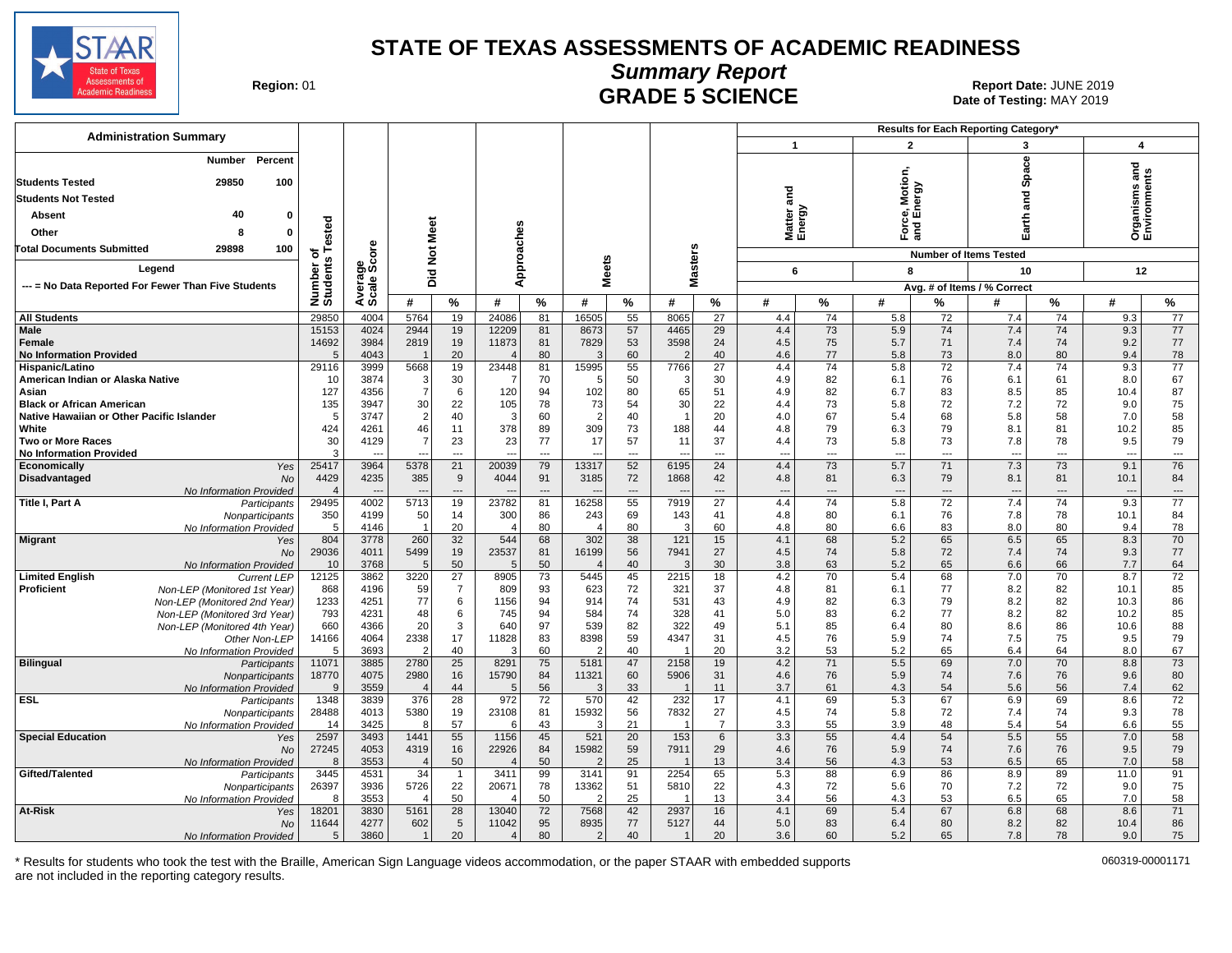![](_page_12_Picture_0.jpeg)

Date of Testing: MAY 2019

| Region: 01 |  |
|------------|--|
|------------|--|

## **Summary Report GRADE 5 SCIENCE Date: JUNE 2019**<br>Date of Testing: MAY 2019

| <b>Administration Summary</b>                                                 |                      |              |                        |                                   |                        |                |                      |                 |                                |                       |                          |                          |                          |                 | <b>Results for Each Reporting Category'</b> |                          |                               |                          |
|-------------------------------------------------------------------------------|----------------------|--------------|------------------------|-----------------------------------|------------------------|----------------|----------------------|-----------------|--------------------------------|-----------------------|--------------------------|--------------------------|--------------------------|-----------------|---------------------------------------------|--------------------------|-------------------------------|--------------------------|
|                                                                               |                      |              |                        |                                   |                        |                |                      |                 |                                |                       | $\mathbf{1}$             |                          |                          | $\mathbf{2}$    | 3                                           |                          | 4                             |                          |
| Percent<br>Number<br><b>Students Tested</b><br>29850<br>100                   |                      |              |                        |                                   |                        |                |                      |                 |                                |                       |                          |                          | Motion                   |                 | <b>Space</b>                                |                          | Organisms and<br>Environments |                          |
| <b>Students Not Tested</b>                                                    |                      |              |                        |                                   |                        |                |                      |                 |                                |                       | and                      |                          |                          | ergy            | and                                         |                          |                               |                          |
| 40                                                                            |                      |              |                        |                                   |                        |                |                      |                 |                                |                       |                          |                          |                          | ᄻ               |                                             |                          |                               |                          |
| Absent                                                                        | ested                |              |                        |                                   |                        |                |                      |                 |                                |                       | Matter<br>Energy         |                          |                          |                 | Earth                                       |                          |                               |                          |
| Other<br>8<br>$\Omega$                                                        |                      |              | Meet                   |                                   |                        |                |                      |                 |                                |                       |                          |                          |                          | 는<br>이 드<br>Sid |                                             |                          |                               |                          |
| <b>Total Documents Submitted</b><br>29898<br>100                              | 하                    | δ            | $\overline{5}$         |                                   | Approaches             |                |                      |                 | Masters                        |                       |                          |                          |                          |                 | <b>Number of Items Tested</b>               |                          |                               |                          |
| Legend                                                                        | s                    | န္တပ္တိ      |                        |                                   |                        |                | <b>Meets</b>         |                 |                                |                       | 6                        |                          | 8                        |                 | 10                                          |                          | 12                            |                          |
| --- = No Data Reported For Fewer Than Five Students                           |                      | vera<br>cale | Did                    |                                   |                        |                |                      |                 |                                |                       |                          |                          |                          |                 | Avg. # of Items / % Correct                 |                          |                               |                          |
|                                                                               | Number<br>Students   | ∢ທັ          | #                      | %                                 | #                      | %              | #                    | $\%$            | #                              | %                     | #                        | %                        | #                        | $\%$            | #                                           | %                        | #                             | %                        |
| <b>All Students</b>                                                           | 29850                | 4004         | 5764                   | 19                                | 24086                  | 81             | 16505                | 55              | 8065                           |                       | 4.4                      | 74                       |                          | 72              | 7.4                                         | 74                       | 9.3                           | 77                       |
| Male                                                                          | 15153                | 4024         | 2944                   | 19                                | 12209                  | 81             | 8673                 | 57              | 4465                           | 27<br>29              | 4.4                      | 73                       | 5.8<br>5.9               | 74              | 7.4                                         | 74                       | 9.3                           | 77                       |
| <b>Female</b>                                                                 | 14692                | 3984         | 2819                   | 19                                | 11873                  | 81             | 7829                 | 53              | 3598                           | 24                    | 4.5                      | 75                       | 5.7                      | 71              | 7.4                                         | 74                       | 9.2                           | 77                       |
| <b>No Information Provided</b>                                                | 5                    | 4043         |                        | 20                                | $\overline{4}$         | 80             | 3                    | 60              | 2                              | 40                    | 4.6                      | 77                       | 5.8                      | 73              | 8.0                                         | 80                       | 9.4                           | 78                       |
| Hispanic/Latino                                                               | 29116                | 3999         | 5668                   | 19                                | 23448                  | 81             | 15995                | 55              | 7766                           | $\overline{27}$       | 4.4                      | 74                       | 5.8                      | 72              | 7.4                                         | 74                       | 9.3                           | $\overline{77}$          |
| American Indian or Alaska Native                                              | 10                   | 3874         | 3                      | 30                                | -7                     | 70             | 5                    | 50              | 3                              | 30                    | 4.9                      | 82                       | 6.1                      | 76              | 6.1                                         | 61                       | 8.0                           | 67                       |
| Asian                                                                         | 127                  | 4356         | $\overline{7}$         | 6                                 | 120                    | 94             | 102                  | 80              | 65                             | 51                    | 4.9                      | 82                       | 6.7                      | 83              | 8.5                                         | 85                       | 10.4                          | 87                       |
| <b>Black or African American</b><br>Native Hawaiian or Other Pacific Islander | 135<br>-5            | 3947<br>3747 | 30<br>2                | 22<br>40                          | 105<br>3               | 78<br>60       | 73<br>$\overline{2}$ | 54<br>40        | 30<br>$\overline{1}$           | 22<br>20              | 4.4<br>4.0               | 73<br>67                 | 5.8<br>5.4               | 72<br>68        | 7.2<br>5.8                                  | 72<br>58                 | 9.0<br>7.0                    | 75<br>58                 |
| White                                                                         | 424                  | 4261         | 46                     | 11                                | 378                    | 89             | 309                  | 73              | 188                            | 44                    | 4.8                      | 79                       | 6.3                      | 79              | 8.1                                         | 81                       | 10.2                          | 85                       |
| <b>Two or More Races</b>                                                      | 30                   | 4129         |                        | 23                                | 23                     | 77             | 17                   | 57              | 11                             | 37                    | 4.4                      | 73                       | 5.8                      | 73              | 7.8                                         | 78                       | 9.5                           | 79                       |
| <b>No Information Provided</b>                                                | 3                    |              | ---                    | $\overline{a}$                    |                        | $\overline{a}$ |                      | ---             |                                | $\overline{a}$        | $\overline{\phantom{a}}$ | $\overline{\phantom{a}}$ | $\overline{\phantom{a}}$ | $\overline{a}$  | $\overline{a}$                              | $\overline{\phantom{a}}$ | $\overline{a}$                | ---                      |
| Economically<br>Yes                                                           | 25417                | 3964         | 5378                   | 21                                | 20039                  | 79             | 13317                | 52              | 6195                           | 24                    | 4.4                      | 73                       | 5.7                      | 71              | 7.3                                         | 73                       | 9.1                           | 76                       |
| Disadvantaged<br><b>No</b>                                                    | 4429                 | 4235         | 385                    | 9                                 | 4044                   | 91             | 3185                 | 72              | 1868                           | 42                    | 4.8                      | 81                       | 6.3                      | 79              | 8.1                                         | 81                       | 10.1                          | 84                       |
| No Information Provided                                                       |                      |              |                        | $\overline{a}$                    |                        | $\overline{a}$ |                      | $\overline{a}$  |                                | ---                   | $\overline{\phantom{a}}$ | $\overline{\phantom{a}}$ | $\sim$                   | $\overline{a}$  | $\overline{a}$                              | $\overline{a}$           | $\sim$                        | $\overline{\phantom{a}}$ |
| Title I, Part A<br>Participants<br>Nonparticipants                            | 29495<br>350         | 4002<br>4199 | 5713<br>50             | 19<br>14                          | 23782<br>300           | 81<br>86       | 16258<br>243         | 55<br>69        | 7919<br>143                    | $\overline{27}$<br>41 | 4.4<br>4.8               | 74<br>80                 | 5.8<br>6.1               | 72<br>76        | 7.4<br>7.8                                  | 74<br>78                 | 9.3<br>10.1                   | 77<br>84                 |
| No Information Provided                                                       | 5                    | 4146         |                        | 20                                | $\overline{4}$         | 80             |                      | 80              | 3                              | 60                    | 4.8                      | 80                       | 6.6                      | 83              | 8.0                                         | 80                       | 9.4                           | 78                       |
| <b>Migrant</b><br>Yes                                                         | 804                  | 3778         | 260                    | 32                                | 544                    | 68             | 302                  | 38              | 121                            | 15                    | 4.1                      | 68                       | 5.2                      | 65              | 6.5                                         | 65                       | 8.3                           | 70                       |
| <b>No</b>                                                                     | 29036                | 4011         | 5499                   | 19                                | 23537                  | 81             | 16199                | 56              | 7941                           | 27                    | 4.5                      | 74                       | 5.8                      | 72              | 7.4                                         | 74                       | 9.3                           | 77                       |
| No Information Provided                                                       | 10                   | 3768         | 5                      | 50                                | 5                      | 50             |                      | 40              | 3                              | 30                    | 3.8                      | 63                       | 5.2                      | 65              | 6.6                                         | 66                       | 7.7                           | 64                       |
| <b>Limited English</b><br><b>Current LEP</b>                                  | 12125                | 3862         | 3220                   | 27                                | 8905                   | 73             | 5445                 | 45              | 2215                           | 18                    | 4.2                      | 70                       | 5.4                      | 68              | 7.0                                         | 70                       | 8.7                           | 72                       |
| Proficient<br>Non-LEP (Monitored 1st Year)                                    | 868<br>1233          | 4196<br>4251 | 59<br>77               | $\overline{7}$<br>$6\phantom{1}6$ | 809<br>1156            | 93<br>94       | 623<br>914           | 72<br>74        | 321<br>531                     | 37<br>43              | 4.8<br>4.9               | 81<br>82                 | 6.1<br>6.3               | 77<br>79        | 8.2<br>8.2                                  | 82<br>82                 | 10.1<br>10.3                  | 85<br>86                 |
| Non-LEP (Monitored 2nd Year)<br>Non-LEP (Monitored 3rd Year)                  | 793                  | 4231         | 48                     | 6                                 | 745                    | 94             | 584                  | 74              | 328                            | 41                    | 5.0                      | 83                       | 6.2                      | 77              | 8.2                                         | 82                       | 10.2                          | 85                       |
| Non-LEP (Monitored 4th Year)                                                  | 660                  | 4366         | 20                     | 3                                 | 640                    | 97             | 539                  | 82              | 322                            | 49                    | 5.1                      | 85                       | 6.4                      | 80              | 8.6                                         | 86                       | 10.6                          | 88                       |
| Other Non-LEP                                                                 | 14166                | 4064         | 2338                   | 17                                | 11828                  | 83             | 8398                 | 59              | 4347                           | 31                    | 4.5                      | 76                       | 5.9                      | 74              | 7.5                                         | 75                       | 9.5                           | 79                       |
| No Information Provided                                                       | 5                    | 3693         | $\overline{2}$         | 40                                | 3                      | 60             | 2                    | 40              | $\overline{\mathbf{1}}$        | 20                    | 3.2                      | 53                       | 5.2                      | 65              | 6.4                                         | 64                       | 8.0                           | 67                       |
| <b>Bilingual</b><br>Participants                                              | 11071                | 3885         | 2780                   | 25                                | 8291                   | 75             | 5181                 | 47              | 2158                           | 19                    | 4.2                      | 71                       | 5.5                      | 69              | 7.0                                         | 70                       | 8.8                           | 73                       |
| Nonparticipants                                                               | 18770                | 4075         | 2980                   | 16                                | 15790                  | 84             | 11321                | 60              | 5906                           | 31                    | 4.6                      | 76                       | 5.9                      | 74              | 7.6                                         | 76                       | 9.6                           | 80                       |
| No Information Provided<br><b>ESL</b>                                         | $\mathbf{q}$<br>1348 | 3559<br>3839 | $\overline{4}$<br>376  | 44<br>28                          | $5\overline{5}$<br>972 | 56<br>72       | З<br>570             | 33<br>42        | $\overline{\mathbf{1}}$<br>232 | 11<br>17              | 3.7<br>4.1               | 61<br>69                 | 4.3<br>5.3               | 54<br>67        | 5.6<br>6.9                                  | 56<br>69                 | 7.4<br>8.6                    | 62<br>72                 |
| Participants<br>Nonparticipants                                               | 28488                | 4013         | 5380                   | 19                                | 23108                  | 81             | 15932                | 56              | 7832                           | 27                    | 4.5                      | 74                       | 5.8                      | 72              | 7.4                                         | 74                       | 9.3                           | 78                       |
| No Information Provided                                                       | 14                   | 3425         | 8                      | 57                                | 6                      | 43             | 3                    | 21              | -1                             | $\overline{7}$        | 3.3                      | 55                       | 3.9                      | 48              | 5.4                                         | 54                       | 6.6                           | 55                       |
| <b>Special Education</b><br>Yes                                               | 2597                 | 3493         | 1441                   | 55                                | 1156                   | 45             | 521                  | $\overline{20}$ | 153                            | 6                     | 3.3                      | 55                       | 4.4                      | 54              | 5.5                                         | 55                       | 7.0                           | 58                       |
| <b>No</b>                                                                     | 27245                | 4053         | 4319                   | 16                                | 22926                  | 84             | 15982                | 59              | 7911                           | 29                    | 4.6                      | 76                       | 5.9                      | 74              | 7.6                                         | 76                       | 9.5                           | 79                       |
| No Information Provided                                                       | 8                    | 3553         | $\overline{4}$         | 50                                |                        | 50             | 2                    | 25              | $\overline{\mathbf{1}}$        | 13                    | 3.4                      | 56                       | 4.3                      | 53              | 6.5                                         | 65                       | 7.0                           | 58                       |
| Gifted/Talented<br>Participants                                               | 3445                 | 4531         | 34                     | $\mathbf{1}$                      | 3411                   | 99             | 3141                 | 91              | 2254                           | 65                    | 5.3                      | 88                       | 6.9                      | 86              | 8.9                                         | 89                       | 11.0                          | 91                       |
| Nonparticipants                                                               | 26397<br>8           | 3936<br>3553 | 5726<br>$\overline{4}$ | 22<br>50                          | 20671                  | 78<br>50       | 13362<br>2           | 51<br>25        | 5810<br>-1                     | 22<br>13              | 4.3<br>3.4               | 72<br>56                 | 5.6<br>4.3               | 70<br>53        | 7.2<br>6.5                                  | 72<br>65                 | 9.0<br>7.0                    | 75<br>58                 |
| No Information Provided<br>At-Risk<br>Yes                                     | 18201                | 3830         | 5161                   | $\overline{28}$                   | 13040                  | 72             | 7568                 | 42              | 2937                           | 16                    | 4.1                      | 69                       | 5.4                      | 67              | 6.8                                         | 68                       | 8.6                           | 71                       |
| No                                                                            | 11644                | 4277         | 602                    | $\sqrt{5}$                        | 11042                  | 95             | 8935                 | 77              | 5127                           | 44                    | 5.0                      | 83                       | 6.4                      | 80              | 8.2                                         | 82                       | 10.4                          | 86                       |
| No Information Provided                                                       | 5                    | 3860         |                        | 20                                | $\overline{4}$         | 80             | $\overline{2}$       | 40              | $\overline{\mathbf{1}}$        | 20                    | 3.6                      | 60                       | 5.2                      | 65              | 7.8                                         | 78                       | 9.0                           | 75                       |
|                                                                               |                      |              |                        |                                   |                        |                |                      |                 |                                |                       |                          |                          |                          |                 |                                             |                          |                               |                          |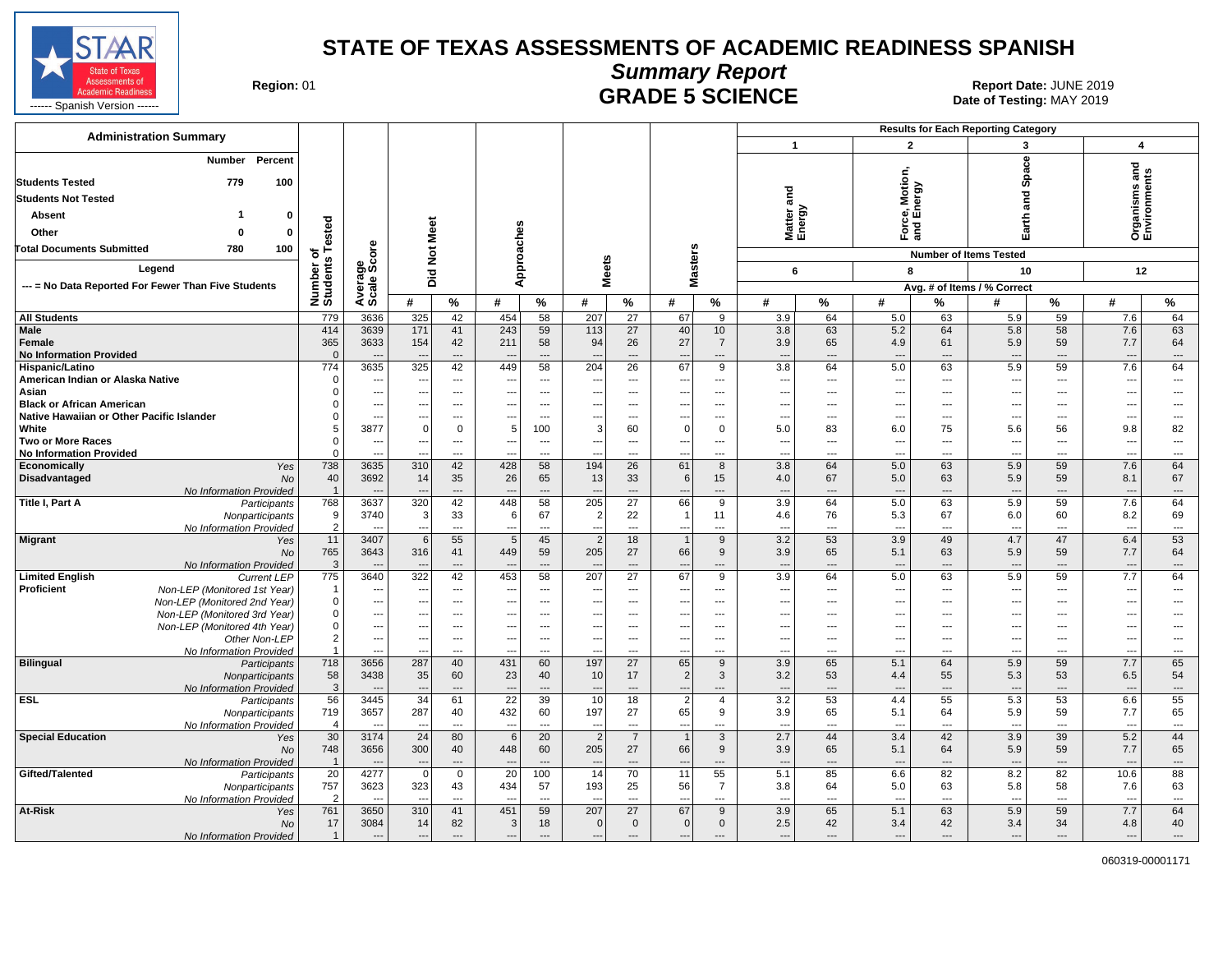![](_page_13_Picture_0.jpeg)

## **Summary Report**

**GRADE 5 SCIENCE Date: JUNE 2019**<br>Date of Testing: MAY 2019

| <b>Administration Summary</b>                         |                       |                                            |                                 |                                                      |                                 |                                |                               |                          |                                            |                                                      |                                 |                                | <b>Results for Each Reporting Category</b> |            |                                 |                      |                                 |                                |
|-------------------------------------------------------|-----------------------|--------------------------------------------|---------------------------------|------------------------------------------------------|---------------------------------|--------------------------------|-------------------------------|--------------------------|--------------------------------------------|------------------------------------------------------|---------------------------------|--------------------------------|--------------------------------------------|------------|---------------------------------|----------------------|---------------------------------|--------------------------------|
|                                                       |                       |                                            |                                 |                                                      |                                 |                                |                               |                          |                                            |                                                      | $\overline{1}$                  |                                | $\overline{2}$                             |            | 3                               |                      | $\overline{\mathbf{4}}$         |                                |
| Percent<br><b>Number</b>                              |                       |                                            |                                 |                                                      |                                 |                                |                               |                          |                                            |                                                      |                                 |                                |                                            |            | <b>Space</b>                    |                      |                                 |                                |
| 779<br><b>Students Tested</b><br>100                  |                       |                                            |                                 |                                                      |                                 |                                |                               |                          |                                            |                                                      |                                 |                                | Motion,<br>ergy                            |            |                                 |                      | Organisms and<br>Environments   |                                |
| <b>Students Not Tested</b>                            |                       |                                            |                                 |                                                      |                                 |                                |                               |                          |                                            |                                                      | and                             |                                |                                            |            | ng<br>ang                       |                      |                                 |                                |
| $\mathbf 0$<br>Absent                                 |                       |                                            |                                 |                                                      |                                 |                                |                               |                          |                                            |                                                      | Matter a<br>Energy              |                                | த்த                                        |            |                                 |                      |                                 |                                |
| $\mathbf{0}$<br>Other<br>ŋ                            | Tested                |                                            |                                 |                                                      |                                 |                                |                               |                          |                                            |                                                      |                                 |                                | 군<br>이                                     |            | Earth                           |                      |                                 |                                |
|                                                       |                       |                                            |                                 |                                                      |                                 |                                |                               |                          |                                            |                                                      |                                 |                                |                                            |            |                                 |                      |                                 |                                |
| 100<br><b>Total Documents Submitted</b><br>780        | ৳                     | <b>ore</b><br>ن                            | Not Meet                        |                                                      |                                 |                                |                               |                          |                                            |                                                      |                                 |                                |                                            |            | <b>Number of Items Tested</b>   |                      |                                 |                                |
| Legend                                                | Number or<br>Students | Average<br>Scale Sc                        | Did                             |                                                      | Approaches                      |                                | <b>Meets</b>                  |                          | <b>Masters</b>                             |                                                      | 6                               |                                | 8                                          |            | 10                              |                      | 12                              |                                |
| --- = No Data Reported For Fewer Than Five Students   |                       |                                            |                                 |                                                      |                                 |                                |                               |                          |                                            |                                                      |                                 |                                |                                            |            | Avg. # of Items / % Correct     |                      |                                 |                                |
|                                                       |                       |                                            | #                               | $\%$                                                 | #                               | %                              | #                             | %                        | #                                          | %                                                    | #                               | %                              | #                                          | %          | #                               | %                    | #                               | %                              |
| <b>All Students</b>                                   | 779                   | 3636                                       | 325                             | 42                                                   | 454                             | 58                             | 207                           | $\overline{27}$          | 67                                         | 9                                                    | 3.9                             | 64                             | 5.0                                        | 63         | 5.9                             | 59                   | 7.6                             | 64                             |
| Male                                                  | 414                   | 3639                                       | 171                             | 41                                                   | 243                             | 59                             | 113                           | 27                       | 40                                         | 10                                                   | 3.8                             | 63                             | 5.2                                        | 64         | 5.8                             | 58                   | 7.6                             | 63                             |
| Female                                                | 365                   | 3633                                       | 154                             | 42                                                   | 211                             | 58                             | 94                            | 26                       | 27                                         | $\overline{7}$                                       | 3.9                             | 65                             | 4.9                                        | 61         | 5.9                             | 59                   | 7.7                             | 64                             |
| <b>No Information Provided</b><br>Hispanic/Latino     | $\Omega$<br>774       | 3635                                       | 325                             | $\cdots$<br>42                                       | $\overline{\phantom{a}}$<br>449 | $\overline{a}$<br>58           | 204                           | $\overline{a}$<br>26     | $\overline{\phantom{a}}$<br>67             | $\overline{\phantom{a}}$<br>9                        | $\overline{\phantom{a}}$<br>3.8 | $\overline{\phantom{a}}$<br>64 | ---<br>5.0                                 | ---<br>63  | $\overline{\phantom{a}}$<br>5.9 | $\overline{a}$<br>59 | $\overline{\phantom{a}}$<br>7.6 | ---<br>64                      |
| American Indian or Alaska Native                      | $\Omega$              | $\overline{a}$                             | $\overline{\phantom{a}}$        | $\overline{\phantom{a}}$                             | ---                             | ---                            | $\overline{\phantom{a}}$      | ---                      | $\qquad \qquad \cdots$                     | ---                                                  | $\overline{\phantom{a}}$        | $\overline{\phantom{a}}$       | $\overline{\phantom{a}}$                   | ---        | ---                             | ---                  | ---                             | ---                            |
| Asian                                                 | 0                     | $\overline{\phantom{a}}$                   | $\overline{\phantom{a}}$        | $\overline{\phantom{a}}$                             | ---                             | ---                            | $\overline{\phantom{a}}$      | $\overline{a}$           | $\overline{\phantom{a}}$                   | $\overline{\phantom{a}}$                             | $\overline{a}$                  | ---                            | ---                                        | ---        | ---                             | $\overline{a}$       | $\overline{\phantom{a}}$        | $\overline{a}$                 |
| <b>Black or African American</b>                      | 0                     | $\overline{\phantom{a}}$                   | $\overline{\phantom{a}}$        | $\cdots$                                             | ---                             | $\overline{a}$                 | $\overline{\phantom{a}}$      | $\overline{a}$           | $\overline{\phantom{a}}$                   | $\sim$                                               | $\overline{a}$                  | $-$                            | ---                                        | ---        | ---                             | $\overline{a}$       | $\overline{\phantom{a}}$        | ---                            |
| Native Hawaiian or Other Pacific Islander             | $\Omega$              | $\overline{a}$                             | ---                             | $---$                                                | ---                             | ---                            | ---                           | $---$                    | ---                                        | $\overline{\phantom{a}}$                             | ---                             | $-$                            | ---                                        | ---        | ---                             | $---$                | $\ddotsc$                       | ---                            |
| White                                                 | 5                     | 3877                                       | $\Omega$                        | $\mathbf 0$                                          | 5                               | 100                            | 3                             | 60                       | $\Omega$                                   | $\Omega$                                             | 5.0                             | 83                             | 6.0                                        | 75         | 5.6                             | 56                   | 9.8                             | 82                             |
| <b>Two or More Races</b>                              | $\Omega$<br>$\Omega$  | $\overline{\phantom{a}}$                   | $\hspace{0.05cm} \cdots$        | $\overline{\phantom{a}}$                             | ---                             | ---                            | ---                           | $\overline{\phantom{a}}$ | $\hspace{0.05cm} \cdots$                   | $\overline{\phantom{a}}$                             | $\overline{\phantom{a}}$        | $\overline{a}$                 | $\overline{\phantom{a}}$                   | ---        | $\overline{a}$                  | $---$                | ---                             | $\cdots$                       |
| <b>No Information Provided</b><br>Yes<br>Economically | 738                   | $\sim$<br>3635                             | 310                             | $\overline{a}$<br>42                                 | $\overline{\phantom{a}}$<br>428 | $\overline{a}$<br>58           | $\overline{a}$<br>194         | $\overline{a}$<br>26     | $\overline{a}$<br>61                       | $\overline{a}$<br>8                                  | $\overline{a}$<br>3.8           | $\overline{a}$<br>64           | $-$ --<br>5.0                              | ---<br>63  | $\overline{a}$<br>5.9           | $\overline{a}$<br>59 | $\overline{a}$<br>7.6           | $\overline{a}$<br>64           |
| Disadvantaged<br><b>No</b>                            | 40                    | 3692                                       | 14                              | 35                                                   | 26                              | 65                             | 13                            | 33                       | $6\phantom{1}6$                            | 15                                                   | 4.0                             | 67                             | 5.0                                        | 63         | 5.9                             | 59                   | 8.1                             | 67                             |
| No Information Provided                               | $\overline{1}$        |                                            |                                 | $\qquad \qquad \cdots$                               |                                 | $\overline{a}$                 |                               | $\overline{a}$           | $\overline{\phantom{a}}$                   | $\overline{\phantom{a}}$                             |                                 |                                | ---                                        | ---        | $\overline{\phantom{a}}$        | $\overline{a}$       | $\overline{\phantom{a}}$        | ---                            |
| Title I, Part A<br>Participants                       | 768                   | 3637                                       | 320                             | 42                                                   | 448                             | 58                             | 205                           | $\overline{27}$          | 66                                         | 9                                                    | 3.9                             | 64                             | 5.0                                        | 63         | 5.9                             | 59                   | 7.6                             | 64                             |
| Nonparticipants                                       | 9                     | 3740                                       | 3                               | 33                                                   | 6                               | 67                             | $\overline{2}$                | 22                       | $\overline{1}$                             | 11                                                   | 4.6                             | 76                             | 5.3                                        | 67         | 6.0                             | 60                   | 8.2                             | 69                             |
| No Information Provided                               | $\overline{2}$        |                                            | $\overline{\phantom{a}}$        | $\overline{a}$                                       | ---                             | $\overline{a}$                 | $\overline{a}$                | $\overline{a}$<br>18     | $\sim$                                     | $\overline{\phantom{a}}$                             | ---                             | $\overline{\phantom{a}}$       | ---                                        | ---<br>49  | $\overline{a}$                  | $\overline{a}$<br>47 | $\overline{a}$                  | $\overline{a}$<br>53           |
| <b>Migrant</b><br>Yes<br>No                           | 11<br>765             | 3407<br>3643                               | 6<br>316                        | 55<br>41                                             | 5<br>449                        | 45<br>59                       | $\overline{2}$<br>205         | 27                       | $\overline{1}$<br>66                       | 9<br>9                                               | 3.2<br>3.9                      | 53<br>65                       | 3.9<br>5.1                                 | 63         | 4.7<br>5.9                      | 59                   | 6.4<br>7.7                      | 64                             |
| No Information Provided                               | $\mathbf{3}$          |                                            | $\sim$                          | $---$                                                | $---$                           | $\overline{a}$                 | ---                           | $\overline{a}$           | $\overline{\phantom{a}}$                   | $---$                                                | ---                             | $---$                          | $\overline{\phantom{a}}$                   | ---        | $\overline{a}$                  | $---$                | $\overline{a}$                  | $\overline{\phantom{a}}$       |
| <b>Limited English</b><br><b>Current LEP</b>          | 775                   | 3640                                       | 322                             | 42                                                   | 453                             | 58                             | 207                           | 27                       | 67                                         | 9                                                    | 3.9                             | 64                             | 5.0                                        | 63         | 5.9                             | 59                   | 7.7                             | 64                             |
| Proficient<br>Non-LEP (Monitored 1st Year)            | -1                    | $\overline{\phantom{a}}$                   | ---                             | $\cdots$                                             | ---                             | ---                            | $\overline{\phantom{a}}$      | ---                      | $\overline{\phantom{a}}$                   | $\overline{\phantom{a}}$                             | ---                             | $\overline{\phantom{a}}$       | $\overline{\phantom{a}}$                   | ---        | ---                             | ---                  | ---                             | ---                            |
| Non-LEP (Monitored 2nd Year)                          | 0                     | --                                         | ---                             | $\overline{\phantom{a}}$                             | ---                             | ---                            |                               | $\overline{a}$           | ---                                        | $\hspace{0.05cm} \ldots$                             | ---                             | ---                            | ---                                        | ---        | ---                             | ---                  | $\overline{\phantom{a}}$        | ---                            |
| Non-LEP (Monitored 3rd Year)                          | $\mathbf{0}$<br>0     | $\overline{a}$<br>$\overline{\phantom{a}}$ | ---<br>$\overline{\phantom{a}}$ | $\overline{\phantom{a}}$<br>$\overline{\phantom{a}}$ | ---<br>---                      | ---<br>---                     | ---<br>$\qquad \qquad \cdots$ | ---<br>---               | ---<br>$\qquad \qquad \cdots$              | $\overline{\phantom{a}}$<br>$\overline{\phantom{a}}$ | ⊷<br>---                        | ---<br>---                     | -−∙<br>$\overline{\phantom{a}}$            | ---<br>--- | ---                             | ---<br>---           | ---<br>---                      | ---<br>---                     |
| Non-LEP (Monitored 4th Year)<br>Other Non-LEP         | $\overline{2}$        | $\sim$                                     | ---                             | $\cdots$                                             | ---                             | $---$                          | $\overline{\phantom{a}}$      | $\hspace{0.05cm} \ldots$ | $\sim$                                     | $\overline{\phantom{a}}$                             | $---$                           | $\overline{\phantom{a}}$       | $\overline{\phantom{a}}$                   | ---        | ---                             | ---                  | $\overline{\phantom{a}}$        | $\overline{a}$                 |
| No Information Provided                               | $\mathbf{1}$          | $\overline{a}$                             |                                 | $---$                                                | ---                             | $\overline{a}$                 | $\overline{a}$                | $---$                    | $-$                                        | $\overline{\phantom{a}}$                             | ---                             | $\overline{a}$                 | $\overline{a}$                             | ---        | $\overline{a}$                  | $\overline{a}$       | $\overline{\phantom{a}}$        | $\overline{a}$                 |
| <b>Bilingual</b><br>Participants                      | 718                   | 3656                                       | 287                             | 40                                                   | 431                             | 60                             | 197                           | 27                       | 65                                         | 9                                                    | 3.9                             | 65                             | 5.1                                        | 64         | 5.9                             | 59                   | 7.7                             | 65                             |
| Nonparticipants                                       | 58                    | 3438                                       | 35                              | 60                                                   | 23                              | 40                             | 10                            | 17                       | $\overline{2}$                             | 3                                                    | 3.2                             | 53                             | 4.4                                        | 55         | 5.3                             | 53                   | 6.5                             | 54                             |
| No Information Provided<br><b>ESL</b>                 | $\mathbf{3}$<br>56    | 3445                                       | ---<br>34                       | $\overline{a}$<br>61                                 | ---<br>22                       | $\overline{a}$<br>39           | 10                            | $\overline{a}$<br>18     | $\overline{\phantom{a}}$<br>$\overline{2}$ | $\overline{a}$                                       | $\overline{\phantom{a}}$<br>3.2 | $---$<br>53                    | ---<br>4.4                                 | ---        | $\overline{\phantom{a}}$<br>5.3 | $\overline{a}$       | $\overline{\phantom{a}}$        | ---<br>55                      |
| Participants<br>Nonparticipants                       | 719                   | 3657                                       | 287                             | 40                                                   | 432                             | 60                             | 197                           | 27                       | 65                                         | 4<br>9                                               | 3.9                             | 65                             | 5.1                                        | 55<br>64   | 5.9                             | 53<br>59             | 6.6<br>7.7                      | 65                             |
| No Information Provided                               | $\overline{4}$        | $\overline{a}$                             | $\overline{\phantom{a}}$        | $\cdots$                                             | $\overline{\phantom{a}}$        | $\scriptstyle\cdots$           | ---                           | $\hspace{0.05cm} \ldots$ | $\sim$                                     | $\hspace{0.05cm} \ldots$                             | $\overline{\phantom{a}}$        | $\overline{\phantom{a}}$       | $\overline{\phantom{a}}$                   | ---        | $\overline{\phantom{a}}$        | $\overline{a}$       | $\overline{\phantom{a}}$        | $\cdots$                       |
| <b>Special Education</b><br>Yes                       | $\overline{30}$       | 3174                                       | $\overline{24}$                 | 80                                                   | 6                               | $\overline{20}$                | $\overline{2}$                | $\overline{7}$           | $\overline{1}$                             | 3                                                    | 2.7                             | 44                             | 3.4                                        | 42         | 3.9                             | 39                   | 5.2                             | 44                             |
| No                                                    | 748                   | 3656                                       | 300                             | 40                                                   | 448                             | 60                             | 205                           | 27                       | 66                                         | 9                                                    | 3.9                             | 65                             | 5.1                                        | 64         | 5.9                             | 59                   | 7.7                             | 65                             |
| No Information Provided                               | $\overline{1}$        | $\overline{a}$                             | $\overline{\phantom{a}}$        | $\overline{a}$                                       | $\overline{\phantom{a}}$        | $\overline{a}$                 | $\overline{\phantom{a}}$      | $\overline{a}$           | $\overline{\phantom{a}}$                   | ---                                                  | $\sim$                          | $\overline{\phantom{a}}$       | ---                                        | ---        | $\overline{a}$                  | $\overline{a}$       | $\overline{\phantom{a}}$        | $\cdots$                       |
| Gifted/Talented<br>Participants                       | 20                    | 4277                                       | $\overline{0}$                  | $\mathbf 0$                                          | 20                              | 100                            | 14                            | 70                       | 11                                         | 55                                                   | 5.1                             | 85                             | 6.6                                        | 82         | 8.2                             | 82                   | 10.6                            | 88                             |
| Nonparticipants<br>No Information Provided            | 757<br>$\overline{2}$ | 3623                                       | 323<br>$\sim$                   | 43<br>$---$                                          | 434<br>$\sim$                   | 57<br>$\overline{\phantom{a}}$ | 193<br>$\sim$                 | 25<br>$\overline{a}$     | 56<br>$\overline{a}$                       | $\overline{7}$<br>$\sim$                             | 3.8<br>$\sim$                   | 64<br>$\overline{a}$           | 5.0<br>---                                 | 63<br>---  | 5.8<br>$\overline{a}$           | 58<br>$---$          | 7.6<br>$\overline{\phantom{a}}$ | 63<br>$\overline{\phantom{a}}$ |
| At-Risk<br>Yes                                        | 761                   | 3650                                       | 310                             | 41                                                   | 451                             | 59                             | 207                           | 27                       | 67                                         | 9                                                    | 3.9                             | 65                             | 5.1                                        | 63         | 5.9                             | 59                   | 7.7                             | 64                             |
| <b>No</b>                                             | 17                    | 3084                                       | 14                              | 82                                                   | $\overline{3}$                  | 18                             | $\Omega$                      | $\mathbf 0$              | $\mathbf 0$                                | $\mathbf{0}$                                         | 2.5                             | 42                             | 3.4                                        | 42         | 3.4                             | 34                   | 4.8                             | 40                             |
| No Information Provided                               | $\overline{1}$        | $\overline{\phantom{a}}$                   | $\cdots$                        | $\cdots$                                             | ---                             | ---                            | $\hspace{1.5cm} \ldots$       | $\overline{\phantom{a}}$ | $\overline{\phantom{a}}$                   | ---                                                  | $\overline{\phantom{a}}$        | $\overline{\phantom{a}}$       | ---                                        | ---        | $\overline{a}$                  | $\cdots$             | $\overline{\phantom{a}}$        | ---                            |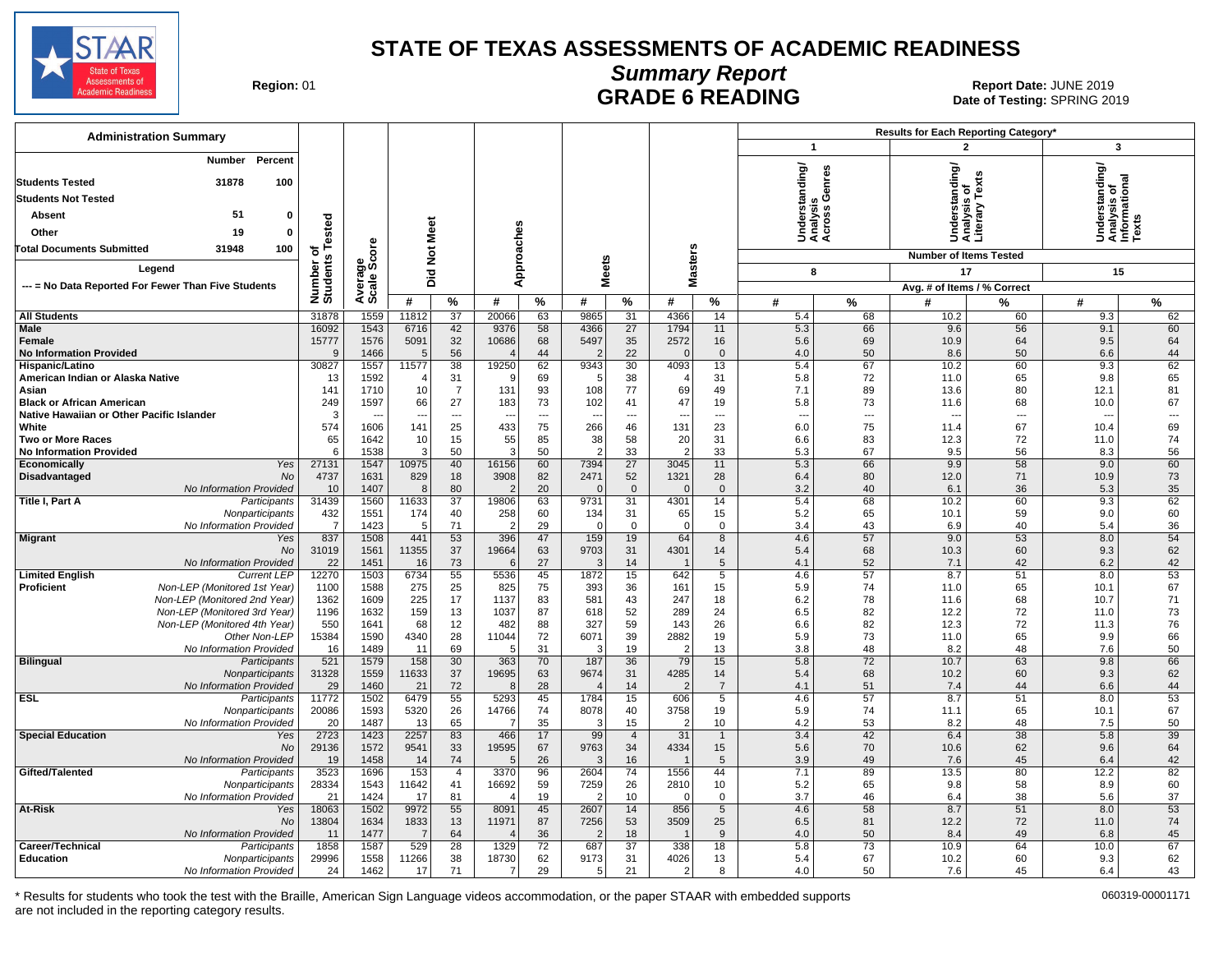![](_page_14_Picture_0.jpeg)

### **Summary Report** Region: 01 **Region: 01 CALL CONSISTS CONSISTENCE**<br>Date of Testing: SPRING 2019

Date of Testing: SPRING 2019

| <b>Administration Summary</b>                                              |                       |                      |                          |                      |                          |          |                        |                       |                        |                          |                          |          | Results for Each Reporting Category*       |                |                                                         |                          |  |
|----------------------------------------------------------------------------|-----------------------|----------------------|--------------------------|----------------------|--------------------------|----------|------------------------|-----------------------|------------------------|--------------------------|--------------------------|----------|--------------------------------------------|----------------|---------------------------------------------------------|--------------------------|--|
|                                                                            |                       |                      |                          |                      |                          |          |                        |                       |                        |                          | $\mathbf{1}$             |          | $\overline{2}$                             |                |                                                         | 3                        |  |
| Percent<br>Number                                                          |                       |                      |                          |                      |                          |          |                        |                       |                        |                          |                          |          | <b>erstanding/</b><br>ysis of<br>ary Texts |                | Understanding/<br>Analysis of<br>Informational<br>Texts |                          |  |
| 31878<br>100<br><b>Students Tested</b>                                     |                       |                      |                          |                      |                          |          |                        |                       |                        |                          | rstanding/               | Genres   |                                            |                |                                                         |                          |  |
| <b>Students Not Tested</b>                                                 |                       |                      |                          |                      |                          |          |                        |                       |                        |                          |                          |          |                                            |                |                                                         |                          |  |
| 51<br>$\mathbf 0$<br>Absent                                                |                       |                      |                          |                      |                          |          |                        |                       |                        |                          | derst<br>alysis<br>ross  |          |                                            |                |                                                         |                          |  |
| 19<br>$\Omega$<br>Other                                                    |                       |                      |                          |                      |                          |          |                        |                       |                        |                          | šää                      |          | Under<br>Analys<br>Literar                 |                |                                                         |                          |  |
| 100<br><b>Total Documents Submitted</b><br>31948                           | of<br>STested         | ö                    |                          |                      |                          |          |                        |                       |                        |                          |                          |          |                                            |                |                                                         |                          |  |
|                                                                            | Number o'<br>Students |                      | Did Not Meet             |                      | Approaches               |          |                        |                       | Masters                |                          |                          |          | <b>Number of Items Tested</b>              |                |                                                         |                          |  |
| Legend                                                                     |                       |                      |                          |                      |                          |          | <b>Meets</b>           |                       |                        |                          | 8                        |          | 17                                         |                |                                                         | 15                       |  |
| --- = No Data Reported For Fewer Than Five Students                        |                       | Average<br>Scale Scc |                          |                      |                          |          |                        |                       |                        |                          |                          |          | Avg. # of Items / % Correct                |                |                                                         |                          |  |
|                                                                            |                       |                      | #                        | %                    | #                        | %        | #                      | %                     | #                      | %                        | #                        | %        | #                                          | %              | #                                                       | %                        |  |
| <b>All Students</b><br>Male                                                | 31878<br>16092        | 1559<br>1543         | 11812<br>6716            | 37                   | 20066<br>9376            | 63<br>58 | 9865<br>4366           | 31<br>27              | 4366<br>1794           | 14<br>11                 | 5.4<br>5.3               | 68<br>66 | 10.2<br>9.6                                | 60<br>56       | 9.3<br>9.1                                              | 62<br>60                 |  |
| Female                                                                     | 15777                 | 1576                 | 5091                     | 42<br>32             | 10686                    | 68       | 5497                   | 35                    | 2572                   | 16                       | 5.6                      | 69       | 10.9                                       | 64             | 9.5                                                     | 64                       |  |
| <b>No Information Provided</b>                                             | 9                     | 1466                 | -5                       | 56                   | $\Delta$                 | 44       |                        | 22                    | $\Omega$               | $\mathbf{0}$             | 4.0                      | 50       | 8.6                                        | 50             | 6.6                                                     | 44                       |  |
| Hispanic/Latino                                                            | 30827                 | 1557                 | 11577                    | $\overline{38}$      | 19250                    | 62       | 9343                   | 30                    | 4093                   | 13                       | 5.4                      | 67       | 10.2                                       | 60             | 9.3                                                     | 62                       |  |
| American Indian or Alaska Native                                           | 13                    | 1592                 |                          | 31                   | - c                      | 69       |                        | 38                    | $\overline{4}$         | 31                       | 5.8                      | 72       | 11.0                                       | 65             | 9.8                                                     | 65                       |  |
| Asian<br><b>Black or African American</b>                                  | 141<br>249            | 1710<br>1597         | 10<br>66                 | $\overline{7}$<br>27 | 131<br>183               | 93<br>73 | 108<br>102             | 77<br>41              | 69<br>47               | 49<br>19                 | 7.1<br>5.8               | 89<br>73 | 13.6<br>11.6                               | 80<br>68       | 12.1<br>10.0                                            | 81<br>67                 |  |
| Native Hawaiian or Other Pacific Islander                                  | 3                     |                      | $\overline{\phantom{a}}$ | $\overline{a}$       | $\overline{\phantom{a}}$ | ---      | ---                    | $\overline{a}$        | ---                    | $\overline{\phantom{a}}$ | $\overline{\phantom{a}}$ | $---$    | $\sim$                                     | $\overline{a}$ | ---                                                     | $\hspace{0.05cm} \ldots$ |  |
| White                                                                      | 574                   | 1606                 | 141                      | 25                   | 433                      | 75       | 266                    | 46                    | 131                    | 23                       | 6.0                      | 75       | 11.4                                       | 67             | 10.4                                                    | 69                       |  |
| <b>Two or More Races</b>                                                   | 65                    | 1642                 | 10                       | 15                   | 55                       | 85       | 38                     | 58                    | 20                     | 31                       | 6.6                      | 83       | 12.3                                       | 72             | 11.0                                                    | 74                       |  |
| <b>No Information Provided</b><br>Yes<br>Economically                      | 6<br>27131            | 1538<br>1547         | -3<br>10975              | 50<br>40             | -3<br>16156              | 50<br>60 | $\overline{2}$<br>7394 | 33<br>$\overline{27}$ | $\overline{2}$<br>3045 | 33<br>11                 | 5.3<br>5.3               | 67<br>66 | 9.5<br>9.9                                 | 56<br>58       | 8.3<br>9.0                                              | 56<br>60                 |  |
| Disadvantaged<br>No                                                        | 4737                  | 1631                 | 829                      | 18                   | 3908                     | 82       | 2471                   | 52                    | 1321                   | 28                       | 6.4                      | 80       | 12.0                                       | 71             | 10.9                                                    | 73                       |  |
| No Information Provided                                                    | 10                    | 1407                 | -8                       | 80                   |                          | 20       | $\Omega$               | $\mathbf{0}$          | $\overline{0}$         | $\Omega$                 | 3.2                      | 40       | 6.1                                        | 36             | 5.3                                                     | 35                       |  |
| Title I, Part A<br>Participants                                            | 31439                 | 1560                 | 11633                    | 37                   | 19806                    | 63       | 9731                   | 31                    | 4301                   | 14                       | 5.4                      | 68       | 10.2                                       | 60             | 9.3                                                     | 62                       |  |
| Nonparticipants                                                            | 432                   | 1551                 | 174<br>-5                | 40                   | 258<br>-2                | 60       | 134<br>$\Omega$        | 31<br>$\mathbf 0$     | 65<br>$\Omega$         | 15                       | 5.2                      | 65       | 10.1                                       | 59<br>40       | 9.0                                                     | 60                       |  |
| No Information Provided<br><b>Migrant</b><br>Yes                           | $\overline{7}$<br>837 | 1423<br>1508         | 441                      | 71<br>53             | 396                      | 29<br>47 | 159                    | 19                    | 64                     | 0<br>8                   | 3.4<br>4.6               | 43<br>57 | 6.9<br>9.0                                 | 53             | 5.4<br>8.0                                              | 36<br>54                 |  |
| <b>No</b>                                                                  | 31019                 | 1561                 | 11355                    | 37                   | 19664                    | 63       | 9703                   | 31                    | 4301                   | 14                       | 5.4                      | 68       | 10.3                                       | 60             | 9.3                                                     | 62                       |  |
| No Information Provided                                                    | 22                    | 1451                 | 16                       | 73                   | -6                       | 27       | -3                     | 14                    |                        | 5                        | 4.1                      | 52       | 7.1                                        | 42             | 6.2                                                     | 42                       |  |
| <b>Limited English</b><br><b>Current LEP</b>                               | 12270                 | 1503                 | 6734                     | 55                   | 5536                     | 45       | 1872                   | 15                    | 642                    | $\overline{5}$           | 4.6                      | 57       | 8.7                                        | 51             | 8.0                                                     | 53                       |  |
| Non-LEP (Monitored 1st Year)<br>Proficient<br>Non-LEP (Monitored 2nd Year) | 1100<br>1362          | 1588<br>1609         | 275<br>225               | 25<br>17             | 825<br>1137              | 75<br>83 | 393<br>581             | 36<br>43              | 161<br>247             | 15<br>18                 | 5.9<br>6.2               | 74<br>78 | 11.0<br>11.6                               | 65<br>68       | 10.1<br>10.7                                            | 67<br>71                 |  |
| Non-LEP (Monitored 3rd Year)                                               | 1196                  | 1632                 | 159                      | 13                   | 1037                     | 87       | 618                    | 52                    | 289                    | 24                       | 6.5                      | 82       | 12.2                                       | 72             | 11.0                                                    | 73                       |  |
| Non-LEP (Monitored 4th Year)                                               | 550                   | 1641                 | 68                       | 12                   | 482                      | 88       | 327                    | 59                    | 143                    | 26                       | 6.6                      | 82       | 12.3                                       | 72             | 11.3                                                    | 76                       |  |
| Other Non-LEP                                                              | 15384                 | 1590                 | 4340                     | 28                   | 11044                    | 72       | 6071                   | 39                    | 2882                   | 19                       | 5.9                      | 73       | 11.0                                       | 65             | 9.9                                                     | 66                       |  |
| No Information Provided<br><b>Bilingual</b><br>Participants                | 16<br>521             | 1489<br>1579         | 11<br>158                | 69<br>30             | -5<br>363                | 31<br>70 | 3<br>187               | 19<br>36              | $\overline{2}$<br>79   | 13<br>15                 | 3.8<br>5.8               | 48<br>72 | 8.2<br>10.7                                | 48<br>63       | 7.6<br>9.8                                              | 50<br>66                 |  |
| Nonparticipants                                                            | 31328                 | 1559                 | 11633                    | 37                   | 19695                    | 63       | 9674                   | 31                    | 4285                   | 14                       | 5.4                      | 68       | 10.2                                       | 60             | 9.3                                                     | 62                       |  |
| No Information Provided                                                    | 29                    | 1460                 | 21                       | 72                   | 8                        | 28       |                        | 14                    | $\tilde{z}$            | $\overline{7}$           | 4.1                      | 51       | 7.4                                        | 44             | 6.6                                                     | 44                       |  |
| <b>ESL</b><br>Participants                                                 | 11772                 | 1502                 | 6479                     | 55                   | 5293                     | 45       | 1784                   | 15                    | 606                    | 5                        | 4.6                      | 57       | 8.7                                        | 51             | 8.0                                                     | 53                       |  |
| Nonparticipants<br>No Information Provided                                 | 20086<br>20           | 1593<br>1487         | 5320<br>13               | 26<br>65             | 14766                    | 74<br>35 | 8078<br>3              | 40<br>15              | 3758<br>$\overline{2}$ | 19<br>10                 | 5.9<br>4.2               | 74<br>53 | 11.1<br>8.2                                | 65<br>48       | 10.1<br>7.5                                             | 67<br>50                 |  |
| <b>Special Education</b><br>Yes                                            | 2723                  | 1423                 | 2257                     | 83                   | 466                      | 17       | 99                     | $\overline{4}$        | 31                     | $\mathbf{1}$             | 3.4                      | 42       | 6.4                                        | 38             | 5.8                                                     | 39                       |  |
| No                                                                         | 29136                 | 1572                 | 9541                     | 33                   | 19595                    | 67       | 9763                   | 34                    | 4334                   | 15                       | 5.6                      | 70       | 10.6                                       | 62             | 9.6                                                     | 64                       |  |
| No Information Provided                                                    | 19                    | 1458                 | 14                       | 74                   | -5                       | 26       | 3                      | 16                    |                        | 5                        | 3.9                      | 49       | 7.6                                        | 45             | 6.4                                                     | 42                       |  |
| Gifted/Talented<br>Participants<br>Nonparticipants                         | 3523<br>28334         | 1696<br>1543         | 153<br>11642             | $\overline{4}$<br>41 | 3370<br>16692            | 96<br>59 | 2604<br>7259           | 74<br>26              | 1556<br>2810           | 44<br>10                 | 7.1<br>5.2               | 89<br>65 | 13.5<br>9.8                                | 80<br>58       | 12.2<br>8.9                                             | 82<br>60                 |  |
| No Information Provided                                                    | 21                    | 1424                 | 17                       | 81                   | $\overline{4}$           | 19       | 2                      | 10                    | $\Omega$               | $\mathbf 0$              | 3.7                      | 46       | 6.4                                        | 38             | 5.6                                                     | 37                       |  |
| At-Risk<br>Yes                                                             | 18063                 | 1502                 | 9972                     | 55                   | 8091                     | 45       | 2607                   | 14                    | 856                    | $5\phantom{.0}$          | 4.6                      | 58       | 8.7                                        | 51             | 8.0                                                     | 53                       |  |
| No                                                                         | 13804                 | 1634                 | 1833                     | 13                   | 11971                    | 87       | 7256                   | 53                    | 3509                   | 25                       | 6.5                      | 81       | 12.2                                       | 72             | 11.0                                                    | 74                       |  |
| No Information Provided                                                    | 11                    | 1477                 | $\overline{7}$           | 64                   |                          | 36       |                        | 18                    |                        | 9                        | 4.0                      | 50       | 8.4                                        | 49             | 6.8                                                     | 45                       |  |
| Career/Technical<br>Participants<br><b>Education</b><br>Nonparticipants    | 1858<br>29996         | 1587<br>1558         | 529<br>11266             | 28<br>38             | 1329<br>18730            | 72<br>62 | 687<br>9173            | $\overline{37}$<br>31 | 338<br>4026            | 18<br>13                 | 5.8<br>5.4               | 73<br>67 | 10.9<br>10.2                               | 64<br>60       | 10.0<br>9.3                                             | 67<br>62                 |  |
| No Information Provided                                                    | 24                    | 1462                 | 17                       | 71                   | $\overline{7}$           | 29       | 5                      | 21                    | $\overline{2}$         | 8                        | 4.0                      | 50       | 7.6                                        | 45             | 6.4                                                     | 43                       |  |
|                                                                            |                       |                      |                          |                      |                          |          |                        |                       |                        |                          |                          |          |                                            |                |                                                         |                          |  |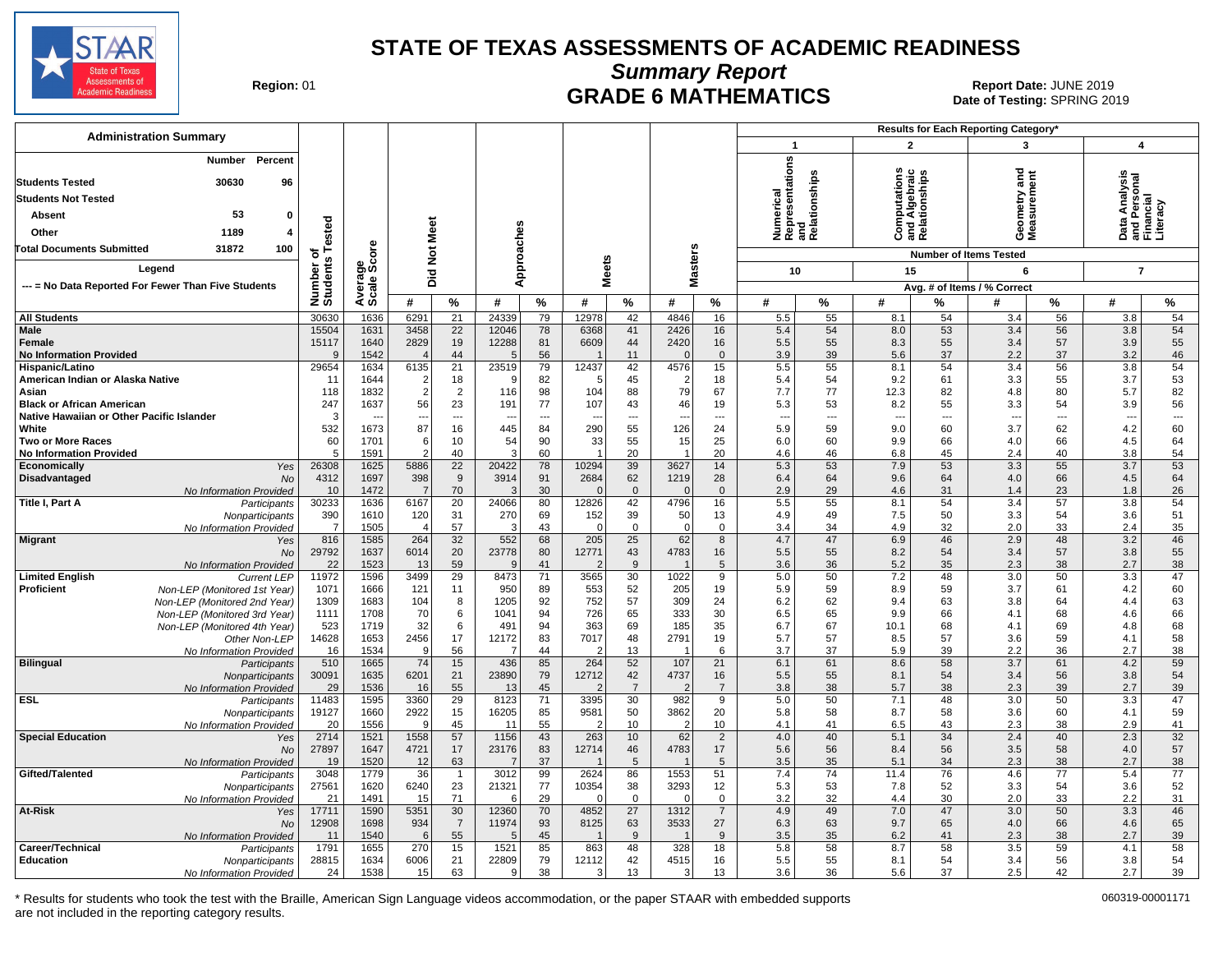![](_page_15_Picture_0.jpeg)

**Summary Report**

**GRADE 6 MATHEMATICS Date: JUNE 2019 Report Date: JUNE 2019 CRADE 6 MATHEMATICS Date of Testing: SPRING 20** Date of Testing: SPRING 2019

| <b>Administration Summary</b>                                                 |                       |                                  |                    |                       |                                 |                                |               |                    |                                |                                |                              | Results for Each Reporting Category* |                                 |           |                               |                                |                                  |                |
|-------------------------------------------------------------------------------|-----------------------|----------------------------------|--------------------|-----------------------|---------------------------------|--------------------------------|---------------|--------------------|--------------------------------|--------------------------------|------------------------------|--------------------------------------|---------------------------------|-----------|-------------------------------|--------------------------------|----------------------------------|----------------|
|                                                                               |                       |                                  |                    |                       |                                 |                                |               |                    |                                |                                | $\mathbf{1}$                 |                                      | $\overline{2}$                  |           | 3                             |                                | $\overline{\mathbf{4}}$          |                |
| Percent<br>Number<br>30630<br>96<br><b>Students Tested</b>                    |                       |                                  |                    |                       |                                 |                                |               |                    |                                |                                | Numerical<br>Representations | and<br>Relationships                 | <b>S</b><br>ء<br>آ<br>흄         | nships    | ᠊ᠣ<br>Ĕ                       | ã                              | a Analysis<br>Personal<br>ancial |                |
| <b>Students Not Tested</b>                                                    |                       |                                  |                    |                       |                                 |                                |               |                    |                                |                                |                              |                                      | Computa<br>and Algr<br>Relation |           | metry and                     |                                |                                  |                |
| 53<br>Absent<br>0                                                             |                       |                                  |                    |                       |                                 |                                |               |                    |                                |                                |                              |                                      |                                 |           |                               |                                | nd Pr<br>Than                    | .iteracy       |
| Other<br>1189<br>4                                                            | ested                 |                                  |                    |                       |                                 |                                |               |                    |                                |                                |                              |                                      |                                 |           | esa<br>Sea                    |                                | Data                             | ᅙᄔ             |
| 100<br>Total Documents Submitted<br>31872                                     | ⊢<br>৳                | ზ<br>ნ                           | <b>Not Meet</b>    |                       | Approaches                      |                                |               |                    |                                |                                |                              |                                      |                                 |           | <b>Number of Items Tested</b> |                                |                                  |                |
| Legend                                                                        |                       | န္တပ္ကိ                          |                    |                       |                                 |                                | <b>Meets</b>  |                    | <b>Masters</b>                 |                                |                              |                                      |                                 |           | 6                             |                                |                                  |                |
| --- = No Data Reported For Fewer Than Five Students                           |                       | cale;                            | Did                |                       |                                 |                                |               |                    |                                |                                | 10                           |                                      | 15                              |           |                               |                                |                                  | $\overline{7}$ |
|                                                                               | Number of<br>Students |                                  |                    |                       |                                 |                                |               |                    |                                |                                |                              |                                      |                                 |           | Avg. # of Items / % Correct   |                                |                                  |                |
|                                                                               |                       | ⋖め                               | #                  | %                     | #                               | %                              | #             | %                  | #                              | %                              | #                            | %                                    | #                               | %         | #                             | %                              | #                                | $\%$           |
| <b>All Students</b><br><b>Male</b>                                            | 30630                 | 1636<br>1631                     | 6291<br>3458       | 21<br>$\overline{22}$ | 24339<br>12046                  | 79                             | 12978<br>6368 | 42<br>41           | 4846<br>2426                   | 16                             | 5.5                          | 55                                   | 8.1<br>8.0                      | 54        | 3.4<br>3.4                    | 56                             | 3.8<br>3.8                       | 54<br>54       |
| Female                                                                        | 15504<br>15117        | 1640                             | 2829               | 19                    | 12288                           | 78<br>81                       | 6609          | 44                 | 2420                           | 16<br>16                       | 5.4<br>5.5                   | 54<br>55                             | 8.3                             | 53<br>55  | 3.4                           | 56<br>57                       | 3.9                              | 55             |
| <b>No Information Provided</b>                                                | $\mathbf{q}$          | 1542                             |                    | 44                    | 5                               | 56                             |               | 11                 | $\mathcal{C}$                  | $\mathbf{0}$                   | 3.9                          | 39                                   | 5.6                             | 37        | 2.2                           | 37                             | 3.2                              | 46             |
| Hispanic/Latino                                                               | 29654                 | 1634                             | 6135               | 21                    | 23519                           | 79                             | 12437         | 42                 | 4576                           | 15                             | 5.5                          | 55                                   | 8.1                             | 54        | 3.4                           | 56                             | 3.8                              | 54             |
| American Indian or Alaska Native                                              | 11                    | 1644                             | $\overline{2}$     | 18                    | ۰q                              | 82                             | -5            | 45                 | $\overline{2}$                 | 18                             | 5.4                          | 54                                   | 9.2                             | 61        | 3.3                           | 55                             | 3.7                              | 53             |
| Asian                                                                         | 118                   | 1832                             | 2                  | $\overline{2}$        | 116                             | 98                             | 104           | 88                 | 79                             | 67                             | 7.7                          | 77                                   | 12.3                            | 82        | 4.8                           | 80                             | 5.7                              | 82             |
| <b>Black or African American</b><br>Native Hawaiian or Other Pacific Islander | 247<br>-3             | 1637<br>$\overline{\phantom{a}}$ | 56                 | 23<br>---             | 191<br>$\overline{\phantom{a}}$ | 77<br>$\overline{\phantom{a}}$ | 107           | 43<br>---          | 46<br>---                      | 19<br>$\overline{\phantom{a}}$ | 5.3<br>$\sim$                | 53<br>$\overline{\phantom{a}}$       | 8.2<br>$\overline{\phantom{a}}$ | 55<br>--- | 3.3<br>$\overline{a}$         | 54<br>$\overline{\phantom{a}}$ | 3.9<br>---                       | 56<br>$\ldots$ |
| White                                                                         | 532                   | 1673                             | 87                 | 16                    | 445                             | 84                             | 290           | 55                 | 126                            | 24                             | 5.9                          | 59                                   | 9.0                             | 60        | 3.7                           | 62                             | 4.2                              | 60             |
| <b>Two or More Races</b>                                                      | 60                    | 1701                             | 6                  | 10                    | 54                              | 90                             | 33            | 55                 | 15                             | 25                             | 6.0                          | 60                                   | 9.9                             | 66        | 4.0                           | 66                             | 4.5                              | 64             |
| <b>No Information Provided</b>                                                | 5                     | 1591                             | $\overline{2}$     | 40                    | 3                               | 60                             |               | 20                 | $\overline{1}$                 | 20                             | 4.6                          | 46                                   | 6.8                             | 45        | 2.4                           | 40                             | 3.8                              | 54             |
| Economically<br>Yes                                                           | 26308                 | 1625                             | 5886               | 22                    | 20422                           | 78                             | 10294         | 39                 | 3627                           | 14                             | 5.3                          | 53                                   | 7.9                             | 53        | 3.3                           | 55                             | 3.7                              | 53             |
| Disadvantaged<br><b>No</b>                                                    | 4312                  | 1697                             | 398                | 9                     | 3914                            | 91                             | 2684          | 62                 | 1219                           | 28                             | 6.4                          | 64                                   | 9.6                             | 64        | 4.0                           | 66                             | 4.5                              | 64             |
| No Information Provided<br>Title I, Part A                                    | 10<br>30233           | 1472<br>1636                     | 7<br>6167          | 70<br>$\overline{20}$ | 3<br>24066                      | 30<br>80                       | 12826         | $\mathbf{0}$<br>42 | $\Omega$<br>4796               | $\overline{0}$<br>16           | 2.9<br>5.5                   | 29<br>55                             | 4.6<br>8.1                      | 31<br>54  | 1.4<br>3.4                    | 23<br>$\overline{57}$          | 1.8<br>3.8                       | 26<br>54       |
| Participants<br>Nonparticipants                                               | 390                   | 1610                             | 120                | 31                    | 270                             | 69                             | 152           | 39                 | 50                             | 13                             | 4.9                          | 49                                   | 7.5                             | 50        | 3.3                           | 54                             | 3.6                              | 51             |
| No Information Provided                                                       | $\overline{7}$        | 1505                             |                    | 57                    | 3                               | 43                             | $\Omega$      | $\mathbf 0$        | $\mathbf 0$                    | $\mathbf 0$                    | 3.4                          | 34                                   | 4.9                             | 32        | 2.0                           | 33                             | 2.4                              | 35             |
| <b>Migrant</b><br>Yes                                                         | 816                   | 1585                             | 264                | 32                    | 552                             | 68                             | 205           | 25                 | 62                             | 8                              | 4.7                          | 47                                   | 6.9                             | 46        | 2.9                           | 48                             | 3.2                              | 46             |
| No                                                                            | 29792                 | 1637                             | 6014               | 20                    | 23778                           | 80                             | 12771         | 43                 | 4783                           | 16                             | 5.5                          | 55                                   | 8.2                             | 54        | 3.4                           | 57                             | 3.8                              | 55             |
| No Information Provided<br><b>Limited English</b>                             | 22<br>11972           | 1523<br>1596                     | 13<br>3499         | 59<br>29              | q<br>8473                       | 41<br>71                       |               | 9<br>30            | $\overline{1}$<br>1022         | 5<br>9                         | 3.6<br>5.0                   | 36<br>50                             | 5.2                             | 35<br>48  | 2.3<br>3.0                    | 38<br>50                       | 2.7<br>3.3                       | 38<br>47       |
| <b>Current LEP</b><br><b>Proficient</b><br>Non-LEP (Monitored 1st Year)       | 1071                  | 1666                             | 121                | 11                    | 950                             | 89                             | 3565<br>553   | 52                 | 205                            | 19                             | 5.9                          | 59                                   | 7.2<br>8.9                      | 59        | 3.7                           | 61                             | 4.2                              | 60             |
| Non-LEP (Monitored 2nd Year)                                                  | 1309                  | 1683                             | 104                | 8                     | 1205                            | 92                             | 752           | 57                 | 309                            | 24                             | 6.2                          | 62                                   | 9.4                             | 63        | 3.8                           | 64                             | 4.4                              | 63             |
| Non-LEP (Monitored 3rd Year)                                                  | 1111                  | 1708                             | 70                 | 6                     | 1041                            | 94                             | 726           | 65                 | 333                            | 30                             | 6.5                          | 65                                   | 9.9                             | 66        | 4.1                           | 68                             | 4.6                              | 66             |
| Non-LEP (Monitored 4th Year)                                                  | 523                   | 1719                             | 32                 | 6                     | 491                             | 94                             | 363           | 69                 | 185                            | 35                             | 6.7                          | 67                                   | 10.1                            | 68        | 4.1                           | 69                             | 4.8                              | 68             |
| Other Non-LEP                                                                 | 14628                 | 1653                             | 2456               | 17                    | 12172                           | 83                             | 7017          | 48                 | 2791                           | 19                             | 5.7                          | 57                                   | 8.5                             | 57        | 3.6                           | 59                             | 4.1                              | 58             |
| No Information Provided<br><b>Bilingual</b><br>Participants                   | 16<br>510             | 1534<br>1665                     | <sub>9</sub><br>74 | 56<br>15              | $\overline{7}$<br>436           | 44<br>85                       | 264           | 13<br>52           | $\overline{\mathbf{1}}$<br>107 | 6<br>21                        | 3.7<br>6.1                   | 37<br>61                             | 5.9<br>8.6                      | 39<br>58  | 2.2<br>3.7                    | 36<br>61                       | 2.7<br>4.2                       | 38<br>59       |
| Nonparticipants                                                               | 30091                 | 1635                             | 6201               | 21                    | 23890                           | 79                             | 12712         | 42                 | 4737                           | 16                             | 5.5                          | 55                                   | 8.1                             | 54        | 3.4                           | 56                             | 3.8                              | 54             |
| No Information Provided                                                       | 29                    | 1536                             | 16                 | 55                    | 13                              | 45                             | 2             | $\overline{7}$     | 2                              | $\overline{7}$                 | 3.8                          | 38                                   | 5.7                             | 38        | 2.3                           | 39                             | 2.7                              | 39             |
| ESL<br>Participants                                                           | 11483                 | 1595                             | 3360               | 29                    | 8123                            | 71                             | 3395          | 30                 | 982                            | 9                              | 5.0                          | 50                                   | 7.1                             | 48        | 3.0                           | 50                             | 3.3                              | 47             |
| Nonparticipants                                                               | 19127                 | 1660                             | 2922               | 15                    | 16205                           | 85                             | 9581          | 50                 | 3862                           | 20                             | 5.8                          | 58                                   | 8.7                             | 58        | 3.6                           | 60                             | 4.1                              | 59             |
| No Information Provided<br><b>Special Education</b>                           | 20<br>2714            | 1556<br>1521                     | 9<br>1558          | 45<br>57              | 11<br>1156                      | 55<br>43                       | 2<br>263      | 10<br>10           | $\overline{2}$<br>62           | 10<br>$\overline{2}$           | 4.1<br>4.0                   | 41<br>40                             | 6.5                             | 43<br>34  | 2.3<br>2.4                    | 38<br>40                       | 2.9<br>2.3                       | 41<br>32       |
| Yes<br><b>No</b>                                                              | 27897                 | 1647                             | 4721               | 17                    | 23176                           | 83                             | 12714         | 46                 | 4783                           | 17                             | 5.6                          | 56                                   | 5.1<br>8.4                      | 56        | 3.5                           | 58                             | 4.0                              | 57             |
| No Information Provided                                                       | 19                    | 1520                             | 12                 | 63                    | -7                              | 37                             |               | 5                  | -1                             | 5                              | 3.5                          | 35                                   | 5.1                             | 34        | 2.3                           | 38                             | 2.7                              | 38             |
| Gifted/Talented<br>Participants                                               | 3048                  | 1779                             | 36                 | $\mathbf{1}$          | 3012                            | 99                             | 2624          | 86                 | 1553                           | 51                             | 7.4                          | 74                                   | 11.4                            | 76        | 4.6                           | 77                             | 5.4                              | 77             |
| Nonparticipants                                                               | 27561                 | 1620                             | 6240               | 23                    | 21321                           | 77                             | 10354         | 38                 | 3293                           | 12                             | 5.3                          | 53                                   | 7.8                             | 52        | 3.3                           | 54                             | 3.6                              | 52             |
| No Information Provided                                                       | 21                    | 1491                             | 15                 | 71                    | -6                              | 29                             | $\Omega$      | $\mathbf 0$        | $\Omega$                       | $\mathbf 0$                    | 3.2                          | 32                                   | 4.4                             | 30        | 2.0                           | 33                             | 2.2                              | 31             |
| At-Risk<br>Yes<br><b>No</b>                                                   | 17711<br>12908        | 1590<br>1698                     | 5351<br>934        | 30<br>$\overline{7}$  | 12360<br>11974                  | 70<br>93                       | 4852<br>8125  | 27<br>63           | 1312<br>3533                   | $\overline{7}$<br>27           | 4.9<br>6.3                   | 49<br>63                             | 7.0<br>9.7                      | 47<br>65  | 3.0<br>4.0                    | 50<br>66                       | 3.3<br>4.6                       | 46<br>65       |
| No Information Provideo                                                       | 11                    | 1540                             | 6                  | 55                    | 5                               | 45                             |               | 9                  | $\overline{1}$                 | 9                              | 3.5                          | 35                                   | 6.2                             | 41        | 2.3                           | 38                             | 2.7                              | 39             |
| Career/Technical<br>Participants                                              | 1791                  | 1655                             | 270                | 15                    | 1521                            | 85                             | 863           | 48                 | 328                            | 18                             | 5.8                          | 58                                   | 8.7                             | 58        | 3.5                           | 59                             | 4.1                              | 58             |
| <b>Education</b><br>Nonparticipants                                           | 28815                 | 1634                             | 6006               | 21                    | 22809                           | 79                             | 12112         | 42                 | 4515                           | 16                             | 5.5                          | 55                                   | 8.1                             | 54        | 3.4                           | 56                             | 3.8                              | 54             |
| No Information Provided                                                       | 24                    | 1538                             | 15                 | 63                    | 9                               | 38                             | 3             | 13                 | 3                              | 13                             | 3.6                          | 36                                   | 5.6                             | 37        | 2.5                           | 42                             | 2.7                              | 39             |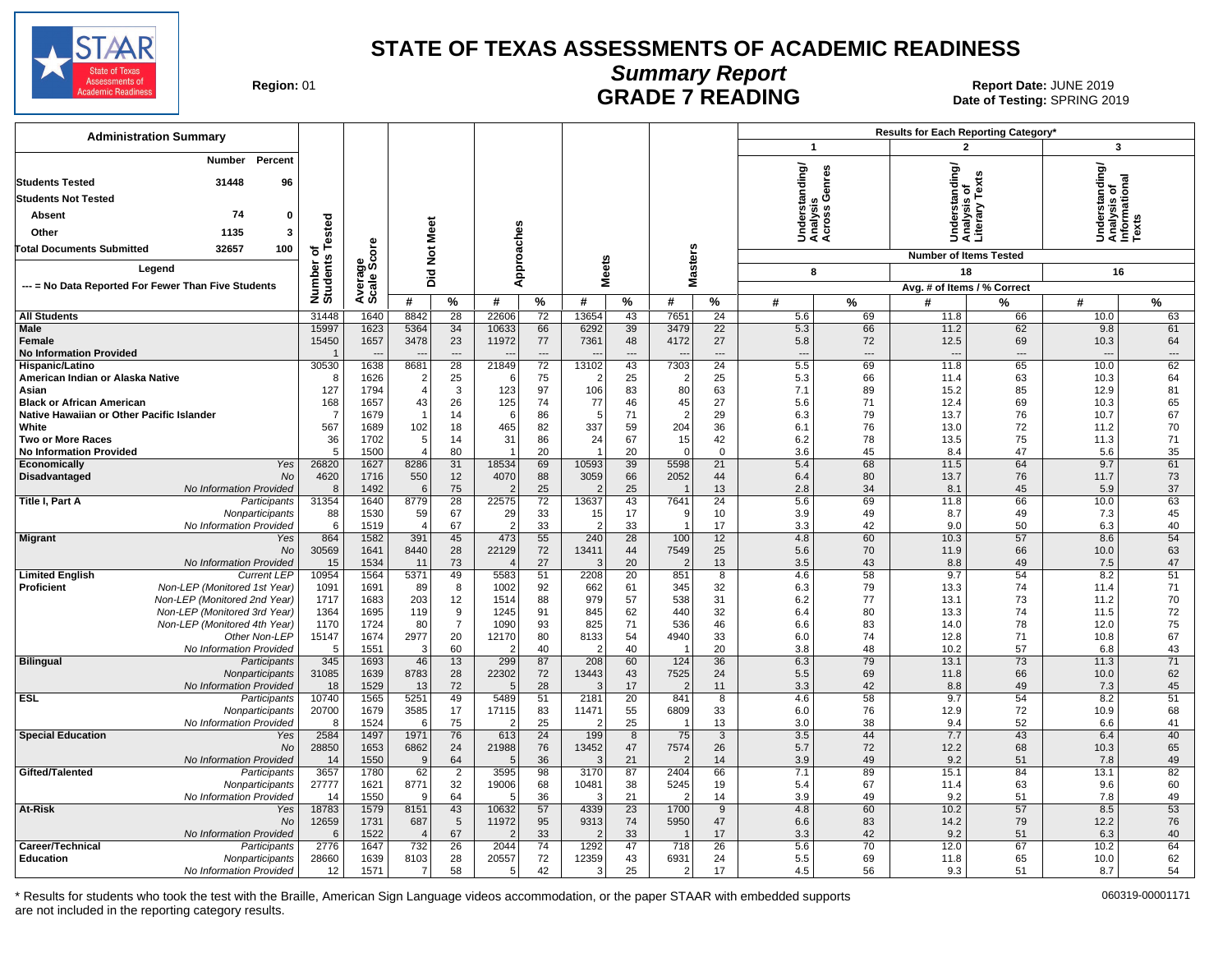![](_page_16_Picture_0.jpeg)

## **Summary Report**

Region: 01 **Region: 01 CALL CONSISTS THE POST OF READING Report Date: JUNE 2019**<br>Date of Testing: SPRING 20 Date of Testing: SPRING 2019

| <b>Administration Summary</b>                                                                                                       |                              |                        |                          |                                      |                  |                                      |                      |          |                                          |                            |                                        |                            | Results for Each Reporting Category*                             |                 |                                                                |                 |  |
|-------------------------------------------------------------------------------------------------------------------------------------|------------------------------|------------------------|--------------------------|--------------------------------------|------------------|--------------------------------------|----------------------|----------|------------------------------------------|----------------------------|----------------------------------------|----------------------------|------------------------------------------------------------------|-----------------|----------------------------------------------------------------|-----------------|--|
|                                                                                                                                     |                              |                        |                          |                                      |                  |                                      |                      |          |                                          |                            | $\overline{1}$                         |                            | $\overline{2}$                                                   |                 | 3                                                              |                 |  |
| Percent<br>Number<br><b>Students Tested</b><br>31448<br>96<br><b>Students Not Tested</b><br>74<br>0<br>Absent<br>1135<br>3<br>Other | Number of<br>Students Tested |                        | <b>Not Meet</b>          |                                      |                  | Approaches                           |                      |          |                                          |                            | rstanding/<br>흉슬형<br>šää               | Genres<br><u>:ო</u>        | rrstanding/<br>ysis of<br>ary Texts<br>Under<br>Anaix<br>Literal |                 | ing/<br>Understanding<br>Analysis of<br>Informational<br>Texts |                 |  |
| 32657<br>100<br><b>Total Documents Submitted</b>                                                                                    |                              |                        |                          |                                      |                  |                                      |                      |          |                                          |                            |                                        |                            | <b>Number of Items Tested</b>                                    |                 |                                                                |                 |  |
| Legend                                                                                                                              |                              |                        | Did                      |                                      |                  |                                      | <b>Meets</b>         |          | <b>Masters</b>                           |                            | 8                                      |                            | 18                                                               |                 | 16                                                             |                 |  |
| --- = No Data Reported For Fewer Than Five Students                                                                                 |                              | Average<br>Scale Score |                          |                                      |                  |                                      |                      |          |                                          |                            |                                        |                            | Avg. # of Items / % Correct                                      |                 |                                                                |                 |  |
|                                                                                                                                     |                              |                        | #                        | %                                    | #                | %                                    | #                    | %        | #                                        | %                          | #                                      | $\%$                       | #                                                                | %               | #                                                              | %               |  |
| <b>All Students</b>                                                                                                                 | 31448                        | 1640                   | 8842                     | 28                                   | 22606            | 72                                   | 13654                | 43       | 7651                                     | 24                         | 5.6                                    | 69                         | 11.8                                                             | 66              | 10.0                                                           | 63              |  |
| Male<br>Female<br><b>No Information Provided</b>                                                                                    | 15997<br>15450               | 1623<br>1657           | 5364<br>3478             | 34<br>23<br>$\overline{\phantom{a}}$ | 10633<br>11972   | 66<br>77<br>$\overline{\phantom{a}}$ | 6292<br>7361         | 39<br>48 | 3479<br>4172<br>$\overline{\phantom{a}}$ | 22<br>27<br>$\overline{a}$ | 5.3<br>5.8<br>$\overline{\phantom{a}}$ | 66<br>72<br>$\overline{a}$ | 11.2<br>12.5                                                     | 62<br>69<br>--- | 9.8<br>10.3<br>---                                             | 61<br>64<br>--- |  |
| Hispanic/Latino                                                                                                                     | 30530                        | 1638                   | 8681                     | $\overline{28}$                      | 21849            | $\overline{72}$                      | 13102                | 43       | 7303                                     | $\overline{24}$            | 5.5                                    | 69                         | 11.8                                                             | 65              | 10.0                                                           | 62              |  |
| American Indian or Alaska Native                                                                                                    | 8                            | 1626                   | 2<br>$\overline{4}$      | 25                                   |                  | 75                                   |                      | 25       | $\overline{2}$                           | 25                         | 5.3                                    | 66                         | 11.4                                                             | 63              | 10.3                                                           | 64              |  |
| Asian<br><b>Black or African American</b>                                                                                           | 127<br>168                   | 1794<br>1657           | 43                       | 3<br>26                              | 123<br>125       | 97<br>74                             | 106<br>77            | 83<br>46 | 80<br>45                                 | 63<br>27                   | 7.1<br>5.6                             | 89<br>71                   | 15.2<br>12.4                                                     | 85<br>69        | 12.9<br>10.3                                                   | 81<br>65        |  |
| Native Hawaiian or Other Pacific Islander                                                                                           | $\overline{7}$               | 1679                   |                          | 14                                   | 6                | 86                                   | 5                    | 71       | -2                                       | 29                         | 6.3                                    | 79                         | 13.7                                                             | 76              | 10.7                                                           | 67              |  |
| White                                                                                                                               | 567                          | 1689                   | 102                      | 18                                   | 465              | 82                                   | 337                  | 59       | 204                                      | 36                         | 6.1                                    | 76                         | 13.0                                                             | 72              | 11.2                                                           | 70              |  |
| <b>Two or More Races</b>                                                                                                            | 36                           | 1702                   | 5                        | 14                                   | 31               | 86                                   | 24                   | 67       | 15                                       | 42                         | 6.2                                    | 78                         | 13.5                                                             | 75              | 11.3                                                           | 71              |  |
| <b>No Information Provided</b><br>Yes<br>Economically                                                                               | 5<br>26820                   | 1500<br>1627           | $\Delta$<br>8286         | 80<br>31                             | 18534            | 20<br>69                             | -1<br>10593          | 20<br>39 | $\Omega$<br>5598                         | $\mathbf 0$<br>21          | 3.6<br>5.4                             | 45<br>68                   | 8.4<br>11.5                                                      | 47<br>64        | 5.6<br>9.7                                                     | 35<br>61        |  |
| Disadvantaged<br>No                                                                                                                 | 4620                         | 1716                   | 550                      | 12                                   | 4070             | 88                                   | 3059                 | 66       | 2052                                     | 44                         | 6.4                                    | 80                         | 13.7                                                             | 76              | 11.7                                                           | 73              |  |
| No Information Provided                                                                                                             | 8                            | 1492                   | 6                        | 75                                   |                  | 25                                   |                      | 25       | $\overline{1}$                           | 13                         | 2.8                                    | 34                         | 8.1                                                              | 45              | 5.9                                                            | 37              |  |
| Title I, Part A<br>Participants                                                                                                     | 31354                        | 1640                   | 8779                     | 28                                   | 22575            | 72                                   | 13637                | 43       | 7641                                     | 24                         | 5.6                                    | 69                         | 11.8                                                             | 66              | 10.0                                                           | 63              |  |
| Nonparticipants                                                                                                                     | 88                           | 1530                   | 59                       | 67                                   | 29               | 33                                   | 15                   | 17       | -9                                       | 10                         | 3.9                                    | 49                         | 8.7                                                              | 49              | 7.3                                                            | 45              |  |
| No Information Provided<br><b>Migrant</b><br>Yes                                                                                    | 6<br>864                     | 1519<br>1582           | $\overline{4}$<br>391    | 67<br>45                             | -2<br>473        | 33<br>55                             | $\mathcal{P}$<br>240 | 33<br>28 | -1<br>100                                | 17<br>12                   | 3.3<br>4.8                             | 42<br>60                   | 9.0<br>10.3                                                      | 50<br>57        | 6.3<br>8.6                                                     | 40<br>54        |  |
| <b>No</b>                                                                                                                           | 30569                        | 1641                   | 8440                     | 28                                   | 22129            | 72                                   | 13411                | 44       | 7549                                     | 25                         | 5.6                                    | 70                         | 11.9                                                             | 66              | 10.0                                                           | 63              |  |
| No Information Provided                                                                                                             | 15                           | 1534                   | 11                       | 73                                   |                  | 27                                   | 3                    | 20       | -2                                       | 13                         | 3.5                                    | 43                         | 8.8                                                              | 49              | 7.5                                                            | 47              |  |
| <b>Limited English</b><br><b>Current LEP</b>                                                                                        | 10954                        | 1564                   | 5371                     | 49                                   | 5583             | 51                                   | 2208                 | 20       | 851                                      | 8                          | 4.6                                    | 58                         | 9.7                                                              | 54              | 8.2                                                            | 51              |  |
| Non-LEP (Monitored 1st Year)<br>Proficient<br>Non-LEP (Monitored 2nd Year)                                                          | 1091                         | 1691                   | 89                       | 8                                    | 1002             | 92                                   | 662<br>979           | 61       | 345                                      | 32                         | 6.3                                    | 79                         | 13.3                                                             | 74              | 11.4                                                           | 71              |  |
| Non-LEP (Monitored 3rd Year)                                                                                                        | 1717<br>1364                 | 1683<br>1695           | 203<br>119               | 12<br>9                              | 1514<br>1245     | 88<br>91                             | 845                  | 57<br>62 | 538<br>440                               | 31<br>32                   | 6.2<br>6.4                             | 77<br>80                   | 13.1<br>13.3                                                     | 73<br>74        | 11.2<br>11.5                                                   | 70<br>72        |  |
| Non-LEP (Monitored 4th Year)                                                                                                        | 1170                         | 1724                   | 80                       | $\overline{7}$                       | 1090             | 93                                   | 825                  | 71       | 536                                      | 46                         | 6.6                                    | 83                         | 14.0                                                             | 78              | 12.0                                                           | 75              |  |
| Other Non-LEP                                                                                                                       | 15147                        | 1674                   | 2977                     | 20                                   | 12170            | 80                                   | 8133                 | 54       | 4940                                     | 33                         | 6.0                                    | 74                         | 12.8                                                             | 71              | 10.8                                                           | 67              |  |
| No Information Provided                                                                                                             | 5                            | 1551                   | 3                        | 60                                   |                  | 40                                   |                      | 40       |                                          | 20                         | 3.8                                    | 48                         | 10.2                                                             | 57              | 6.8                                                            | 43              |  |
| <b>Bilingual</b><br>Participants                                                                                                    | 345                          | 1693                   | 46                       | 13                                   | 299              | 87                                   | 208                  | 60       | 124                                      | 36                         | 6.3                                    | 79                         | 13.1                                                             | 73              | 11.3                                                           | 71              |  |
| Nonparticipants<br>No Information Provided                                                                                          | 31085<br>18                  | 1639<br>1529           | 8783<br>13               | 28<br>72                             | 22302<br>$\cdot$ | 72<br>28                             | 13443                | 43<br>17 | 7525<br>- 2                              | 24<br>11                   | 5.5<br>3.3                             | 69<br>42                   | 11.8<br>8.8                                                      | 66<br>49        | 10.0<br>7.3                                                    | 62<br>45        |  |
| <b>ESL</b><br>Participants                                                                                                          | 10740                        | 1565                   | 5251                     | 49                                   | 5489             | 51                                   | 2181                 | 20       | 841                                      | 8                          | 4.6                                    | 58                         | 9.7                                                              | 54              | 8.2                                                            | 51              |  |
| Nonparticipants                                                                                                                     | 20700                        | 1679                   | 3585                     | 17                                   | 17115            | 83                                   | 11471                | 55       | 6809                                     | 33                         | 6.0                                    | 76                         | 12.9                                                             | 72              | 10.9                                                           | 68              |  |
| No Information Provided                                                                                                             | 8                            | 1524                   | 6                        | 75                                   | -2               | 25                                   |                      | 25       | $\overline{1}$                           | 13                         | 3.0                                    | 38                         | 9.4                                                              | 52              | 6.6                                                            | 41              |  |
| <b>Special Education</b><br>Yes<br><b>No</b>                                                                                        | 2584<br>28850                | 1497<br>1653           | 1971<br>6862             | 76<br>24                             | 613<br>21988     | 24<br>76                             | 199<br>13452         | 8<br>47  | 75<br>7574                               | 3<br>26                    | 3.5<br>5.7                             | 44<br>72                   | 7.7<br>12.2                                                      | 43<br>68        | 6.4<br>10.3                                                    | 40<br>65        |  |
| No Information Provided                                                                                                             | 14                           | 1550                   | 9                        | 64                                   |                  | 36                                   | 3                    | 21       | $\tilde{ }$                              | 14                         | 3.9                                    | 49                         | 9.2                                                              | 51              | 7.8                                                            | 49              |  |
| Gifted/Talented<br>Participants                                                                                                     | 3657                         | 1780                   | 62                       | $\overline{2}$                       | 3595             | 98                                   | 3170                 | 87       | 2404                                     | 66                         | 7.1                                    | 89                         | 15.1                                                             | 84              | 13.1                                                           | 82              |  |
| Nonparticipants                                                                                                                     | 27777                        | 1621                   | 8771                     | 32                                   | 19006            | 68                                   | 10481                | 38       | 5245                                     | 19                         | 5.4                                    | 67                         | 11.4                                                             | 63              | 9.6                                                            | 60              |  |
| No Information Provided                                                                                                             | 14                           | 1550                   | $\mathbf{q}$             | 64                                   | F                | 36                                   | З                    | 21       | $\tilde{\phantom{a}}$                    | 14                         | 3.9                                    | 49                         | 9.2                                                              | 51              | 7.8                                                            | 49              |  |
| At-Risk<br>Yes<br>No                                                                                                                | 18783<br>12659               | 1579<br>1731           | 8151<br>687              | 43<br>5                              | 10632<br>11972   | 57<br>95                             | 4339<br>9313         | 23<br>74 | 1700<br>5950                             | 9<br>47                    | 4.8<br>6.6                             | 60<br>83                   | 10.2<br>14.2                                                     | 57<br>79        | 8.5<br>12.2                                                    | 53<br>76        |  |
| No Information Provided                                                                                                             | 6                            | 1522                   | $\overline{\mathcal{L}}$ | 67                                   | -2               | 33                                   |                      | 33       | $\overline{\phantom{0}}$                 | 17                         | 3.3                                    | 42                         | 9.2                                                              | 51              | 6.3                                                            | 40              |  |
| Career/Technical<br>Participants                                                                                                    | 2776                         | 1647                   | 732                      | 26                                   | 2044             | 74                                   | 1292                 | 47       | 718                                      | $\overline{26}$            | 5.6                                    | 70                         | 12.0                                                             | 67              | 10.2                                                           | 64              |  |
| <b>Education</b><br>Nonparticipants                                                                                                 | 28660                        | 1639                   | 8103                     | 28                                   | 20557            | 72                                   | 12359                | 43       | 6931                                     | 24                         | 5.5                                    | 69                         | 11.8                                                             | 65              | 10.0                                                           | 62              |  |
| No Information Provided                                                                                                             | 12                           | 1571                   | $\overline{7}$           | 58                                   | 5                | 42                                   | 3                    | 25       | $\overline{2}$                           | 17                         | 4.5                                    | 56                         | 9.3                                                              | 51              | 8.7                                                            | 54              |  |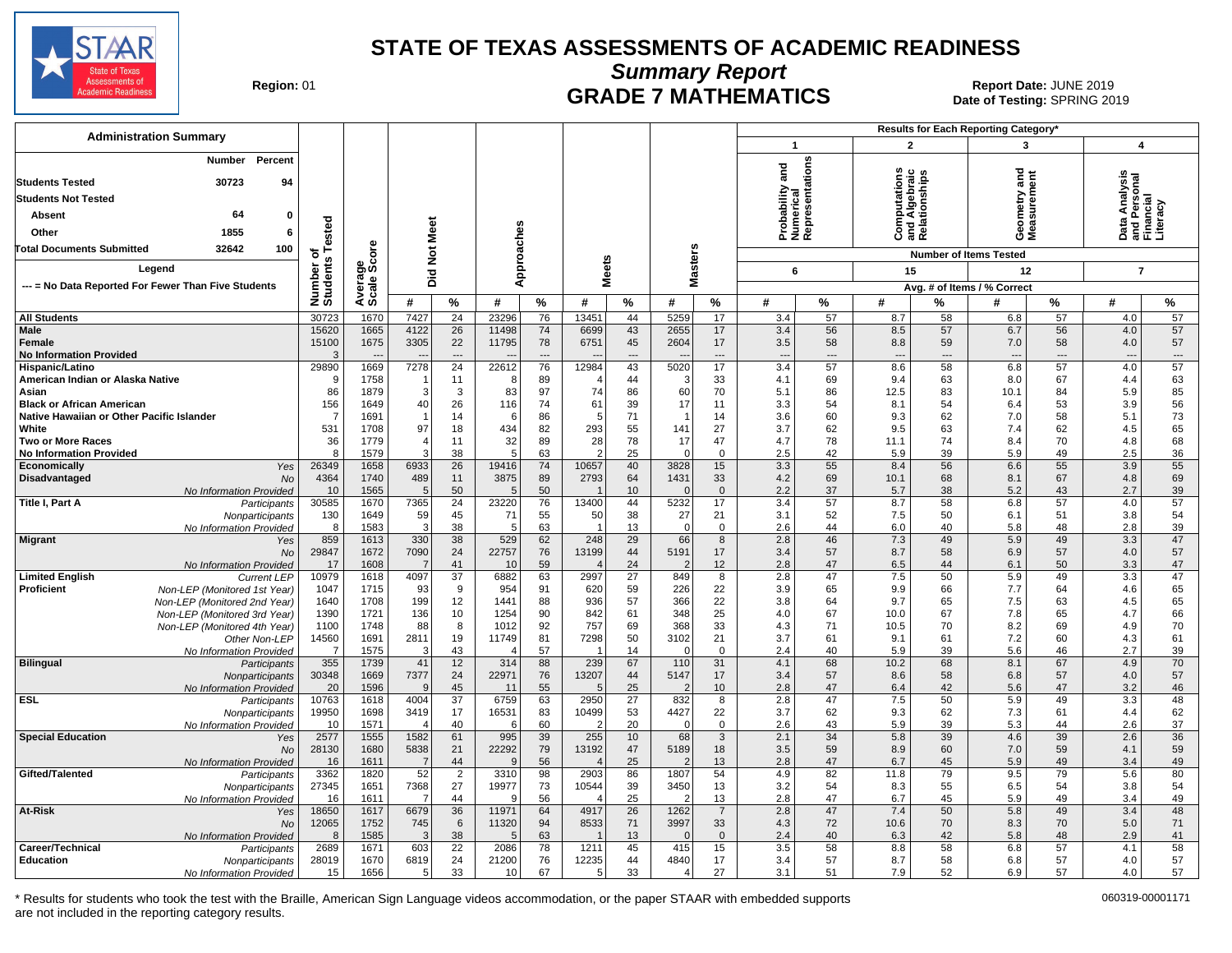![](_page_17_Picture_0.jpeg)

**Summary Report**

**GRADE 7 MATHEMATICS Date: JUNE 2019 Report Date: JUNE 2019 CRADE 7 MATHEMATICS** Date of Testing: SPRING 2019

| <b>Administration Summary</b>                                                                                                       |                       |                    |                 |                 |                |                      |                      |           |                        |                   |                                                 | Results for Each Reporting Category* |                                 |                                |                                     |                 |                                         |                                |
|-------------------------------------------------------------------------------------------------------------------------------------|-----------------------|--------------------|-----------------|-----------------|----------------|----------------------|----------------------|-----------|------------------------|-------------------|-------------------------------------------------|--------------------------------------|---------------------------------|--------------------------------|-------------------------------------|-----------------|-----------------------------------------|--------------------------------|
|                                                                                                                                     |                       |                    |                 |                 |                |                      |                      |           |                        |                   | $\mathbf 1$                                     |                                      | $\overline{2}$                  |                                | 3                                   |                 | $\overline{\mathbf{4}}$                 |                                |
| Percent<br>Number<br>30723<br>94<br><b>Students Tested</b><br><b>Students Not Tested</b><br>64<br>Absent<br>0<br>1855<br>Other<br>6 | ested                 |                    | <b>Not Meet</b> |                 | Approaches     |                      |                      |           |                        |                   | Probability and<br>Numerical<br>Representations |                                      | <b>S</b><br>ء<br>آ<br>흄<br>o    | nships<br>and Alge<br>Relation | ರ<br>Ĕ<br>metry and<br>esas<br>Seas | ã               | Analysis<br>هٔ<br>nd Pr<br>Than<br>Data | <u>ទី ឝ</u><br>.iteracy<br>ᅙᄔ  |
| 100<br>Total Documents Submitted<br>32642                                                                                           | ৳                     | ទី                 |                 |                 |                |                      |                      |           |                        |                   |                                                 |                                      |                                 |                                | <b>Number of Items Tested</b>       |                 |                                         |                                |
| Legend                                                                                                                              |                       |                    |                 |                 |                |                      | <b>Meets</b>         |           | <b>Masters</b>         |                   | 6                                               |                                      | 15                              |                                | 12                                  |                 |                                         | $\overline{7}$                 |
| --- = No Data Reported For Fewer Than Five Students                                                                                 |                       | verage<br>cale Sco | Did             |                 |                |                      |                      |           |                        |                   |                                                 |                                      |                                 |                                | Avg. # of Items / % Correct         |                 |                                         |                                |
|                                                                                                                                     | Number of<br>Students | ⋖ທ                 | #               | %               | #              | %                    | #                    | %         | #                      | ℅                 | #                                               | %                                    | #                               | %                              | #                                   | %               | #                                       | $\%$                           |
| <b>All Students</b>                                                                                                                 | 30723                 | 1670               | 7427            | 24              | 23296          | 76                   | 13451                | 44        | 5259                   | 17                | 3.4                                             | 57                                   | 8.7                             | 58                             | 6.8                                 | 57              | 4.0                                     | 57                             |
| Male                                                                                                                                | 15620                 | 1665               | 4122            | $\overline{26}$ | 11498          | 74                   | 6699                 | 43        | 2655                   | 17                | 3.4                                             | 56                                   | 8.5                             | 57                             | 6.7                                 | 56              | 4.0                                     | 57                             |
| Female                                                                                                                              | 15100                 | 1675               | 3305            | 22              | 11795          | 78                   | 6751                 | 45        | 2604                   | 17                | 3.5                                             | 58                                   | 8.8                             | 59                             | 7.0                                 | 58              | 4.0                                     | 57                             |
| <b>No Information Provided</b>                                                                                                      | 3                     | 1669               | 7278            | ---<br>24       | 22612          | $\overline{a}$<br>76 |                      | ---<br>43 | 5020                   | ---<br>17         | $\overline{\phantom{a}}$                        | $\overline{\phantom{a}}$<br>57       | $\overline{\phantom{a}}$<br>8.6 | $---$<br>58                    | 6.8                                 | $---$<br>57     | $\overline{\phantom{a}}$                | $\hspace{0.05cm} \ldots$<br>57 |
| Hispanic/Latino<br>American Indian or Alaska Native                                                                                 | 29890<br>9            | 1758               | -1              | 11              | 8              | 89                   | 12984                | 44        | 3                      | 33                | 3.4<br>4.1                                      | 69                                   | 9.4                             | 63                             | 8.0                                 | 67              | 4.0<br>4.4                              | 63                             |
| Asian                                                                                                                               | 86                    | 1879               | 3               | 3               | 83             | 97                   | 74                   | 86        | 60                     | 70                | 5.1                                             | 86                                   | 12.5                            | 83                             | 10.1                                | 84              | 5.9                                     | 85                             |
| <b>Black or African American</b>                                                                                                    | 156                   | 1649               | 40              | 26              | 116            | 74                   | 61                   | 39        | 17                     | 11                | 3.3                                             | 54                                   | 8.1                             | 54                             | 6.4                                 | 53              | 3.9                                     | 56                             |
| Native Hawaiian or Other Pacific Islander                                                                                           | 7                     | 1691               | -1              | 14              | 6              | 86                   | 5                    | 71        | -1                     | 14                | 3.6                                             | 60                                   | 9.3                             | 62                             | 7.0                                 | 58              | 5.1                                     | 73                             |
| White                                                                                                                               | 531                   | 1708               | 97              | 18              | 434            | 82                   | 293                  | 55        | 141                    | 27                | 3.7                                             | 62                                   | 9.5                             | 63                             | 7.4                                 | 62              | 4.5                                     | 65                             |
| Two or More Races                                                                                                                   | 36<br>8               | 1779<br>1579       | 4<br>3          | 11<br>38        | 32<br>5        | 89<br>63             | 28<br>$\overline{2}$ | 78<br>25  | 17<br>$\Omega$         | 47<br>$\mathbf 0$ | 4.7<br>2.5                                      | 78<br>42                             | 11.1<br>5.9                     | 74<br>39                       | 8.4<br>5.9                          | 70<br>49        | 4.8<br>2.5                              | 68                             |
| <b>No Information Provided</b><br>Economically<br>Yes                                                                               | 26349                 | 1658               | 6933            | 26              | 19416          | 74                   | 10657                | 40        | 3828                   | 15                | 3.3                                             | 55                                   | 8.4                             | 56                             | 6.6                                 | 55              | 3.9                                     | 36<br>55                       |
| Disadvantaged<br><b>No</b>                                                                                                          | 4364                  | 1740               | 489             | 11              | 3875           | 89                   | 2793                 | 64        | 1431                   | 33                | 4.2                                             | 69                                   | 10.1                            | 68                             | 8.1                                 | 67              | 4.8                                     | 69                             |
| No Information Provided                                                                                                             | 10                    | 1565               | 5               | 50              | 5              | 50                   |                      | 10        | $\Omega$               | $\overline{0}$    | 2.2                                             | 37                                   | 5.7                             | 38                             | 5.2                                 | 43              | 2.7                                     | 39                             |
| Title I, Part A<br>Participants                                                                                                     | 30585                 | 1670               | 7365            | $\overline{24}$ | 23220          | 76                   | 13400                | 44        | 5232                   | $\overline{17}$   | 3.4                                             | 57                                   | 8.7                             | 58                             | 6.8                                 | $\overline{57}$ | 4.0                                     | $\overline{57}$                |
| Nonparticipants                                                                                                                     | 130                   | 1649               | 59              | 45              | 71             | 55                   | 50                   | 38        | 27                     | 21                | 3.1                                             | 52                                   | 7.5                             | 50                             | 6.1                                 | 51              | 3.8                                     | 54                             |
| No Information Provided                                                                                                             | 8<br>859              | 1583               | 3<br>330        | 38<br>38        | 5<br>529       | 63<br>62             | 248                  | 13<br>29  | $\mathbf 0$<br>66      | $\mathbf{0}$<br>8 | 2.6<br>2.8                                      | 44<br>46                             | 6.0                             | 40<br>49                       | 5.8<br>5.9                          | 48<br>49        | 2.8<br>3.3                              | 39<br>47                       |
| <b>Migrant</b><br>Yes<br>No                                                                                                         | 29847                 | 1613<br>1672       | 7090            | 24              | 22757          | 76                   | 13199                | 44        | 5191                   | 17                | 3.4                                             | 57                                   | 7.3<br>8.7                      | 58                             | 6.9                                 | 57              | 4.0                                     | 57                             |
| No Information Provided                                                                                                             | 17                    | 1608               | $\overline{7}$  | 41              | 10             | 59                   |                      | 24        | $\overline{2}$         | 12                | 2.8                                             | 47                                   | 6.5                             | 44                             | 6.1                                 | 50              | 3.3                                     | 47                             |
| <b>Limited English</b><br><b>Current LEP</b>                                                                                        | 10979                 | 1618               | 4097            | 37              | 6882           | 63                   | 2997                 | 27        | 849                    | 8                 | 2.8                                             | 47                                   | 7.5                             | 50                             | 5.9                                 | 49              | 3.3                                     | 47                             |
| <b>Proficient</b><br>Non-LEP (Monitored 1st Year)                                                                                   | 1047                  | 1715               | 93              | 9               | 954            | 91                   | 620                  | 59        | 226                    | 22                | 3.9                                             | 65                                   | 9.9                             | 66                             | 7.7                                 | 64              | 4.6                                     | 65                             |
| Non-LEP (Monitored 2nd Year)                                                                                                        | 1640                  | 1708               | 199             | 12              | 1441           | 88                   | 936                  | 57        | 366                    | 22                | 3.8                                             | 64                                   | 9.7                             | 65                             | 7.5                                 | 63              | 4.5                                     | 65                             |
| Non-LEP (Monitored 3rd Year)                                                                                                        | 1390<br>1100          | 1721<br>1748       | 136<br>88       | 10<br>8         | 1254<br>1012   | 90<br>92             | 842<br>757           | 61<br>69  | 348<br>368             | 25<br>33          | 4.0<br>4.3                                      | 67<br>71                             | 10.0<br>10.5                    | 67<br>70                       | 7.8<br>8.2                          | 65<br>69        | 4.7<br>4.9                              | 66<br>70                       |
| Non-LEP (Monitored 4th Year)<br>Other Non-LEP                                                                                       | 14560                 | 1691               | 2811            | 19              | 11749          | 81                   | 7298                 | 50        | 3102                   | 21                | 3.7                                             | 61                                   | 9.1                             | 61                             | 7.2                                 | 60              | 4.3                                     | 61                             |
| No Information Provided                                                                                                             | $\overline{7}$        | 1575               | 3               | 43              | $\overline{4}$ | 57                   |                      | 14        | $\Omega$               | $\overline{0}$    | 2.4                                             | 40                                   | 5.9                             | 39                             | 5.6                                 | 46              | 2.7                                     | 39                             |
| <b>Bilingual</b><br>Participants                                                                                                    | 355                   | 1739               | 41              | 12              | 314            | 88                   | 239                  | 67        | 110                    | 31                | 4.1                                             | 68                                   | 10.2                            | 68                             | 8.1                                 | 67              | 4.9                                     | 70                             |
| Nonparticipants                                                                                                                     | 30348                 | 1669               | 7377            | 24              | 22971          | 76                   | 13207                | 44        | 5147                   | 17                | 3.4                                             | 57                                   | 8.6                             | 58                             | 6.8                                 | 57              | 4.0                                     | 57                             |
| No Information Provided                                                                                                             | 20                    | 1596               | 9               | 45<br>37        | 11<br>6759     | 55                   | 5                    | 25<br>27  | $\overline{2}$         | 10                | 2.8<br>2.8                                      | 47<br>47                             | 6.4                             | 42                             | 5.6                                 | 47<br>49        | 3.2                                     | 46                             |
| <b>ESL</b><br>Participants<br>Nonparticipants                                                                                       | 10763<br>19950        | 1618<br>1698       | 4004<br>3419    | 17              | 16531          | 63<br>83             | 2950<br>10499        | 53        | 832<br>4427            | 8<br>22           | 3.7                                             | 62                                   | 7.5<br>9.3                      | 50<br>62                       | 5.9<br>7.3                          | 61              | 3.3<br>4.4                              | 48<br>62                       |
| No Information Provided                                                                                                             | 10                    | 1571               | $\Delta$        | 40              | 6              | 60                   | 2                    | 20        | 0                      | $\mathbf 0$       | 2.6                                             | 43                                   | 5.9                             | 39                             | 5.3                                 | 44              | 2.6                                     | 37                             |
| <b>Special Education</b><br>Yes                                                                                                     | 2577                  | 1555               | 1582            | 61              | 995            | 39                   | 255                  | 10        | 68                     | 3                 | 2.1                                             | 34                                   | 5.8                             | 39                             | 4.6                                 | 39              | 2.6                                     | 36                             |
| No                                                                                                                                  | 28130                 | 1680               | 5838            | 21              | 22292          | 79                   | 13192                | 47        | 5189                   | 18                | 3.5                                             | 59                                   | 8.9                             | 60                             | 7.0                                 | 59              | 4.1                                     | 59                             |
| No Information Provided                                                                                                             | 16                    | 1611               | 7               | 44              | q              | 56                   |                      | 25        | $\mathcal{D}$          | 13                | 2.8                                             | 47                                   | 6.7                             | 45                             | 5.9                                 | 49              | 3.4                                     | 49                             |
| Gifted/Talented<br>Participants                                                                                                     | 3362                  | 1820               | 52              | 2               | 3310           | 98                   | 2903                 | 86        | 1807                   | 54                | 4.9                                             | 82                                   | 11.8                            | 79                             | 9.5                                 | 79              | 5.6                                     | 80                             |
| Nonparticipants<br>No Information Provided                                                                                          | 27345<br>16           | 1651<br>1611       | 7368<br>-7      | 27<br>44        | 19977<br>9     | 73<br>56             | 10544<br>4           | 39<br>25  | 3450<br>$\overline{2}$ | 13<br>13          | 3.2<br>2.8                                      | 54<br>47                             | 8.3<br>6.7                      | 55<br>45                       | 6.5<br>5.9                          | 54<br>49        | 3.8<br>3.4                              | 54<br>49                       |
| At-Risk<br>Yes                                                                                                                      | 18650                 | 1617               | 6679            | 36              | 11971          | 64                   | 4917                 | 26        | 1262                   | $\overline{7}$    | 2.8                                             | 47                                   | 7.4                             | 50                             | 5.8                                 | 49              | 3.4                                     | 48                             |
| <b>No</b>                                                                                                                           | 12065                 | 1752               | 745             | 6               | 11320          | 94                   | 8533                 | 71        | 3997                   | 33                | 4.3                                             | 72                                   | 10.6                            | 70                             | 8.3                                 | 70              | 5.0                                     | 71                             |
| No Information Provided                                                                                                             | 8                     | 1585               | 3               | 38              | 5              | 63                   |                      | 13        | $\Omega$               | $\overline{0}$    | 2.4                                             | 40                                   | 6.3                             | 42                             | 5.8                                 | 48              | 2.9                                     | 41                             |
| Career/Technical<br>Participants                                                                                                    | 2689                  | 1671               | 603             | $\overline{22}$ | 2086           | 78                   | 1211                 | 45        | 415                    | 15                | 3.5                                             | 58                                   | 8.8                             | 58                             | 6.8                                 | $\overline{57}$ | 4.1                                     | 58                             |
| Education<br>Nonparticipants                                                                                                        | 28019                 | 1670               | 6819            | 24<br>33        | 21200<br>10    | 76                   | 12235<br>5           | 44<br>33  | 4840<br>$\overline{4}$ | 17<br>27          | 3.4<br>3.1                                      | 57<br>51                             | 8.7<br>7.9                      | 58<br>52                       | 6.8<br>6.9                          | 57<br>57        | 4.0<br>4.0                              | 57<br>57                       |
| No Information Provided                                                                                                             | 15                    | 1656               | 5               |                 |                | 67                   |                      |           |                        |                   |                                                 |                                      |                                 |                                |                                     |                 |                                         |                                |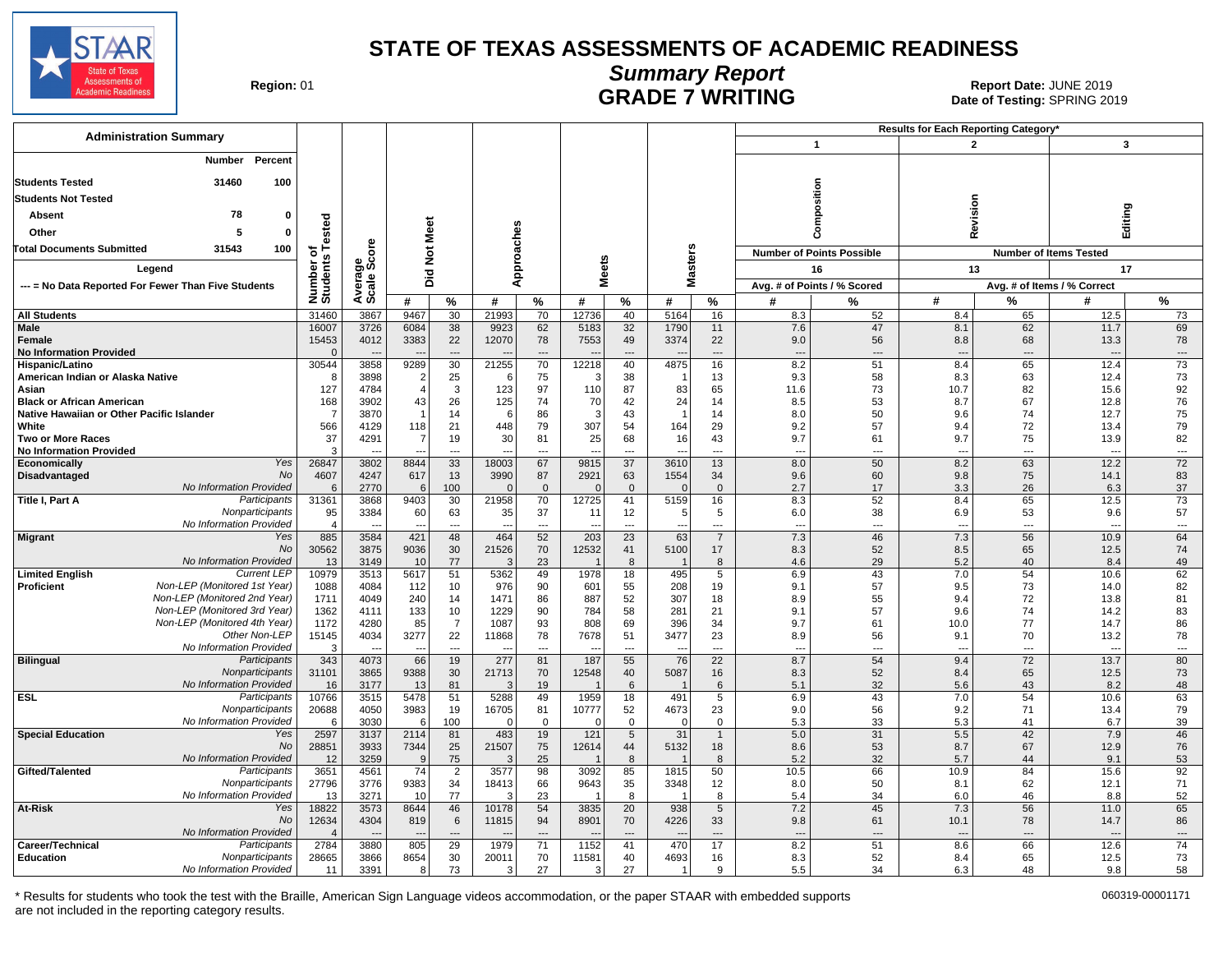![](_page_18_Picture_0.jpeg)

## **Summary Report**

Region: 01 **Region: 01 CALL CONSISTS OF A REGION CONSISTENCE 2019 Report Date: JUNE 2019**<br>Date of Testing: SPRING 20 Date of Testing: SPRING 2019

| <b>Administration Summary</b>                                  |                              |                                  |                          |                      |                        |                                |                          |                          |                  |                          |                          |                                  | <b>Results for Each Reporting Category</b> |                                |                                  |                             |
|----------------------------------------------------------------|------------------------------|----------------------------------|--------------------------|----------------------|------------------------|--------------------------------|--------------------------|--------------------------|------------------|--------------------------|--------------------------|----------------------------------|--------------------------------------------|--------------------------------|----------------------------------|-----------------------------|
|                                                                |                              |                                  |                          |                      |                        |                                |                          |                          |                  |                          |                          | $\mathbf{1}$                     | $\mathbf{2}$                               |                                | 3                                |                             |
| Number<br>Percent                                              |                              |                                  |                          |                      |                        |                                |                          |                          |                  |                          |                          |                                  |                                            |                                |                                  |                             |
| 100<br><b>Students Tested</b><br>31460                         |                              |                                  |                          |                      |                        |                                |                          |                          |                  |                          |                          |                                  |                                            |                                |                                  |                             |
| <b>Students Not Tested</b>                                     |                              |                                  |                          |                      |                        |                                |                          |                          |                  |                          |                          | mposition                        |                                            |                                |                                  |                             |
| 78<br>Absent<br>$\Omega$                                       |                              |                                  |                          |                      |                        |                                |                          |                          |                  |                          |                          |                                  | Revision                                   |                                | Editing                          |                             |
| 5<br>$\Omega$                                                  |                              |                                  |                          |                      |                        |                                |                          |                          |                  |                          |                          |                                  |                                            |                                |                                  |                             |
| Other                                                          |                              |                                  |                          |                      |                        |                                |                          |                          |                  |                          |                          | δ                                |                                            |                                |                                  |                             |
| 31543<br>100<br><b>Total Documents Submitted</b>               |                              | å                                | Not Meet                 |                      |                        |                                |                          |                          |                  |                          |                          | <b>Number of Points Possible</b> |                                            |                                | <b>Number of Items Tested</b>    |                             |
| Legend                                                         | Number of<br>Students Tested | န္တပ္တ                           |                          |                      |                        | Approaches                     | <b>Meets</b>             |                          | <b>Masters</b>   |                          |                          | 16                               | 13                                         |                                | 17                               |                             |
| --- = No Data Reported For Fewer Than Five Students            |                              | Avera                            | Did                      |                      |                        |                                |                          |                          |                  |                          |                          | Avg. # of Points / % Scored      |                                            |                                | Avg. # of Items / % Correct      |                             |
|                                                                |                              |                                  | #                        | %                    | #                      | $\%$                           | #                        | %                        | #                | %                        | #                        | %                                | #                                          | %                              | #                                | %                           |
| <b>All Students</b>                                            | 31460                        | 3867                             | 9467                     | 30                   | 21993                  | 70                             | 12736                    | 40                       | 5164             | 16                       | 8.3                      | 52                               | 8.4                                        | 65                             | 12.5                             | 73                          |
| Male                                                           | 16007                        | 3726                             | 6084                     | 38                   | 9923                   | 62                             | 5183                     | 32                       | 1790             | 11                       | 7.6                      | 47                               | 8.1                                        | 62                             | 11.7                             | 69                          |
| Female                                                         | 15453                        | 4012                             | 3383                     | 22                   | 12070                  | 78                             | 7553                     | 49                       | 3374             | 22                       | 9.0                      | 56                               | 8.8                                        | 68                             | 13.3                             | 78                          |
| <b>No Information Provided</b>                                 | $\Omega$<br>30544            | $\overline{\phantom{a}}$<br>3858 | $\overline{\phantom{a}}$ | $\overline{a}$<br>30 | 21255                  | $\overline{\phantom{a}}$<br>70 |                          | ---                      | 4875             | $\overline{\phantom{a}}$ | $\overline{\phantom{a}}$ | $\overline{\phantom{a}}$         | $\overline{\phantom{a}}$<br>8.4            | $\overline{\phantom{a}}$<br>65 | $\overline{\phantom{a}}$<br>12.4 | $\cdots$<br>$\overline{73}$ |
| Hispanic/Latino<br>American Indian or Alaska Native            | -8                           | 3898                             | 9289<br>$\overline{2}$   | 25                   | 6                      | 75                             | 12218<br>3               | 40<br>38                 |                  | 16<br>13                 | 8.2<br>9.3               | 51<br>58                         | 8.3                                        | 63                             | 12.4                             | 73                          |
| Asian                                                          | 127                          | 4784                             | $\overline{4}$           | 3                    | 123                    | 97                             | 110                      | 87                       | 83               | 65                       | 11.6                     | 73                               | 10.7                                       | 82                             | 15.6                             | 92                          |
| <b>Black or African American</b>                               | 168                          | 3902                             | 43                       | 26                   | 125                    | 74                             | 70                       | 42                       | 24               | 14                       | 8.5                      | 53                               | 8.7                                        | 67                             | 12.8                             | 76                          |
| Native Hawaiian or Other Pacific Islander                      |                              | 3870                             |                          | 14                   | 6                      | 86                             | 3                        | 43                       |                  | 14                       | 8.0                      | 50                               | 9.6                                        | 74                             | 12.7                             | 75                          |
| White                                                          | 566                          | 4129                             | 118                      | 21                   | 448                    | 79                             | 307                      | 54                       | 164              | 29                       | 9.2                      | 57                               | 9.4                                        | 72                             | 13.4                             | 79                          |
| <b>Two or More Races</b>                                       | 37                           | 4291                             | 7                        | 19                   | 30                     | 81                             | 25                       | 68                       | 16               | 43                       | 9.7                      | 61                               | 9.7                                        | 75                             | 13.9                             | 82                          |
| <b>No Information Provided</b>                                 | $\mathbf{3}$                 |                                  | $\overline{a}$           | $\overline{a}$       |                        | $\overline{\phantom{a}}$       | $\overline{a}$           | $\overline{\phantom{a}}$ |                  | $\overline{a}$           | $\overline{a}$           | $\overline{a}$                   | $\overline{a}$                             | $\overline{a}$                 | $\overline{a}$                   | $\overline{\phantom{a}}$    |
| Yes<br>Economically<br>No                                      | 26847                        | 3802                             | 8844                     | 33                   | 18003                  | 67                             | 9815                     | 37                       | 3610             | 13                       | 8.0                      | 50                               | 8.2                                        | 63<br>75                       | 12.2                             | 72                          |
| Disadvantaged<br>No Information Provided                       | 4607<br>6                    | 4247<br>2770                     | 617<br>6                 | 13<br>100            | 3990<br>$\Omega$       | 87<br>$\overline{0}$           | 2921<br>$\Omega$         | 63<br>$\Omega$           | 1554<br>$\Omega$ | 34<br>$\mathbf{0}$       | 9.6<br>2.7               | 60<br>17                         | 9.8<br>3.3                                 | 26                             | 14.1<br>6.3                      | 83<br>37                    |
| Title I, Part A<br>Participants                                | 31361                        | 3868                             | 9403                     | 30                   | 21958                  | 70                             | 12725                    | 41                       | 5159             | 16                       | 8.3                      | 52                               | 8.4                                        | 65                             | 12.5                             | 73                          |
| Nonparticipants                                                | 95                           | 3384                             | 60                       | 63                   | 35                     | 37                             | 11                       | 12                       | 5                | 5                        | 6.0                      | 38                               | 6.9                                        | 53                             | 9.6                              | 57                          |
| No Information Provided                                        | $\overline{4}$               | $\overline{\phantom{a}}$         | $\overline{\phantom{a}}$ | $\overline{a}$       | $\overline{a}$         | $\overline{a}$                 | $\overline{\phantom{a}}$ | $\overline{\phantom{a}}$ | ---              | $\overline{a}$           | ---                      | $\overline{\phantom{a}}$         | $\overline{a}$                             | $\overline{\phantom{a}}$       | $\overline{\phantom{a}}$         | $\overline{a}$              |
| Yes<br><b>Migrant</b>                                          | 885                          | 3584                             | 421                      | 48                   | 464                    | 52                             | 203                      | $\overline{23}$          | 63               | $\overline{7}$           | 7.3                      | 46                               | 7.3                                        | 56                             | 10.9                             | 64                          |
| No<br>No Information Provided                                  | 30562                        | 3875                             | 9036                     | 30                   | 21526<br>$\mathcal{R}$ | 70<br>23                       | 12532                    | 41<br>$\mathsf{R}$       | 5100             | 17                       | 8.3                      | 52<br>29                         | 8.5<br>5.2                                 | 65                             | 12.5                             | 74                          |
| <b>Current LEP</b><br><b>Limited English</b>                   | 13<br>10979                  | 3149<br>3513                     | 10<br>5617               | 77<br>51             | 5362                   | 49                             | 1978                     | 18                       | 495              | 8<br>5                   | 4.6<br>6.9               | 43                               | 7.0                                        | 40<br>54                       | 8.4<br>10.6                      | 49<br>62                    |
| Non-LEP (Monitored 1st Year)<br><b>Proficient</b>              | 1088                         | 4084                             | 112                      | 10                   | 976                    | 90                             | 601                      | 55                       | 208              | 19                       | 9.1                      | 57                               | 9.5                                        | 73                             | 14.0                             | 82                          |
| Non-LEP (Monitored 2nd Year)                                   | 1711                         | 4049                             | 240                      | 14                   | 1471                   | 86                             | 887                      | 52                       | 307              | 18                       | 8.9                      | 55                               | 9.4                                        | 72                             | 13.8                             | 81                          |
| Non-LEP (Monitored 3rd Year)                                   | 1362                         | 4111                             | 133                      | 10                   | 1229                   | 90                             | 784                      | 58                       | 281              | 21                       | 9.1                      | 57                               | 9.6                                        | 74                             | 14.2                             | 83                          |
| Non-LEP (Monitored 4th Year)                                   | 1172                         | 4280                             | 85                       | $\overline{7}$       | 1087                   | 93                             | 808                      | 69                       | 396              | 34                       | 9.7                      | 61                               | 10.0                                       | 77                             | 14.7                             | 86                          |
| Other Non-LEP                                                  | 15145                        | 4034                             | 3277                     | 22                   | 11868                  | 78                             | 7678                     | 51                       | 3477             | 23                       | 8.9                      | 56                               | 9.1                                        | 70                             | 13.2                             | 78                          |
| No Information Provided                                        | 3                            |                                  |                          | $\overline{a}$       |                        | ---                            |                          | $\overline{a}$           |                  | $\overline{a}$           | --                       | $\overline{a}$                   | $\overline{a}$                             | $---$                          | $\overline{a}$                   | $\overline{a}$              |
| <b>Bilingual</b><br>Participants<br>Nonparticipants            | 343<br>31101                 | 4073<br>3865                     | 66<br>9388               | 19<br>30             | 277<br>21713           | 81<br>70                       | 187<br>12548             | 55<br>40                 | 76<br>5087       | 22<br>16                 | 8.7<br>8.3               | 54<br>52                         | 9.4<br>8.4                                 | 72<br>65                       | 13.7<br>12.5                     | 80<br>73                    |
| No Information Provided                                        | 16                           | 3177                             | 13                       | 81                   | 3                      | 19                             |                          | 6                        |                  | 6                        | 5.1                      | 32                               | 5.6                                        | 43                             | 8.2                              | 48                          |
| ESL<br>Participants                                            | 10766                        | 3515                             | 5478                     | 51                   | 5288                   | 49                             | 1959                     | 18                       | 491              | 5                        | 6.9                      | 43                               | 7.0                                        | 54                             | 10.6                             | 63                          |
| Nonparticipants                                                | 20688                        | 4050                             | 3983                     | 19                   | 16705                  | 81                             | 10777                    | 52                       | 4673             | 23                       | 9.0                      | 56                               | 9.2                                        | 71                             | 13.4                             | 79                          |
| No Information Provided                                        | 6                            | 3030                             | $6 \mid$                 | 100                  | $\mathbf 0$            | $\mathbf 0$                    | $\Omega$                 | $\mathbf 0$              | $\Omega$         | $\mathbf 0$              | 5.3                      | 33                               | 5.3                                        | 41                             | 6.7                              | 39                          |
| <b>Special Education</b><br>Yes                                | 2597                         | 3137                             | 2114                     | 81                   | 483                    | 19                             | 121                      | 5                        | 31               | $\mathbf{1}$             | 5.0                      | $\overline{31}$                  | 5.5                                        | 42                             | 7.9                              | 46                          |
| <b>No</b><br>No Information Provided                           | 28851                        | 3933<br>3259                     | 7344<br>9                | 25<br>75             | 21507<br>3             | 75<br>25                       | 12614                    | 44<br>8                  | 5132             | 18<br>8                  | 8.6<br>5.2               | 53<br>32                         | 8.7                                        | 67<br>44                       | 12.9<br>9.1                      | 76<br>53                    |
| Gifted/Talented<br>Participants                                | 12<br>3651                   | 4561                             | 74                       | $\overline{2}$       | 3577                   | 98                             | 3092                     | 85                       | 1815             | 50                       | 10.5                     | 66                               | 5.7<br>10.9                                | 84                             | 15.6                             | 92                          |
| Nonparticipants                                                | 27796                        | 3776                             | 9383                     | 34                   | 18413                  | 66                             | 9643                     | 35                       | 3348             | 12                       | 8.0                      | 50                               | 8.1                                        | 62                             | 12.1                             | 71                          |
| No Information Provided                                        | 13                           | 3271                             | 10                       | 77                   | 3                      | 23                             |                          | 8                        |                  | 8                        | 5.4                      | 34                               | 6.0                                        | 46                             | 8.8                              | 52                          |
| <b>At-Risk</b><br>Yes                                          | 18822                        | 3573                             | 8644                     | 46                   | 10178                  | 54                             | 3835                     | 20                       | 938              | $5\phantom{.0}$          | 7.2                      | 45                               | 7.3                                        | 56                             | 11.0                             | 65                          |
| <b>No</b>                                                      | 12634                        | 4304                             | 819                      | $\,6$                | 11815                  | 94                             | 8901                     | 70                       | 4226             | 33                       | 9.8                      | 61                               | 10.1                                       | 78                             | 14.7                             | 86                          |
| No Information Provided                                        |                              |                                  |                          | ---                  |                        |                                |                          | $\overline{a}$           |                  | $\overline{\phantom{a}}$ | $\overline{\phantom{a}}$ | $\overline{a}$                   |                                            | $\overline{\phantom{a}}$       |                                  | $---$                       |
| Participants<br>Career/Technical                               | 2784                         | 3880                             | 805                      | 29                   | 1979                   | 71                             | 1152                     | 41                       | 470              | 17                       | 8.2                      | 51                               | 8.6                                        | 66                             | 12.6                             | 74                          |
| <b>Education</b><br>Nonparticipants<br>No Information Provided | 28665<br>11                  | 3866<br>3391                     | 8654<br>8 <sup>1</sup>   | 30<br>73             | 20011<br>3             | 70<br>27                       | 11581<br>3               | 40<br>27                 | 4693             | 16<br>9                  | 8.3<br>5.5               | 52<br>34                         | 8.4<br>6.3                                 | 65<br>48                       | 12.5<br>9.8                      | 73<br>58                    |
|                                                                |                              |                                  |                          |                      |                        |                                |                          |                          |                  |                          |                          |                                  |                                            |                                |                                  |                             |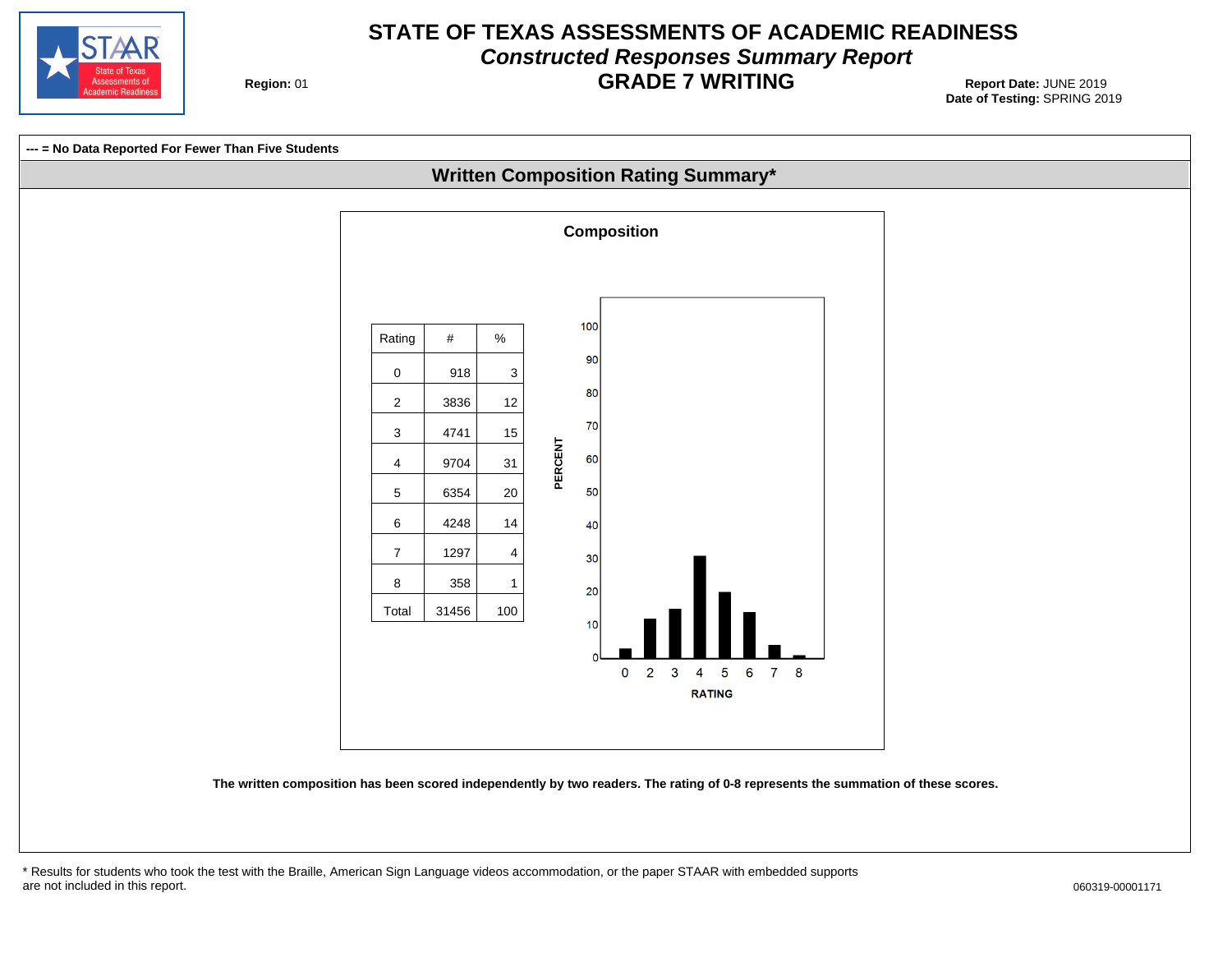![](_page_19_Picture_0.jpeg)

## **STATE OF TEXAS ASSESSMENTS OF ACADEMIC READINESS Constructed Responses Summary Report GRADE 7 WRITING** Report Date: JUNE 2019

**Region: 01** 

![](_page_19_Figure_3.jpeg)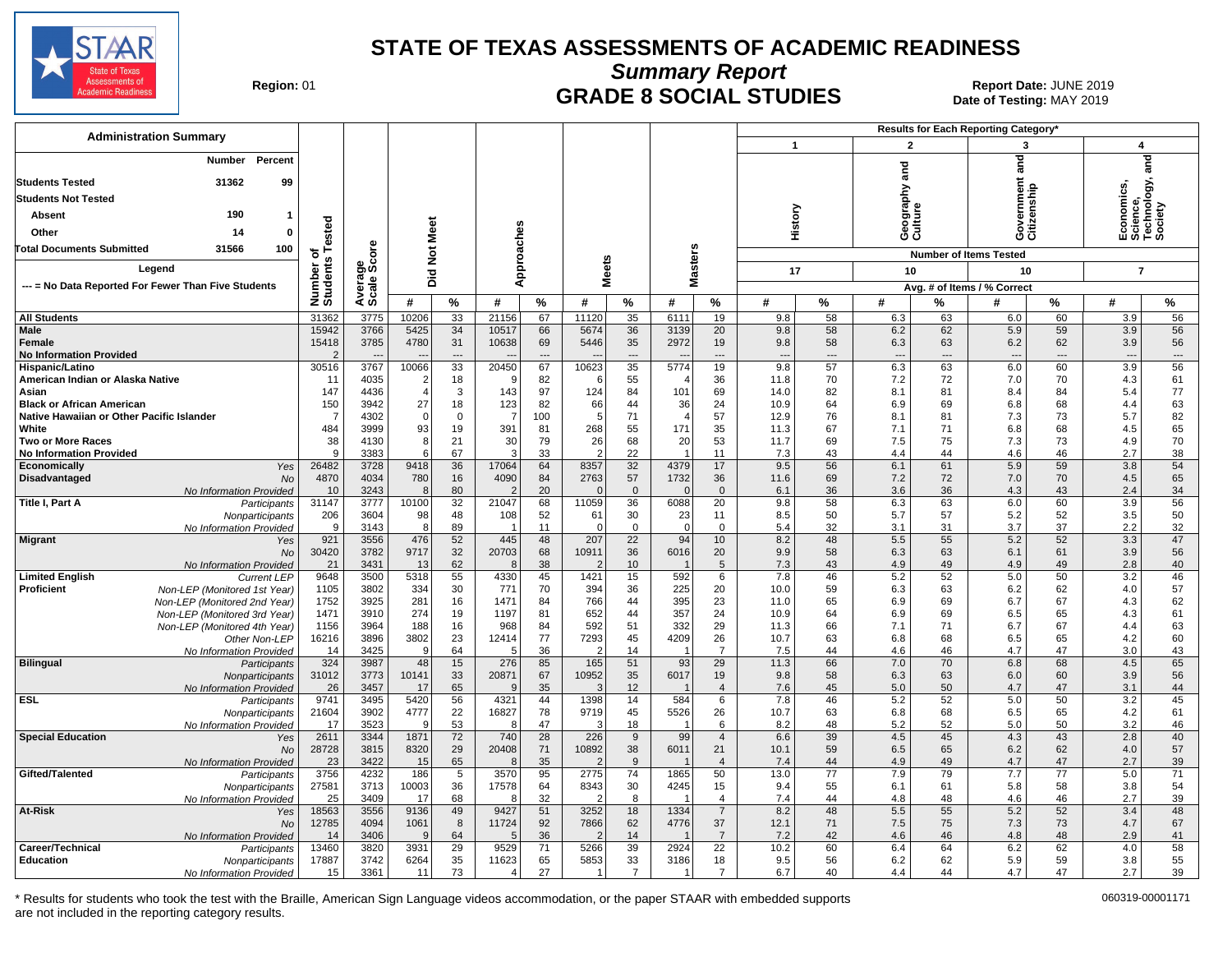![](_page_20_Picture_0.jpeg)

**Summary Report**

Region: 01 **Begion: 01 CRADE 8 SOCIAL STUDIES Report Date: JUNE 2019 Report Date: JUNE 2019** Date of Testing: MAY 2019

| <b>Administration Summary</b>                                  |                    |                |                 |          |                         |                      |                         |                      |                        |                                  |                                 |                 |                          |                      | Results for Each Reporting Category' |                 |                                                    |          |
|----------------------------------------------------------------|--------------------|----------------|-----------------|----------|-------------------------|----------------------|-------------------------|----------------------|------------------------|----------------------------------|---------------------------------|-----------------|--------------------------|----------------------|--------------------------------------|-----------------|----------------------------------------------------|----------|
|                                                                |                    |                |                 |          |                         |                      |                         |                      |                        |                                  | $\mathbf{1}$                    |                 | $\overline{2}$           |                      | 3                                    |                 | $\boldsymbol{4}$                                   |          |
| Number Percent<br>31362<br>99<br><b>Students Tested</b>        |                    |                |                 |          |                         |                      |                         |                      |                        |                                  |                                 |                 | 2ng                      |                      | $\overline{a}$                       |                 | Economics,<br>Science,<br>Technology, ¿<br>Society | and      |
| <b>Students Not Tested</b>                                     |                    |                |                 |          |                         |                      |                         |                      |                        |                                  |                                 |                 | ieography :<br>:ulture   |                      | iovernmer<br>itizenship              |                 |                                                    |          |
| 190<br>Absent                                                  |                    |                |                 |          |                         |                      |                         |                      |                        |                                  | History                         |                 |                          |                      |                                      |                 |                                                    |          |
| Other<br>14<br>0                                               | ested              |                |                 |          |                         |                      |                         |                      |                        |                                  |                                 |                 | Θō                       |                      | తర                                   |                 |                                                    |          |
| 31566<br>Total Documents Submitted<br>100                      | 하                  | δe             | <b>Not Meet</b> |          |                         |                      |                         |                      |                        |                                  |                                 |                 |                          |                      |                                      |                 |                                                    |          |
| Legend                                                         |                    | န္တပ္တိ        |                 |          | Approaches              |                      | eets                    |                      | lasters                |                                  | 17                              |                 | 10                       |                      | <b>Number of Items Tested</b><br>10  |                 | $\overline{7}$                                     |          |
| --- = No Data Reported For Fewer Than Five Students            |                    |                | 흐.<br>ه         |          |                         |                      | ź                       |                      | ż                      |                                  |                                 |                 |                          |                      | Avg. # of Items / % Correct          |                 |                                                    |          |
|                                                                | Number<br>Students | Avera<br>Scale | #               | %        | #                       | $\%$                 | #                       | %                    | #                      | %                                | #                               | %               | #                        | %                    | #                                    | %               | #                                                  | %        |
| <b>All Students</b>                                            | 31362              | 3775           | 10206           | 33       | 21156                   | 67                   | 11120                   | 35                   | 6111                   | 19                               | 9.8                             | 58              | 6.3                      | 63                   | 6.0                                  | 60              | 3.9                                                | 56       |
| <b>Male</b>                                                    | 15942              | 3766           | 5425            | 34       | 10517                   | 66                   | 5674                    | 36                   | 3139                   | 20                               | 9.8                             | 58              | 6.2                      | 62                   | 5.9                                  | 59              | 3.9                                                | 56       |
| <b>Female</b>                                                  | 15418              | 3785           | 4780            | 31       | 10638                   | 69                   | 5446                    | 35                   | 2972                   | 19                               | 9.8                             | 58              | 6.3                      | 63                   | 6.2                                  | 62              | 3.9                                                | 56       |
| <b>No Information Provided</b>                                 |                    | 3767           |                 | ---      |                         | $\overline{a}$<br>67 |                         | ---                  | 5774                   | ---                              | $\overline{\phantom{a}}$<br>9.8 | ---<br>57       | $\overline{\phantom{a}}$ | $\overline{a}$<br>63 | $\overline{\phantom{a}}$<br>6.0      | ---<br>60       | $\overline{\phantom{a}}$                           | $\cdots$ |
| Hispanic/Latino<br>American Indian or Alaska Native            | 30516<br>11        | 4035           | 10066<br>2      | 33<br>18 | 20450<br>9              | 82                   | 10623<br>-6             | 35<br>55             | $\overline{4}$         | 19<br>36                         | 11.8                            | 70              | 6.3<br>7.2               | 72                   | 7.0                                  | 70              | 3.9<br>4.3                                         | 56<br>61 |
| Asian                                                          | 147                | 4436           | $\overline{4}$  | 3        | 143                     | 97                   | 124                     | 84                   | 101                    | 69                               | 14.0                            | 82              | 8.1                      | 81                   | 8.4                                  | 84              | 5.4                                                | 77       |
| <b>Black or African American</b>                               | 150                | 3942           | 27              | 18       | 123                     | 82                   | 66                      | 44                   | 36                     | 24                               | 10.9                            | 64              | 6.9                      | 69                   | 6.8                                  | 68              | 4.4                                                | 63       |
| Native Hawaiian or Other Pacific Islander                      | 7                  | 4302           | $\Omega$        | $\Omega$ | $\overline{7}$          | 100                  | 5                       | 71                   | $\overline{4}$         | 57                               | 12.9                            | 76              | 8.1                      | 81                   | 7.3                                  | 73              | 5.7                                                | 82       |
| White<br>Two or More Races                                     | 484<br>38          | 3999<br>4130   | 93<br>8         | 19<br>21 | 391<br>30               | 81<br>79             | 268<br>26               | 55<br>68             | 171<br>20              | 35<br>53                         | 11.3<br>11.7                    | 67<br>69        | 7.1<br>7.5               | 71<br>75             | 6.8<br>7.3                           | 68<br>73        | 4.5<br>4.9                                         | 65<br>70 |
| <b>No Information Provided</b>                                 | $\mathbf{Q}$       | 3383           | 6               | 67       | 3                       | 33                   | $\overline{2}$          | 22                   | $\overline{1}$         | 11                               | 7.3                             | 43              | 4.4                      | 44                   | 4.6                                  | 46              | 2.7                                                | 38       |
| Economically<br>Yes                                            | 26482              | 3728           | 9418            | 36       | 17064                   | 64                   | 8357                    | 32                   | 4379                   | 17                               | 9.5                             | 56              | 6.1                      | 61                   | 5.9                                  | 59              | 3.8                                                | 54       |
| Disadvantaged<br>No                                            | 4870               | 4034           | 780             | 16       | 4090                    | 84                   | 2763                    | 57                   | 1732                   | 36                               | 11.6                            | 69              | 7.2                      | 72                   | 7.0                                  | 70              | 4.5                                                | 65       |
| No Information Provided<br>Title I, Part A<br>Participants     | 10<br>31147        | 3243<br>3777   | 8<br>10100      | 80<br>32 | 21047                   | 20<br>68             | $\Omega$<br>11059       | $\Omega$<br>36       | $\mathbf 0$<br>6088    | $\mathbf 0$<br>$\overline{20}$   | 6.1<br>9.8                      | 36<br>58        | 3.6<br>6.3               | 36<br>63             | 4.3<br>6.0                           | 43<br>60        | 2.4<br>3.9                                         | 34<br>56 |
| Nonparticipants                                                | 206                | 3604           | 98              | 48       | 108                     | 52                   | 61                      | 30                   | 23                     | 11                               | 8.5                             | 50              | 5.7                      | 57                   | 5.2                                  | 52              | 3.5                                                | 50       |
| No Information Provided                                        | q                  | 3143           | 8               | 89       | -1                      | 11                   | $\Omega$                | $\mathsf 0$          | $\mathbf 0$            | $\mathsf 0$                      | 5.4                             | 32              | 3.1                      | 31                   | 3.7                                  | 37              | 2.2                                                | 32       |
| <b>Migrant</b><br>Yes                                          | 921                | 3556           | 476             | 52       | 445                     | 48                   | 207                     | 22                   | 94                     | 10                               | 8.2                             | 48              | 5.5                      | 55                   | 5.2                                  | 52              | 3.3                                                | 47       |
| No<br>No Information Provided                                  | 30420<br>21        | 3782<br>3431   | 9717<br>13      | 32<br>62 | 20703<br>8              | 68<br>38             | 10911<br>$\overline{2}$ | 36<br>10             | 6016<br>$\overline{1}$ | 20<br>5                          | 9.9<br>7.3                      | 58<br>43        | 6.3<br>4.9               | 63<br>49             | 6.1<br>4.9                           | 61<br>49        | 3.9<br>2.8                                         | 56<br>40 |
| <b>Limited English</b><br><b>Current LEP</b>                   | 9648               | 3500           | 5318            | 55       | 4330                    | 45                   | 1421                    | 15                   | 592                    | 6                                | 7.8                             | 46              | 5.2                      | 52                   | 5.0                                  | 50              | 3.2                                                | 46       |
| <b>Proficient</b><br>Non-LEP (Monitored 1st Year)              | 1105               | 3802           | 334             | 30       | 771                     | 70                   | 394                     | 36                   | 225                    | 20                               | 10.0                            | 59              | 6.3                      | 63                   | 6.2                                  | 62              | 4.0                                                | 57       |
| Non-LEP (Monitored 2nd Year)                                   | 1752               | 3925           | 281             | 16       | 1471                    | 84                   | 766                     | 44<br>44             | 395                    | 23                               | 11.0                            | 65              | 6.9                      | 69                   | 6.7                                  | 67              | 4.3                                                | 62       |
| Non-LEP (Monitored 3rd Year)<br>Non-LEP (Monitored 4th Year)   | 1471<br>1156       | 3910<br>3964   | 274<br>188      | 19<br>16 | 1197<br>968             | 81<br>84             | 652<br>592              | 51                   | 357<br>332             | 24<br>29                         | 10.9<br>11.3                    | 64<br>66        | 6.9<br>7.1               | 69<br>71             | 6.5<br>6.7                           | 65<br>67        | 4.3<br>4.4                                         | 61<br>63 |
| Other Non-LEP                                                  | 16216              | 3896           | 3802            | 23       | 12414                   | 77                   | 7293                    | 45                   | 4209                   | 26                               | 10.7                            | 63              | 6.8                      | 68                   | 6.5                                  | 65              | 4.2                                                | 60       |
| No Information Provided                                        | 14                 | 3425           | <sub>9</sub>    | 64       | 5                       | 36                   | 2                       | 14                   | $\overline{1}$         | $\overline{7}$                   | 7.5                             | 44              | 4.6                      | 46                   | 4.7                                  | 47              | 3.0                                                | 43       |
| <b>Bilingual</b><br>Participants                               | 324                | 3987           | 48              | 15       | 276                     | 85                   | 165                     | 51                   | 93                     | 29                               | 11.3                            | 66              | 7.0                      | 70                   | 6.8                                  | 68              | 4.5                                                | 65       |
| Nonparticipants<br>No Information Provided                     | 31012<br>26        | 3773<br>3457   | 10141<br>17     | 33<br>65 | 20871<br>9              | 67<br>35             | 10952<br>3              | 35<br>12             | 6017                   | 19<br>$\overline{4}$             | 9.8<br>7.6                      | 58<br>45        | 6.3<br>5.0               | 63<br>50             | 6.0<br>4.7                           | 60<br>47        | 3.9<br>3.1                                         | 56<br>44 |
| <b>ESL</b><br>Participants                                     | 9741               | 3495           | 5420            | 56       | 4321                    | 44                   | 1398                    | 14                   | 584                    | 6                                | 7.8                             | 46              | 5.2                      | 52                   | 5.0                                  | 50              | 3.2                                                | 45       |
| Nonparticipants                                                | 21604              | 3902           | 4777            | 22       | 16827                   | 78                   | 9719                    | 45                   | 5526                   | 26                               | 10.7                            | 63              | 6.8                      | 68                   | 6.5                                  | 65              | 4.2                                                | 61       |
| No Information Provided                                        | 17                 | 3523           | 9               | 53       | 8                       | 47                   | 3                       | 18                   |                        | 6                                | 8.2                             | 48              | 5.2                      | 52                   | 5.0                                  | 50              | 3.2                                                | 46       |
| <b>Special Education</b><br>Yes<br><b>No</b>                   | 2611<br>28728      | 3344<br>3815   | 1871<br>8320    | 72<br>29 | 740<br>20408            | 28<br>71             | 226<br>10892            | 9<br>38              | 99<br>6011             | $\overline{4}$<br>21             | 6.6<br>10.1                     | 39<br>59        | 4.5<br>6.5               | 45<br>65             | 4.3<br>6.2                           | 43<br>62        | 2.8<br>4.0                                         | 40<br>57 |
| No Information Provided                                        | 23                 | 3422           | 15              | 65       | 8                       | 35                   | $\overline{2}$          | 9                    |                        | $\overline{4}$                   | 7.4                             | 44              | 4.9                      | 49                   | 4.7                                  | 47              | 2.7                                                | 39       |
| Gifted/Talented<br>Participants                                | 3756               | 4232           | 186             | 5        | 3570                    | 95                   | 2775                    | $\overline{74}$      | 1865                   | 50                               | 13.0                            | $\overline{77}$ | 7.9                      | 79                   | 7.7                                  | $\overline{77}$ | 5.0                                                | 71       |
| Nonparticipants                                                | 27581              | 3713           | 10003           | 36       | 17578                   | 64                   | 8343                    | 30                   | 4245                   | 15                               | 9.4                             | 55              | 6.1                      | 61                   | 5.8                                  | 58              | 3.8                                                | 54       |
| No Information Provided<br>At-Risk<br>Yes                      | 25<br>18563        | 3409<br>3556   | 17<br>9136      | 68<br>49 | 8<br>9427               | 32<br>51             | $\overline{2}$<br>3252  | 8<br>18              | 1334                   | $\overline{4}$<br>$\overline{7}$ | 7.4<br>8.2                      | 44<br>48        | 4.8<br>5.5               | 48<br>55             | 4.6<br>5.2                           | 46<br>52        | 2.7<br>3.4                                         | 39<br>48 |
| <b>No</b>                                                      | 12785              | 4094           | 1061            | 8        | 11724                   | 92                   | 7866                    | 62                   | 4776                   | 37                               | 12.1                            | 71              | 7.5                      | 75                   | 7.3                                  | 73              | 4.7                                                | 67       |
| No Information Provided                                        | 14                 | 3406           | 9               | 64       | 5                       | 36                   | $\overline{2}$          | 14                   |                        | $\overline{7}$                   | 7.2                             | 42              | 4.6                      | 46                   | 4.8                                  | 48              | 2.9                                                | 41       |
| Career/Technical<br>Participants                               | 13460              | 3820           | 3931            | 29       | 9529                    | 71                   | 5266                    | 39                   | 2924                   | 22                               | 10.2                            | 60              | 6.4                      | 64                   | 6.2                                  | 62              | 4.0                                                | 58       |
| <b>Education</b><br>Nonparticipants<br>No Information Provided | 17887<br>15        | 3742<br>3361   | 6264<br>11      | 35<br>73 | 11623<br>$\overline{4}$ | 65<br>27             | 5853<br>-1              | 33<br>$\overline{7}$ | 3186<br>$\mathbf 1$    | 18<br>$\overline{7}$             | 9.5<br>6.7                      | 56<br>40        | 6.2<br>4.4               | 62<br>44             | 5.9<br>4.7                           | 59<br>47        | 3.8<br>2.7                                         | 55<br>39 |
|                                                                |                    |                |                 |          |                         |                      |                         |                      |                        |                                  |                                 |                 |                          |                      |                                      |                 |                                                    |          |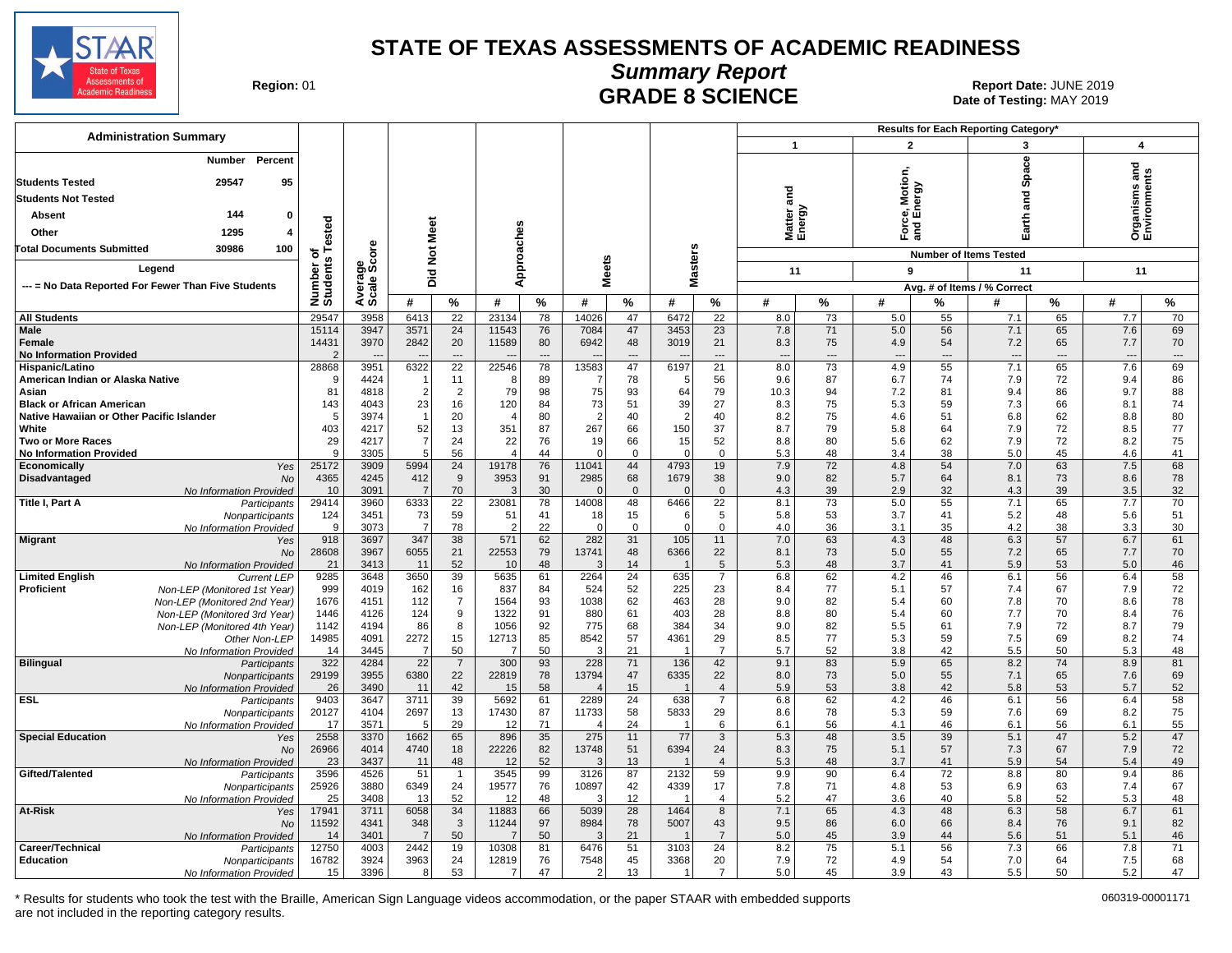![](_page_21_Picture_0.jpeg)

**Summary Report**

**GRADE 8 SCIENCE Date: JUNE 2019**<br>Date of Testing: MAY 2019 Date of Testing: MAY 2019

| <b>Administration Summary</b>                                           |                      |                      |              |                    |                         |                |                   |                   |                  |                                  |                   |                          |                          |                | Results for Each Reporting Category* |                |                                      |                          |
|-------------------------------------------------------------------------|----------------------|----------------------|--------------|--------------------|-------------------------|----------------|-------------------|-------------------|------------------|----------------------------------|-------------------|--------------------------|--------------------------|----------------|--------------------------------------|----------------|--------------------------------------|--------------------------|
|                                                                         |                      |                      |              |                    |                         |                |                   |                   |                  |                                  | $\overline{1}$    |                          | $\overline{2}$           |                | 3                                    |                | $\overline{\mathbf{4}}$              |                          |
| Percent<br>Number                                                       |                      |                      |              |                    |                         |                |                   |                   |                  |                                  |                   |                          |                          |                | <b>Space</b>                         |                |                                      |                          |
| 29547<br><b>Students Tested</b><br>95                                   |                      |                      |              |                    |                         |                |                   |                   |                  |                                  |                   |                          | rce, Motion,<br>d Energy |                |                                      |                | and<br>Organisms and<br>Environments |                          |
| <b>Students Not Tested</b>                                              |                      |                      |              |                    |                         |                |                   |                   |                  |                                  | and               |                          |                          |                | na<br>ana                            |                |                                      |                          |
| 144<br><b>Absent</b><br>0                                               |                      |                      |              |                    |                         |                |                   |                   |                  |                                  |                   |                          |                          |                |                                      |                |                                      |                          |
| 1295<br>Other                                                           | ested                |                      | Meet         |                    |                         |                |                   |                   |                  |                                  | Matter:<br>Energy |                          | និគី                     |                | Earth                                |                |                                      |                          |
| <b>Total Documents Submitted</b><br>30986                               |                      |                      |              |                    |                         |                |                   |                   |                  |                                  |                   |                          |                          |                |                                      |                |                                      |                          |
| 100                                                                     | $\ddot{\mathbf{c}}$  | ទី                   | ă            |                    | Approaches              |                |                   |                   | Masters          |                                  |                   |                          |                          |                | <b>Number of Items Tested</b>        |                |                                      |                          |
| Legend                                                                  |                      |                      | Did          |                    |                         |                | <b>Meets</b>      |                   |                  |                                  | 11                |                          | 9                        |                | 11                                   |                | 11                                   |                          |
| --- = No Data Reported For Fewer Than Five Students                     | Number o<br>Students | Average<br>Scale Scc |              |                    |                         |                |                   |                   |                  |                                  |                   |                          |                          |                | Avg. # of Items / % Correct          |                |                                      |                          |
|                                                                         |                      |                      | #            | $\%$               | #                       | $\frac{9}{6}$  | #                 | $\%$              | #                | $\%$                             | #                 | $\%$                     | #                        | %              | #                                    | %              | #                                    | %                        |
| <b>All Students</b>                                                     | 29547                | 3958                 | 6413         | $\overline{22}$    | 23134                   | 78             | 14026             | 47                | 6472             | 22                               | 8.0               | 73                       | 5.0                      | 55             | 7.1                                  | 65             | 7.7                                  | 70                       |
| Male<br>Female                                                          | 15114<br>14431       | 3947<br>3970         | 3571<br>2842 | 24<br>20           | 11543<br>11589          | 76<br>80       | 7084<br>6942      | 47<br>48          | 3453<br>3019     | 23<br>21                         | 7.8<br>8.3        | 71<br>75                 | 5.0<br>4.9               | 56<br>54       | 7.1<br>7.2                           | 65<br>65       | 7.6<br>7.7                           | 69<br>70                 |
| <b>No Information Provided</b>                                          | 2                    |                      |              | $\sim$             |                         | $\overline{a}$ |                   | ---               |                  | $\overline{\phantom{a}}$         | $\overline{a}$    | $\overline{\phantom{a}}$ |                          | $\overline{a}$ | $\overline{a}$                       | $\overline{a}$ | $\overline{\phantom{a}}$             | $\overline{\phantom{a}}$ |
| Hispanic/Latino                                                         | 28868                | 3951                 | 6322         | 22                 | 22546                   | 78             | 13583             | 47                | 6197             | 21                               | 8.0               | 73                       | 4.9                      | 55             | 7.1                                  | 65             | 7.6                                  | 69                       |
| American Indian or Alaska Native                                        | <b>c</b>             | 4424                 |              | 11                 | 8                       | 89             |                   | 78                | .5               | 56                               | 9.6               | 87                       | 6.7                      | 74             | 7.9                                  | 72             | 9.4                                  | 86                       |
| Asian<br><b>Black or African American</b>                               | 81<br>143            | 4818<br>4043         | -2<br>23     | 2<br>16            | 79<br>120               | 98<br>84       | 75<br>73          | 93<br>51          | 64<br>39         | 79<br>27                         | 10.3<br>8.3       | 94<br>75                 | 7.2<br>5.3               | 81<br>59       | 9.4<br>7.3                           | 86<br>66       | 9.7<br>8.1                           | 88<br>74                 |
| Native Hawaiian or Other Pacific Islander                               | 5                    | 3974                 |              | 20                 | 4                       | 80             | $\mathcal{P}$     | 40                | $\overline{2}$   | 40                               | 8.2               | 75                       | 4.6                      | 51             | 6.8                                  | 62             | 8.8                                  | 80                       |
| White                                                                   | 403                  | 4217                 | 52           | 13                 | 351                     | 87             | 267               | 66                | 150              | 37                               | 8.7               | 79                       | 5.8                      | 64             | 7.9                                  | 72             | 8.5                                  | 77                       |
| <b>Two or More Races</b>                                                | 29                   | 4217                 |              | 24                 | 22                      | 76             | 19                | 66                | 15               | 52                               | 8.8               | 80                       | 5.6                      | 62             | 7.9                                  | 72             | 8.2                                  | 75                       |
| <b>No Information Provided</b><br>Economically<br>Yes                   | <b>q</b><br>25172    | 3305<br>3909         | 5<br>5994    | 56<br>24           | $\overline{4}$<br>19178 | 44<br>76       | $\Omega$<br>11041 | $\mathbf 0$<br>44 | $\Omega$<br>4793 | $\mathbf 0$<br>19                | 5.3<br>7.9        | 48<br>72                 | 3.4<br>4.8               | 38<br>54       | 5.0<br>7.0                           | 45<br>63       | 4.6<br>7.5                           | 41<br>68                 |
| Disadvantaged<br><b>No</b>                                              | 4365                 | 4245                 | 412          | 9                  | 3953                    | 91             | 2985              | 68                | 1679             | 38                               | 9.0               | 82                       | 5.7                      | 64             | 8.1                                  | 73             | 8.6                                  | 78                       |
| No Information Provided                                                 | 10                   | 3091                 |              | 70                 | 3                       | 30             |                   | $\mathbf 0$       | $\Omega$         | $\mathbf 0$                      | 4.3               | 39                       | 2.9                      | 32             | 4.3                                  | 39             | 3.5                                  | 32                       |
| Title I, Part A<br>Participants                                         | 29414                | 3960                 | 6333         | $\overline{22}$    | 23081                   | 78             | 14008             | 48                | 6466             | 22                               | 8.1               | 73                       | 5.0                      | 55             | 7.1                                  | 65             | 7.7                                  | 70                       |
| Nonparticipants<br>No Information Provided                              | 124<br><b>q</b>      | 3451<br>3073         | 73<br>-7     | 59<br>78           | 51<br>2                 | 41<br>22       | 18<br>$\Omega$    | 15<br>$\mathbf 0$ | 6<br>$\Omega$    | 5<br>$\mathbf 0$                 | 5.8<br>4.0        | 53<br>36                 | 3.7<br>3.1               | 41<br>35       | 5.2<br>4.2                           | 48<br>38       | 5.6<br>3.3                           | 51<br>30                 |
| <b>Migrant</b><br>Yes                                                   | 918                  | 3697                 | 347          | 38                 | 571                     | 62             | 282               | 31                | 105              | 11                               | 7.0               | 63                       | 4.3                      | 48             | 6.3                                  | 57             | 6.7                                  | 61                       |
| No                                                                      | 28608                | 3967                 | 6055         | 21                 | 22553                   | 79             | 13741             | 48                | 6366             | 22                               | 8.1               | 73                       | 5.0                      | 55             | 7.2                                  | 65             | 7.7                                  | 70                       |
| No Information Provided<br><b>Limited English</b><br><b>Current LEP</b> | 21<br>9285           | 3413<br>3648         | 11<br>3650   | 52<br>39           | 10<br>5635              | 48<br>61       | 2264              | 14<br>24          | 635              | 5<br>$\overline{7}$              | 5.3<br>6.8        | 48<br>62                 | 3.7<br>4.2               | 41<br>46       | 5.9<br>6.1                           | 53<br>56       | 5.0<br>6.4                           | 46<br>58                 |
| <b>Proficient</b><br>Non-LEP (Monitored 1st Year)                       | 999                  | 4019                 | 162          | 16                 | 837                     | 84             | 524               | 52                | 225              | 23                               | 8.4               | 77                       | 5.1                      | 57             | 7.4                                  | 67             | 7.9                                  | 72                       |
| Non-LEP (Monitored 2nd Year)                                            | 1676                 | 4151                 | 112          | $\overline{7}$     | 1564                    | 93             | 1038              | 62                | 463              | 28                               | 9.0               | 82                       | 5.4                      | 60             | 7.8                                  | 70             | 8.6                                  | 78                       |
| Non-LEP (Monitored 3rd Year)                                            | 1446                 | 4126                 | 124          | 9                  | 1322                    | 91             | 880               | 61                | 403              | 28                               | 8.8               | 80                       | 5.4                      | 60             | 7.7                                  | 70             | 8.4                                  | 76                       |
| Non-LEP (Monitored 4th Year)                                            | 1142<br>14985        | 4194<br>4091         | 86<br>2272   | 8<br>15            | 1056<br>12713           | 92<br>85       | 775<br>8542       | 68<br>57          | 384<br>4361      | 34<br>29                         | 9.0<br>8.5        | 82<br>77                 | 5.5<br>5.3               | 61<br>59       | 7.9<br>7.5                           | 72<br>69       | 8.7<br>8.2                           | 79<br>74                 |
| Other Non-LEP<br>No Information Provided                                | 14                   | 3445                 |              | 50                 | -7                      | 50             |                   | 21                |                  | $\overline{7}$                   | 5.7               | 52                       | 3.8                      | 42             | 5.5                                  | 50             | 5.3                                  | 48                       |
| <b>Bilingual</b><br>Participants                                        | 322                  | 4284                 | 22           | $\overline{7}$     | 300                     | 93             | 228               | 71                | 136              | 42                               | 9.1               | 83                       | 5.9                      | 65             | 8.2                                  | 74             | 8.9                                  | 81                       |
| Nonparticipants                                                         | 29199                | 3955                 | 6380         | 22                 | 22819                   | 78             | 13794             | 47                | 6335             | 22                               | 8.0               | 73                       | 5.0                      | 55             | 7.1                                  | 65             | 7.6                                  | 69                       |
| No Information Provided<br><b>ESL</b><br>Participants                   | 26<br>9403           | 3490<br>3647         | 11<br>3711   | 42<br>39           | 15<br>5692              | 58<br>61       | 2289              | 15<br>24          | 638              | $\overline{4}$<br>$\overline{7}$ | 5.9<br>6.8        | 53<br>62                 | 3.8<br>4.2               | 42<br>46       | 5.8<br>6.1                           | 53<br>56       | 5.7<br>6.4                           | 52<br>58                 |
| Nonparticipants                                                         | 20127                | 4104                 | 2697         | 13                 | 17430                   | 87             | 11733             | 58                | 5833             | 29                               | 8.6               | 78                       | 5.3                      | 59             | 7.6                                  | 69             | 8.2                                  | 75                       |
| No Information Provided                                                 | 17                   | 3571                 | -5           | 29                 | 12                      | 71             |                   | 24                |                  | 6                                | 6.1               | 56                       | 4.1                      | 46             | 6.1                                  | 56             | 6.1                                  | 55                       |
| <b>Special Education</b><br>Yes                                         | 2558                 | 3370                 | 1662         | 65                 | 896                     | 35             | 275               | 11                | 77               | 3                                | 5.3               | 48                       | 3.5                      | 39             | 5.1                                  | 47             | 5.2                                  | 47                       |
| No<br>No Information Provided                                           | 26966<br>23          | 4014<br>3437         | 4740<br>11   | 18<br>48           | 22226<br>12             | 82<br>52       | 13748             | 51<br>13          | 6394             | 24<br>$\overline{4}$             | 8.3<br>5.3        | 75<br>48                 | 5.1<br>3.7               | 57<br>41       | 7.3<br>5.9                           | 67<br>54       | 7.9<br>5.4                           | 72<br>49                 |
| Gifted/Talented<br>Participants                                         | 3596                 | 4526                 | 51           | $\mathbf{1}$       | 3545                    | 99             | 3126              | 87                | 2132             | 59                               | 9.9               | 90                       | 6.4                      | 72             | 8.8                                  | 80             | 9.4                                  | 86                       |
| Nonparticipants                                                         | 25926                | 3880                 | 6349         | 24                 | 19577                   | 76             | 10897             | 42                | 4339             | 17                               | 7.8               | 71                       | 4.8                      | 53             | 6.9                                  | 63             | 7.4                                  | 67                       |
| No Information Provided                                                 | 25                   | 3408                 | 13           | 52                 | 12                      | 48             | -3                | 12                |                  | $\overline{4}$                   | 5.2               | 47                       | 3.6                      | 40             | 5.8                                  | 52             | 5.3                                  | 48                       |
| At-Risk<br>Yes<br>No                                                    | 17941<br>11592       | 3711<br>4341         | 6058<br>348  | 34<br>$\mathbf{3}$ | 11883<br>11244          | 66<br>97       | 5039<br>8984      | 28<br>78          | 1464<br>5007     | $\overline{8}$<br>43             | 7.1<br>9.5        | 65<br>86                 | 4.3<br>6.0               | 48<br>66       | 6.3<br>8.4                           | 58<br>76       | 6.7<br>9.1                           | 61<br>82                 |
| No Information Provided                                                 | 14                   | 3401                 |              | 50                 |                         | 50             |                   | 21                |                  | $\overline{7}$                   | 5.0               | 45                       | 3.9                      | 44             | 5.6                                  | 51             | 5.1                                  | 46                       |
| Career/Technical<br>Participants                                        | 12750                | 4003                 | 2442         | 19                 | 10308                   | 81             | 6476              | 51                | 3103             | 24                               | 8.2               | 75                       | 5.1                      | 56             | 7.3                                  | 66             | 7.8                                  | 71                       |
| <b>Education</b><br>Nonparticipants                                     | 16782                | 3924                 | 3963         | 24                 | 12819                   | 76             | 7548              | 45                | 3368             | 20                               | 7.9               | 72                       | 4.9                      | 54             | 7.0                                  | 64             | 7.5                                  | 68                       |
| No Information Provided                                                 | 15                   | 3396                 | 8            | 53                 | 7                       | 47             | 2                 | 13                |                  | $\overline{7}$                   | 5.0               | 45                       | 3.9                      | 43             | 5.5                                  | 50             | 5.2                                  | 47                       |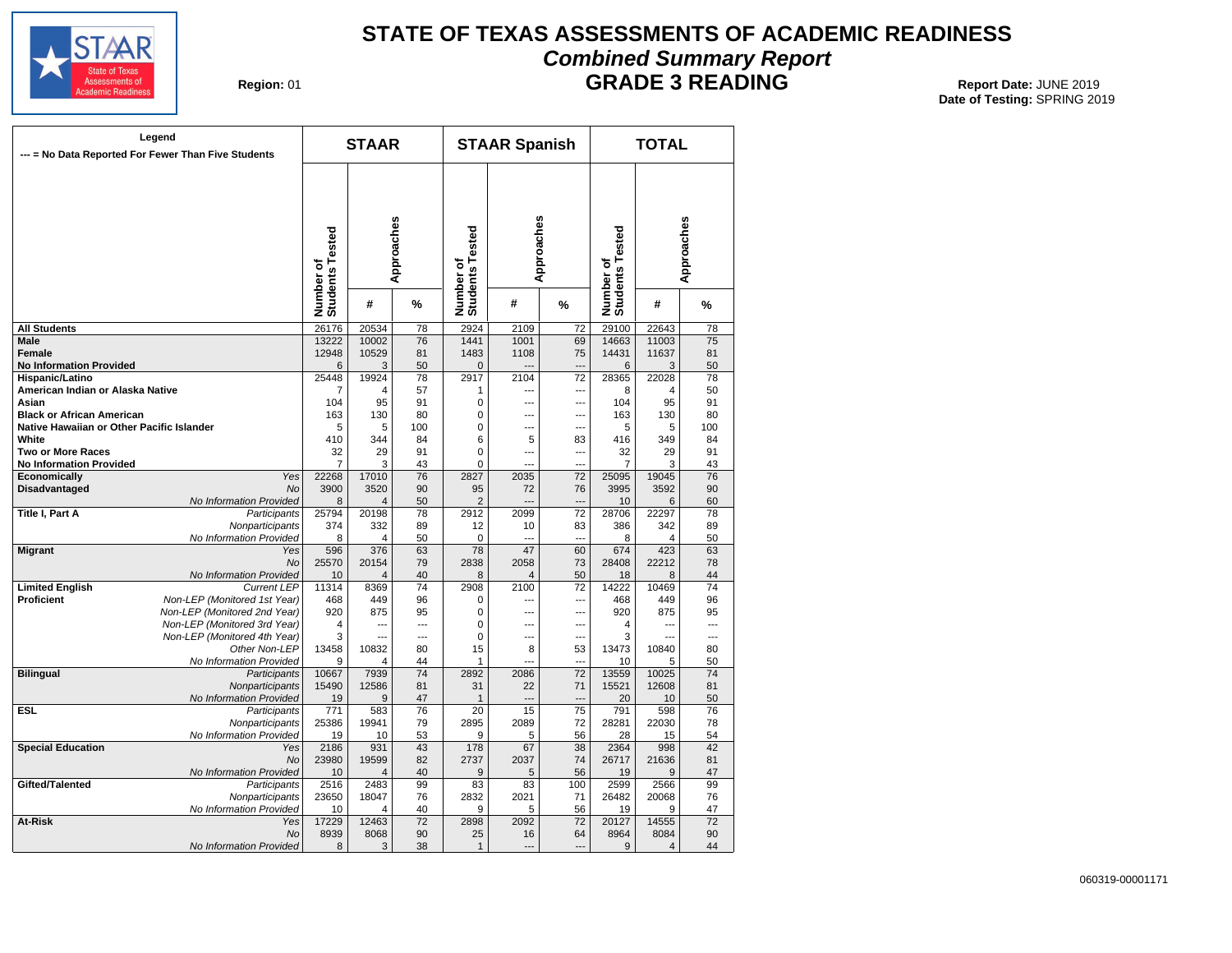![](_page_22_Picture_0.jpeg)

## **STATE OF TEXAS ASSESSMENTS OF ACADEMIC READINESS Combined Summary Report**

**Region: 01** 

**GRADE 3 READING** Report Date: JUNE 2019

|                                           | Legend<br>--- = No Data Reported For Fewer Than Five Students |                              | <b>STAAR</b>   |            |                              | <b>STAAR Spanish</b> |                 |                              | <b>TOTAL</b>          |            |
|-------------------------------------------|---------------------------------------------------------------|------------------------------|----------------|------------|------------------------------|----------------------|-----------------|------------------------------|-----------------------|------------|
|                                           |                                                               | Number of<br>Students Tested |                | Approaches | Number of<br>Students Tested |                      | Approaches      | Number of<br>Students Tested |                       | Approaches |
|                                           |                                                               |                              | #              | %          |                              | #                    | %               |                              | #                     | %          |
| <b>All Students</b>                       |                                                               | 26176                        | 20534          | 78         | 2924                         | 2109                 | $\overline{72}$ | 29100                        | 22643                 | 78         |
| Male                                      |                                                               | 13222                        | 10002          | 76         | 1441                         | 1001                 | 69              | 14663                        | 11003                 | 75         |
| Female                                    |                                                               | 12948                        | 10529          | 81         | 1483                         | 1108                 | 75              | 14431                        | 11637                 | 81         |
| <b>No Information Provided</b>            |                                                               | 6                            | 3              | 50         | $\mathbf{0}$                 |                      | ---             | 6                            | 3                     | 50         |
| Hispanic/Latino                           |                                                               | 25448                        | 19924          | 78         | 2917                         | 2104                 | 72              | 28365                        | 22028                 | 78         |
| American Indian or Alaska Native          |                                                               | 7                            | 4<br>95        | 57<br>91   | 1                            | ---                  | ---             | 8                            | 4<br>95               | 50         |
| Asian<br><b>Black or African American</b> |                                                               | 104<br>163                   | 130            | 80         | 0<br>$\mathbf 0$             | ---<br>---           | ---<br>---      | 104<br>163                   | 130                   | 91<br>80   |
| Native Hawaiian or Other Pacific Islander |                                                               | 5                            | 5              | 100        | $\mathbf 0$                  | ---                  | ---             | 5                            | 5                     | 100        |
| White                                     |                                                               | 410                          | 344            | 84         | 6                            | 5                    | 83              | 416                          | 349                   | 84         |
| <b>Two or More Races</b>                  |                                                               | 32                           | 29             | 91         | $\mathbf 0$                  | ---                  | ---             | 32                           | 29                    | 91         |
| <b>No Information Provided</b>            |                                                               | 7                            | 3              | 43         | $\pmb{0}$                    | ---                  | ---             | $\overline{7}$               | 3                     | 43         |
| Economically                              | Yes                                                           | 22268                        | 17010          | 76         | 2827                         | 2035                 | 72              | 25095                        | 19045                 | 76         |
| Disadvantaged                             | <b>No</b>                                                     | 3900                         | 3520           | 90         | 95                           | 72                   | 76              | 3995                         | 3592                  | 90         |
|                                           | No Information Provided                                       | 8                            | $\overline{4}$ | 50         | $\overline{2}$               | $\overline{a}$       | ---             | 10                           | 6                     | 60         |
| Title I, Part A                           | Participants                                                  | 25794                        | 20198          | 78         | 2912                         | 2099                 | $\overline{72}$ | 28706                        | 22297                 | 78         |
|                                           | Nonparticipants                                               | 374                          | 332            | 89         | 12                           | 10                   | 83              | 386                          | 342                   | 89         |
|                                           | No Information Provided                                       | 8                            | 4              | 50         | $\mathbf 0$                  | $\overline{a}$       | $\sim$          | 8                            | 4                     | 50         |
| <b>Migrant</b>                            | Yes                                                           | 596                          | 376            | 63         | 78                           | 47                   | 60              | 674                          | 423                   | 63         |
|                                           | <b>No</b>                                                     | 25570                        | 20154          | 79         | 2838                         | 2058                 | 73              | 28408                        | 22212                 | 78         |
|                                           | No Information Provided                                       | 10                           | 4              | 40         | 8                            | $\overline{4}$       | 50              | 18                           | 8                     | 44         |
| <b>Limited English</b>                    | <b>Current LEP</b>                                            | 11314                        | 8369           | 74         | 2908                         | 2100                 | 72              | 14222                        | 10469                 | 74         |
| <b>Proficient</b>                         | Non-LEP (Monitored 1st Year)<br>Non-LEP (Monitored 2nd Year)  | 468<br>920                   | 449            | 96         | 0                            | ---<br>---           | ---             | 468<br>920                   | 449                   | 96         |
|                                           | Non-LEP (Monitored 3rd Year)                                  | 4                            | 875<br>---     | 95<br>---  | 0<br>$\mathbf 0$             | $\overline{a}$       | ---<br>---      | 4                            | 875<br>$\overline{a}$ | 95<br>---  |
|                                           | Non-LEP (Monitored 4th Year)                                  | 3                            | ---            | ---        | $\mathbf 0$                  | ---                  | ---             | 3                            | …                     | ---        |
|                                           | Other Non-LEP                                                 | 13458                        | 10832          | 80         | 15                           | 8                    | 53              | 13473                        | 10840                 | 80         |
|                                           | No Information Provided                                       | 9                            | 4              | 44         | $\mathbf{1}$                 |                      |                 | 10                           | 5                     | 50         |
| <b>Bilingual</b>                          | Participants                                                  | 10667                        | 7939           | 74         | 2892                         | 2086                 | $\overline{72}$ | 13559                        | 10025                 | 74         |
|                                           | Nonparticipants                                               | 15490                        | 12586          | 81         | 31                           | 22                   | 71              | 15521                        | 12608                 | 81         |
|                                           | No Information Provided                                       | 19                           | 9              | 47         | $\mathbf{1}$                 |                      |                 | 20                           | 10                    | 50         |
| <b>ESL</b>                                | Participants                                                  | 771                          | 583            | 76         | 20                           | 15                   | $\overline{75}$ | 791                          | 598                   | 76         |
|                                           | Nonparticipants                                               | 25386                        | 19941          | 79         | 2895                         | 2089                 | 72              | 28281                        | 22030                 | 78         |
|                                           | No Information Provided                                       | 19                           | 10             | 53         | 9                            | 5                    | 56              | 28                           | 15                    | 54         |
| <b>Special Education</b>                  | Yes                                                           | 2186                         | 931            | 43         | 178                          | 67                   | $\overline{38}$ | 2364                         | 998                   | 42         |
|                                           | <b>No</b>                                                     | 23980                        | 19599          | 82         | 2737                         | 2037                 | 74              | 26717                        | 21636                 | 81         |
|                                           | No Information Provided                                       | 10                           | 4              | 40         | 9                            | 5                    | 56              | 19                           | 9                     | 47         |
| Gifted/Talented                           | Participants                                                  | 2516                         | 2483           | 99         | 83                           | 83                   | 100             | 2599                         | 2566                  | 99         |
|                                           | Nonparticipants<br>No Information Provided                    | 23650<br>10                  | 18047<br>4     | 76<br>40   | 2832<br>9                    | 2021<br>5            | 71<br>56        | 26482<br>19                  | 20068<br>9            | 76<br>47   |
| <b>At-Risk</b>                            | Yes                                                           | 17229                        | 12463          | 72         | 2898                         | 2092                 | 72              | 20127                        | 14555                 | 72         |
|                                           | <b>No</b>                                                     | 8939                         | 8068           | 90         | 25                           | 16                   | 64              | 8964                         | 8084                  | 90         |
|                                           | No Information Provided                                       | 8                            | 3              | 38         | $\mathbf{1}$                 | ---                  | $\sim$          | 9                            | $\overline{4}$        | 44         |
|                                           |                                                               |                              |                |            |                              |                      |                 |                              |                       |            |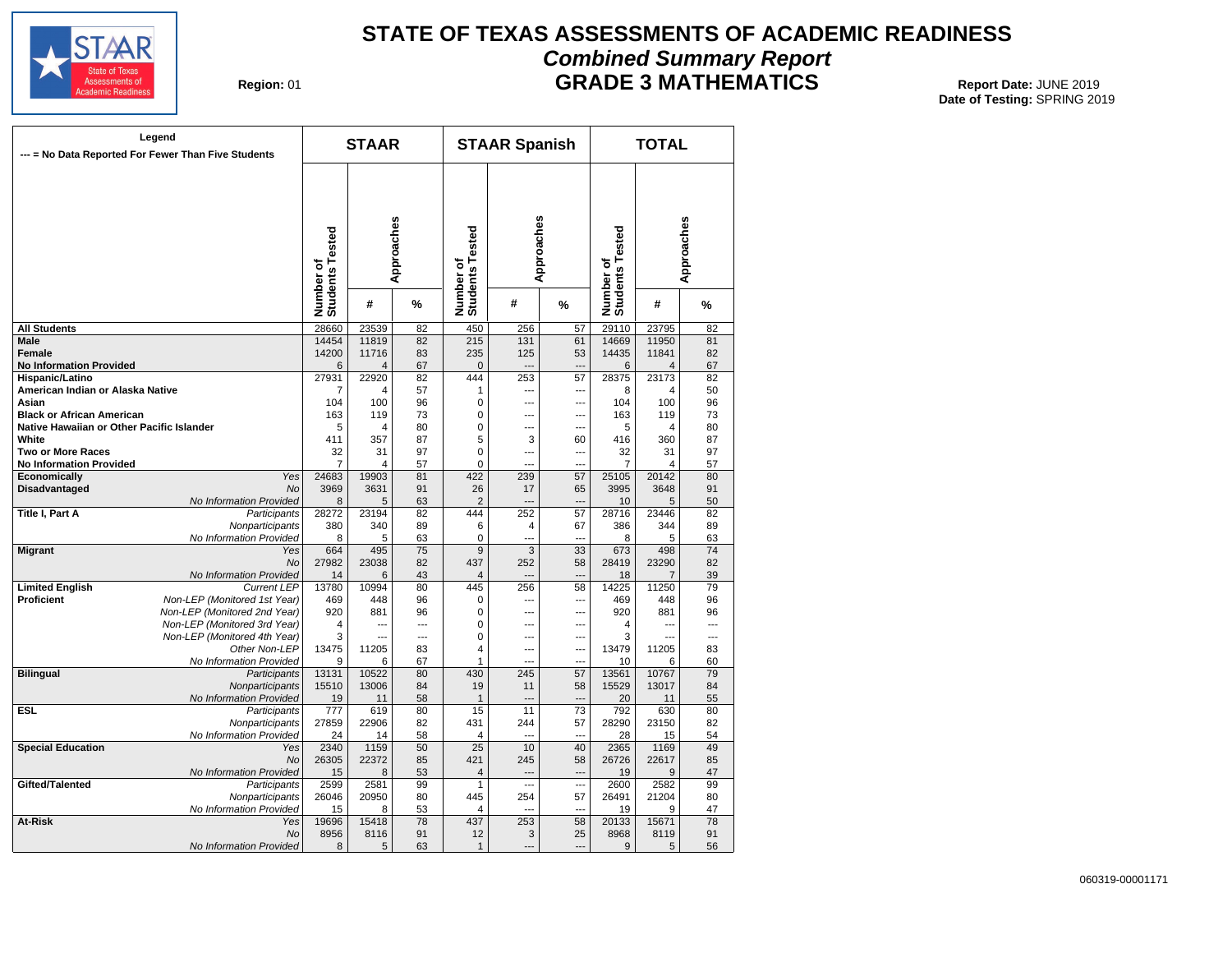![](_page_23_Picture_0.jpeg)

## **STATE OF TEXAS ASSESSMENTS OF ACADEMIC READINESS Combined Summary Report GRADE 3 MATHEMATICS** Report Date: JUNE 2019

**Region: 01** 

|                                           | Legend<br>--- = No Data Reported For Fewer Than Five Students |                              | <b>STAAR</b> |                 |                              | <b>STAAR Spanish</b> |                          |                              | <b>TOTAL</b> |                 |
|-------------------------------------------|---------------------------------------------------------------|------------------------------|--------------|-----------------|------------------------------|----------------------|--------------------------|------------------------------|--------------|-----------------|
|                                           |                                                               | Number of<br>Students Tested |              | Approaches      | Number of<br>Students Tested | Approaches           |                          | Number of<br>Students Tested |              | Approaches      |
|                                           |                                                               |                              | #            | %               |                              | #                    | %                        |                              | #            | %               |
| <b>All Students</b>                       |                                                               | 28660                        | 23539        | 82              | 450                          | 256                  | 57                       | 29110                        | 23795        | 82              |
| Male                                      |                                                               | 14454                        | 11819        | 82              | $\overline{215}$             | 131                  | 61                       | 14669                        | 11950        | 81              |
| Female                                    |                                                               | 14200                        | 11716        | 83              | 235                          | 125                  | 53                       | 14435                        | 11841        | 82              |
| <b>No Information Provided</b>            |                                                               | 6                            | 4            | 67              | $\mathbf 0$                  | $\overline{a}$       | ---                      | 6                            | 4            | 67              |
| Hispanic/Latino                           |                                                               | 27931                        | 22920        | 82              | 444                          | 253                  | 57                       | 28375                        | 23173        | 82              |
| American Indian or Alaska Native          |                                                               | 7                            | 4            | 57              | 1                            | ---                  | …                        | 8                            | 4            | 50              |
| Asian                                     |                                                               | 104                          | 100          | 96              | $\mathbf 0$                  | ---                  | ---                      | 104                          | 100          | 96              |
| <b>Black or African American</b>          |                                                               | 163                          | 119          | 73              | 0                            | ---                  | ---                      | 163                          | 119          | 73              |
| Native Hawaiian or Other Pacific Islander |                                                               | 5                            | 4            | 80              | 0                            | ---                  | ---                      | 5                            | 4            | 80              |
| White                                     |                                                               | 411                          | 357          | 87              | 5                            | 3                    | 60                       | 416                          | 360          | 87              |
| <b>Two or More Races</b>                  |                                                               | 32                           | 31           | 97              | 0                            | ---                  | ---                      | 32                           | 31           | 97              |
| <b>No Information Provided</b>            |                                                               | $\overline{7}$               | 4            | 57              | $\mathbf 0$                  | $\sim$               | ---                      | $\overline{7}$               | 4            | 57              |
| Economically                              | Yes                                                           | 24683                        | 19903        | 81              | 422                          | 239                  | 57                       | 25105                        | 20142        | 80              |
| Disadvantaged                             | No                                                            | 3969                         | 3631         | 91              | 26                           | 17                   | 65                       | 3995                         | 3648         | 91              |
|                                           | No Information Provided                                       | 8                            | 5            | 63              | $\overline{2}$               | $-$                  | $\overline{a}$           | 10                           | 5            | 50              |
| Title I, Part A                           | Participants                                                  | 28272                        | 23194        | 82              | 444                          | 252                  | 57                       | 28716                        | 23446        | 82              |
|                                           | Nonparticipants                                               | 380                          | 340          | 89              | 6                            | $\overline{4}$       | 67                       | 386                          | 344          | 89              |
|                                           | No Information Provided                                       | 8                            | 5            | 63              | $\mathbf 0$                  | ---                  | ---                      | 8                            | 5            | 63              |
| <b>Migrant</b>                            | Yes                                                           | 664                          | 495          | $\overline{75}$ | $\overline{9}$               | $\overline{3}$       | 33                       | 673                          | 498          | $\overline{74}$ |
|                                           | <b>No</b>                                                     | 27982                        | 23038        | 82              | 437                          | 252                  | 58                       | 28419                        | 23290        | 82              |
|                                           | No Information Provided                                       | 14                           | 6            | 43              | $\overline{4}$               | ---                  | $\overline{\phantom{a}}$ | 18                           | 7            | 39              |
| <b>Limited English</b>                    | <b>Current LEP</b>                                            | 13780                        | 10994        | 80              | 445                          | 256                  | 58                       | 14225                        | 11250        | 79              |
| <b>Proficient</b>                         | Non-LEP (Monitored 1st Year)                                  | 469                          | 448          | 96              | 0                            | ---                  | ---                      | 469                          | 448          | 96              |
|                                           | Non-LEP (Monitored 2nd Year)                                  | 920                          | 881          | 96              | 0                            | ---                  | ---                      | 920                          | 881          | 96              |
|                                           | Non-LEP (Monitored 3rd Year)                                  | 4                            |              | ---             | 0                            | ---                  | ---                      | 4                            |              | ---             |
|                                           | Non-LEP (Monitored 4th Year)                                  | 3                            |              | ---             | 0                            | ---                  | ---                      | 3                            |              | ---             |
|                                           | Other Non-LEP                                                 | 13475                        | 11205        | 83              | 4                            | $\overline{a}$       | ---                      | 13479                        | 11205        | 83              |
|                                           | No Information Provided                                       | 9                            | 6            | 67              | 1                            | $\overline{a}$       | $\sim$                   | 10                           | 6            | 60              |
| <b>Bilingual</b>                          | Participants                                                  | 13131                        | 10522        | 80              | 430                          | 245                  | 57                       | 13561                        | 10767        | 79              |
|                                           | Nonparticipants                                               | 15510                        | 13006        | 84              | 19                           | 11                   | 58                       | 15529                        | 13017        | 84              |
|                                           | No Information Provided                                       | 19                           | 11           | 58              | $\overline{1}$               |                      | $\overline{a}$           | 20                           | 11           | 55              |
| <b>ESL</b>                                | Participants                                                  | 777                          | 619          | 80              | 15                           | 11                   | 73                       | 792                          | 630          | 80              |
|                                           | Nonparticipants                                               | 27859                        | 22906        | 82              | 431                          | 244                  | 57                       | 28290                        | 23150        | 82              |
|                                           | No Information Provided                                       | 24                           | 14           | 58              | 4                            | $\sim$               | $\sim$                   | 28                           | 15           | 54              |
| <b>Special Education</b>                  | Yes                                                           | 2340                         | 1159         | 50              | $\overline{25}$              | 10                   | 40                       | 2365                         | 1169         | 49              |
|                                           | No                                                            | 26305                        | 22372        | 85              | 421                          | 245                  | 58                       | 26726                        | 22617        | 85              |
|                                           | No Information Provided                                       | 15                           | 8            | 53              | $\overline{4}$               | ---                  | ---                      | 19                           | 9            | 47              |
| Gifted/Talented                           | Participants                                                  | 2599                         | 2581         | 99              | $\mathbf{1}$                 | $\sim$               | $\sim$                   | 2600                         | 2582         | 99              |
|                                           | Nonparticipants                                               | 26046                        | 20950        | 80              | 445                          | 254                  | 57                       | 26491                        | 21204        | 80              |
|                                           | No Information Provided                                       | 15                           | 8            | 53              | 4                            |                      |                          | 19                           | 9            | 47              |
| At-Risk                                   | Yes                                                           | 19696                        | 15418        | 78              | 437                          | 253                  | 58                       | 20133                        | 15671        | 78              |
|                                           | No                                                            | 8956                         | 8116         | 91              | 12                           | 3                    | 25                       | 8968                         | 8119         | 91              |
|                                           | No Information Provided                                       | 8                            | 5            | 63              | $\mathbf{1}$                 | $\overline{a}$       | ---                      | 9                            | 5            | 56              |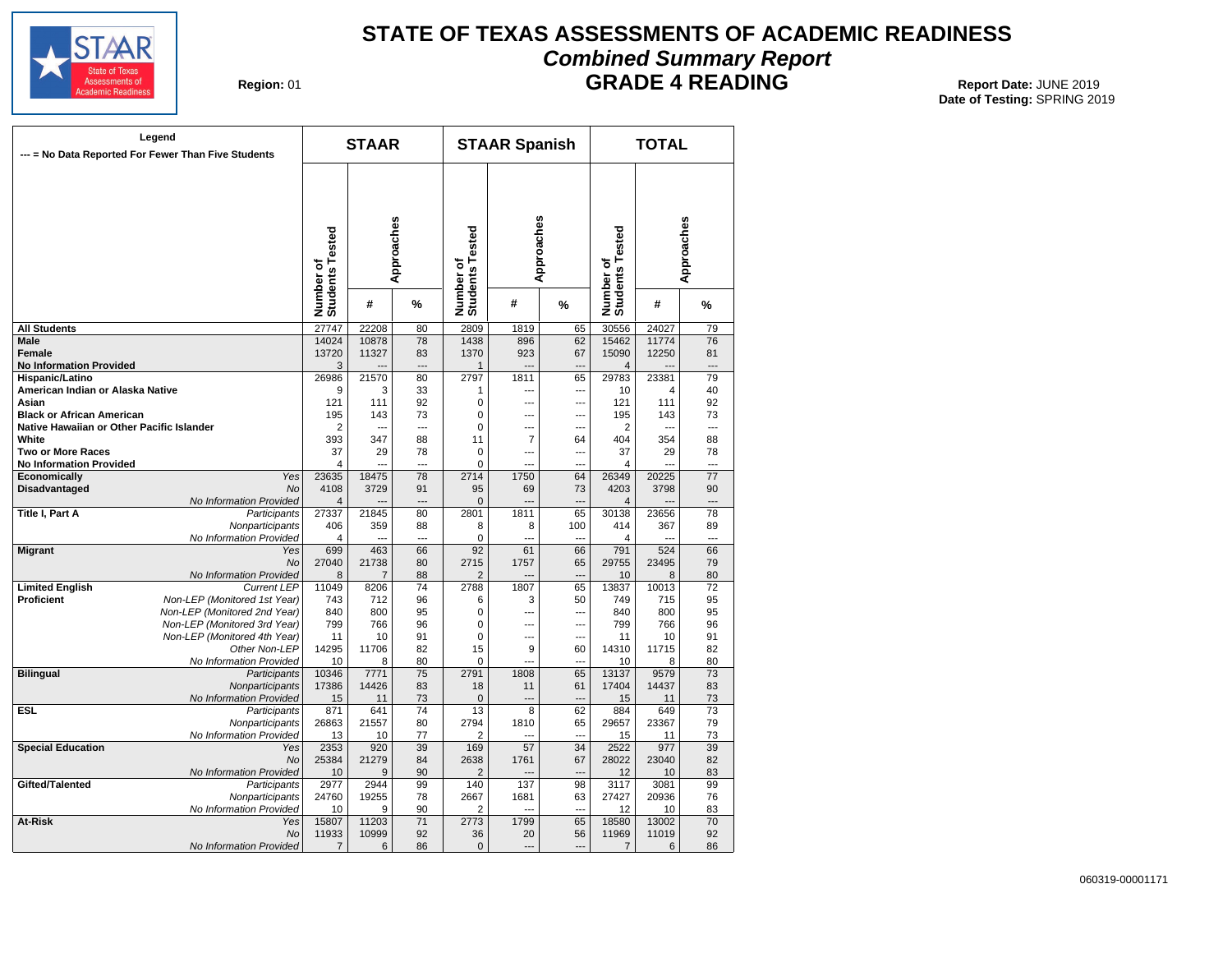![](_page_24_Picture_0.jpeg)

## **STATE OF TEXAS ASSESSMENTS OF ACADEMIC READINESS Combined Summary Report**

**Region: 01** 

## **GRADE 4 READING** Report Date: JUNE 2019

|                                           | Legend<br>--- = No Data Reported For Fewer Than Five Students |                              | <b>STAAR</b>   |                      |                              | <b>STAAR Spanish</b>   |                      |                              | <b>TOTAL</b> |                      |
|-------------------------------------------|---------------------------------------------------------------|------------------------------|----------------|----------------------|------------------------------|------------------------|----------------------|------------------------------|--------------|----------------------|
|                                           |                                                               | Number of<br>Students Tested |                | Approaches           | Number of<br>Students Tested |                        | Approaches           | Number of<br>Students Tested |              | Approaches           |
|                                           |                                                               |                              | #              | %                    |                              | #                      | %                    |                              | #            | %                    |
| <b>All Students</b>                       |                                                               | 27747                        | 22208          | 80                   | 2809                         | 1819                   | 65                   | 30556                        | 24027        | 79                   |
| Male                                      |                                                               | 14024                        | 10878          | 78                   | 1438                         | 896                    | 62                   | 15462                        | 11774        | 76                   |
| <b>Female</b>                             |                                                               | 13720                        | 11327          | 83                   | 1370                         | 923                    | 67                   | 15090                        | 12250        | 81                   |
| <b>No Information Provided</b>            |                                                               | 3                            |                | $\sim$               | $\mathbf{1}$                 | $\overline{a}$         | $\sim$               | $\overline{4}$               |              | ---                  |
| Hispanic/Latino                           |                                                               | 26986                        | 21570          | 80                   | 2797                         | 1811                   | 65                   | 29783                        | 23381        | 79                   |
| American Indian or Alaska Native          |                                                               | 9                            | 3              | 33                   | 1                            | ---                    | ---                  | 10                           | 4            | 40                   |
| Asian                                     |                                                               | 121                          | 111            | 92                   | 0                            | ---                    | ---                  | 121                          | 111          | 92                   |
| <b>Black or African American</b>          |                                                               | 195                          | 143            | 73                   | $\mathbf 0$                  | $\overline{a}$         | ---                  | 195                          | 143          | 73                   |
| Native Hawaiian or Other Pacific Islander |                                                               | $\overline{2}$               | ---            | $\overline{a}$       | $\mathbf 0$                  | ---                    | ---                  | $\overline{2}$               | ---          | $\overline{a}$       |
| White                                     |                                                               | 393                          | 347            | 88                   | 11                           | $\overline{7}$         | 64                   | 404                          | 354          | 88                   |
| Two or More Races                         |                                                               | 37                           | 29             | 78                   | 0                            | ---                    | ---                  | 37                           | 29           | 78                   |
| <b>No Information Provided</b>            |                                                               | $\overline{4}$               |                |                      | 0                            | $\sim$                 | ---                  | 4                            |              | $\overline{a}$       |
| Economically                              | Yes                                                           | 23635                        | 18475          | 78                   | 2714                         | 1750                   | 64                   | 26349                        | 20225        | 77                   |
| <b>Disadvantaged</b>                      | <b>No</b>                                                     | 4108                         | 3729           | 91                   | 95                           | 69                     | 73<br>$\overline{a}$ | 4203                         | 3798         | 90                   |
| Title I, Part A                           | No Information Provided<br>Participants                       | 4<br>27337                   | 21845          | $\overline{a}$<br>80 | $\mathbf{0}$<br>2801         | $\overline{a}$<br>1811 | 65                   | $\overline{4}$<br>30138      | 23656        | $\overline{a}$<br>78 |
|                                           | Nonparticipants                                               | 406                          | 359            | 88                   | 8                            | 8                      | 100                  | 414                          | 367          | 89                   |
|                                           | No Information Provided                                       | 4                            | $\sim$         | $\sim$               | 0                            | $\sim$                 | $\sim$               | 4                            |              | $\sim$               |
| <b>Migrant</b>                            | Yes                                                           | 699                          | 463            | 66                   | 92                           | 61                     | 66                   | 791                          | 524          | 66                   |
|                                           | <b>No</b>                                                     | 27040                        | 21738          | 80                   | 2715                         | 1757                   | 65                   | 29755                        | 23495        | 79                   |
|                                           | No Information Provided                                       | 8                            | $\overline{7}$ | 88                   | $\overline{2}$               |                        | $\overline{a}$       | 10                           | 8            | 80                   |
| <b>Limited English</b>                    | <b>Current LEP</b>                                            | 11049                        | 8206           | 74                   | 2788                         | 1807                   | 65                   | 13837                        | 10013        | 72                   |
| <b>Proficient</b>                         | Non-LEP (Monitored 1st Year)                                  | 743                          | 712            | 96                   | 6                            | 3                      | 50                   | 749                          | 715          | 95                   |
|                                           | Non-LEP (Monitored 2nd Year)                                  | 840                          | 800            | 95                   | $\mathbf 0$                  | ---                    | ---                  | 840                          | 800          | 95                   |
|                                           | Non-LEP (Monitored 3rd Year)                                  | 799                          | 766            | 96                   | 0                            | $\overline{a}$         | ---                  | 799                          | 766          | 96                   |
|                                           | Non-LEP (Monitored 4th Year)                                  | 11                           | 10             | 91                   | $\Omega$                     | $\overline{a}$         | ---                  | 11                           | 10           | 91                   |
|                                           | Other Non-LEP                                                 | 14295                        | 11706          | 82                   | 15                           | 9                      | 60                   | 14310                        | 11715        | 82                   |
|                                           | No Information Provided                                       | 10                           | 8              | 80                   | $\mathbf 0$                  | ---                    | ---                  | 10                           | 8            | 80                   |
| <b>Bilingual</b>                          | Participants                                                  | 10346                        | 7771           | 75                   | 2791                         | 1808                   | 65                   | 13137                        | 9579         | 73                   |
|                                           | Nonparticipants                                               | 17386                        | 14426          | 83                   | 18                           | 11                     | 61                   | 17404                        | 14437        | 83                   |
|                                           | No Information Provided                                       | 15                           | 11             | 73                   | $\mathbf{0}$                 | $\overline{a}$         | $\overline{a}$       | 15                           | 11           | 73                   |
| <b>ESL</b>                                | Participants                                                  | 871                          | 641            | 74                   | 13                           | 8                      | 62                   | 884                          | 649          | 73                   |
|                                           | Nonparticipants                                               | 26863                        | 21557          | 80                   | 2794                         | 1810<br>$\sim$         | 65<br>$\sim$         | 29657                        | 23367        | 79                   |
| <b>Special Education</b>                  | No Information Provided                                       | 13<br>2353                   | 10<br>920      | 77<br>39             | 2<br>169                     | 57                     | 34                   | 15<br>2522                   | 11<br>977    | 73<br>39             |
|                                           | Yes<br><b>No</b>                                              | 25384                        | 21279          | 84                   | 2638                         | 1761                   | 67                   | 28022                        | 23040        | 82                   |
|                                           | No Information Provided                                       | 10                           | 9              | 90                   | $\overline{2}$               |                        | ---                  | 12                           | 10           | 83                   |
| Gifted/Talented                           | Participants                                                  | 2977                         | 2944           | 99                   | 140                          | 137                    | 98                   | 3117                         | 3081         | 99                   |
|                                           | Nonparticipants                                               | 24760                        | 19255          | 78                   | 2667                         | 1681                   | 63                   | 27427                        | 20936        | 76                   |
|                                           | No Information Provided                                       | 10                           | 9              | 90                   | 2                            |                        | $\sim$               | 12                           | 10           | 83                   |
| At-Risk                                   | Yes                                                           | 15807                        | 11203          | 71                   | 2773                         | 1799                   | 65                   | 18580                        | 13002        | 70                   |
|                                           | <b>No</b>                                                     | 11933                        | 10999          | 92                   | 36                           | 20                     | 56                   | 11969                        | 11019        | 92                   |
|                                           | No Information Provided                                       | 7                            | 6              | 86                   | $\mathbf 0$                  | $\overline{a}$         | ---                  | 7                            | 6            | 86                   |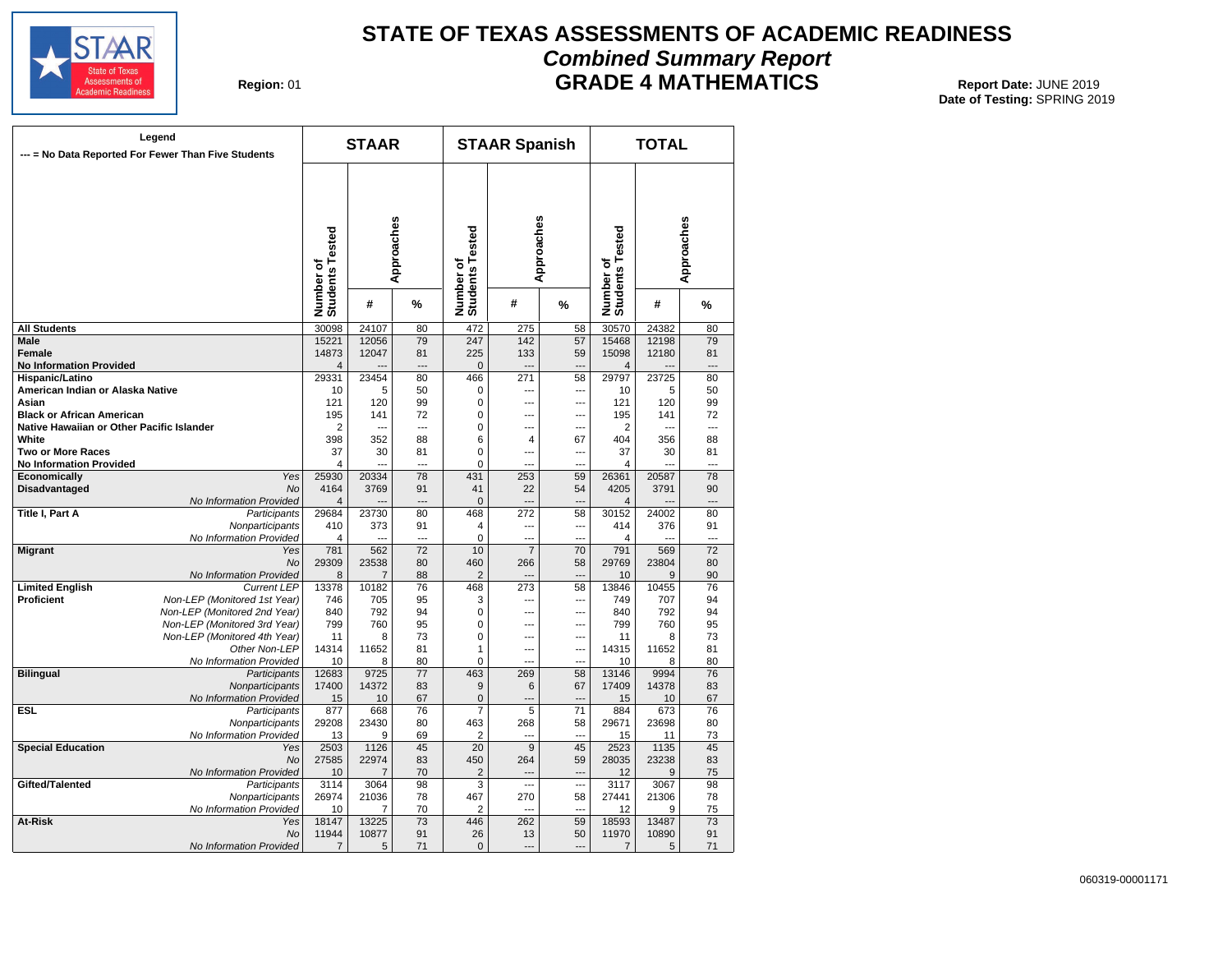![](_page_25_Picture_0.jpeg)

## **STATE OF TEXAS ASSESSMENTS OF ACADEMIC READINESS Combined Summary Report GRADE 4 MATHEMATICS** Report Date: JUNE 2019

**Region: 01** 

|                                           | Legend<br>--- = No Data Reported For Fewer Than Five Students |                              | <b>STAAR</b>   |                 |                              | <b>STAAR Spanish</b> |                          |                              | <b>TOTAL</b> |                 |
|-------------------------------------------|---------------------------------------------------------------|------------------------------|----------------|-----------------|------------------------------|----------------------|--------------------------|------------------------------|--------------|-----------------|
|                                           |                                                               | Number of<br>Students Tested |                | Approaches      | Number of<br>Students Tested | Approaches           |                          | Number of<br>Students Tested |              | Approaches      |
|                                           |                                                               |                              | #              | %               |                              | #                    | %                        |                              | #            | %               |
| <b>All Students</b>                       |                                                               | 30098                        | 24107          | 80              | 472                          | 275                  | 58                       | 30570                        | 24382        | 80              |
| Male                                      |                                                               | 15221                        | 12056          | 79              | 247                          | 142                  | 57                       | 15468                        | 12198        | 79              |
| <b>Female</b>                             |                                                               | 14873                        | 12047          | 81              | 225                          | 133                  | 59                       | 15098                        | 12180        | 81              |
| <b>No Information Provided</b>            |                                                               | $\overline{4}$               |                | $\overline{a}$  | $\mathbf{0}$                 | $\overline{a}$       | ---                      | $\overline{4}$               |              | ---             |
| Hispanic/Latino                           |                                                               | 29331                        | 23454          | 80              | 466                          | 271                  | 58                       | 29797                        | 23725        | 80              |
| American Indian or Alaska Native          |                                                               | 10                           | 5              | 50              | 0                            | ---                  | ---                      | 10                           | 5            | 50              |
| Asian                                     |                                                               | 121                          | 120            | 99              | 0                            | ---                  | ---                      | 121                          | 120          | 99              |
| <b>Black or African American</b>          |                                                               | 195                          | 141            | 72              | 0                            | ---                  | ---                      | 195                          | 141          | 72              |
| Native Hawaiian or Other Pacific Islander |                                                               | $\overline{2}$               |                | ---             | 0                            | ---                  | ---                      | $\overline{2}$               |              | $\overline{a}$  |
| White                                     |                                                               | 398                          | 352            | 88              | 6                            | 4                    | 67                       | 404                          | 356          | 88              |
| <b>Two or More Races</b>                  |                                                               | 37                           | 30             | 81              | 0                            | $\overline{a}$       | ---                      | 37                           | 30           | 81              |
| <b>No Information Provided</b>            |                                                               | $\overline{4}$               |                |                 | 0                            | ---                  |                          | $\overline{4}$               |              |                 |
| Economically                              | Yes                                                           | 25930                        | 20334          | 78              | 431                          | 253                  | 59                       | 26361                        | 20587        | 78              |
| <b>Disadvantaged</b>                      | <b>No</b>                                                     | 4164                         | 3769           | 91              | 41                           | 22                   | 54                       | 4205                         | 3791         | 90              |
|                                           | No Information Provided                                       | $\overline{4}$               |                | $\overline{a}$  | $\mathbf 0$                  | ---                  | ---                      | 4                            |              | ---             |
| Title I, Part A                           | Participants                                                  | 29684                        | 23730          | 80              | 468                          | 272                  | 58                       | 30152                        | 24002        | 80              |
|                                           | Nonparticipants                                               | 410                          | 373            | 91              | 4                            | ---                  | ---                      | 414                          | 376          | 91              |
|                                           | No Information Provided                                       | 4                            |                | $\overline{a}$  | 0                            | ---                  | ---                      | $\overline{4}$               |              | ---             |
| <b>Migrant</b>                            | Yes                                                           | 781                          | 562            | $\overline{72}$ | 10                           | $\overline{7}$       | 70                       | 791                          | 569          | $\overline{72}$ |
|                                           | No                                                            | 29309                        | 23538          | 80              | 460                          | 266                  | 58                       | 29769                        | 23804        | 80              |
|                                           | No Information Provided                                       | 8                            | $\overline{7}$ | 88              | $\overline{2}$               |                      |                          | 10                           | 9            | 90              |
| <b>Limited English</b>                    | <b>Current LEP</b>                                            | 13378                        | 10182          | 76              | 468                          | 273                  | 58                       | 13846                        | 10455        | 76              |
| Proficient                                | Non-LEP (Monitored 1st Year)                                  | 746                          | 705            | 95              | 3                            | ---                  | ---                      | 749                          | 707          | 94              |
|                                           | Non-LEP (Monitored 2nd Year)                                  | 840                          | 792            | 94              | 0                            | ---                  | ---                      | 840                          | 792          | 94              |
|                                           | Non-LEP (Monitored 3rd Year)                                  | 799                          | 760            | 95              | 0                            | ---                  | ---                      | 799                          | 760          | 95              |
|                                           | Non-LEP (Monitored 4th Year)                                  | 11                           | 8              | 73              | 0                            | ---                  | ---                      | 11                           | 8            | 73              |
|                                           | Other Non-LEP                                                 | 14314                        | 11652          | 81              | 1                            | ---                  | ---                      | 14315                        | 11652        | 81              |
|                                           | No Information Provided                                       | 10                           | 8              | 80              | 0                            | $\overline{a}$       | $\sim$                   | 10                           | 8            | 80              |
| <b>Bilingual</b>                          | Participants                                                  | 12683                        | 9725           | 77              | 463                          | 269                  | 58                       | 13146                        | 9994         | 76              |
|                                           | Nonparticipants                                               | 17400                        | 14372          | 83              | 9                            | 6                    | 67                       | 17409                        | 14378        | 83              |
|                                           | No Information Provided                                       | 15                           | 10             | 67              | 0                            | $---$                | $\overline{\phantom{a}}$ | 15                           | 10           | 67              |
| ESL                                       | Participants                                                  | 877                          | 668            | 76              | 7                            | 5                    | 71                       | 884                          | 673          | 76              |
|                                           | Nonparticipants                                               | 29208                        | 23430          | 80              | 463                          | 268                  | 58                       | 29671                        | 23698        | 80              |
|                                           | No Information Provided                                       | 13                           | 9              | 69              | 2                            | ---                  | ---                      | 15                           | 11           | 73              |
| <b>Special Education</b>                  | Yes                                                           | 2503                         | 1126           | 45              | $\overline{20}$              | 9                    | 45                       | 2523                         | 1135         | 45              |
|                                           | No                                                            | 27585                        | 22974          | 83              | 450                          | 264                  | 59                       | 28035                        | 23238        | 83              |
|                                           | No Information Provided                                       | 10                           | 7              | 70              | 2                            | ---                  |                          | 12                           | 9            | 75              |
| Gifted/Talented                           | Participants                                                  | 3114                         | 3064           | 98              | 3                            | ---                  | ---                      | 3117                         | 3067         | 98              |
|                                           | Nonparticipants                                               | 26974                        | 21036          | 78              | 467                          | 270                  | 58                       | 27441                        | 21306        | 78              |
|                                           | No Information Provided                                       | 10                           | 7              | 70              | 2                            | $\overline{a}$       | ---                      | 12                           | 9            | 75              |
| At-Risk                                   | Yes                                                           | 18147                        | 13225          | 73              | 446                          | 262                  | 59                       | 18593                        | 13487        | 73              |
|                                           | No                                                            | 11944                        | 10877          | 91              | 26                           | 13                   | 50                       | 11970                        | 10890        | 91              |
|                                           | No Information Provided                                       | 7                            | 5              | 71              | $\mathbf 0$                  | $---$                | ---                      | $\overline{7}$               | 5            | 71              |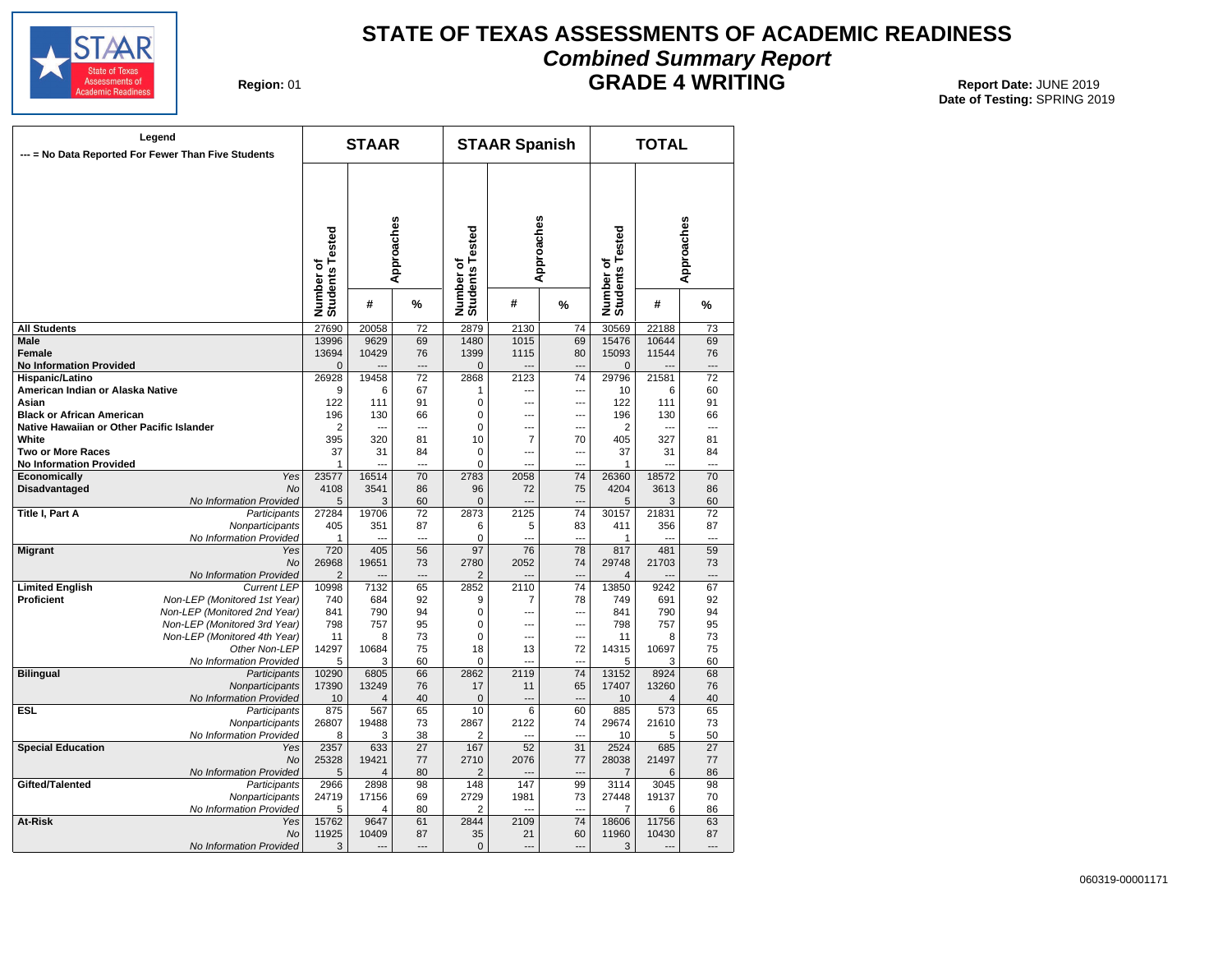![](_page_26_Picture_0.jpeg)

## **STATE OF TEXAS ASSESSMENTS OF ACADEMIC READINESS Combined Summary Report GRADE 4 WRITING** Report Date: JUNE 2019

**Region: 01** 

| Legend<br>--- = No Data Reported For Fewer Than Five Students |                              | <b>STAAR</b>                 |            |                 | <b>STAAR Spanish</b>         |                 |                          | <b>TOTAL</b>                 |            |                 |
|---------------------------------------------------------------|------------------------------|------------------------------|------------|-----------------|------------------------------|-----------------|--------------------------|------------------------------|------------|-----------------|
|                                                               |                              | Number of<br>Students Tested | Approaches |                 | Number of<br>Students Tested | Approaches      |                          | Number of<br>Students Tested | Approaches |                 |
|                                                               |                              |                              | #          | %               |                              | #               | %                        |                              | #          | %               |
| <b>All Students</b>                                           |                              | 27690                        | 20058      | 72              | 2879                         | 2130            | 74                       | 30569                        | 22188      | 73              |
| <b>Male</b>                                                   |                              | 13996                        | 9629       | 69              | 1480                         | 1015            | 69                       | 15476                        | 10644      | 69              |
| <b>Female</b>                                                 |                              | 13694                        | 10429      | 76              | 1399                         | 1115            | 80                       | 15093                        | 11544      | 76              |
| <b>No Information Provided</b>                                |                              | $\overline{0}$               |            |                 | $\overline{0}$               |                 | $\overline{a}$           | $\overline{0}$               |            |                 |
| Hispanic/Latino                                               |                              | 26928                        | 19458      | 72              | 2868                         | 2123            | 74                       | 29796                        | 21581      | 72              |
| American Indian or Alaska Native                              |                              | 9                            | 6          | 67              | 1                            | ---             | ---                      | 10                           | 6          | 60              |
| Asian                                                         |                              | 122                          | 111        | 91              | 0                            | ---             | ---                      | 122                          | 111        | 91              |
| <b>Black or African American</b>                              |                              | 196                          | 130        | 66              | 0                            | ---             | ---                      | 196                          | 130        | 66              |
| Native Hawaiian or Other Pacific Islander                     |                              | $\overline{2}$               |            | $\overline{a}$  | 0                            | $\overline{a}$  | ---                      | 2                            | ---        | ---             |
| White                                                         |                              | 395                          | 320        | 81              | 10                           | $\overline{7}$  | 70                       | 405                          | 327        | 81              |
| <b>Two or More Races</b>                                      |                              | 37                           | 31         | 84              | 0                            | ---             | ---                      | 37                           | 31         | 84              |
|                                                               |                              |                              |            |                 |                              |                 | $\sim$                   |                              |            |                 |
| <b>No Information Provided</b>                                |                              | 1                            |            |                 | 0                            |                 |                          | 1                            |            |                 |
| Economically                                                  | Yes                          | 23577                        | 16514      | 70              | 2783                         | 2058            | 74                       | 26360                        | 18572      | 70              |
| <b>Disadvantaged</b>                                          | No                           | 4108                         | 3541       | 86              | 96                           | 72              | 75                       | 4204                         | 3613       | 86              |
|                                                               | No Information Provided      | 5                            | 3          | 60              | 0                            |                 |                          | 5                            | 3          | 60              |
| <b>Title I, Part A</b>                                        | Participants                 | 27284                        | 19706      | 72              | 2873                         | 2125            | 74                       | 30157                        | 21831      | $\overline{72}$ |
|                                                               | Nonparticipants              | 405                          | 351        | 87              | 6                            | 5               | 83                       | 411                          | 356        | 87              |
|                                                               | No Information Provided      | 1                            |            | $\overline{a}$  | 0                            | $\overline{a}$  | $\overline{a}$           | 1                            | ---        | ---             |
| <b>Migrant</b>                                                | Yes                          | 720                          | 405        | 56              | 97                           | 76              | 78                       | 817                          | 481        | 59              |
|                                                               | No                           | 26968                        | 19651      | 73              | 2780                         | 2052            | 74                       | 29748                        | 21703      | 73              |
|                                                               | No Information Provided      | $\overline{2}$               |            | $---$           | 2                            |                 | ---                      | 4                            |            | ---             |
| <b>Limited English</b>                                        | <b>Current LEP</b>           | 10998                        | 7132       | 65              | 2852                         | 2110            | 74                       | 13850                        | 9242       | 67              |
| <b>Proficient</b>                                             | Non-LEP (Monitored 1st Year) | 740                          | 684        | 92              | 9                            | 7               | 78                       | 749                          | 691        | 92              |
|                                                               | Non-LEP (Monitored 2nd Year) | 841                          | 790        | 94              | 0                            | ---             | ---                      | 841                          | 790        | 94              |
|                                                               | Non-LEP (Monitored 3rd Year) | 798                          | 757        | 95              | 0                            | ---             | ---                      | 798                          | 757        | 95              |
|                                                               | Non-LEP (Monitored 4th Year) | 11                           | 8          | 73              | 0                            | ---             | ---                      | 11                           | 8          | 73              |
|                                                               | Other Non-LEP                | 14297                        | 10684      | 75              | 18                           | 13              | 72                       | 14315                        | 10697      | 75              |
|                                                               | No Information Provided      | 5                            | 3          | 60              | 0                            |                 | $\overline{a}$           | 5                            | 3          | 60              |
| <b>Bilingual</b>                                              | Participants                 | 10290                        | 6805       | 66              | 2862                         | 2119            | 74                       | 13152                        | 8924       | 68              |
|                                                               | Nonparticipants              | 17390                        | 13249      | 76              | 17                           | 11              | 65                       | 17407                        | 13260      | 76              |
|                                                               | No Information Provided      | 10                           | $\Delta$   | 40              | $\mathbf 0$                  | $\overline{a}$  | $\overline{\phantom{a}}$ | 10                           | 4          | 40              |
| <b>ESL</b>                                                    | Participants                 | 875                          | 567        | 65              | 10                           | $6\overline{6}$ | 60                       | 885                          | 573        | 65              |
|                                                               | Nonparticipants              | 26807                        | 19488      | 73              | 2867                         | 2122            | 74                       | 29674                        | 21610      | 73              |
|                                                               | No Information Provided      | 8                            | 3          | 38              | $\overline{2}$               |                 | $\sim$                   | 10                           | 5          | 50              |
| <b>Special Education</b>                                      | Yes                          | 2357                         | 633        | $\overline{27}$ | 167                          | 52              | 31                       | 2524                         | 685        | $\overline{27}$ |
|                                                               | No                           | 25328                        | 19421      | 77              | 2710                         | 2076            | 77                       | 28038                        | 21497      | 77              |
|                                                               | No Information Provided      | 5                            | 4          | 80              | 2                            |                 | ---                      | 7                            | 6          | 86              |
| Gifted/Talented                                               |                              | 2966                         | 2898       | 98              | 148                          | 147             | 99                       | 3114                         | 3045       | 98              |
|                                                               | Participants                 |                              |            |                 |                              |                 |                          |                              |            |                 |
|                                                               | Nonparticipants              | 24719                        | 17156      | 69              | 2729                         | 1981            | 73                       | 27448                        | 19137      | 70              |
|                                                               | No Information Provided      | 5                            | 4          | 80              | 2                            |                 |                          | 7                            | 6          | 86              |
| At-Risk                                                       | Yes                          | 15762                        | 9647       | 61              | 2844                         | 2109            | 74                       | 18606                        | 11756      | 63              |
|                                                               | No                           | 11925                        | 10409      | 87              | 35                           | 21              | 60                       | 11960                        | 10430      | 87              |
|                                                               | No Information Provided      | 3                            |            |                 | $\Omega$                     |                 | ---                      | 3                            |            |                 |